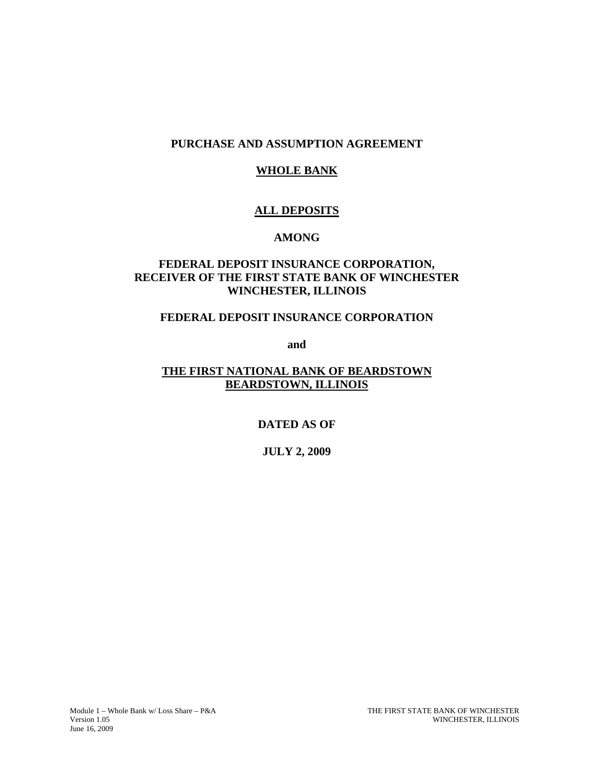### **PURCHASE AND ASSUMPTION AGREEMENT**

### **WHOLE BANK**

### **ALL DEPOSITS**

#### **AMONG**

### **FEDERAL DEPOSIT INSURANCE CORPORATION, RECEIVER OF THE FIRST STATE BANK OF WINCHESTER WINCHESTER, ILLINOIS**

#### **FEDERAL DEPOSIT INSURANCE CORPORATION**

**and and and** 

## **THE FIRST NATIONAL BANK OF BEARDSTOWN BEARDSTOWN, ILLINOIS**

**DATED AS OF**

**JULY 2, 2009**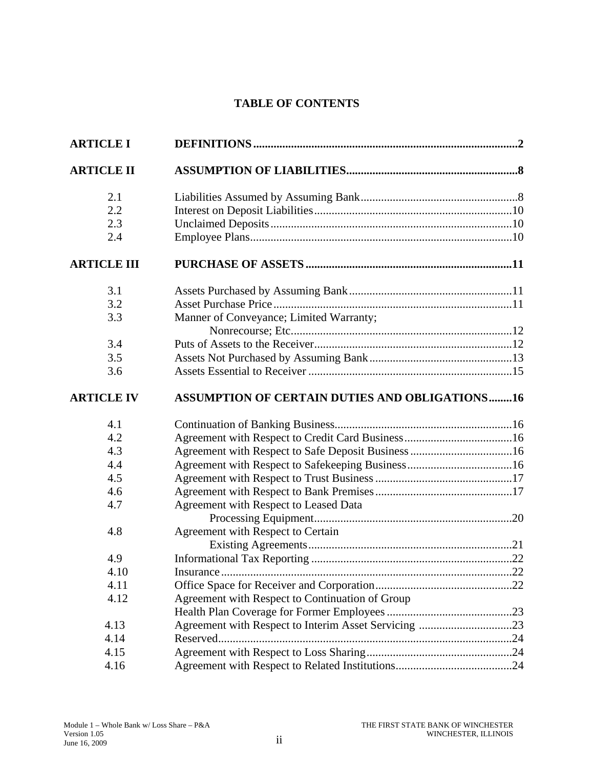# **TABLE OF CONTENTS**

| <b>ARTICLE I</b>   |                                                       |  |
|--------------------|-------------------------------------------------------|--|
| <b>ARTICLE II</b>  |                                                       |  |
| 2.1                |                                                       |  |
| 2.2                |                                                       |  |
| 2.3                |                                                       |  |
| 2.4                |                                                       |  |
| <b>ARTICLE III</b> |                                                       |  |
| 3.1                |                                                       |  |
| 3.2                |                                                       |  |
| 3.3                | Manner of Conveyance; Limited Warranty;               |  |
|                    |                                                       |  |
| 3.4                |                                                       |  |
| 3.5                |                                                       |  |
| 3.6                |                                                       |  |
| <b>ARTICLE IV</b>  | <b>ASSUMPTION OF CERTAIN DUTIES AND OBLIGATIONS16</b> |  |
| 4.1                |                                                       |  |
| 4.2                |                                                       |  |
| 4.3                |                                                       |  |
| 4.4                |                                                       |  |
| 4.5                |                                                       |  |
| 4.6                |                                                       |  |
| 4.7                | Agreement with Respect to Leased Data                 |  |
|                    |                                                       |  |
| 4.8                | Agreement with Respect to Certain                     |  |
|                    |                                                       |  |
| 4.9                |                                                       |  |
| 4.10               |                                                       |  |
| 4.11               |                                                       |  |
| 4.12               | Agreement with Respect to Continuation of Group       |  |
|                    |                                                       |  |
| 4.13               |                                                       |  |
| 4.14               |                                                       |  |
| 4.15               |                                                       |  |
| 4.16               |                                                       |  |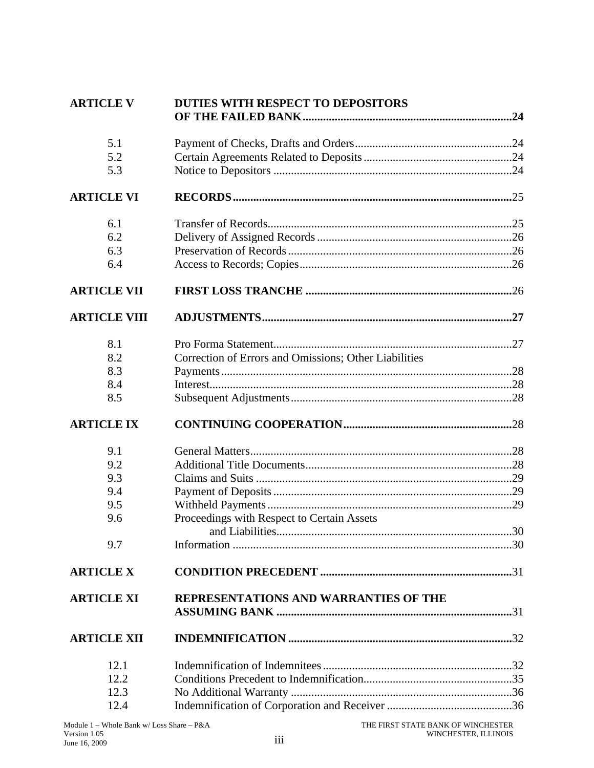| <b>ARTICLE V</b>    | DUTIES WITH RESPECT TO DEPOSITORS                     |  |
|---------------------|-------------------------------------------------------|--|
|                     |                                                       |  |
| 5.1                 |                                                       |  |
| 5.2                 |                                                       |  |
| 5.3                 |                                                       |  |
|                     |                                                       |  |
| <b>ARTICLE VI</b>   |                                                       |  |
| 6.1                 |                                                       |  |
| 6.2                 |                                                       |  |
| 6.3                 |                                                       |  |
| 6.4                 |                                                       |  |
| <b>ARTICLE VII</b>  |                                                       |  |
| <b>ARTICLE VIII</b> |                                                       |  |
| 8.1                 |                                                       |  |
| 8.2                 | Correction of Errors and Omissions; Other Liabilities |  |
| 8.3                 |                                                       |  |
| 8.4                 |                                                       |  |
| 8.5                 |                                                       |  |
| <b>ARTICLE IX</b>   |                                                       |  |
| 9.1                 |                                                       |  |
| 9.2                 |                                                       |  |
| 9.3                 |                                                       |  |
| 9.4                 |                                                       |  |
| 9.5                 |                                                       |  |
| 9.6                 | Proceedings with Respect to Certain Assets            |  |
|                     |                                                       |  |
| 9.7                 |                                                       |  |
| <b>ARTICLE X</b>    |                                                       |  |
| <b>ARTICLE XI</b>   | REPRESENTATIONS AND WARRANTIES OF THE                 |  |
|                     |                                                       |  |
| <b>ARTICLE XII</b>  |                                                       |  |
| 12.1                |                                                       |  |
| 12.2                |                                                       |  |
| 12.3                |                                                       |  |
| 12.4                |                                                       |  |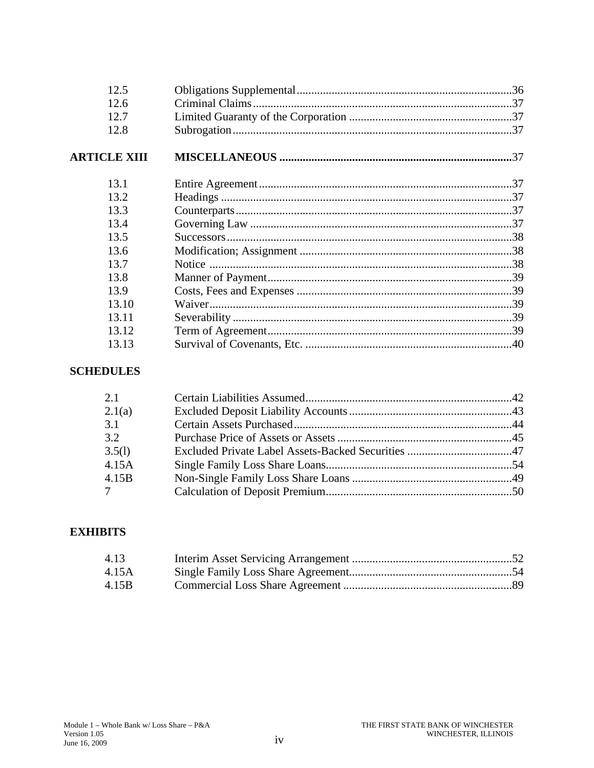| 12.5                |  |
|---------------------|--|
| 12.6                |  |
| 12.7                |  |
| 12.8                |  |
| <b>ARTICLE XIII</b> |  |
| 13.1                |  |
| 13.2                |  |
| 13.3                |  |
| 13.4                |  |
| 13.5                |  |
| 13.6                |  |
| 13.7                |  |
| 13.8                |  |
| 13.9                |  |
| 13.10               |  |
| 13.11               |  |
| 13.12               |  |
| 13.13               |  |

# **SCHEDULES**

| 2.1             |  |
|-----------------|--|
| 2.1(a)          |  |
| 3.1             |  |
| 3.2             |  |
| 3.5(l)          |  |
| 4.15A           |  |
| 4.15B           |  |
| $7\overline{ }$ |  |
|                 |  |

## **EXHIBITS**

| 4.13  |  |
|-------|--|
| 4.15A |  |
| 4.15B |  |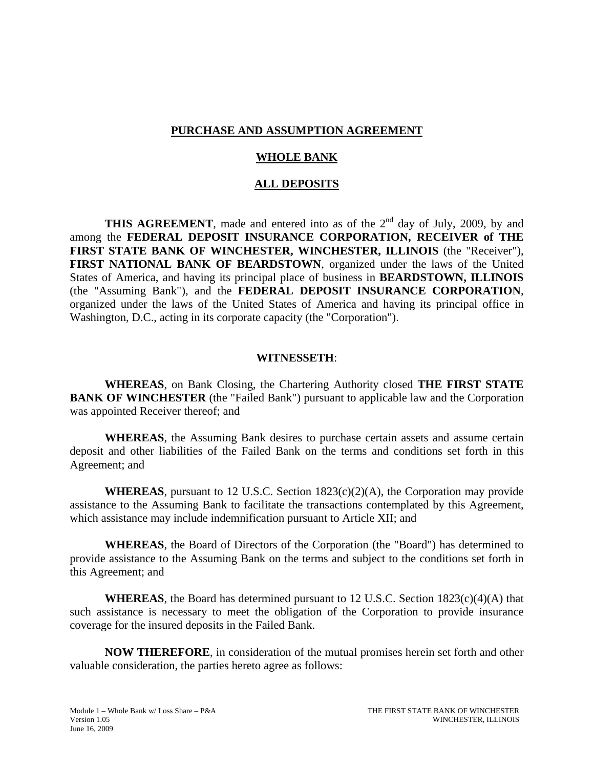### **PURCHASE AND ASSUMPTION AGREEMENT**

#### **WHOLE BANK**

#### **ALL DEPOSITS**

**THIS AGREEMENT**, made and entered into as of the 2<sup>nd</sup> day of July, 2009, by and among the **FEDERAL DEPOSIT INSURANCE CORPORATION, RECEIVER of THE FIRST STATE BANK OF WINCHESTER, WINCHESTER, ILLINOIS** (the "Receiver"), **FIRST NATIONAL BANK OF BEARDSTOWN**, organized under the laws of the United States of America, and having its principal place of business in **BEARDSTOWN, ILLINOIS**  (the "Assuming Bank"), and the **FEDERAL DEPOSIT INSURANCE CORPORATION**, organized under the laws of the United States of America and having its principal office in Washington, D.C., acting in its corporate capacity (the "Corporation").

#### **WITNESSETH**:

 **WHEREAS**, on Bank Closing, the Chartering Authority closed **THE FIRST STATE BANK OF WINCHESTER** (the "Failed Bank") pursuant to applicable law and the Corporation was appointed Receiver thereof; and

 **WHEREAS**, the Assuming Bank desires to purchase certain assets and assume certain deposit and other liabilities of the Failed Bank on the terms and conditions set forth in this Agreement; and

 **WHEREAS**, pursuant to 12 U.S.C. Section 1823(c)(2)(A), the Corporation may provide assistance to the Assuming Bank to facilitate the transactions contemplated by this Agreement, which assistance may include indemnification pursuant to Article XII; and

 **WHEREAS**, the Board of Directors of the Corporation (the "Board") has determined to provide assistance to the Assuming Bank on the terms and subject to the conditions set forth in this Agreement; and

 **WHEREAS**, the Board has determined pursuant to 12 U.S.C. Section 1823(c)(4)(A) that such assistance is necessary to meet the obligation of the Corporation to provide insurance coverage for the insured deposits in the Failed Bank.

 **NOW THEREFORE**, in consideration of the mutual promises herein set forth and other valuable consideration, the parties hereto agree as follows: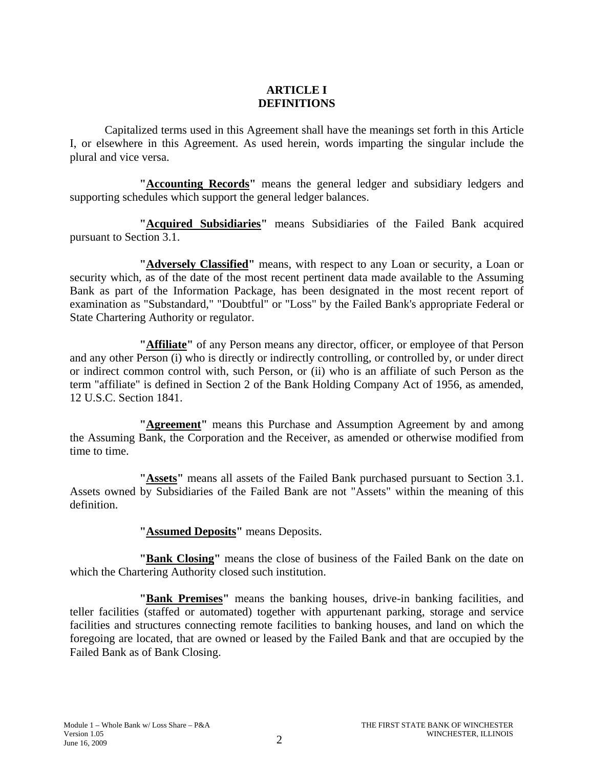## **ARTICLE I DEFINITIONS**

<span id="page-5-0"></span> Capitalized terms used in this Agreement shall have the meanings set forth in this Article I, or elsewhere in this Agreement. As used herein, words imparting the singular include the plural and vice versa.

 **"Accounting Records"** means the general ledger and subsidiary ledgers and supporting schedules which support the general ledger balances.

 **"Acquired Subsidiaries"** means Subsidiaries of the Failed Bank acquired pursuant to Section 3.1.

**"Adversely Classified"** means, with respect to any Loan or security, a Loan or security which, as of the date of the most recent pertinent data made available to the Assuming Bank as part of the Information Package, has been designated in the most recent report of examination as "Substandard," "Doubtful" or "Loss" by the Failed Bank's appropriate Federal or State Chartering Authority or regulator.

 **"Affiliate"** of any Person means any director, officer, or employee of that Person and any other Person (i) who is directly or indirectly controlling, or controlled by, or under direct or indirect common control with, such Person, or (ii) who is an affiliate of such Person as the term "affiliate" is defined in Section 2 of the Bank Holding Company Act of 1956, as amended, 12 U.S.C. Section 1841.

 **"Agreement"** means this Purchase and Assumption Agreement by and among the Assuming Bank, the Corporation and the Receiver, as amended or otherwise modified from time to time.

 **"Assets"** means all assets of the Failed Bank purchased pursuant to Section 3.1. Assets owned by Subsidiaries of the Failed Bank are not "Assets" within the meaning of this definition.

 **"Assumed Deposits"** means Deposits.

 **"Bank Closing"** means the close of business of the Failed Bank on the date on which the Chartering Authority closed such institution.

 **"Bank Premises"** means the banking houses, drive-in banking facilities, and teller facilities (staffed or automated) together with appurtenant parking, storage and service facilities and structures connecting remote facilities to banking houses, and land on which the foregoing are located, that are owned or leased by the Failed Bank and that are occupied by the Failed Bank as of Bank Closing.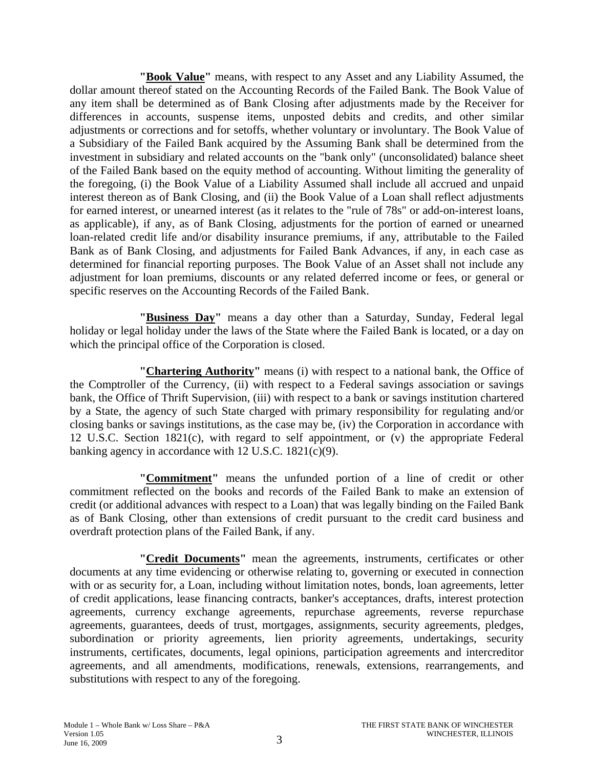**"Book Value"** means, with respect to any Asset and any Liability Assumed, the dollar amount thereof stated on the Accounting Records of the Failed Bank. The Book Value of any item shall be determined as of Bank Closing after adjustments made by the Receiver for differences in accounts, suspense items, unposted debits and credits, and other similar adjustments or corrections and for setoffs, whether voluntary or involuntary. The Book Value of a Subsidiary of the Failed Bank acquired by the Assuming Bank shall be determined from the investment in subsidiary and related accounts on the "bank only" (unconsolidated) balance sheet of the Failed Bank based on the equity method of accounting. Without limiting the generality of the foregoing, (i) the Book Value of a Liability Assumed shall include all accrued and unpaid interest thereon as of Bank Closing, and (ii) the Book Value of a Loan shall reflect adjustments for earned interest, or unearned interest (as it relates to the "rule of 78s" or add-on-interest loans, as applicable), if any, as of Bank Closing, adjustments for the portion of earned or unearned loan-related credit life and/or disability insurance premiums, if any, attributable to the Failed Bank as of Bank Closing, and adjustments for Failed Bank Advances, if any, in each case as determined for financial reporting purposes. The Book Value of an Asset shall not include any adjustment for loan premiums, discounts or any related deferred income or fees, or general or specific reserves on the Accounting Records of the Failed Bank.

 **"Business Day"** means a day other than a Saturday, Sunday, Federal legal holiday or legal holiday under the laws of the State where the Failed Bank is located, or a day on which the principal office of the Corporation is closed.

 **"Chartering Authority"** means (i) with respect to a national bank, the Office of the Comptroller of the Currency, (ii) with respect to a Federal savings association or savings bank, the Office of Thrift Supervision, (iii) with respect to a bank or savings institution chartered by a State, the agency of such State charged with primary responsibility for regulating and/or closing banks or savings institutions, as the case may be, (iv) the Corporation in accordance with 12 U.S.C. Section 1821(c), with regard to self appointment, or (v) the appropriate Federal banking agency in accordance with 12 U.S.C. 1821(c)(9).

 **"Commitment"** means the unfunded portion of a line of credit or other commitment reflected on the books and records of the Failed Bank to make an extension of credit (or additional advances with respect to a Loan) that was legally binding on the Failed Bank as of Bank Closing, other than extensions of credit pursuant to the credit card business and overdraft protection plans of the Failed Bank, if any.

 **"Credit Documents"** mean the agreements, instruments, certificates or other documents at any time evidencing or otherwise relating to, governing or executed in connection with or as security for, a Loan, including without limitation notes, bonds, loan agreements, letter of credit applications, lease financing contracts, banker's acceptances, drafts, interest protection agreements, currency exchange agreements, repurchase agreements, reverse repurchase agreements, guarantees, deeds of trust, mortgages, assignments, security agreements, pledges, subordination or priority agreements, lien priority agreements, undertakings, security instruments, certificates, documents, legal opinions, participation agreements and intercreditor agreements, and all amendments, modifications, renewals, extensions, rearrangements, and substitutions with respect to any of the foregoing.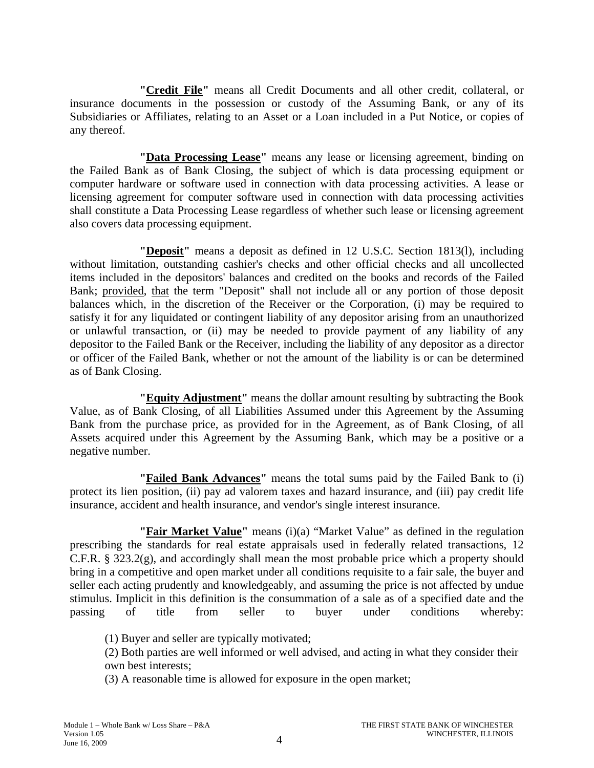**"Credit File"** means all Credit Documents and all other credit, collateral, or insurance documents in the possession or custody of the Assuming Bank, or any of its Subsidiaries or Affiliates, relating to an Asset or a Loan included in a Put Notice, or copies of any thereof.

 **"Data Processing Lease"** means any lease or licensing agreement, binding on the Failed Bank as of Bank Closing, the subject of which is data processing equipment or computer hardware or software used in connection with data processing activities. A lease or licensing agreement for computer software used in connection with data processing activities shall constitute a Data Processing Lease regardless of whether such lease or licensing agreement also covers data processing equipment.

 **"Deposit"** means a deposit as defined in 12 U.S.C. Section 1813(l), including without limitation, outstanding cashier's checks and other official checks and all uncollected items included in the depositors' balances and credited on the books and records of the Failed Bank; provided, that the term "Deposit" shall not include all or any portion of those deposit balances which, in the discretion of the Receiver or the Corporation, (i) may be required to satisfy it for any liquidated or contingent liability of any depositor arising from an unauthorized or unlawful transaction, or (ii) may be needed to provide payment of any liability of any depositor to the Failed Bank or the Receiver, including the liability of any depositor as a director or officer of the Failed Bank, whether or not the amount of the liability is or can be determined as of Bank Closing.

 **"Equity Adjustment"** means the dollar amount resulting by subtracting the Book Value, as of Bank Closing, of all Liabilities Assumed under this Agreement by the Assuming Bank from the purchase price, as provided for in the Agreement, as of Bank Closing, of all Assets acquired under this Agreement by the Assuming Bank, which may be a positive or a negative number.

 **"Failed Bank Advances"** means the total sums paid by the Failed Bank to (i) protect its lien position, (ii) pay ad valorem taxes and hazard insurance, and (iii) pay credit life insurance, accident and health insurance, and vendor's single interest insurance.

 **"Fair Market Value"** means (i)(a) "Market Value" as defined in the regulation prescribing the standards for real estate appraisals used in federally related transactions, 12 C.F.R. § 323.2(g), and accordingly shall mean the most probable price which a property should bring in a competitive and open market under all conditions requisite to a fair sale, the buyer and seller each acting prudently and knowledgeably, and assuming the price is not affected by undue stimulus. Implicit in this definition is the consummation of a sale as of a specified date and the passing of title from seller to buyer under conditions whereby:

- (1) Buyer and seller are typically motivated;
- (2) Both parties are well informed or well advised, and acting in what they consider their own best interests;
- (3) A reasonable time is allowed for exposure in the open market;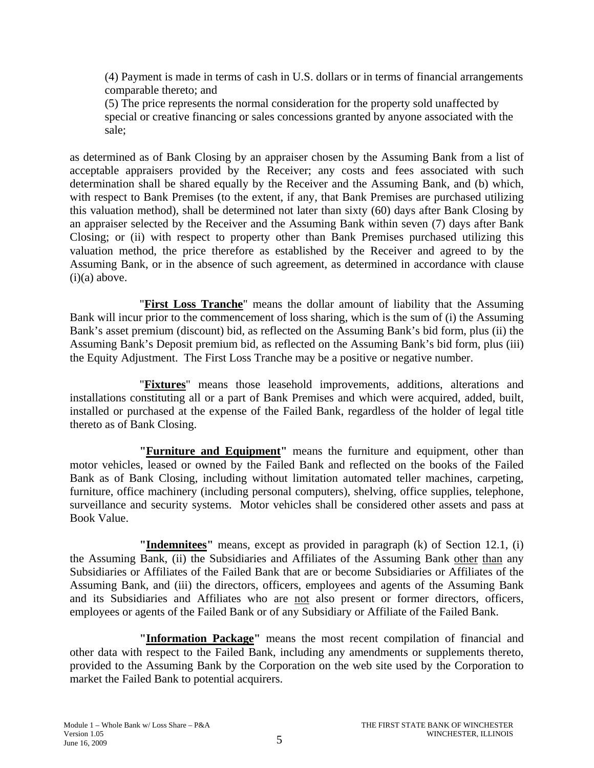(4) Payment is made in terms of cash in U.S. dollars or in terms of financial arrangements comparable thereto; and

(5) The price represents the normal consideration for the property sold unaffected by special or creative financing or sales concessions granted by anyone associated with the sale;

as determined as of Bank Closing by an appraiser chosen by the Assuming Bank from a list of acceptable appraisers provided by the Receiver; any costs and fees associated with such determination shall be shared equally by the Receiver and the Assuming Bank, and (b) which, with respect to Bank Premises (to the extent, if any, that Bank Premises are purchased utilizing this valuation method), shall be determined not later than sixty (60) days after Bank Closing by an appraiser selected by the Receiver and the Assuming Bank within seven (7) days after Bank Closing; or (ii) with respect to property other than Bank Premises purchased utilizing this valuation method, the price therefore as established by the Receiver and agreed to by the Assuming Bank, or in the absence of such agreement, as determined in accordance with clause  $(i)(a)$  above.

 "**First Loss Tranche**" means the dollar amount of liability that the Assuming Bank will incur prior to the commencement of loss sharing, which is the sum of (i) the Assuming Bank's asset premium (discount) bid, as reflected on the Assuming Bank's bid form, plus (ii) the Assuming Bank's Deposit premium bid, as reflected on the Assuming Bank's bid form, plus (iii) the Equity Adjustment. The First Loss Tranche may be a positive or negative number.

 "**Fixtures**" means those leasehold improvements, additions, alterations and installations constituting all or a part of Bank Premises and which were acquired, added, built, installed or purchased at the expense of the Failed Bank, regardless of the holder of legal title thereto as of Bank Closing.

 **"Furniture and Equipment"** means the furniture and equipment, other than motor vehicles, leased or owned by the Failed Bank and reflected on the books of the Failed Bank as of Bank Closing, including without limitation automated teller machines, carpeting, furniture, office machinery (including personal computers), shelving, office supplies, telephone, surveillance and security systems. Motor vehicles shall be considered other assets and pass at Book Value.

 **"Indemnitees"** means, except as provided in paragraph (k) of Section 12.1, (i) the Assuming Bank, (ii) the Subsidiaries and Affiliates of the Assuming Bank other than any Subsidiaries or Affiliates of the Failed Bank that are or become Subsidiaries or Affiliates of the Assuming Bank, and (iii) the directors, officers, employees and agents of the Assuming Bank and its Subsidiaries and Affiliates who are not also present or former directors, officers, employees or agents of the Failed Bank or of any Subsidiary or Affiliate of the Failed Bank.

 **"Information Package"** means the most recent compilation of financial and other data with respect to the Failed Bank, including any amendments or supplements thereto, provided to the Assuming Bank by the Corporation on the web site used by the Corporation to market the Failed Bank to potential acquirers.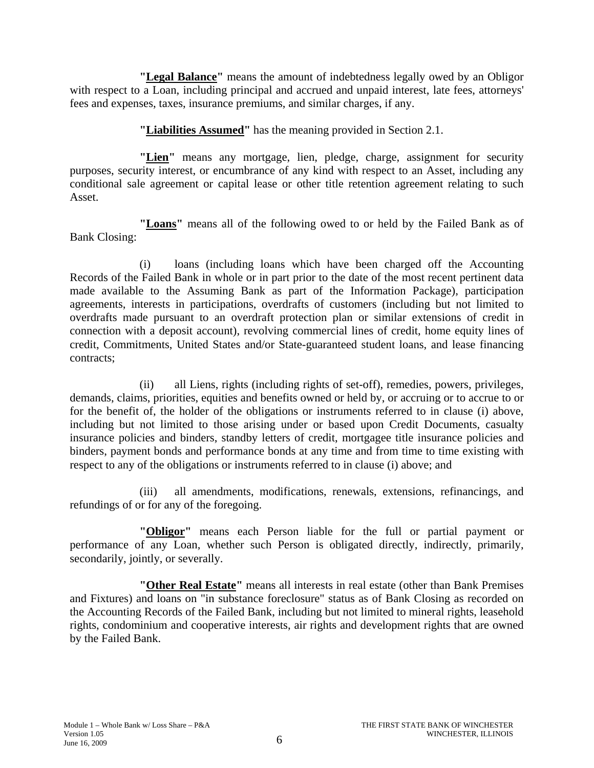**"Legal Balance"** means the amount of indebtedness legally owed by an Obligor with respect to a Loan, including principal and accrued and unpaid interest, late fees, attorneys' fees and expenses, taxes, insurance premiums, and similar charges, if any.

 **"Liabilities Assumed"** has the meaning provided in Section 2.1.

"Lien" means any mortgage, lien, pledge, charge, assignment for security purposes, security interest, or encumbrance of any kind with respect to an Asset, including any conditional sale agreement or capital lease or other title retention agreement relating to such Asset.

 **"Loans"** means all of the following owed to or held by the Failed Bank as of Bank Closing:

 (i) loans (including loans which have been charged off the Accounting Records of the Failed Bank in whole or in part prior to the date of the most recent pertinent data made available to the Assuming Bank as part of the Information Package), participation agreements, interests in participations, overdrafts of customers (including but not limited to overdrafts made pursuant to an overdraft protection plan or similar extensions of credit in connection with a deposit account), revolving commercial lines of credit, home equity lines of credit, Commitments, United States and/or State-guaranteed student loans, and lease financing contracts;

 (ii) all Liens, rights (including rights of set-off), remedies, powers, privileges, demands, claims, priorities, equities and benefits owned or held by, or accruing or to accrue to or for the benefit of, the holder of the obligations or instruments referred to in clause (i) above, including but not limited to those arising under or based upon Credit Documents, casualty insurance policies and binders, standby letters of credit, mortgagee title insurance policies and binders, payment bonds and performance bonds at any time and from time to time existing with respect to any of the obligations or instruments referred to in clause (i) above; and

 (iii) all amendments, modifications, renewals, extensions, refinancings, and refundings of or for any of the foregoing.

 **"Obligor"** means each Person liable for the full or partial payment or performance of any Loan, whether such Person is obligated directly, indirectly, primarily, secondarily, jointly, or severally.

 **"Other Real Estate"** means all interests in real estate (other than Bank Premises and Fixtures) and loans on "in substance foreclosure" status as of Bank Closing as recorded on the Accounting Records of the Failed Bank, including but not limited to mineral rights, leasehold rights, condominium and cooperative interests, air rights and development rights that are owned by the Failed Bank.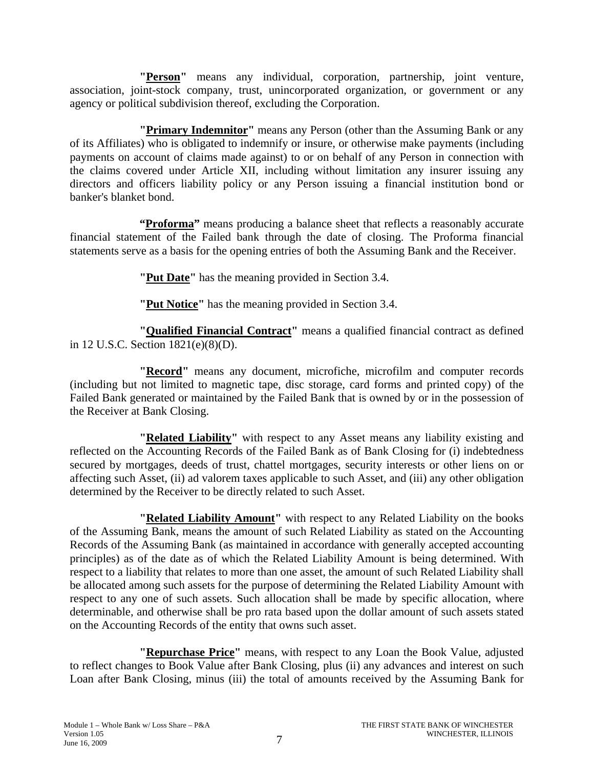"**Person**" means any individual, corporation, partnership, joint venture, association, joint-stock company, trust, unincorporated organization, or government or any agency or political subdivision thereof, excluding the Corporation.

 **"Primary Indemnitor"** means any Person (other than the Assuming Bank or any of its Affiliates) who is obligated to indemnify or insure, or otherwise make payments (including payments on account of claims made against) to or on behalf of any Person in connection with the claims covered under Article XII, including without limitation any insurer issuing any directors and officers liability policy or any Person issuing a financial institution bond or banker's blanket bond.

"**Proforma**" means producing a balance sheet that reflects a reasonably accurate financial statement of the Failed bank through the date of closing. The Proforma financial statements serve as a basis for the opening entries of both the Assuming Bank and the Receiver.

 **"Put Date"** has the meaning provided in Section 3.4.

 **"Put Notice"** has the meaning provided in Section 3.4.

 **"Qualified Financial Contract"** means a qualified financial contract as defined in 12 U.S.C. Section 1821(e)(8)(D).

 **"Record"** means any document, microfiche, microfilm and computer records (including but not limited to magnetic tape, disc storage, card forms and printed copy) of the Failed Bank generated or maintained by the Failed Bank that is owned by or in the possession of the Receiver at Bank Closing.

 **"Related Liability"** with respect to any Asset means any liability existing and reflected on the Accounting Records of the Failed Bank as of Bank Closing for (i) indebtedness secured by mortgages, deeds of trust, chattel mortgages, security interests or other liens on or affecting such Asset, (ii) ad valorem taxes applicable to such Asset, and (iii) any other obligation determined by the Receiver to be directly related to such Asset.

 **"Related Liability Amount"** with respect to any Related Liability on the books of the Assuming Bank, means the amount of such Related Liability as stated on the Accounting Records of the Assuming Bank (as maintained in accordance with generally accepted accounting principles) as of the date as of which the Related Liability Amount is being determined. With respect to a liability that relates to more than one asset, the amount of such Related Liability shall be allocated among such assets for the purpose of determining the Related Liability Amount with respect to any one of such assets. Such allocation shall be made by specific allocation, where determinable, and otherwise shall be pro rata based upon the dollar amount of such assets stated on the Accounting Records of the entity that owns such asset.

 **"Repurchase Price"** means, with respect to any Loan the Book Value, adjusted to reflect changes to Book Value after Bank Closing, plus (ii) any advances and interest on such Loan after Bank Closing, minus (iii) the total of amounts received by the Assuming Bank for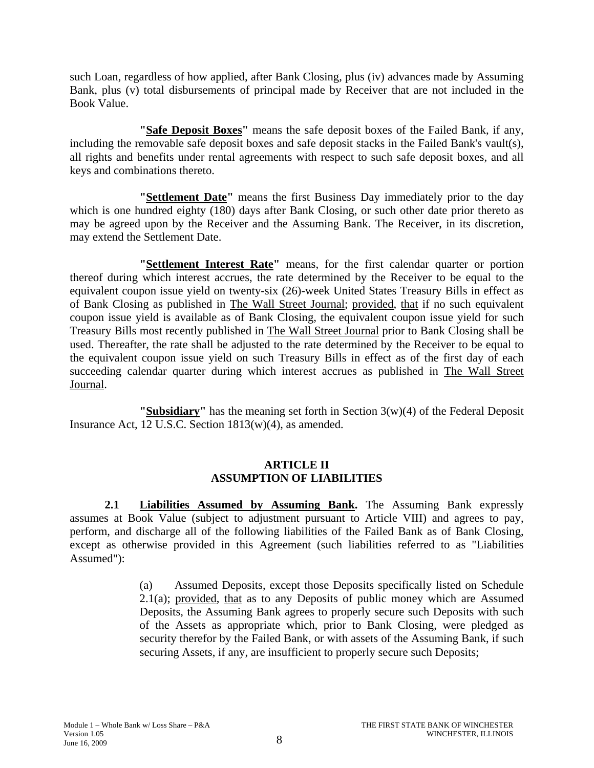such Loan, regardless of how applied, after Bank Closing, plus (iv) advances made by Assuming Bank, plus (v) total disbursements of principal made by Receiver that are not included in the Book Value.

 **"Safe Deposit Boxes"** means the safe deposit boxes of the Failed Bank, if any, including the removable safe deposit boxes and safe deposit stacks in the Failed Bank's vault(s), all rights and benefits under rental agreements with respect to such safe deposit boxes, and all keys and combinations thereto.

 **"Settlement Date"** means the first Business Day immediately prior to the day which is one hundred eighty (180) days after Bank Closing, or such other date prior thereto as may be agreed upon by the Receiver and the Assuming Bank. The Receiver, in its discretion, may extend the Settlement Date.

 **"Settlement Interest Rate"** means, for the first calendar quarter or portion thereof during which interest accrues, the rate determined by the Receiver to be equal to the equivalent coupon issue yield on twenty-six (26)-week United States Treasury Bills in effect as of Bank Closing as published in The Wall Street Journal; provided, that if no such equivalent coupon issue yield is available as of Bank Closing, the equivalent coupon issue yield for such Treasury Bills most recently published in The Wall Street Journal prior to Bank Closing shall be used. Thereafter, the rate shall be adjusted to the rate determined by the Receiver to be equal to the equivalent coupon issue yield on such Treasury Bills in effect as of the first day of each succeeding calendar quarter during which interest accrues as published in The Wall Street Journal.

 **"Subsidiary"** has the meaning set forth in Section 3(w)(4) of the Federal Deposit Insurance Act, 12 U.S.C. Section 1813(w)(4), as amended.

### **ARTICLE II ASSUMPTION OF LIABILITIES**

<span id="page-11-1"></span><span id="page-11-0"></span> **2.1 Liabilities Assumed by Assuming Bank.** The Assuming Bank expressly assumes at Book Value (subject to adjustment pursuant to Article VIII) and agrees to pay, perform, and discharge all of the following liabilities of the Failed Bank as of Bank Closing, except as otherwise provided in this Agreement (such liabilities referred to as "Liabilities Assumed"):

> (a) Assumed Deposits, except those Deposits specifically listed on Schedule  $2.1(a)$ ; provided, that as to any Deposits of public money which are Assumed Deposits, the Assuming Bank agrees to properly secure such Deposits with such of the Assets as appropriate which, prior to Bank Closing, were pledged as security therefor by the Failed Bank, or with assets of the Assuming Bank, if such securing Assets, if any, are insufficient to properly secure such Deposits;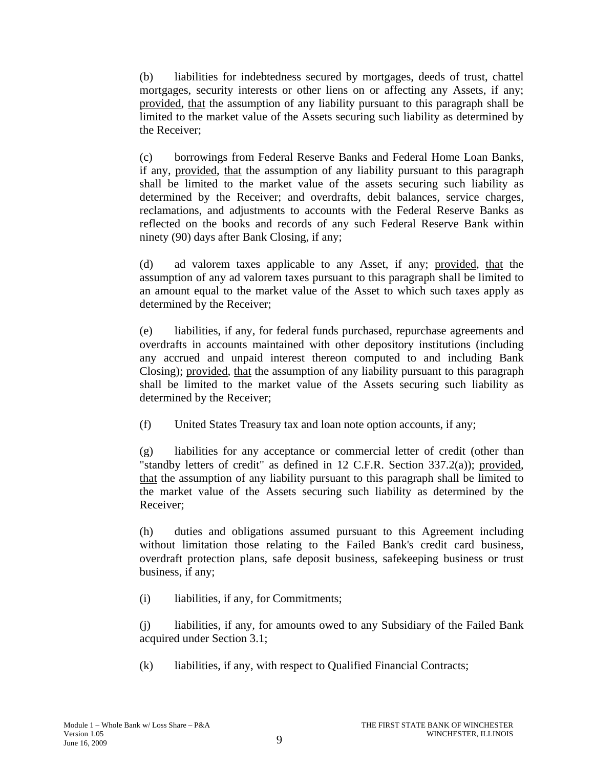(b) liabilities for indebtedness secured by mortgages, deeds of trust, chattel mortgages, security interests or other liens on or affecting any Assets, if any; provided, that the assumption of any liability pursuant to this paragraph shall be limited to the market value of the Assets securing such liability as determined by the Receiver;

(c) borrowings from Federal Reserve Banks and Federal Home Loan Banks, if any, provided, that the assumption of any liability pursuant to this paragraph shall be limited to the market value of the assets securing such liability as determined by the Receiver; and overdrafts, debit balances, service charges, reclamations, and adjustments to accounts with the Federal Reserve Banks as reflected on the books and records of any such Federal Reserve Bank within ninety (90) days after Bank Closing, if any;

(d) ad valorem taxes applicable to any Asset, if any; provided, that the assumption of any ad valorem taxes pursuant to this paragraph shall be limited to an amount equal to the market value of the Asset to which such taxes apply as determined by the Receiver;

(e) liabilities, if any, for federal funds purchased, repurchase agreements and overdrafts in accounts maintained with other depository institutions (including any accrued and unpaid interest thereon computed to and including Bank Closing); provided, that the assumption of any liability pursuant to this paragraph shall be limited to the market value of the Assets securing such liability as determined by the Receiver;

(f) United States Treasury tax and loan note option accounts, if any;

(g) liabilities for any acceptance or commercial letter of credit (other than "standby letters of credit" as defined in 12 C.F.R. Section 337.2(a)); provided, that the assumption of any liability pursuant to this paragraph shall be limited to the market value of the Assets securing such liability as determined by the Receiver;

(h) duties and obligations assumed pursuant to this Agreement including without limitation those relating to the Failed Bank's credit card business, overdraft protection plans, safe deposit business, safekeeping business or trust business, if any;

(i) liabilities, if any, for Commitments;

(j) liabilities, if any, for amounts owed to any Subsidiary of the Failed Bank acquired under Section 3.1;

(k) liabilities, if any, with respect to Qualified Financial Contracts;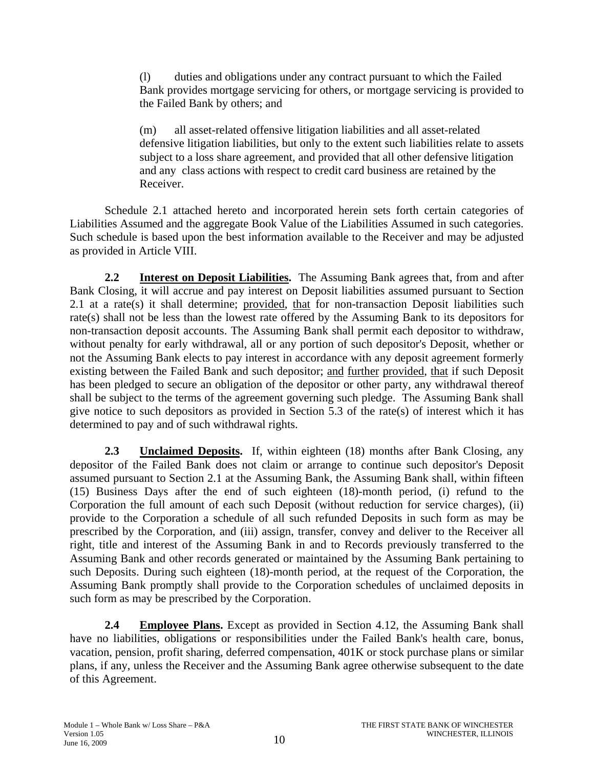(l) duties and obligations under any contract pursuant to which the Failed Bank provides mortgage servicing for others, or mortgage servicing is provided to the Failed Bank by others; and

 (m) all asset-related offensive litigation liabilities and all asset-related defensive litigation liabilities, but only to the extent such liabilities relate to assets subject to a loss share agreement, and provided that all other defensive litigation and any class actions with respect to credit card business are retained by the Receiver.

 Schedule 2.1 attached hereto and incorporated herein sets forth certain categories of Liabilities Assumed and the aggregate Book Value of the Liabilities Assumed in such categories. Such schedule is based upon the best information available to the Receiver and may be adjusted as provided in Article VIII.

<span id="page-13-0"></span>**2.2 Interest on Deposit Liabilities.** The Assuming Bank agrees that, from and after Bank Closing, it will accrue and pay interest on Deposit liabilities assumed pursuant to Section 2.1 at a rate(s) it shall determine; provided, that for non-transaction Deposit liabilities such rate(s) shall not be less than the lowest rate offered by the Assuming Bank to its depositors for non-transaction deposit accounts. The Assuming Bank shall permit each depositor to withdraw, without penalty for early withdrawal, all or any portion of such depositor's Deposit, whether or not the Assuming Bank elects to pay interest in accordance with any deposit agreement formerly existing between the Failed Bank and such depositor; and further provided, that if such Deposit has been pledged to secure an obligation of the depositor or other party, any withdrawal thereof shall be subject to the terms of the agreement governing such pledge. The Assuming Bank shall give notice to such depositors as provided in Section 5.3 of the rate(s) of interest which it has determined to pay and of such withdrawal rights.

<span id="page-13-1"></span>**2.3 Unclaimed Deposits.** If, within eighteen (18) months after Bank Closing, any depositor of the Failed Bank does not claim or arrange to continue such depositor's Deposit assumed pursuant to Section 2.1 at the Assuming Bank, the Assuming Bank shall, within fifteen (15) Business Days after the end of such eighteen (18)-month period, (i) refund to the Corporation the full amount of each such Deposit (without reduction for service charges), (ii) provide to the Corporation a schedule of all such refunded Deposits in such form as may be prescribed by the Corporation, and (iii) assign, transfer, convey and deliver to the Receiver all right, title and interest of the Assuming Bank in and to Records previously transferred to the Assuming Bank and other records generated or maintained by the Assuming Bank pertaining to such Deposits. During such eighteen (18)-month period, at the request of the Corporation, the Assuming Bank promptly shall provide to the Corporation schedules of unclaimed deposits in such form as may be prescribed by the Corporation.

<span id="page-13-2"></span> **2.4 Employee Plans.** Except as provided in Section 4.12, the Assuming Bank shall have no liabilities, obligations or responsibilities under the Failed Bank's health care, bonus, vacation, pension, profit sharing, deferred compensation, 401K or stock purchase plans or similar plans, if any, unless the Receiver and the Assuming Bank agree otherwise subsequent to the date of this Agreement.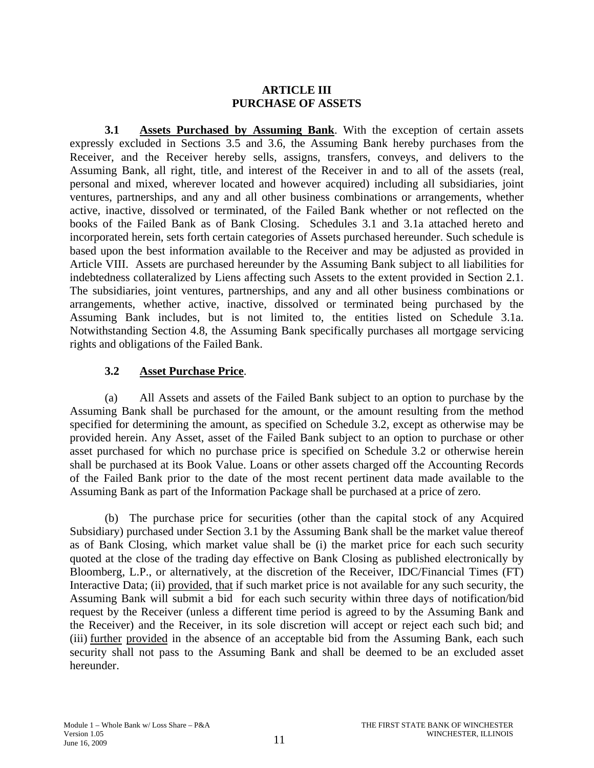### **ARTICLE III PURCHASE OF ASSETS**

<span id="page-14-1"></span><span id="page-14-0"></span> **3.1 Assets Purchased by Assuming Bank**. With the exception of certain assets expressly excluded in Sections 3.5 and 3.6, the Assuming Bank hereby purchases from the Receiver, and the Receiver hereby sells, assigns, transfers, conveys, and delivers to the Assuming Bank, all right, title, and interest of the Receiver in and to all of the assets (real, personal and mixed, wherever located and however acquired) including all subsidiaries, joint ventures, partnerships, and any and all other business combinations or arrangements, whether active, inactive, dissolved or terminated, of the Failed Bank whether or not reflected on the books of the Failed Bank as of Bank Closing. Schedules 3.1 and 3.1a attached hereto and incorporated herein, sets forth certain categories of Assets purchased hereunder. Such schedule is based upon the best information available to the Receiver and may be adjusted as provided in Article VIII. Assets are purchased hereunder by the Assuming Bank subject to all liabilities for indebtedness collateralized by Liens affecting such Assets to the extent provided in Section 2.1. The subsidiaries, joint ventures, partnerships, and any and all other business combinations or arrangements, whether active, inactive, dissolved or terminated being purchased by the Assuming Bank includes, but is not limited to, the entities listed on Schedule 3.1a. Notwithstanding Section 4.8, the Assuming Bank specifically purchases all mortgage servicing rights and obligations of the Failed Bank.

### **3.2 Asset Purchase Price**.

<span id="page-14-2"></span> (a) All Assets and assets of the Failed Bank subject to an option to purchase by the Assuming Bank shall be purchased for the amount, or the amount resulting from the method specified for determining the amount, as specified on Schedule 3.2, except as otherwise may be provided herein. Any Asset, asset of the Failed Bank subject to an option to purchase or other asset purchased for which no purchase price is specified on Schedule 3.2 or otherwise herein shall be purchased at its Book Value. Loans or other assets charged off the Accounting Records of the Failed Bank prior to the date of the most recent pertinent data made available to the Assuming Bank as part of the Information Package shall be purchased at a price of zero.

 (b) The purchase price for securities (other than the capital stock of any Acquired Subsidiary) purchased under Section 3.1 by the Assuming Bank shall be the market value thereof as of Bank Closing, which market value shall be (i) the market price for each such security quoted at the close of the trading day effective on Bank Closing as published electronically by Bloomberg, L.P., or alternatively, at the discretion of the Receiver, IDC/Financial Times (FT) Interactive Data; (ii) provided, that if such market price is not available for any such security, the Assuming Bank will submit a bid for each such security within three days of notification/bid request by the Receiver (unless a different time period is agreed to by the Assuming Bank and the Receiver) and the Receiver, in its sole discretion will accept or reject each such bid; and (iii) further provided in the absence of an acceptable bid from the Assuming Bank, each such security shall not pass to the Assuming Bank and shall be deemed to be an excluded asset hereunder.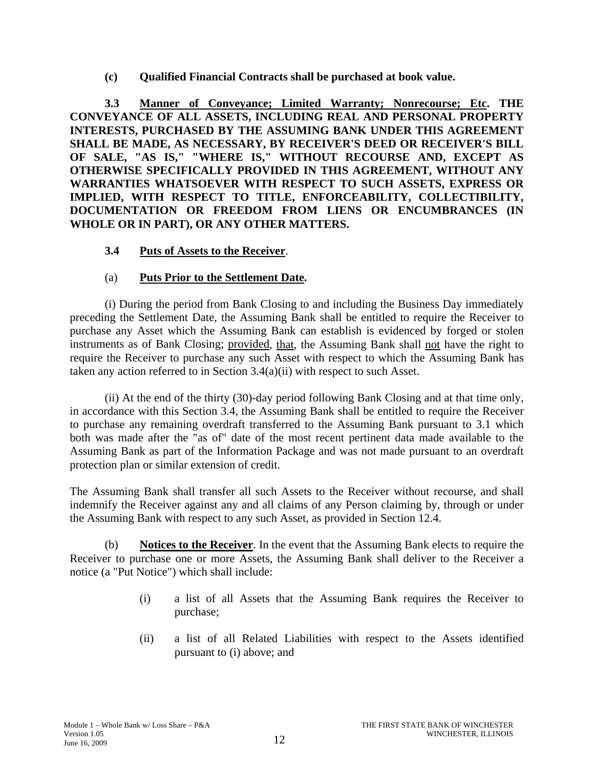**(c) Qualified Financial Contracts shall be purchased at book value.** 

<span id="page-15-0"></span> **3.3 Manner of Conveyance; Limited Warranty; Nonrecourse; Etc. THE CONVEYANCE OF ALL ASSETS, INCLUDING REAL AND PERSONAL PROPERTY INTERESTS, PURCHASED BY THE ASSUMING BANK UNDER THIS AGREEMENT SHALL BE MADE, AS NECESSARY, BY RECEIVER'S DEED OR RECEIVER'S BILL OF SALE, "AS IS," "WHERE IS," WITHOUT RECOURSE AND, EXCEPT AS OTHERWISE SPECIFICALLY PROVIDED IN THIS AGREEMENT, WITHOUT ANY WARRANTIES WHATSOEVER WITH RESPECT TO SUCH ASSETS, EXPRESS OR IMPLIED, WITH RESPECT TO TITLE, ENFORCEABILITY, COLLECTIBILITY, DOCUMENTATION OR FREEDOM FROM LIENS OR ENCUMBRANCES (IN WHOLE OR IN PART), OR ANY OTHER MATTERS.** 

## **3.4 Puts of Assets to the Receiver**.

## (a) **Puts Prior to the Settlement Date.**

<span id="page-15-1"></span> (i) During the period from Bank Closing to and including the Business Day immediately preceding the Settlement Date, the Assuming Bank shall be entitled to require the Receiver to purchase any Asset which the Assuming Bank can establish is evidenced by forged or stolen instruments as of Bank Closing; provided, that, the Assuming Bank shall not have the right to require the Receiver to purchase any such Asset with respect to which the Assuming Bank has taken any action referred to in Section 3.4(a)(ii) with respect to such Asset.

 (ii) At the end of the thirty (30)-day period following Bank Closing and at that time only, in accordance with this Section 3.4, the Assuming Bank shall be entitled to require the Receiver to purchase any remaining overdraft transferred to the Assuming Bank pursuant to 3.1 which both was made after the "as of" date of the most recent pertinent data made available to the Assuming Bank as part of the Information Package and was not made pursuant to an overdraft protection plan or similar extension of credit.

The Assuming Bank shall transfer all such Assets to the Receiver without recourse, and shall indemnify the Receiver against any and all claims of any Person claiming by, through or under the Assuming Bank with respect to any such Asset, as provided in Section 12.4.

 (b) **Notices to the Receiver**. In the event that the Assuming Bank elects to require the Receiver to purchase one or more Assets, the Assuming Bank shall deliver to the Receiver a notice (a "Put Notice") which shall include:

- (i) a list of all Assets that the Assuming Bank requires the Receiver to purchase;
- (ii) a list of all Related Liabilities with respect to the Assets identified pursuant to (i) above; and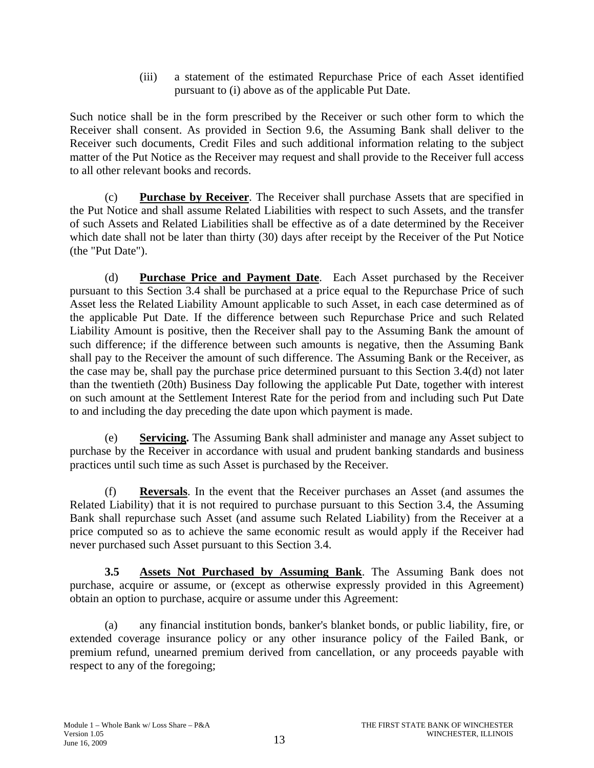(iii) a statement of the estimated Repurchase Price of each Asset identified pursuant to (i) above as of the applicable Put Date.

Such notice shall be in the form prescribed by the Receiver or such other form to which the Receiver shall consent. As provided in Section 9.6, the Assuming Bank shall deliver to the Receiver such documents, Credit Files and such additional information relating to the subject matter of the Put Notice as the Receiver may request and shall provide to the Receiver full access to all other relevant books and records.

 (c) **Purchase by Receiver**. The Receiver shall purchase Assets that are specified in the Put Notice and shall assume Related Liabilities with respect to such Assets, and the transfer of such Assets and Related Liabilities shall be effective as of a date determined by the Receiver which date shall not be later than thirty (30) days after receipt by the Receiver of the Put Notice (the "Put Date").

 (d) **Purchase Price and Payment Date**. Each Asset purchased by the Receiver pursuant to this Section 3.4 shall be purchased at a price equal to the Repurchase Price of such Asset less the Related Liability Amount applicable to such Asset, in each case determined as of the applicable Put Date. If the difference between such Repurchase Price and such Related Liability Amount is positive, then the Receiver shall pay to the Assuming Bank the amount of such difference; if the difference between such amounts is negative, then the Assuming Bank shall pay to the Receiver the amount of such difference. The Assuming Bank or the Receiver, as the case may be, shall pay the purchase price determined pursuant to this Section 3.4(d) not later than the twentieth (20th) Business Day following the applicable Put Date, together with interest on such amount at the Settlement Interest Rate for the period from and including such Put Date to and including the day preceding the date upon which payment is made.

 (e) **Servicing.** The Assuming Bank shall administer and manage any Asset subject to purchase by the Receiver in accordance with usual and prudent banking standards and business practices until such time as such Asset is purchased by the Receiver.

 (f) **Reversals**. In the event that the Receiver purchases an Asset (and assumes the Related Liability) that it is not required to purchase pursuant to this Section 3.4, the Assuming Bank shall repurchase such Asset (and assume such Related Liability) from the Receiver at a price computed so as to achieve the same economic result as would apply if the Receiver had never purchased such Asset pursuant to this Section 3.4.

<span id="page-16-0"></span> **3.5 Assets Not Purchased by Assuming Bank**. The Assuming Bank does not purchase, acquire or assume, or (except as otherwise expressly provided in this Agreement) obtain an option to purchase, acquire or assume under this Agreement:

 (a) any financial institution bonds, banker's blanket bonds, or public liability, fire, or extended coverage insurance policy or any other insurance policy of the Failed Bank, or premium refund, unearned premium derived from cancellation, or any proceeds payable with respect to any of the foregoing;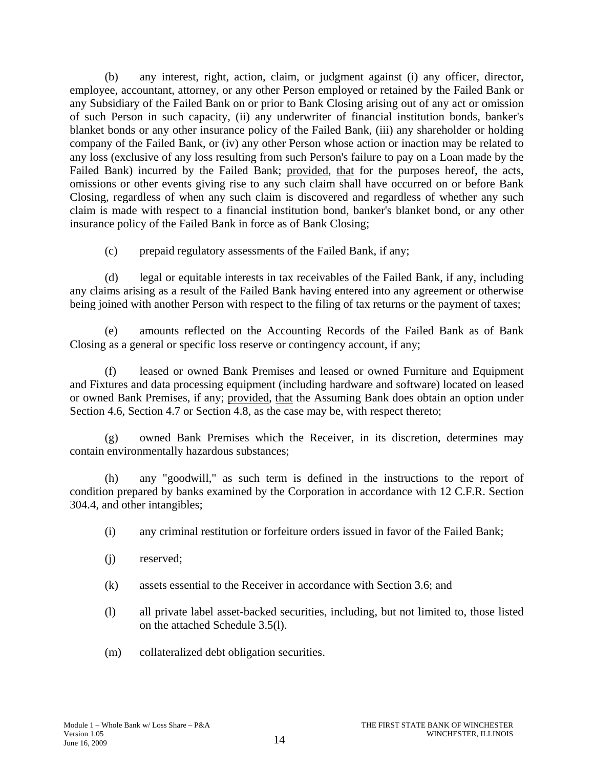(b) any interest, right, action, claim, or judgment against (i) any officer, director, employee, accountant, attorney, or any other Person employed or retained by the Failed Bank or any Subsidiary of the Failed Bank on or prior to Bank Closing arising out of any act or omission of such Person in such capacity, (ii) any underwriter of financial institution bonds, banker's blanket bonds or any other insurance policy of the Failed Bank, (iii) any shareholder or holding company of the Failed Bank, or (iv) any other Person whose action or inaction may be related to any loss (exclusive of any loss resulting from such Person's failure to pay on a Loan made by the Failed Bank) incurred by the Failed Bank; provided, that for the purposes hereof, the acts, omissions or other events giving rise to any such claim shall have occurred on or before Bank Closing, regardless of when any such claim is discovered and regardless of whether any such claim is made with respect to a financial institution bond, banker's blanket bond, or any other insurance policy of the Failed Bank in force as of Bank Closing;

(c) prepaid regulatory assessments of the Failed Bank, if any;

 (d) legal or equitable interests in tax receivables of the Failed Bank, if any, including any claims arising as a result of the Failed Bank having entered into any agreement or otherwise being joined with another Person with respect to the filing of tax returns or the payment of taxes;

 (e) amounts reflected on the Accounting Records of the Failed Bank as of Bank Closing as a general or specific loss reserve or contingency account, if any;

 (f) leased or owned Bank Premises and leased or owned Furniture and Equipment and Fixtures and data processing equipment (including hardware and software) located on leased or owned Bank Premises, if any; provided, that the Assuming Bank does obtain an option under Section 4.6, Section 4.7 or Section 4.8, as the case may be, with respect thereto;

 (g) owned Bank Premises which the Receiver, in its discretion, determines may contain environmentally hazardous substances;

 (h) any "goodwill," as such term is defined in the instructions to the report of condition prepared by banks examined by the Corporation in accordance with 12 C.F.R. Section 304.4, and other intangibles;

- (i) any criminal restitution or forfeiture orders issued in favor of the Failed Bank;
- (j) reserved;
- (k) assets essential to the Receiver in accordance with Section 3.6; and
- (l) all private label asset-backed securities, including, but not limited to, those listed on the attached Schedule 3.5(l).
- (m) collateralized debt obligation securities.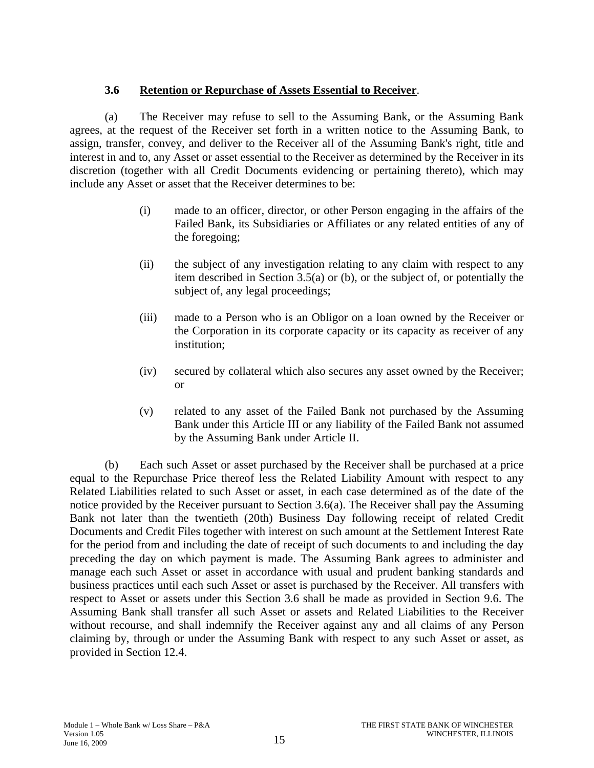## **3.6 Retention or Repurchase of Assets Essential to Receiver**.

<span id="page-18-0"></span> (a) The Receiver may refuse to sell to the Assuming Bank, or the Assuming Bank agrees, at the request of the Receiver set forth in a written notice to the Assuming Bank, to assign, transfer, convey, and deliver to the Receiver all of the Assuming Bank's right, title and interest in and to, any Asset or asset essential to the Receiver as determined by the Receiver in its discretion (together with all Credit Documents evidencing or pertaining thereto), which may include any Asset or asset that the Receiver determines to be:

- (i) made to an officer, director, or other Person engaging in the affairs of the Failed Bank, its Subsidiaries or Affiliates or any related entities of any of the foregoing;
- (ii) the subject of any investigation relating to any claim with respect to any item described in Section 3.5(a) or (b), or the subject of, or potentially the subject of, any legal proceedings;
- (iii) made to a Person who is an Obligor on a loan owned by the Receiver or the Corporation in its corporate capacity or its capacity as receiver of any institution;
- (iv) secured by collateral which also secures any asset owned by the Receiver; or
- (v) related to any asset of the Failed Bank not purchased by the Assuming Bank under this Article III or any liability of the Failed Bank not assumed by the Assuming Bank under Article II.

 (b) Each such Asset or asset purchased by the Receiver shall be purchased at a price equal to the Repurchase Price thereof less the Related Liability Amount with respect to any Related Liabilities related to such Asset or asset, in each case determined as of the date of the notice provided by the Receiver pursuant to Section 3.6(a). The Receiver shall pay the Assuming Bank not later than the twentieth (20th) Business Day following receipt of related Credit Documents and Credit Files together with interest on such amount at the Settlement Interest Rate for the period from and including the date of receipt of such documents to and including the day preceding the day on which payment is made. The Assuming Bank agrees to administer and manage each such Asset or asset in accordance with usual and prudent banking standards and business practices until each such Asset or asset is purchased by the Receiver. All transfers with respect to Asset or assets under this Section 3.6 shall be made as provided in Section 9.6. The Assuming Bank shall transfer all such Asset or assets and Related Liabilities to the Receiver without recourse, and shall indemnify the Receiver against any and all claims of any Person claiming by, through or under the Assuming Bank with respect to any such Asset or asset, as provided in Section 12.4.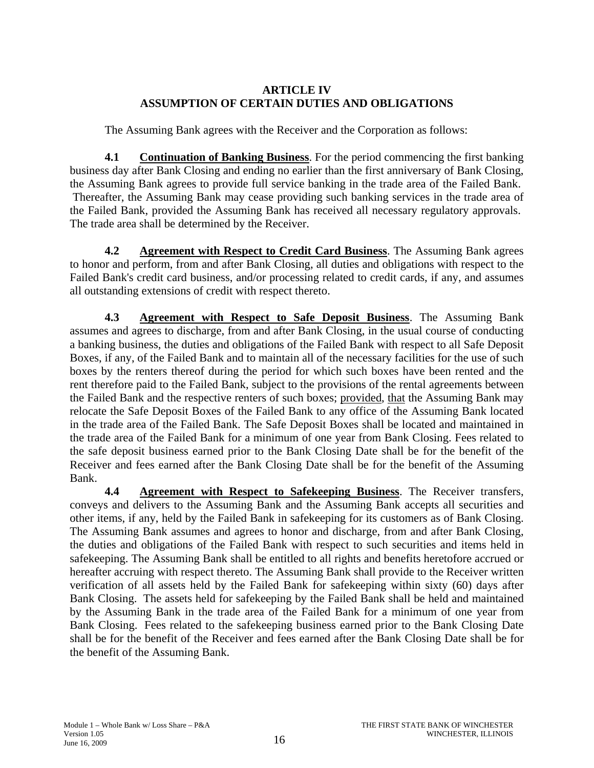### **ARTICLE IV ASSUMPTION OF CERTAIN DUTIES AND OBLIGATIONS**

The Assuming Bank agrees with the Receiver and the Corporation as follows:

<span id="page-19-1"></span><span id="page-19-0"></span>**4.1 Continuation of Banking Business**. For the period commencing the first banking business day after Bank Closing and ending no earlier than the first anniversary of Bank Closing, the Assuming Bank agrees to provide full service banking in the trade area of the Failed Bank. Thereafter, the Assuming Bank may cease providing such banking services in the trade area of the Failed Bank, provided the Assuming Bank has received all necessary regulatory approvals. The trade area shall be determined by the Receiver.

<span id="page-19-2"></span> **4.2 Agreement with Respect to Credit Card Business**. The Assuming Bank agrees to honor and perform, from and after Bank Closing, all duties and obligations with respect to the Failed Bank's credit card business, and/or processing related to credit cards, if any, and assumes all outstanding extensions of credit with respect thereto.

**4.3 Agreement with Respect to Safe Deposit Business**. The Assuming Bank assumes and agrees to discharge, from and after Bank Closing, in the usual course of conducting a banking business, the duties and obligations of the Failed Bank with respect to all Safe Deposit Boxes, if any, of the Failed Bank and to maintain all of the necessary facilities for the use of such boxes by the renters thereof during the period for which such boxes have been rented and the rent therefore paid to the Failed Bank, subject to the provisions of the rental agreements between the Failed Bank and the respective renters of such boxes; provided, that the Assuming Bank may relocate the Safe Deposit Boxes of the Failed Bank to any office of the Assuming Bank located in the trade area of the Failed Bank. The Safe Deposit Boxes shall be located and maintained in the trade area of the Failed Bank for a minimum of one year from Bank Closing. Fees related to the safe deposit business earned prior to the Bank Closing Date shall be for the benefit of the Receiver and fees earned after the Bank Closing Date shall be for the benefit of the Assuming Bank.

<span id="page-19-3"></span>**4.4 Agreement with Respect to Safekeeping Business**. The Receiver transfers, conveys and delivers to the Assuming Bank and the Assuming Bank accepts all securities and other items, if any, held by the Failed Bank in safekeeping for its customers as of Bank Closing. The Assuming Bank assumes and agrees to honor and discharge, from and after Bank Closing, the duties and obligations of the Failed Bank with respect to such securities and items held in safekeeping. The Assuming Bank shall be entitled to all rights and benefits heretofore accrued or hereafter accruing with respect thereto. The Assuming Bank shall provide to the Receiver written verification of all assets held by the Failed Bank for safekeeping within sixty (60) days after Bank Closing. The assets held for safekeeping by the Failed Bank shall be held and maintained by the Assuming Bank in the trade area of the Failed Bank for a minimum of one year from Bank Closing. Fees related to the safekeeping business earned prior to the Bank Closing Date shall be for the benefit of the Receiver and fees earned after the Bank Closing Date shall be for the benefit of the Assuming Bank.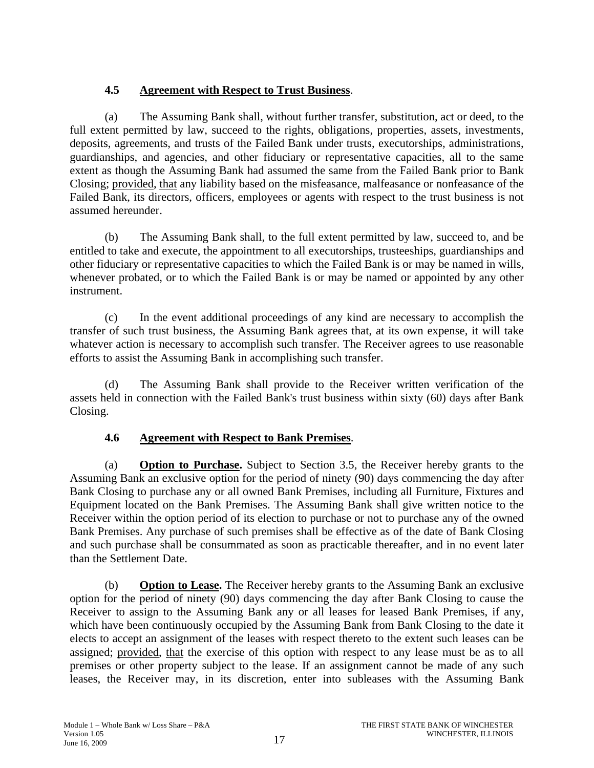# **4.5 Agreement with Respect to Trust Business**.

<span id="page-20-0"></span> (a) The Assuming Bank shall, without further transfer, substitution, act or deed, to the full extent permitted by law, succeed to the rights, obligations, properties, assets, investments, deposits, agreements, and trusts of the Failed Bank under trusts, executorships, administrations, guardianships, and agencies, and other fiduciary or representative capacities, all to the same extent as though the Assuming Bank had assumed the same from the Failed Bank prior to Bank Closing; provided, that any liability based on the misfeasance, malfeasance or nonfeasance of the Failed Bank, its directors, officers, employees or agents with respect to the trust business is not assumed hereunder.

 (b) The Assuming Bank shall, to the full extent permitted by law, succeed to, and be entitled to take and execute, the appointment to all executorships, trusteeships, guardianships and other fiduciary or representative capacities to which the Failed Bank is or may be named in wills, whenever probated, or to which the Failed Bank is or may be named or appointed by any other instrument.

 (c) In the event additional proceedings of any kind are necessary to accomplish the transfer of such trust business, the Assuming Bank agrees that, at its own expense, it will take whatever action is necessary to accomplish such transfer. The Receiver agrees to use reasonable efforts to assist the Assuming Bank in accomplishing such transfer.

 (d) The Assuming Bank shall provide to the Receiver written verification of the assets held in connection with the Failed Bank's trust business within sixty (60) days after Bank Closing.

# **4.6 Agreement with Respect to Bank Premises**.

<span id="page-20-1"></span> (a) **Option to Purchase.** Subject to Section 3.5, the Receiver hereby grants to the Assuming Bank an exclusive option for the period of ninety (90) days commencing the day after Bank Closing to purchase any or all owned Bank Premises, including all Furniture, Fixtures and Equipment located on the Bank Premises. The Assuming Bank shall give written notice to the Receiver within the option period of its election to purchase or not to purchase any of the owned Bank Premises. Any purchase of such premises shall be effective as of the date of Bank Closing and such purchase shall be consummated as soon as practicable thereafter, and in no event later than the Settlement Date.

 (b) **Option to Lease.** The Receiver hereby grants to the Assuming Bank an exclusive option for the period of ninety (90) days commencing the day after Bank Closing to cause the Receiver to assign to the Assuming Bank any or all leases for leased Bank Premises, if any, which have been continuously occupied by the Assuming Bank from Bank Closing to the date it elects to accept an assignment of the leases with respect thereto to the extent such leases can be assigned; provided, that the exercise of this option with respect to any lease must be as to all premises or other property subject to the lease. If an assignment cannot be made of any such leases, the Receiver may, in its discretion, enter into subleases with the Assuming Bank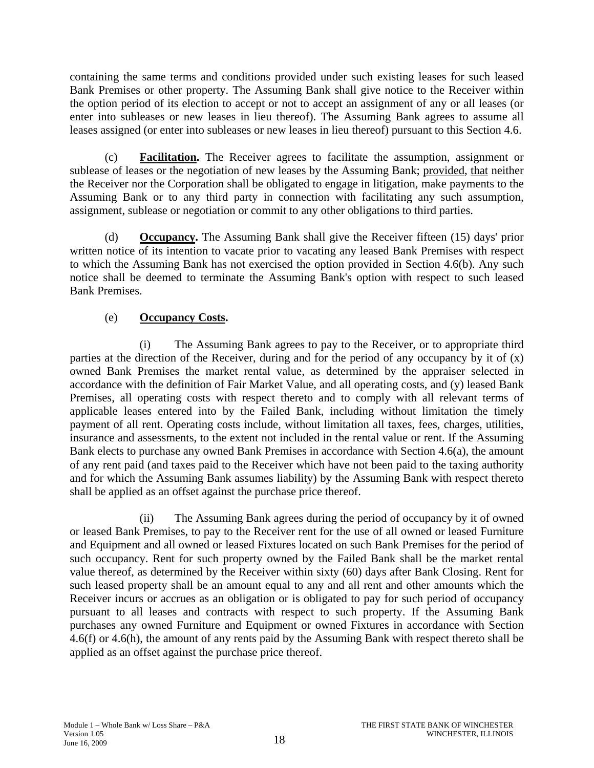containing the same terms and conditions provided under such existing leases for such leased Bank Premises or other property. The Assuming Bank shall give notice to the Receiver within the option period of its election to accept or not to accept an assignment of any or all leases (or enter into subleases or new leases in lieu thereof). The Assuming Bank agrees to assume all leases assigned (or enter into subleases or new leases in lieu thereof) pursuant to this Section 4.6.

 (c) **Facilitation.** The Receiver agrees to facilitate the assumption, assignment or sublease of leases or the negotiation of new leases by the Assuming Bank; provided, that neither the Receiver nor the Corporation shall be obligated to engage in litigation, make payments to the Assuming Bank or to any third party in connection with facilitating any such assumption, assignment, sublease or negotiation or commit to any other obligations to third parties.

 (d) **Occupancy.** The Assuming Bank shall give the Receiver fifteen (15) days' prior written notice of its intention to vacate prior to vacating any leased Bank Premises with respect to which the Assuming Bank has not exercised the option provided in Section 4.6(b). Any such notice shall be deemed to terminate the Assuming Bank's option with respect to such leased Bank Premises.

# (e) **Occupancy Costs.**

(i) The Assuming Bank agrees to pay to the Receiver, or to appropriate third parties at the direction of the Receiver, during and for the period of any occupancy by it of (x) owned Bank Premises the market rental value, as determined by the appraiser selected in accordance with the definition of Fair Market Value, and all operating costs, and (y) leased Bank Premises, all operating costs with respect thereto and to comply with all relevant terms of applicable leases entered into by the Failed Bank, including without limitation the timely payment of all rent. Operating costs include, without limitation all taxes, fees, charges, utilities, insurance and assessments, to the extent not included in the rental value or rent. If the Assuming Bank elects to purchase any owned Bank Premises in accordance with Section 4.6(a), the amount of any rent paid (and taxes paid to the Receiver which have not been paid to the taxing authority and for which the Assuming Bank assumes liability) by the Assuming Bank with respect thereto shall be applied as an offset against the purchase price thereof.

 (ii) The Assuming Bank agrees during the period of occupancy by it of owned or leased Bank Premises, to pay to the Receiver rent for the use of all owned or leased Furniture and Equipment and all owned or leased Fixtures located on such Bank Premises for the period of such occupancy. Rent for such property owned by the Failed Bank shall be the market rental value thereof, as determined by the Receiver within sixty (60) days after Bank Closing. Rent for such leased property shall be an amount equal to any and all rent and other amounts which the Receiver incurs or accrues as an obligation or is obligated to pay for such period of occupancy pursuant to all leases and contracts with respect to such property. If the Assuming Bank purchases any owned Furniture and Equipment or owned Fixtures in accordance with Section 4.6(f) or 4.6(h), the amount of any rents paid by the Assuming Bank with respect thereto shall be applied as an offset against the purchase price thereof.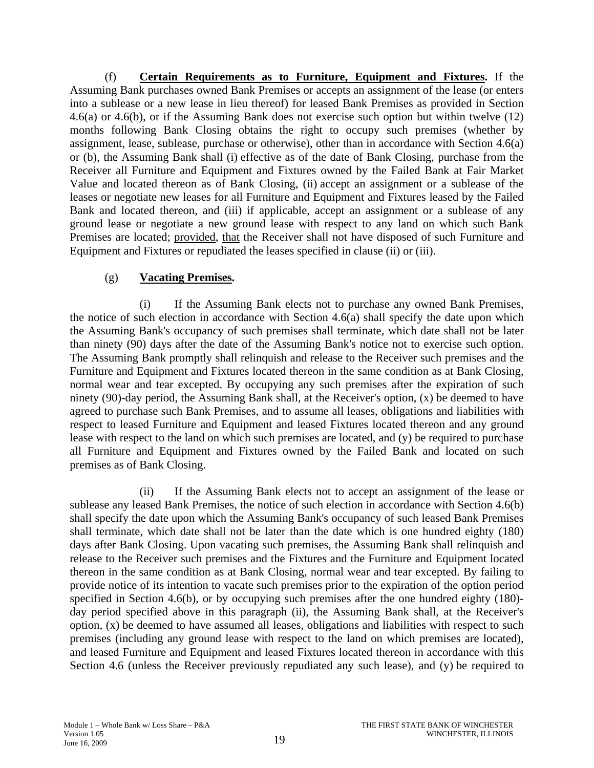(f) **Certain Requirements as to Furniture, Equipment and Fixtures.** If the Assuming Bank purchases owned Bank Premises or accepts an assignment of the lease (or enters into a sublease or a new lease in lieu thereof) for leased Bank Premises as provided in Section 4.6(a) or 4.6(b), or if the Assuming Bank does not exercise such option but within twelve (12) months following Bank Closing obtains the right to occupy such premises (whether by assignment, lease, sublease, purchase or otherwise), other than in accordance with Section 4.6(a) or (b), the Assuming Bank shall (i) effective as of the date of Bank Closing, purchase from the Receiver all Furniture and Equipment and Fixtures owned by the Failed Bank at Fair Market Value and located thereon as of Bank Closing, (ii) accept an assignment or a sublease of the leases or negotiate new leases for all Furniture and Equipment and Fixtures leased by the Failed Bank and located thereon, and (iii) if applicable, accept an assignment or a sublease of any ground lease or negotiate a new ground lease with respect to any land on which such Bank Premises are located; provided, that the Receiver shall not have disposed of such Furniture and Equipment and Fixtures or repudiated the leases specified in clause (ii) or (iii).

# (g) **Vacating Premises.**

 (i) If the Assuming Bank elects not to purchase any owned Bank Premises, the notice of such election in accordance with Section 4.6(a) shall specify the date upon which the Assuming Bank's occupancy of such premises shall terminate, which date shall not be later than ninety (90) days after the date of the Assuming Bank's notice not to exercise such option. The Assuming Bank promptly shall relinquish and release to the Receiver such premises and the Furniture and Equipment and Fixtures located thereon in the same condition as at Bank Closing, normal wear and tear excepted. By occupying any such premises after the expiration of such ninety (90)-day period, the Assuming Bank shall, at the Receiver's option, (x) be deemed to have agreed to purchase such Bank Premises, and to assume all leases, obligations and liabilities with respect to leased Furniture and Equipment and leased Fixtures located thereon and any ground lease with respect to the land on which such premises are located, and (y) be required to purchase all Furniture and Equipment and Fixtures owned by the Failed Bank and located on such premises as of Bank Closing.

 (ii) If the Assuming Bank elects not to accept an assignment of the lease or sublease any leased Bank Premises, the notice of such election in accordance with Section 4.6(b) shall specify the date upon which the Assuming Bank's occupancy of such leased Bank Premises shall terminate, which date shall not be later than the date which is one hundred eighty (180) days after Bank Closing. Upon vacating such premises, the Assuming Bank shall relinquish and release to the Receiver such premises and the Fixtures and the Furniture and Equipment located thereon in the same condition as at Bank Closing, normal wear and tear excepted. By failing to provide notice of its intention to vacate such premises prior to the expiration of the option period specified in Section 4.6(b), or by occupying such premises after the one hundred eighty (180)day period specified above in this paragraph (ii), the Assuming Bank shall, at the Receiver's option, (x) be deemed to have assumed all leases, obligations and liabilities with respect to such premises (including any ground lease with respect to the land on which premises are located), and leased Furniture and Equipment and leased Fixtures located thereon in accordance with this Section 4.6 (unless the Receiver previously repudiated any such lease), and (y) be required to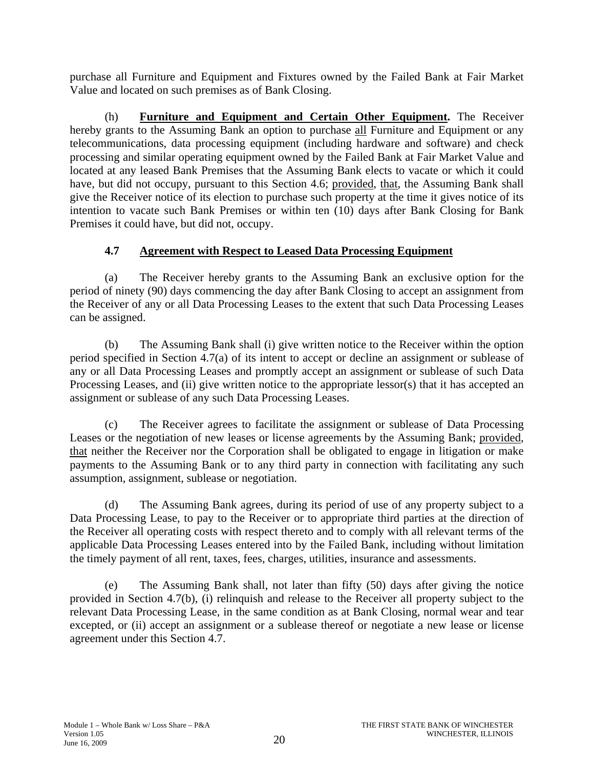purchase all Furniture and Equipment and Fixtures owned by the Failed Bank at Fair Market Value and located on such premises as of Bank Closing.

 (h) **Furniture and Equipment and Certain Other Equipment.** The Receiver hereby grants to the Assuming Bank an option to purchase all Furniture and Equipment or any telecommunications, data processing equipment (including hardware and software) and check processing and similar operating equipment owned by the Failed Bank at Fair Market Value and located at any leased Bank Premises that the Assuming Bank elects to vacate or which it could have, but did not occupy, pursuant to this Section 4.6; provided, that, the Assuming Bank shall give the Receiver notice of its election to purchase such property at the time it gives notice of its intention to vacate such Bank Premises or within ten (10) days after Bank Closing for Bank Premises it could have, but did not, occupy.

# **4.7 Agreement with Respect to Leased Data Processing Equipment**

<span id="page-23-0"></span> (a) The Receiver hereby grants to the Assuming Bank an exclusive option for the period of ninety (90) days commencing the day after Bank Closing to accept an assignment from the Receiver of any or all Data Processing Leases to the extent that such Data Processing Leases can be assigned.

 (b) The Assuming Bank shall (i) give written notice to the Receiver within the option period specified in Section 4.7(a) of its intent to accept or decline an assignment or sublease of any or all Data Processing Leases and promptly accept an assignment or sublease of such Data Processing Leases, and (ii) give written notice to the appropriate lessor(s) that it has accepted an assignment or sublease of any such Data Processing Leases.

 (c) The Receiver agrees to facilitate the assignment or sublease of Data Processing Leases or the negotiation of new leases or license agreements by the Assuming Bank; provided, that neither the Receiver nor the Corporation shall be obligated to engage in litigation or make payments to the Assuming Bank or to any third party in connection with facilitating any such assumption, assignment, sublease or negotiation.

 (d) The Assuming Bank agrees, during its period of use of any property subject to a Data Processing Lease, to pay to the Receiver or to appropriate third parties at the direction of the Receiver all operating costs with respect thereto and to comply with all relevant terms of the applicable Data Processing Leases entered into by the Failed Bank, including without limitation the timely payment of all rent, taxes, fees, charges, utilities, insurance and assessments.

 (e) The Assuming Bank shall, not later than fifty (50) days after giving the notice provided in Section 4.7(b), (i) relinquish and release to the Receiver all property subject to the relevant Data Processing Lease, in the same condition as at Bank Closing, normal wear and tear excepted, or (ii) accept an assignment or a sublease thereof or negotiate a new lease or license agreement under this Section 4.7.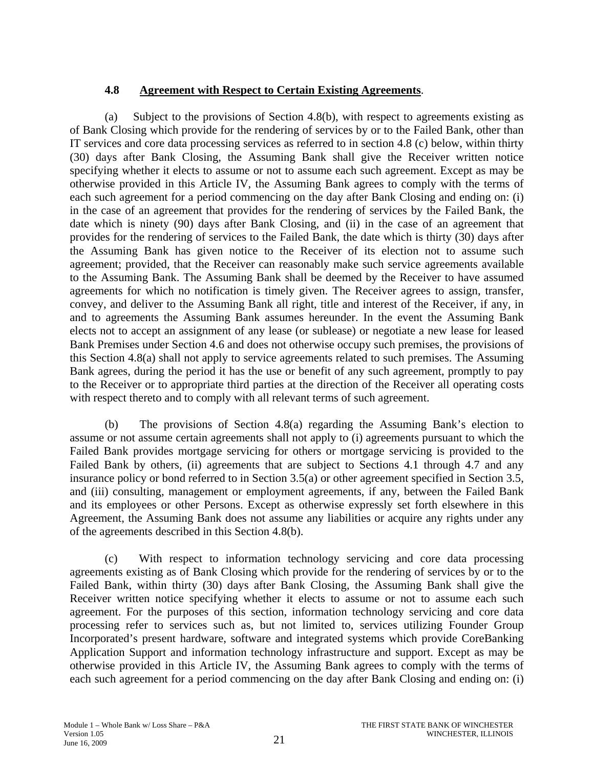### **4.8 Agreement with Respect to Certain Existing Agreements**.

(a) Subject to the provisions of Section 4.8(b), with respect to agreements existing as of Bank Closing which provide for the rendering of services by or to the Failed Bank, other than IT services and core data processing services as referred to in section 4.8 (c) below, within thirty (30) days after Bank Closing, the Assuming Bank shall give the Receiver written notice specifying whether it elects to assume or not to assume each such agreement. Except as may be otherwise provided in this Article IV, the Assuming Bank agrees to comply with the terms of each such agreement for a period commencing on the day after Bank Closing and ending on: (i) in the case of an agreement that provides for the rendering of services by the Failed Bank, the date which is ninety (90) days after Bank Closing, and (ii) in the case of an agreement that provides for the rendering of services to the Failed Bank, the date which is thirty (30) days after the Assuming Bank has given notice to the Receiver of its election not to assume such agreement; provided, that the Receiver can reasonably make such service agreements available to the Assuming Bank. The Assuming Bank shall be deemed by the Receiver to have assumed agreements for which no notification is timely given. The Receiver agrees to assign, transfer, convey, and deliver to the Assuming Bank all right, title and interest of the Receiver, if any, in and to agreements the Assuming Bank assumes hereunder. In the event the Assuming Bank elects not to accept an assignment of any lease (or sublease) or negotiate a new lease for leased Bank Premises under Section 4.6 and does not otherwise occupy such premises, the provisions of this Section 4.8(a) shall not apply to service agreements related to such premises. The Assuming Bank agrees, during the period it has the use or benefit of any such agreement, promptly to pay to the Receiver or to appropriate third parties at the direction of the Receiver all operating costs with respect thereto and to comply with all relevant terms of such agreement.

 (b) The provisions of Section 4.8(a) regarding the Assuming Bank's election to assume or not assume certain agreements shall not apply to (i) agreements pursuant to which the Failed Bank provides mortgage servicing for others or mortgage servicing is provided to the Failed Bank by others, (ii) agreements that are subject to Sections 4.1 through 4.7 and any insurance policy or bond referred to in Section 3.5(a) or other agreement specified in Section 3.5, and (iii) consulting, management or employment agreements, if any, between the Failed Bank and its employees or other Persons. Except as otherwise expressly set forth elsewhere in this Agreement, the Assuming Bank does not assume any liabilities or acquire any rights under any of the agreements described in this Section 4.8(b).

<span id="page-24-0"></span>(c) With respect to information technology servicing and core data processing agreements existing as of Bank Closing which provide for the rendering of services by or to the Failed Bank, within thirty (30) days after Bank Closing, the Assuming Bank shall give the Receiver written notice specifying whether it elects to assume or not to assume each such agreement. For the purposes of this section, information technology servicing and core data processing refer to services such as, but not limited to, services utilizing Founder Group Incorporated's present hardware, software and integrated systems which provide CoreBanking Application Support and information technology infrastructure and support. Except as may be otherwise provided in this Article IV, the Assuming Bank agrees to comply with the terms of each such agreement for a period commencing on the day after Bank Closing and ending on: (i)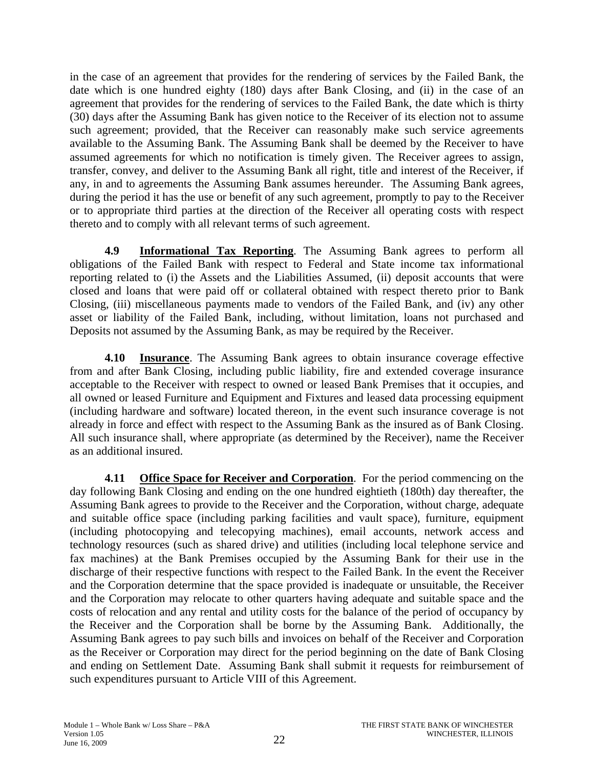in the case of an agreement that provides for the rendering of services by the Failed Bank, the date which is one hundred eighty (180) days after Bank Closing, and (ii) in the case of an agreement that provides for the rendering of services to the Failed Bank, the date which is thirty (30) days after the Assuming Bank has given notice to the Receiver of its election not to assume such agreement; provided, that the Receiver can reasonably make such service agreements available to the Assuming Bank. The Assuming Bank shall be deemed by the Receiver to have assumed agreements for which no notification is timely given. The Receiver agrees to assign, transfer, convey, and deliver to the Assuming Bank all right, title and interest of the Receiver, if any, in and to agreements the Assuming Bank assumes hereunder. The Assuming Bank agrees, during the period it has the use or benefit of any such agreement, promptly to pay to the Receiver or to appropriate third parties at the direction of the Receiver all operating costs with respect thereto and to comply with all relevant terms of such agreement.

<span id="page-25-0"></span> **4.9 Informational Tax Reporting**. The Assuming Bank agrees to perform all obligations of the Failed Bank with respect to Federal and State income tax informational reporting related to (i) the Assets and the Liabilities Assumed, (ii) deposit accounts that were closed and loans that were paid off or collateral obtained with respect thereto prior to Bank Closing, (iii) miscellaneous payments made to vendors of the Failed Bank, and (iv) any other asset or liability of the Failed Bank, including, without limitation, loans not purchased and Deposits not assumed by the Assuming Bank, as may be required by the Receiver.

<span id="page-25-1"></span> **4.10 Insurance**. The Assuming Bank agrees to obtain insurance coverage effective from and after Bank Closing, including public liability, fire and extended coverage insurance acceptable to the Receiver with respect to owned or leased Bank Premises that it occupies, and all owned or leased Furniture and Equipment and Fixtures and leased data processing equipment (including hardware and software) located thereon, in the event such insurance coverage is not already in force and effect with respect to the Assuming Bank as the insured as of Bank Closing. All such insurance shall, where appropriate (as determined by the Receiver), name the Receiver as an additional insured.

<span id="page-25-2"></span> **4.11 Office Space for Receiver and Corporation**. For the period commencing on the day following Bank Closing and ending on the one hundred eightieth (180th) day thereafter, the Assuming Bank agrees to provide to the Receiver and the Corporation, without charge, adequate and suitable office space (including parking facilities and vault space), furniture, equipment (including photocopying and telecopying machines), email accounts, network access and technology resources (such as shared drive) and utilities (including local telephone service and fax machines) at the Bank Premises occupied by the Assuming Bank for their use in the discharge of their respective functions with respect to the Failed Bank. In the event the Receiver and the Corporation determine that the space provided is inadequate or unsuitable, the Receiver and the Corporation may relocate to other quarters having adequate and suitable space and the costs of relocation and any rental and utility costs for the balance of the period of occupancy by the Receiver and the Corporation shall be borne by the Assuming Bank. Additionally, the Assuming Bank agrees to pay such bills and invoices on behalf of the Receiver and Corporation as the Receiver or Corporation may direct for the period beginning on the date of Bank Closing and ending on Settlement Date. Assuming Bank shall submit it requests for reimbursement of such expenditures pursuant to Article VIII of this Agreement.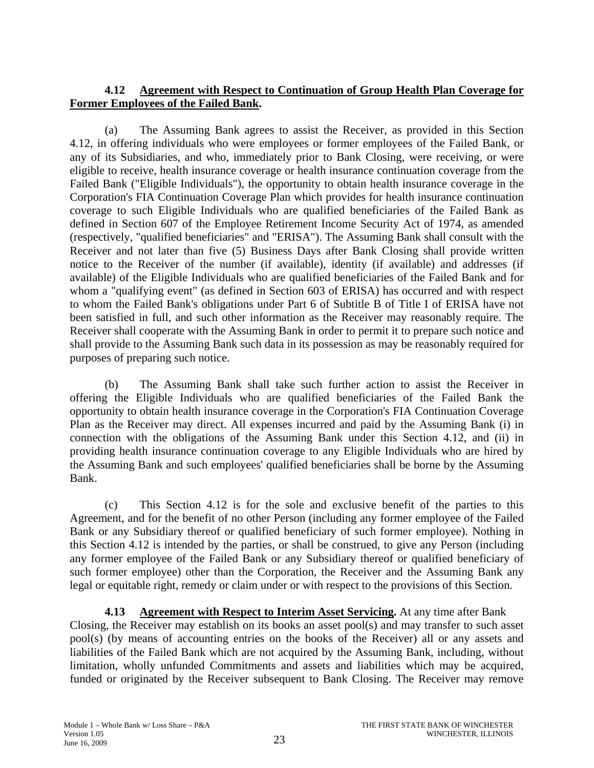## <span id="page-26-0"></span> **4.12 Agreement with Respect to Continuation of Group Health Plan Coverage for Former Employees of the Failed Bank.**

 (a) The Assuming Bank agrees to assist the Receiver, as provided in this Section 4.12, in offering individuals who were employees or former employees of the Failed Bank, or any of its Subsidiaries, and who, immediately prior to Bank Closing, were receiving, or were eligible to receive, health insurance coverage or health insurance continuation coverage from the Failed Bank ("Eligible Individuals"), the opportunity to obtain health insurance coverage in the Corporation's FIA Continuation Coverage Plan which provides for health insurance continuation coverage to such Eligible Individuals who are qualified beneficiaries of the Failed Bank as defined in Section 607 of the Employee Retirement Income Security Act of 1974, as amended (respectively, "qualified beneficiaries" and "ERISA"). The Assuming Bank shall consult with the Receiver and not later than five (5) Business Days after Bank Closing shall provide written notice to the Receiver of the number (if available), identity (if available) and addresses (if available) of the Eligible Individuals who are qualified beneficiaries of the Failed Bank and for whom a "qualifying event" (as defined in Section 603 of ERISA) has occurred and with respect to whom the Failed Bank's obligations under Part 6 of Subtitle B of Title I of ERISA have not been satisfied in full, and such other information as the Receiver may reasonably require. The Receiver shall cooperate with the Assuming Bank in order to permit it to prepare such notice and shall provide to the Assuming Bank such data in its possession as may be reasonably required for purposes of preparing such notice.

 (b) The Assuming Bank shall take such further action to assist the Receiver in offering the Eligible Individuals who are qualified beneficiaries of the Failed Bank the opportunity to obtain health insurance coverage in the Corporation's FIA Continuation Coverage Plan as the Receiver may direct. All expenses incurred and paid by the Assuming Bank (i) in connection with the obligations of the Assuming Bank under this Section 4.12, and (ii) in providing health insurance continuation coverage to any Eligible Individuals who are hired by the Assuming Bank and such employees' qualified beneficiaries shall be borne by the Assuming Bank.

 (c) This Section 4.12 is for the sole and exclusive benefit of the parties to this Agreement, and for the benefit of no other Person (including any former employee of the Failed Bank or any Subsidiary thereof or qualified beneficiary of such former employee). Nothing in this Section 4.12 is intended by the parties, or shall be construed, to give any Person (including any former employee of the Failed Bank or any Subsidiary thereof or qualified beneficiary of such former employee) other than the Corporation, the Receiver and the Assuming Bank any legal or equitable right, remedy or claim under or with respect to the provisions of this Section.

<span id="page-26-1"></span>**4.13 Agreement with Respect to Interim Asset Servicing.** At any time after Bank Closing, the Receiver may establish on its books an asset pool(s) and may transfer to such asset pool(s) (by means of accounting entries on the books of the Receiver) all or any assets and liabilities of the Failed Bank which are not acquired by the Assuming Bank, including, without limitation, wholly unfunded Commitments and assets and liabilities which may be acquired, funded or originated by the Receiver subsequent to Bank Closing. The Receiver may remove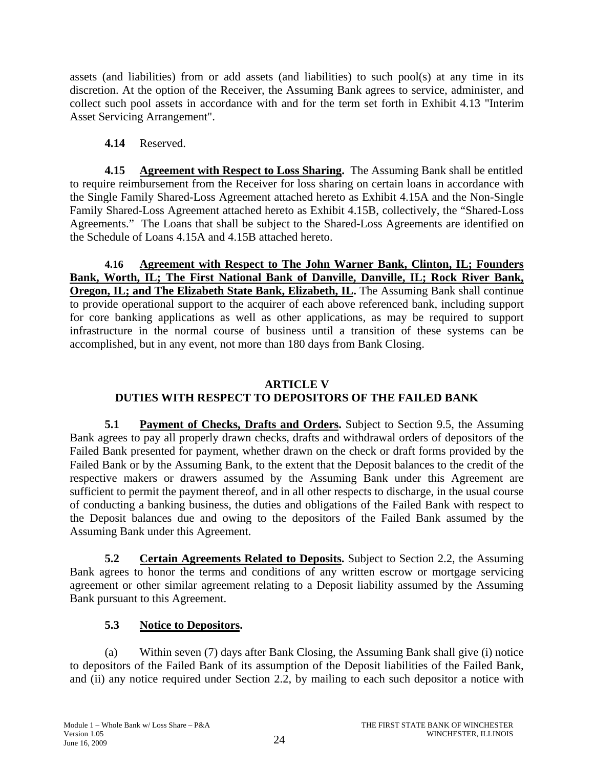assets (and liabilities) from or add assets (and liabilities) to such pool(s) at any time in its discretion. At the option of the Receiver, the Assuming Bank agrees to service, administer, and collect such pool assets in accordance with and for the term set forth in Exhibit 4.13 "Interim Asset Servicing Arrangement".

## **4.14** Reserved.

**4.15 Agreement with Respect to Loss Sharing.** The Assuming Bank shall be entitled to require reimbursement from the Receiver for loss sharing on certain loans in accordance with the Single Family Shared-Loss Agreement attached hereto as Exhibit 4.15A and the Non-Single Family Shared-Loss Agreement attached hereto as Exhibit 4.15B, collectively, the "Shared-Loss Agreements." The Loans that shall be subject to the Shared-Loss Agreements are identified on the Schedule of Loans 4.15A and 4.15B attached hereto.

**4.16 Agreement with Respect to The John Warner Bank, Clinton, IL; Founders Bank, Worth, IL; The First National Bank of Danville, Danville, IL; Rock River Bank, Oregon, IL; and The Elizabeth State Bank, Elizabeth, IL.** The Assuming Bank shall continue to provide operational support to the acquirer of each above referenced bank, including support for core banking applications as well as other applications, as may be required to support infrastructure in the normal course of business until a transition of these systems can be accomplished, but in any event, not more than 180 days from Bank Closing.

## **ARTICLE V**

# **DUTIES WITH RESPECT TO DEPOSITORS OF THE FAILED BANK**

<span id="page-27-1"></span><span id="page-27-0"></span>**5.1 Payment of Checks, Drafts and Orders.** Subject to Section 9.5, the Assuming Bank agrees to pay all properly drawn checks, drafts and withdrawal orders of depositors of the Failed Bank presented for payment, whether drawn on the check or draft forms provided by the Failed Bank or by the Assuming Bank, to the extent that the Deposit balances to the credit of the respective makers or drawers assumed by the Assuming Bank under this Agreement are sufficient to permit the payment thereof, and in all other respects to discharge, in the usual course of conducting a banking business, the duties and obligations of the Failed Bank with respect to the Deposit balances due and owing to the depositors of the Failed Bank assumed by the Assuming Bank under this Agreement.

<span id="page-27-2"></span> **5.2 Certain Agreements Related to Deposits.** Subject to Section 2.2, the Assuming Bank agrees to honor the terms and conditions of any written escrow or mortgage servicing agreement or other similar agreement relating to a Deposit liability assumed by the Assuming Bank pursuant to this Agreement.

## **5.3 Notice to Depositors.**

<span id="page-27-3"></span> (a) Within seven (7) days after Bank Closing, the Assuming Bank shall give (i) notice to depositors of the Failed Bank of its assumption of the Deposit liabilities of the Failed Bank, and (ii) any notice required under Section 2.2, by mailing to each such depositor a notice with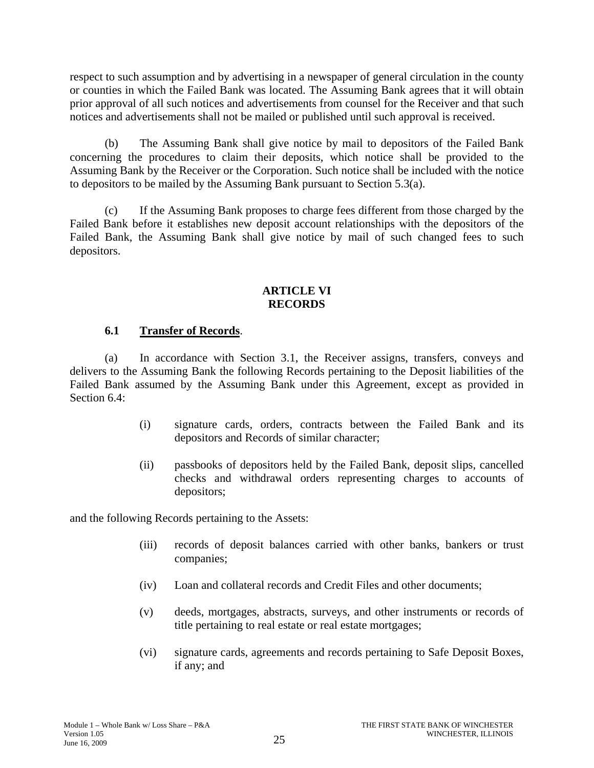respect to such assumption and by advertising in a newspaper of general circulation in the county or counties in which the Failed Bank was located. The Assuming Bank agrees that it will obtain prior approval of all such notices and advertisements from counsel for the Receiver and that such notices and advertisements shall not be mailed or published until such approval is received.

 (b) The Assuming Bank shall give notice by mail to depositors of the Failed Bank concerning the procedures to claim their deposits, which notice shall be provided to the Assuming Bank by the Receiver or the Corporation. Such notice shall be included with the notice to depositors to be mailed by the Assuming Bank pursuant to Section 5.3(a).

 (c) If the Assuming Bank proposes to charge fees different from those charged by the Failed Bank before it establishes new deposit account relationships with the depositors of the Failed Bank, the Assuming Bank shall give notice by mail of such changed fees to such depositors.

### **ARTICLE VI RECORDS**

## **6.1 Transfer of Records**.

<span id="page-28-1"></span><span id="page-28-0"></span> (a) In accordance with Section 3.1, the Receiver assigns, transfers, conveys and delivers to the Assuming Bank the following Records pertaining to the Deposit liabilities of the Failed Bank assumed by the Assuming Bank under this Agreement, except as provided in Section 6.4:

- (i) signature cards, orders, contracts between the Failed Bank and its depositors and Records of similar character;
- (ii) passbooks of depositors held by the Failed Bank, deposit slips, cancelled checks and withdrawal orders representing charges to accounts of depositors;

and the following Records pertaining to the Assets:

- (iii) records of deposit balances carried with other banks, bankers or trust companies;
- (iv) Loan and collateral records and Credit Files and other documents;
- (v) deeds, mortgages, abstracts, surveys, and other instruments or records of title pertaining to real estate or real estate mortgages;
- (vi) signature cards, agreements and records pertaining to Safe Deposit Boxes, if any; and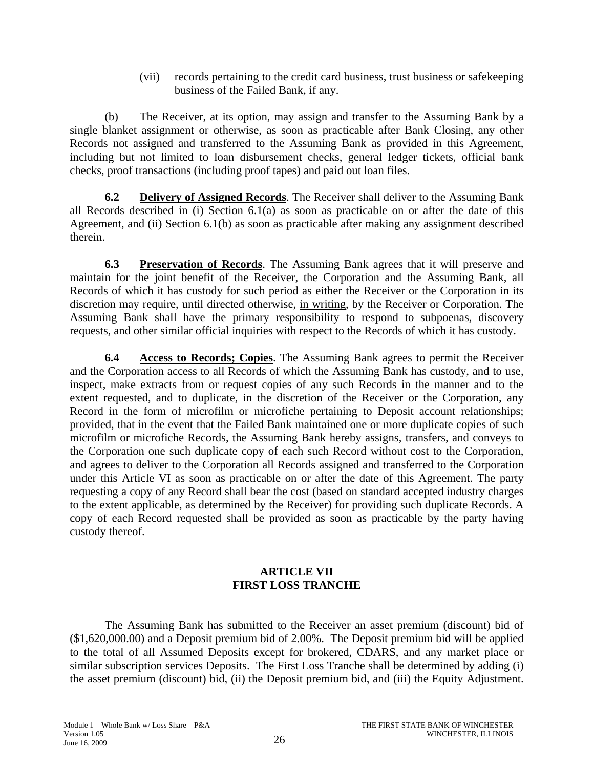(vii) records pertaining to the credit card business, trust business or safekeeping business of the Failed Bank, if any.

 (b) The Receiver, at its option, may assign and transfer to the Assuming Bank by a single blanket assignment or otherwise, as soon as practicable after Bank Closing, any other Records not assigned and transferred to the Assuming Bank as provided in this Agreement, including but not limited to loan disbursement checks, general ledger tickets, official bank checks, proof transactions (including proof tapes) and paid out loan files.

<span id="page-29-0"></span> **6.2 Delivery of Assigned Records**. The Receiver shall deliver to the Assuming Bank all Records described in (i) Section 6.1(a) as soon as practicable on or after the date of this Agreement, and (ii) Section 6.1(b) as soon as practicable after making any assignment described therein.

<span id="page-29-1"></span> **6.3 Preservation of Records**. The Assuming Bank agrees that it will preserve and maintain for the joint benefit of the Receiver, the Corporation and the Assuming Bank, all Records of which it has custody for such period as either the Receiver or the Corporation in its discretion may require, until directed otherwise, in writing, by the Receiver or Corporation. The Assuming Bank shall have the primary responsibility to respond to subpoenas, discovery requests, and other similar official inquiries with respect to the Records of which it has custody.

 **6.4 Access to Records; Copies**. The Assuming Bank agrees to permit the Receiver and the Corporation access to all Records of which the Assuming Bank has custody, and to use, inspect, make extracts from or request copies of any such Records in the manner and to the extent requested, and to duplicate, in the discretion of the Receiver or the Corporation, any Record in the form of microfilm or microfiche pertaining to Deposit account relationships; provided, that in the event that the Failed Bank maintained one or more duplicate copies of such microfilm or microfiche Records, the Assuming Bank hereby assigns, transfers, and conveys to the Corporation one such duplicate copy of each such Record without cost to the Corporation, and agrees to deliver to the Corporation all Records assigned and transferred to the Corporation under this Article VI as soon as practicable on or after the date of this Agreement. The party requesting a copy of any Record shall bear the cost (based on standard accepted industry charges to the extent applicable, as determined by the Receiver) for providing such duplicate Records. A copy of each Record requested shall be provided as soon as practicable by the party having custody thereof.

## **ARTICLE VII FIRST LOSS TRANCHE**

 The Assuming Bank has submitted to the Receiver an asset premium (discount) bid of (\$1,620,000.00) and a Deposit premium bid of 2.00%. The Deposit premium bid will be applied to the total of all Assumed Deposits except for brokered, CDARS, and any market place or similar subscription services Deposits. The First Loss Tranche shall be determined by adding (i) the asset premium (discount) bid, (ii) the Deposit premium bid, and (iii) the Equity Adjustment.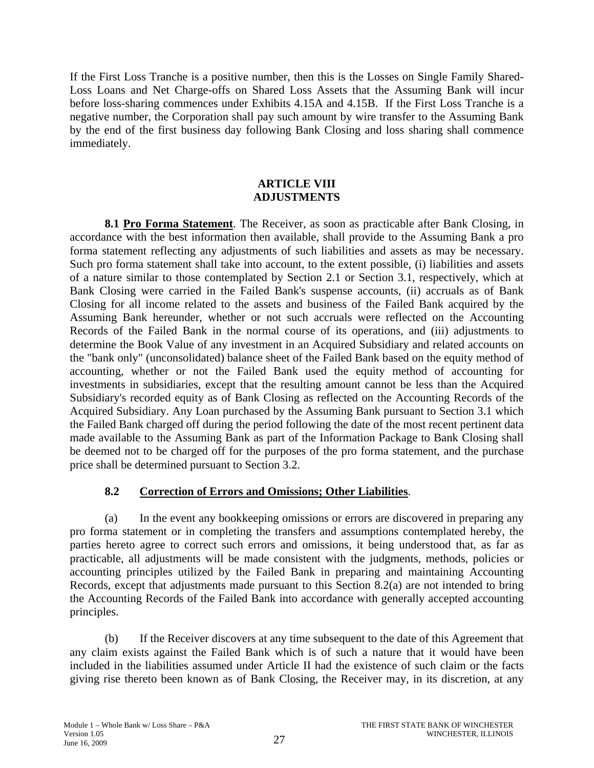If the First Loss Tranche is a positive number, then this is the Losses on Single Family Shared-Loss Loans and Net Charge-offs on Shared Loss Assets that the Assuming Bank will incur before loss-sharing commences under Exhibits 4.15A and 4.15B. If the First Loss Tranche is a negative number, the Corporation shall pay such amount by wire transfer to the Assuming Bank by the end of the first business day following Bank Closing and loss sharing shall commence immediately.

### **ARTICLE VIII ADJUSTMENTS**

<span id="page-30-1"></span><span id="page-30-0"></span>**8.1 Pro Forma Statement**. The Receiver, as soon as practicable after Bank Closing, in accordance with the best information then available, shall provide to the Assuming Bank a pro forma statement reflecting any adjustments of such liabilities and assets as may be necessary. Such pro forma statement shall take into account, to the extent possible, (i) liabilities and assets of a nature similar to those contemplated by Section 2.1 or Section 3.1, respectively, which at Bank Closing were carried in the Failed Bank's suspense accounts, (ii) accruals as of Bank Closing for all income related to the assets and business of the Failed Bank acquired by the Assuming Bank hereunder, whether or not such accruals were reflected on the Accounting Records of the Failed Bank in the normal course of its operations, and (iii) adjustments to determine the Book Value of any investment in an Acquired Subsidiary and related accounts on the "bank only" (unconsolidated) balance sheet of the Failed Bank based on the equity method of accounting, whether or not the Failed Bank used the equity method of accounting for investments in subsidiaries, except that the resulting amount cannot be less than the Acquired Subsidiary's recorded equity as of Bank Closing as reflected on the Accounting Records of the Acquired Subsidiary. Any Loan purchased by the Assuming Bank pursuant to Section 3.1 which the Failed Bank charged off during the period following the date of the most recent pertinent data made available to the Assuming Bank as part of the Information Package to Bank Closing shall be deemed not to be charged off for the purposes of the pro forma statement, and the purchase price shall be determined pursuant to Section 3.2.

## **8.2 Correction of Errors and Omissions; Other Liabilities**.

 (a) In the event any bookkeeping omissions or errors are discovered in preparing any pro forma statement or in completing the transfers and assumptions contemplated hereby, the parties hereto agree to correct such errors and omissions, it being understood that, as far as practicable, all adjustments will be made consistent with the judgments, methods, policies or accounting principles utilized by the Failed Bank in preparing and maintaining Accounting Records, except that adjustments made pursuant to this Section 8.2(a) are not intended to bring the Accounting Records of the Failed Bank into accordance with generally accepted accounting principles.

 (b) If the Receiver discovers at any time subsequent to the date of this Agreement that any claim exists against the Failed Bank which is of such a nature that it would have been included in the liabilities assumed under Article II had the existence of such claim or the facts giving rise thereto been known as of Bank Closing, the Receiver may, in its discretion, at any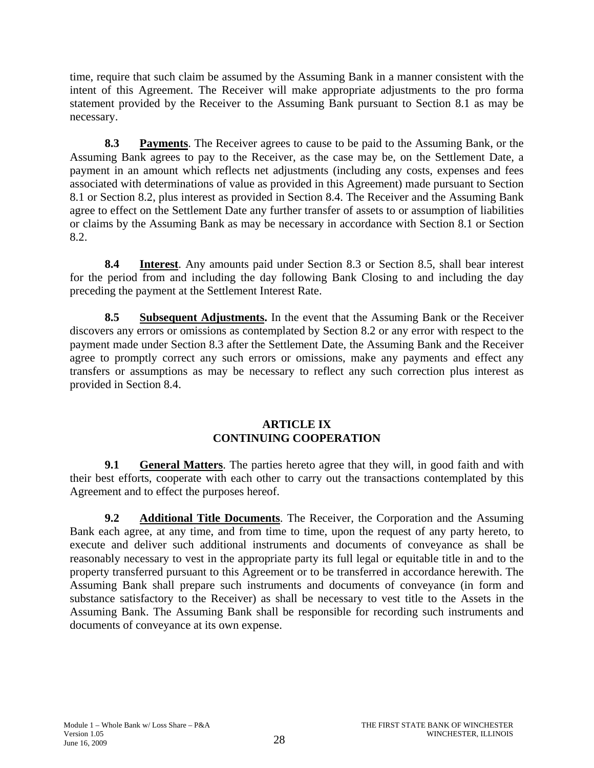time, require that such claim be assumed by the Assuming Bank in a manner consistent with the intent of this Agreement. The Receiver will make appropriate adjustments to the pro forma statement provided by the Receiver to the Assuming Bank pursuant to Section 8.1 as may be necessary.

<span id="page-31-0"></span>**8.3 Payments**. The Receiver agrees to cause to be paid to the Assuming Bank, or the Assuming Bank agrees to pay to the Receiver, as the case may be, on the Settlement Date, a payment in an amount which reflects net adjustments (including any costs, expenses and fees associated with determinations of value as provided in this Agreement) made pursuant to Section 8.1 or Section 8.2, plus interest as provided in Section 8.4. The Receiver and the Assuming Bank agree to effect on the Settlement Date any further transfer of assets to or assumption of liabilities or claims by the Assuming Bank as may be necessary in accordance with Section 8.1 or Section 8.2.

<span id="page-31-1"></span>**8.4 Interest**. Any amounts paid under Section 8.3 or Section 8.5, shall bear interest for the period from and including the day following Bank Closing to and including the day preceding the payment at the Settlement Interest Rate.

<span id="page-31-2"></span>**8.5 Subsequent Adjustments.** In the event that the Assuming Bank or the Receiver discovers any errors or omissions as contemplated by Section 8.2 or any error with respect to the payment made under Section 8.3 after the Settlement Date, the Assuming Bank and the Receiver agree to promptly correct any such errors or omissions, make any payments and effect any transfers or assumptions as may be necessary to reflect any such correction plus interest as provided in Section 8.4.

### **ARTICLE IX CONTINUING COOPERATION**

<span id="page-31-4"></span><span id="page-31-3"></span>**9.1** General Matters. The parties hereto agree that they will, in good faith and with their best efforts, cooperate with each other to carry out the transactions contemplated by this Agreement and to effect the purposes hereof.

<span id="page-31-5"></span> **9.2 Additional Title Documents**. The Receiver, the Corporation and the Assuming Bank each agree, at any time, and from time to time, upon the request of any party hereto, to execute and deliver such additional instruments and documents of conveyance as shall be reasonably necessary to vest in the appropriate party its full legal or equitable title in and to the property transferred pursuant to this Agreement or to be transferred in accordance herewith. The Assuming Bank shall prepare such instruments and documents of conveyance (in form and substance satisfactory to the Receiver) as shall be necessary to vest title to the Assets in the Assuming Bank. The Assuming Bank shall be responsible for recording such instruments and documents of conveyance at its own expense.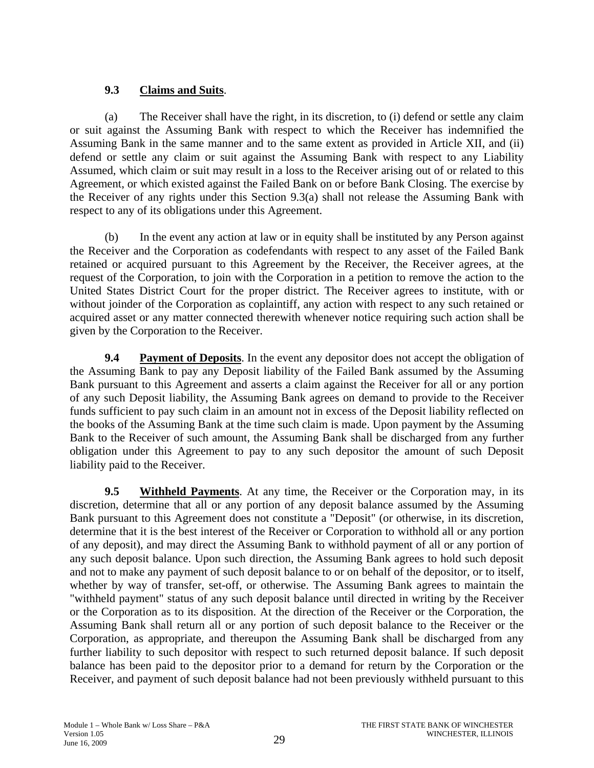# **9.3 Claims and Suits**.

<span id="page-32-0"></span> (a) The Receiver shall have the right, in its discretion, to (i) defend or settle any claim or suit against the Assuming Bank with respect to which the Receiver has indemnified the Assuming Bank in the same manner and to the same extent as provided in Article XII, and (ii) defend or settle any claim or suit against the Assuming Bank with respect to any Liability Assumed, which claim or suit may result in a loss to the Receiver arising out of or related to this Agreement, or which existed against the Failed Bank on or before Bank Closing. The exercise by the Receiver of any rights under this Section 9.3(a) shall not release the Assuming Bank with respect to any of its obligations under this Agreement.

 (b) In the event any action at law or in equity shall be instituted by any Person against the Receiver and the Corporation as codefendants with respect to any asset of the Failed Bank retained or acquired pursuant to this Agreement by the Receiver, the Receiver agrees, at the request of the Corporation, to join with the Corporation in a petition to remove the action to the United States District Court for the proper district. The Receiver agrees to institute, with or without joinder of the Corporation as coplaintiff, any action with respect to any such retained or acquired asset or any matter connected therewith whenever notice requiring such action shall be given by the Corporation to the Receiver.

<span id="page-32-1"></span>**9.4 Payment of Deposits**. In the event any depositor does not accept the obligation of the Assuming Bank to pay any Deposit liability of the Failed Bank assumed by the Assuming Bank pursuant to this Agreement and asserts a claim against the Receiver for all or any portion of any such Deposit liability, the Assuming Bank agrees on demand to provide to the Receiver funds sufficient to pay such claim in an amount not in excess of the Deposit liability reflected on the books of the Assuming Bank at the time such claim is made. Upon payment by the Assuming Bank to the Receiver of such amount, the Assuming Bank shall be discharged from any further obligation under this Agreement to pay to any such depositor the amount of such Deposit liability paid to the Receiver.

<span id="page-32-2"></span> **9.5 Withheld Payments**. At any time, the Receiver or the Corporation may, in its discretion, determine that all or any portion of any deposit balance assumed by the Assuming Bank pursuant to this Agreement does not constitute a "Deposit" (or otherwise, in its discretion, determine that it is the best interest of the Receiver or Corporation to withhold all or any portion of any deposit), and may direct the Assuming Bank to withhold payment of all or any portion of any such deposit balance. Upon such direction, the Assuming Bank agrees to hold such deposit and not to make any payment of such deposit balance to or on behalf of the depositor, or to itself, whether by way of transfer, set-off, or otherwise. The Assuming Bank agrees to maintain the "withheld payment" status of any such deposit balance until directed in writing by the Receiver or the Corporation as to its disposition. At the direction of the Receiver or the Corporation, the Assuming Bank shall return all or any portion of such deposit balance to the Receiver or the Corporation, as appropriate, and thereupon the Assuming Bank shall be discharged from any further liability to such depositor with respect to such returned deposit balance. If such deposit balance has been paid to the depositor prior to a demand for return by the Corporation or the Receiver, and payment of such deposit balance had not been previously withheld pursuant to this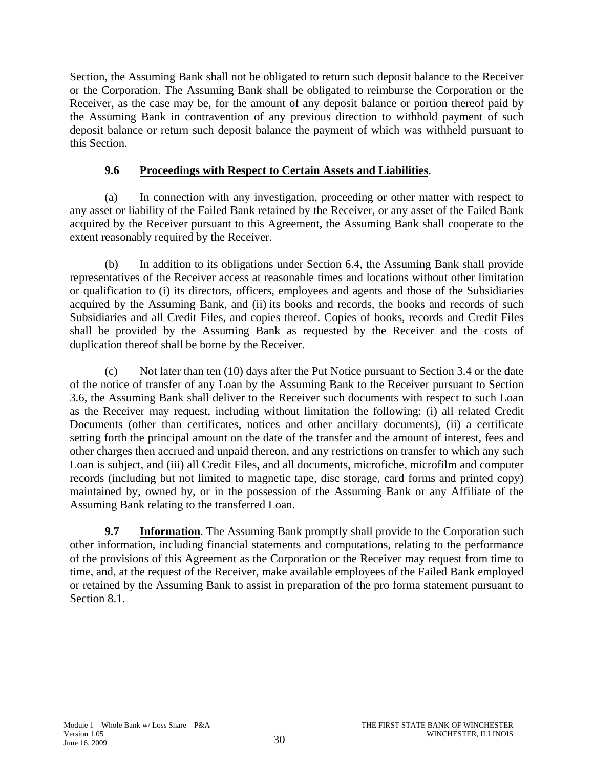Section, the Assuming Bank shall not be obligated to return such deposit balance to the Receiver or the Corporation. The Assuming Bank shall be obligated to reimburse the Corporation or the Receiver, as the case may be, for the amount of any deposit balance or portion thereof paid by the Assuming Bank in contravention of any previous direction to withhold payment of such deposit balance or return such deposit balance the payment of which was withheld pursuant to this Section.

## **9.6 Proceedings with Respect to Certain Assets and Liabilities**.

<span id="page-33-0"></span> (a) In connection with any investigation, proceeding or other matter with respect to any asset or liability of the Failed Bank retained by the Receiver, or any asset of the Failed Bank acquired by the Receiver pursuant to this Agreement, the Assuming Bank shall cooperate to the extent reasonably required by the Receiver.

 (b) In addition to its obligations under Section 6.4, the Assuming Bank shall provide representatives of the Receiver access at reasonable times and locations without other limitation or qualification to (i) its directors, officers, employees and agents and those of the Subsidiaries acquired by the Assuming Bank, and (ii) its books and records, the books and records of such Subsidiaries and all Credit Files, and copies thereof. Copies of books, records and Credit Files shall be provided by the Assuming Bank as requested by the Receiver and the costs of duplication thereof shall be borne by the Receiver.

 (c) Not later than ten (10) days after the Put Notice pursuant to Section 3.4 or the date of the notice of transfer of any Loan by the Assuming Bank to the Receiver pursuant to Section 3.6, the Assuming Bank shall deliver to the Receiver such documents with respect to such Loan as the Receiver may request, including without limitation the following: (i) all related Credit Documents (other than certificates, notices and other ancillary documents), (ii) a certificate setting forth the principal amount on the date of the transfer and the amount of interest, fees and other charges then accrued and unpaid thereon, and any restrictions on transfer to which any such Loan is subject, and (iii) all Credit Files, and all documents, microfiche, microfilm and computer records (including but not limited to magnetic tape, disc storage, card forms and printed copy) maintained by, owned by, or in the possession of the Assuming Bank or any Affiliate of the Assuming Bank relating to the transferred Loan.

<span id="page-33-1"></span>**9.7** Information. The Assuming Bank promptly shall provide to the Corporation such other information, including financial statements and computations, relating to the performance of the provisions of this Agreement as the Corporation or the Receiver may request from time to time, and, at the request of the Receiver, make available employees of the Failed Bank employed or retained by the Assuming Bank to assist in preparation of the pro forma statement pursuant to Section 8.1.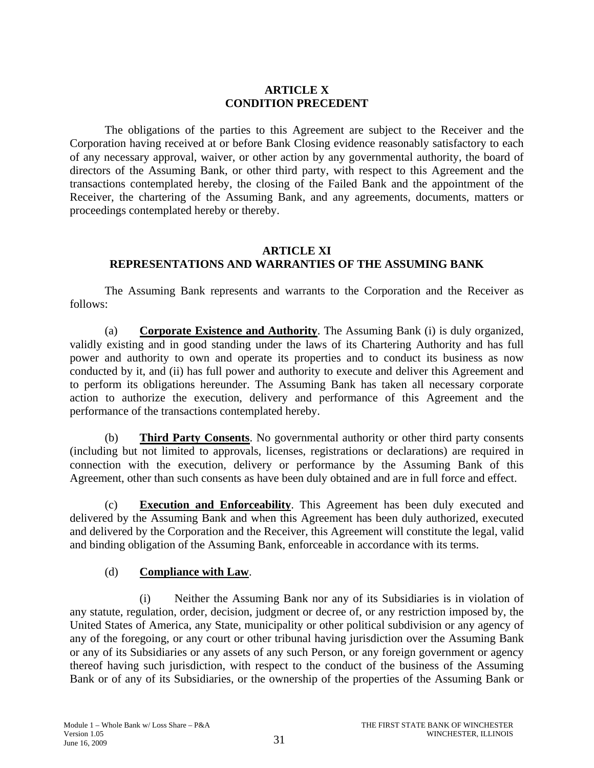### **ARTICLE X CONDITION PRECEDENT**

<span id="page-34-0"></span> The obligations of the parties to this Agreement are subject to the Receiver and the Corporation having received at or before Bank Closing evidence reasonably satisfactory to each of any necessary approval, waiver, or other action by any governmental authority, the board of directors of the Assuming Bank, or other third party, with respect to this Agreement and the transactions contemplated hereby, the closing of the Failed Bank and the appointment of the Receiver, the chartering of the Assuming Bank, and any agreements, documents, matters or proceedings contemplated hereby or thereby.

### **ARTICLE XI REPRESENTATIONS AND WARRANTIES OF THE ASSUMING BANK**

<span id="page-34-1"></span> The Assuming Bank represents and warrants to the Corporation and the Receiver as follows:

 (a) **Corporate Existence and Authority**. The Assuming Bank (i) is duly organized, validly existing and in good standing under the laws of its Chartering Authority and has full power and authority to own and operate its properties and to conduct its business as now conducted by it, and (ii) has full power and authority to execute and deliver this Agreement and to perform its obligations hereunder. The Assuming Bank has taken all necessary corporate action to authorize the execution, delivery and performance of this Agreement and the performance of the transactions contemplated hereby.

 (b) **Third Party Consents**. No governmental authority or other third party consents (including but not limited to approvals, licenses, registrations or declarations) are required in connection with the execution, delivery or performance by the Assuming Bank of this Agreement, other than such consents as have been duly obtained and are in full force and effect.

 (c) **Execution and Enforceability**. This Agreement has been duly executed and delivered by the Assuming Bank and when this Agreement has been duly authorized, executed and delivered by the Corporation and the Receiver, this Agreement will constitute the legal, valid and binding obligation of the Assuming Bank, enforceable in accordance with its terms.

### (d) **Compliance with Law**.

 (i) Neither the Assuming Bank nor any of its Subsidiaries is in violation of any statute, regulation, order, decision, judgment or decree of, or any restriction imposed by, the United States of America, any State, municipality or other political subdivision or any agency of any of the foregoing, or any court or other tribunal having jurisdiction over the Assuming Bank or any of its Subsidiaries or any assets of any such Person, or any foreign government or agency thereof having such jurisdiction, with respect to the conduct of the business of the Assuming Bank or of any of its Subsidiaries, or the ownership of the properties of the Assuming Bank or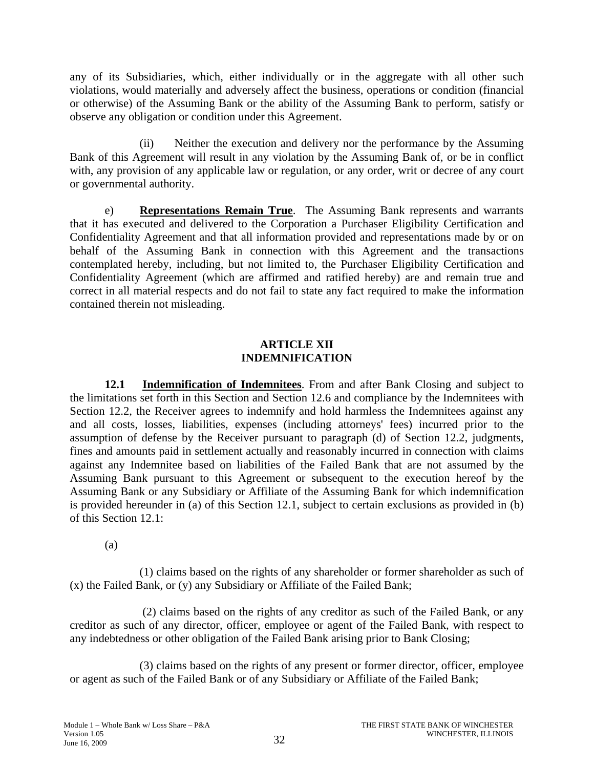any of its Subsidiaries, which, either individually or in the aggregate with all other such violations, would materially and adversely affect the business, operations or condition (financial or otherwise) of the Assuming Bank or the ability of the Assuming Bank to perform, satisfy or observe any obligation or condition under this Agreement.

 (ii) Neither the execution and delivery nor the performance by the Assuming Bank of this Agreement will result in any violation by the Assuming Bank of, or be in conflict with, any provision of any applicable law or regulation, or any order, writ or decree of any court or governmental authority.

 e) **Representations Remain True**. The Assuming Bank represents and warrants that it has executed and delivered to the Corporation a Purchaser Eligibility Certification and Confidentiality Agreement and that all information provided and representations made by or on behalf of the Assuming Bank in connection with this Agreement and the transactions contemplated hereby, including, but not limited to, the Purchaser Eligibility Certification and Confidentiality Agreement (which are affirmed and ratified hereby) are and remain true and correct in all material respects and do not fail to state any fact required to make the information contained therein not misleading.

## **ARTICLE XII INDEMNIFICATION**

<span id="page-35-0"></span>**12.1 Indemnification of Indemnitees**. From and after Bank Closing and subject to the limitations set forth in this Section and Section 12.6 and compliance by the Indemnitees with Section 12.2, the Receiver agrees to indemnify and hold harmless the Indemnitees against any and all costs, losses, liabilities, expenses (including attorneys' fees) incurred prior to the assumption of defense by the Receiver pursuant to paragraph (d) of Section 12.2, judgments, fines and amounts paid in settlement actually and reasonably incurred in connection with claims against any Indemnitee based on liabilities of the Failed Bank that are not assumed by the Assuming Bank pursuant to this Agreement or subsequent to the execution hereof by the Assuming Bank or any Subsidiary or Affiliate of the Assuming Bank for which indemnification is provided hereunder in (a) of this Section 12.1, subject to certain exclusions as provided in (b) of this Section 12.1:

(a)

 (1) claims based on the rights of any shareholder or former shareholder as such of (x) the Failed Bank, or (y) any Subsidiary or Affiliate of the Failed Bank;

 (2) claims based on the rights of any creditor as such of the Failed Bank, or any creditor as such of any director, officer, employee or agent of the Failed Bank, with respect to any indebtedness or other obligation of the Failed Bank arising prior to Bank Closing;

(3) claims based on the rights of any present or former director, officer, employee or agent as such of the Failed Bank or of any Subsidiary or Affiliate of the Failed Bank;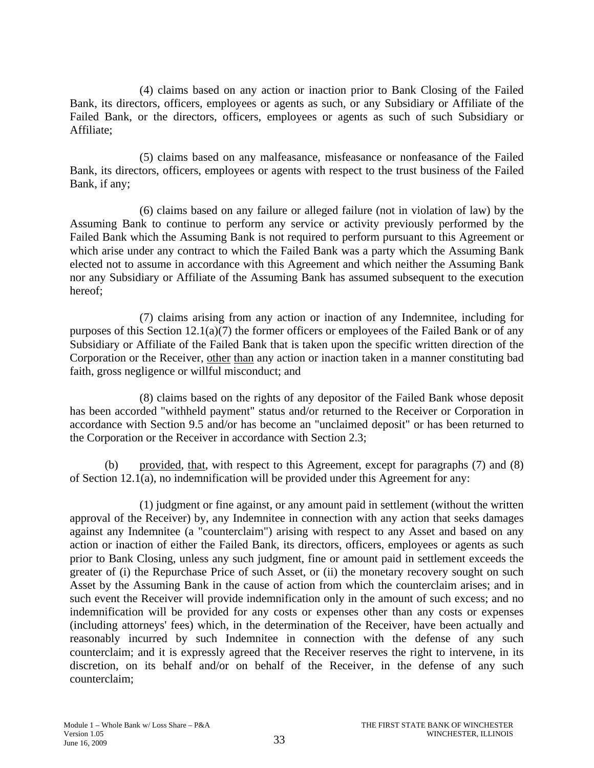(4) claims based on any action or inaction prior to Bank Closing of the Failed Bank, its directors, officers, employees or agents as such, or any Subsidiary or Affiliate of the Failed Bank, or the directors, officers, employees or agents as such of such Subsidiary or Affiliate;

(5) claims based on any malfeasance, misfeasance or nonfeasance of the Failed Bank, its directors, officers, employees or agents with respect to the trust business of the Failed Bank, if any;

(6) claims based on any failure or alleged failure (not in violation of law) by the Assuming Bank to continue to perform any service or activity previously performed by the Failed Bank which the Assuming Bank is not required to perform pursuant to this Agreement or which arise under any contract to which the Failed Bank was a party which the Assuming Bank elected not to assume in accordance with this Agreement and which neither the Assuming Bank nor any Subsidiary or Affiliate of the Assuming Bank has assumed subsequent to the execution hereof;

 (7) claims arising from any action or inaction of any Indemnitee, including for purposes of this Section 12.1(a)(7) the former officers or employees of the Failed Bank or of any Subsidiary or Affiliate of the Failed Bank that is taken upon the specific written direction of the Corporation or the Receiver, other than any action or inaction taken in a manner constituting bad faith, gross negligence or willful misconduct; and

(8) claims based on the rights of any depositor of the Failed Bank whose deposit has been accorded "withheld payment" status and/or returned to the Receiver or Corporation in accordance with Section 9.5 and/or has become an "unclaimed deposit" or has been returned to the Corporation or the Receiver in accordance with Section 2.3;

 (b) provided, that, with respect to this Agreement, except for paragraphs (7) and (8) of Section 12.1(a), no indemnification will be provided under this Agreement for any:

(1) judgment or fine against, or any amount paid in settlement (without the written approval of the Receiver) by, any Indemnitee in connection with any action that seeks damages against any Indemnitee (a "counterclaim") arising with respect to any Asset and based on any action or inaction of either the Failed Bank, its directors, officers, employees or agents as such prior to Bank Closing, unless any such judgment, fine or amount paid in settlement exceeds the greater of (i) the Repurchase Price of such Asset, or (ii) the monetary recovery sought on such Asset by the Assuming Bank in the cause of action from which the counterclaim arises; and in such event the Receiver will provide indemnification only in the amount of such excess; and no indemnification will be provided for any costs or expenses other than any costs or expenses (including attorneys' fees) which, in the determination of the Receiver, have been actually and reasonably incurred by such Indemnitee in connection with the defense of any such counterclaim; and it is expressly agreed that the Receiver reserves the right to intervene, in its discretion, on its behalf and/or on behalf of the Receiver, in the defense of any such counterclaim;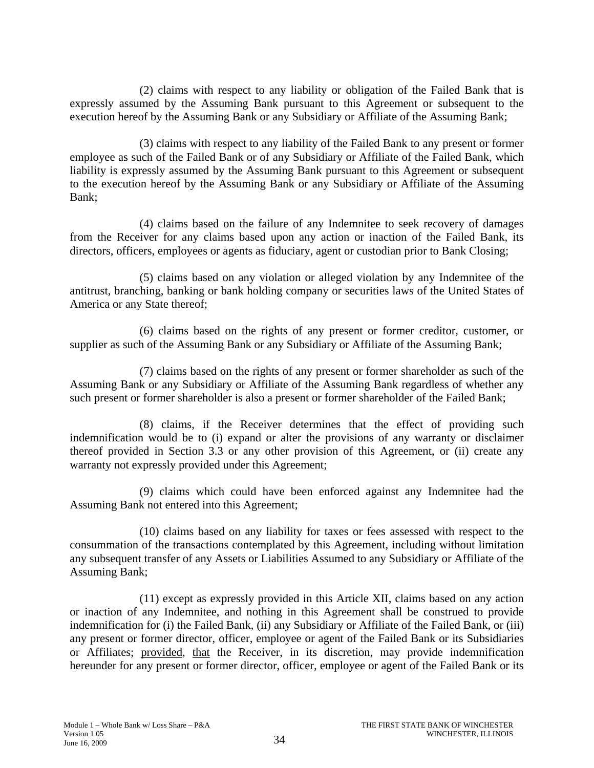(2) claims with respect to any liability or obligation of the Failed Bank that is expressly assumed by the Assuming Bank pursuant to this Agreement or subsequent to the execution hereof by the Assuming Bank or any Subsidiary or Affiliate of the Assuming Bank;

(3) claims with respect to any liability of the Failed Bank to any present or former employee as such of the Failed Bank or of any Subsidiary or Affiliate of the Failed Bank, which liability is expressly assumed by the Assuming Bank pursuant to this Agreement or subsequent to the execution hereof by the Assuming Bank or any Subsidiary or Affiliate of the Assuming Bank;

(4) claims based on the failure of any Indemnitee to seek recovery of damages from the Receiver for any claims based upon any action or inaction of the Failed Bank, its directors, officers, employees or agents as fiduciary, agent or custodian prior to Bank Closing;

(5) claims based on any violation or alleged violation by any Indemnitee of the antitrust, branching, banking or bank holding company or securities laws of the United States of America or any State thereof;

(6) claims based on the rights of any present or former creditor, customer, or supplier as such of the Assuming Bank or any Subsidiary or Affiliate of the Assuming Bank;

(7) claims based on the rights of any present or former shareholder as such of the Assuming Bank or any Subsidiary or Affiliate of the Assuming Bank regardless of whether any such present or former shareholder is also a present or former shareholder of the Failed Bank;

(8) claims, if the Receiver determines that the effect of providing such indemnification would be to (i) expand or alter the provisions of any warranty or disclaimer thereof provided in Section 3.3 or any other provision of this Agreement, or (ii) create any warranty not expressly provided under this Agreement;

(9) claims which could have been enforced against any Indemnitee had the Assuming Bank not entered into this Agreement;

(10) claims based on any liability for taxes or fees assessed with respect to the consummation of the transactions contemplated by this Agreement, including without limitation any subsequent transfer of any Assets or Liabilities Assumed to any Subsidiary or Affiliate of the Assuming Bank;

(11) except as expressly provided in this Article XII, claims based on any action or inaction of any Indemnitee, and nothing in this Agreement shall be construed to provide indemnification for (i) the Failed Bank, (ii) any Subsidiary or Affiliate of the Failed Bank, or (iii) any present or former director, officer, employee or agent of the Failed Bank or its Subsidiaries or Affiliates; provided, that the Receiver, in its discretion, may provide indemnification hereunder for any present or former director, officer, employee or agent of the Failed Bank or its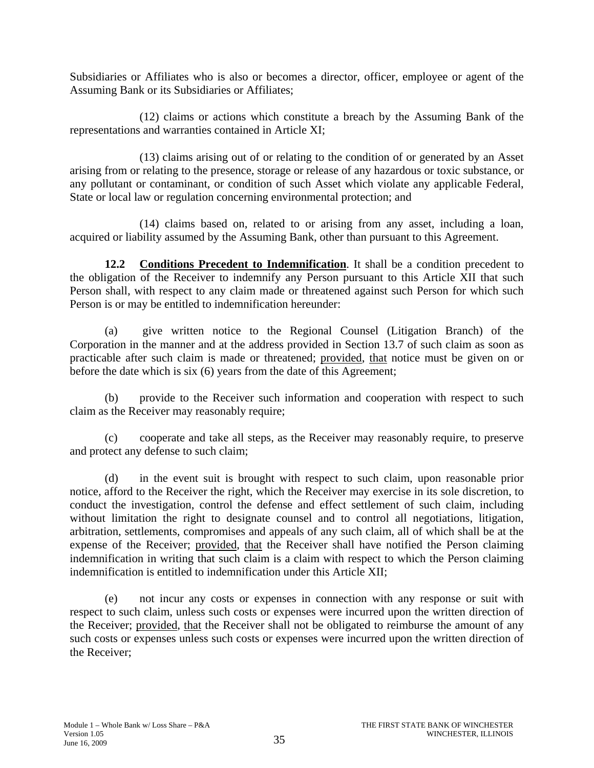Subsidiaries or Affiliates who is also or becomes a director, officer, employee or agent of the Assuming Bank or its Subsidiaries or Affiliates;

(12) claims or actions which constitute a breach by the Assuming Bank of the representations and warranties contained in Article XI;

(13) claims arising out of or relating to the condition of or generated by an Asset arising from or relating to the presence, storage or release of any hazardous or toxic substance, or any pollutant or contaminant, or condition of such Asset which violate any applicable Federal, State or local law or regulation concerning environmental protection; and

(14) claims based on, related to or arising from any asset, including a loan, acquired or liability assumed by the Assuming Bank, other than pursuant to this Agreement.

 **12.2 Conditions Precedent to Indemnification**. It shall be a condition precedent to the obligation of the Receiver to indemnify any Person pursuant to this Article XII that such Person shall, with respect to any claim made or threatened against such Person for which such Person is or may be entitled to indemnification hereunder:

 (a) give written notice to the Regional Counsel (Litigation Branch) of the Corporation in the manner and at the address provided in Section 13.7 of such claim as soon as practicable after such claim is made or threatened; provided, that notice must be given on or before the date which is six (6) years from the date of this Agreement;

 (b) provide to the Receiver such information and cooperation with respect to such claim as the Receiver may reasonably require;

 (c) cooperate and take all steps, as the Receiver may reasonably require, to preserve and protect any defense to such claim;

 (d) in the event suit is brought with respect to such claim, upon reasonable prior notice, afford to the Receiver the right, which the Receiver may exercise in its sole discretion, to conduct the investigation, control the defense and effect settlement of such claim, including without limitation the right to designate counsel and to control all negotiations, litigation, arbitration, settlements, compromises and appeals of any such claim, all of which shall be at the expense of the Receiver; provided, that the Receiver shall have notified the Person claiming indemnification in writing that such claim is a claim with respect to which the Person claiming indemnification is entitled to indemnification under this Article XII;

 (e) not incur any costs or expenses in connection with any response or suit with respect to such claim, unless such costs or expenses were incurred upon the written direction of the Receiver; provided, that the Receiver shall not be obligated to reimburse the amount of any such costs or expenses unless such costs or expenses were incurred upon the written direction of the Receiver;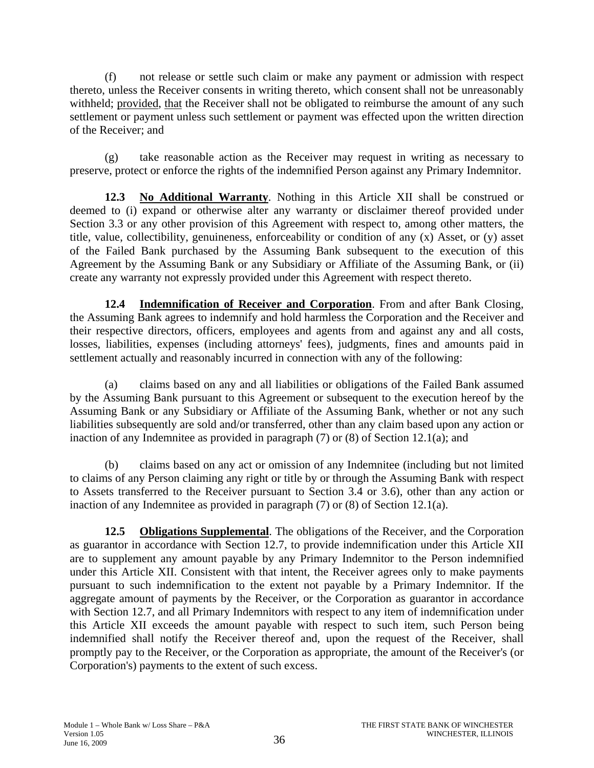(f) not release or settle such claim or make any payment or admission with respect thereto, unless the Receiver consents in writing thereto, which consent shall not be unreasonably withheld; provided, that the Receiver shall not be obligated to reimburse the amount of any such settlement or payment unless such settlement or payment was effected upon the written direction of the Receiver; and

 (g) take reasonable action as the Receiver may request in writing as necessary to preserve, protect or enforce the rights of the indemnified Person against any Primary Indemnitor.

**12.3 No Additional Warranty**. Nothing in this Article XII shall be construed or deemed to (i) expand or otherwise alter any warranty or disclaimer thereof provided under Section 3.3 or any other provision of this Agreement with respect to, among other matters, the title, value, collectibility, genuineness, enforceability or condition of any (x) Asset, or (y) asset of the Failed Bank purchased by the Assuming Bank subsequent to the execution of this Agreement by the Assuming Bank or any Subsidiary or Affiliate of the Assuming Bank, or (ii) create any warranty not expressly provided under this Agreement with respect thereto.

**12.4 Indemnification of Receiver and Corporation**. From and after Bank Closing, the Assuming Bank agrees to indemnify and hold harmless the Corporation and the Receiver and their respective directors, officers, employees and agents from and against any and all costs, losses, liabilities, expenses (including attorneys' fees), judgments, fines and amounts paid in settlement actually and reasonably incurred in connection with any of the following:

(a) claims based on any and all liabilities or obligations of the Failed Bank assumed by the Assuming Bank pursuant to this Agreement or subsequent to the execution hereof by the Assuming Bank or any Subsidiary or Affiliate of the Assuming Bank, whether or not any such liabilities subsequently are sold and/or transferred, other than any claim based upon any action or inaction of any Indemnitee as provided in paragraph (7) or (8) of Section 12.1(a); and

(b) claims based on any act or omission of any Indemnitee (including but not limited to claims of any Person claiming any right or title by or through the Assuming Bank with respect to Assets transferred to the Receiver pursuant to Section 3.4 or 3.6), other than any action or inaction of any Indemnitee as provided in paragraph (7) or (8) of Section 12.1(a).

**12.5 Obligations Supplemental**. The obligations of the Receiver, and the Corporation as guarantor in accordance with Section 12.7, to provide indemnification under this Article XII are to supplement any amount payable by any Primary Indemnitor to the Person indemnified under this Article XII. Consistent with that intent, the Receiver agrees only to make payments pursuant to such indemnification to the extent not payable by a Primary Indemnitor. If the aggregate amount of payments by the Receiver, or the Corporation as guarantor in accordance with Section 12.7, and all Primary Indemnitors with respect to any item of indemnification under this Article XII exceeds the amount payable with respect to such item, such Person being indemnified shall notify the Receiver thereof and, upon the request of the Receiver, shall promptly pay to the Receiver, or the Corporation as appropriate, the amount of the Receiver's (or Corporation's) payments to the extent of such excess.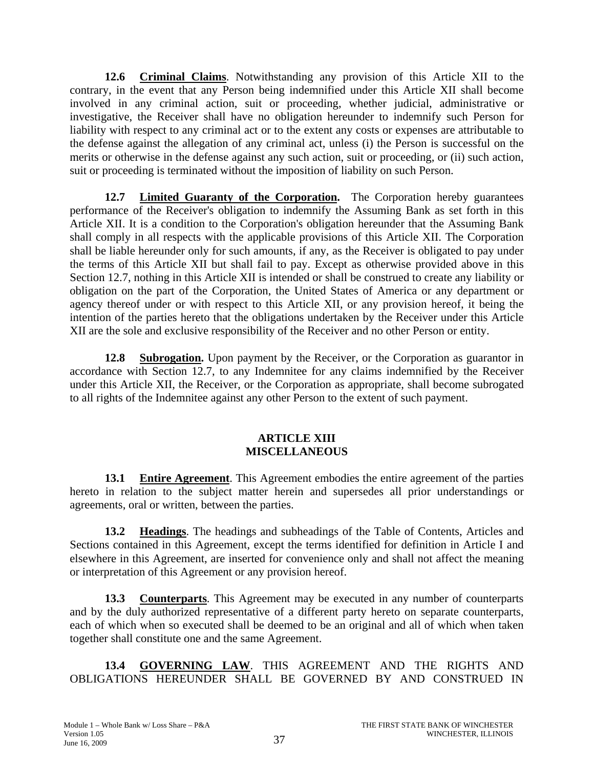**12.6 Criminal Claims**. Notwithstanding any provision of this Article XII to the contrary, in the event that any Person being indemnified under this Article XII shall become involved in any criminal action, suit or proceeding, whether judicial, administrative or investigative, the Receiver shall have no obligation hereunder to indemnify such Person for liability with respect to any criminal act or to the extent any costs or expenses are attributable to the defense against the allegation of any criminal act, unless (i) the Person is successful on the merits or otherwise in the defense against any such action, suit or proceeding, or (ii) such action, suit or proceeding is terminated without the imposition of liability on such Person.

**12.7 Limited Guaranty of the Corporation.** The Corporation hereby guarantees performance of the Receiver's obligation to indemnify the Assuming Bank as set forth in this Article XII. It is a condition to the Corporation's obligation hereunder that the Assuming Bank shall comply in all respects with the applicable provisions of this Article XII. The Corporation shall be liable hereunder only for such amounts, if any, as the Receiver is obligated to pay under the terms of this Article XII but shall fail to pay. Except as otherwise provided above in this Section 12.7, nothing in this Article XII is intended or shall be construed to create any liability or obligation on the part of the Corporation, the United States of America or any department or agency thereof under or with respect to this Article XII, or any provision hereof, it being the intention of the parties hereto that the obligations undertaken by the Receiver under this Article XII are the sole and exclusive responsibility of the Receiver and no other Person or entity.

**12.8** Subrogation. Upon payment by the Receiver, or the Corporation as guarantor in accordance with Section 12.7, to any Indemnitee for any claims indemnified by the Receiver under this Article XII, the Receiver, or the Corporation as appropriate, shall become subrogated to all rights of the Indemnitee against any other Person to the extent of such payment.

### **ARTICLE XIII MISCELLANEOUS**

 **13.1 Entire Agreement**. This Agreement embodies the entire agreement of the parties hereto in relation to the subject matter herein and supersedes all prior understandings or agreements, oral or written, between the parties.

 **13.2 Headings**. The headings and subheadings of the Table of Contents, Articles and Sections contained in this Agreement, except the terms identified for definition in Article I and elsewhere in this Agreement, are inserted for convenience only and shall not affect the meaning or interpretation of this Agreement or any provision hereof.

 **13.3 Counterparts**. This Agreement may be executed in any number of counterparts and by the duly authorized representative of a different party hereto on separate counterparts, each of which when so executed shall be deemed to be an original and all of which when taken together shall constitute one and the same Agreement.

 **13.4 GOVERNING LAW**. THIS AGREEMENT AND THE RIGHTS AND OBLIGATIONS HEREUNDER SHALL BE GOVERNED BY AND CONSTRUED IN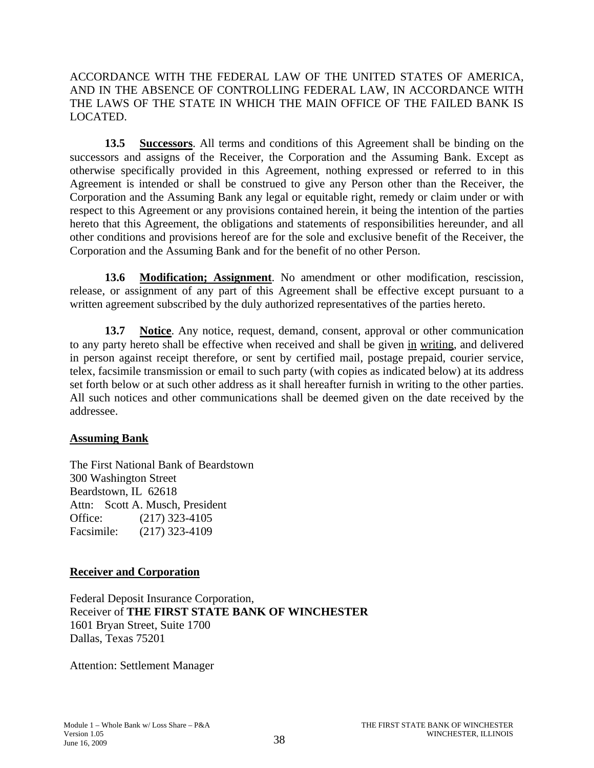ACCORDANCE WITH THE FEDERAL LAW OF THE UNITED STATES OF AMERICA, AND IN THE ABSENCE OF CONTROLLING FEDERAL LAW, IN ACCORDANCE WITH THE LAWS OF THE STATE IN WHICH THE MAIN OFFICE OF THE FAILED BANK IS LOCATED.

13.5 Successors. All terms and conditions of this Agreement shall be binding on the successors and assigns of the Receiver, the Corporation and the Assuming Bank. Except as otherwise specifically provided in this Agreement, nothing expressed or referred to in this Agreement is intended or shall be construed to give any Person other than the Receiver, the Corporation and the Assuming Bank any legal or equitable right, remedy or claim under or with respect to this Agreement or any provisions contained herein, it being the intention of the parties hereto that this Agreement, the obligations and statements of responsibilities hereunder, and all other conditions and provisions hereof are for the sole and exclusive benefit of the Receiver, the Corporation and the Assuming Bank and for the benefit of no other Person.

 **13.6 Modification; Assignment**. No amendment or other modification, rescission, release, or assignment of any part of this Agreement shall be effective except pursuant to a written agreement subscribed by the duly authorized representatives of the parties hereto.

 **13.7 Notice**. Any notice, request, demand, consent, approval or other communication to any party hereto shall be effective when received and shall be given in writing, and delivered in person against receipt therefore, or sent by certified mail, postage prepaid, courier service, telex, facsimile transmission or email to such party (with copies as indicated below) at its address set forth below or at such other address as it shall hereafter furnish in writing to the other parties. All such notices and other communications shall be deemed given on the date received by the addressee.

### **Assuming Bank**

The First National Bank of Beardstown 300 Washington Street Beardstown, IL 62618 Attn: Scott A. Musch, President Office: (217) 323-4105 Facsimile: (217) 323-4109

# **Receiver and Corporation**

Federal Deposit Insurance Corporation, Receiver of **THE FIRST STATE BANK OF WINCHESTER** 1601 Bryan Street, Suite 1700 Dallas, Texas 75201

Attention: Settlement Manager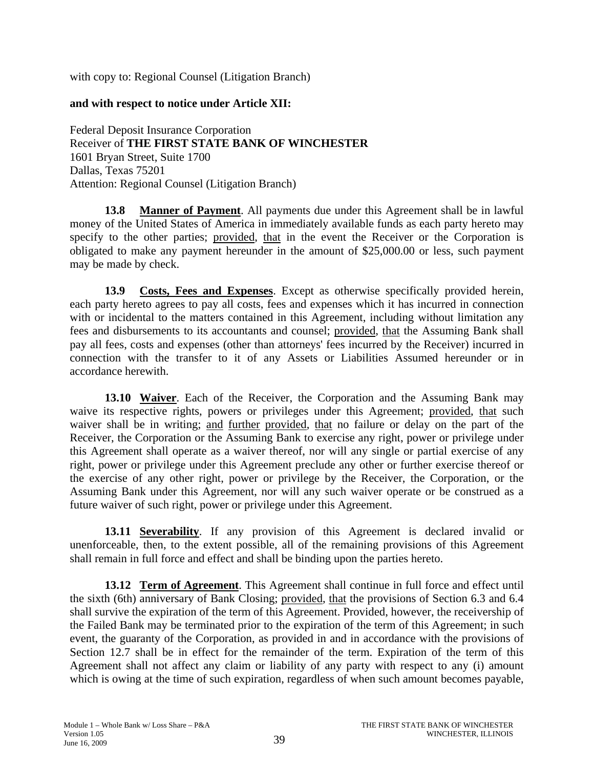with copy to: Regional Counsel (Litigation Branch)

## **and with respect to notice under Article XII:**

Federal Deposit Insurance Corporation Receiver of **THE FIRST STATE BANK OF WINCHESTER** 1601 Bryan Street, Suite 1700 Dallas, Texas 75201 Attention: Regional Counsel (Litigation Branch)

**13.8 Manner of Payment**. All payments due under this Agreement shall be in lawful money of the United States of America in immediately available funds as each party hereto may specify to the other parties; provided, that in the event the Receiver or the Corporation is obligated to make any payment hereunder in the amount of \$25,000.00 or less, such payment may be made by check.

 **13.9 Costs, Fees and Expenses**. Except as otherwise specifically provided herein, each party hereto agrees to pay all costs, fees and expenses which it has incurred in connection with or incidental to the matters contained in this Agreement, including without limitation any fees and disbursements to its accountants and counsel; provided, that the Assuming Bank shall pay all fees, costs and expenses (other than attorneys' fees incurred by the Receiver) incurred in connection with the transfer to it of any Assets or Liabilities Assumed hereunder or in accordance herewith.

 **13.10 Waiver**. Each of the Receiver, the Corporation and the Assuming Bank may waive its respective rights, powers or privileges under this Agreement; provided, that such waiver shall be in writing; and further provided, that no failure or delay on the part of the Receiver, the Corporation or the Assuming Bank to exercise any right, power or privilege under this Agreement shall operate as a waiver thereof, nor will any single or partial exercise of any right, power or privilege under this Agreement preclude any other or further exercise thereof or the exercise of any other right, power or privilege by the Receiver, the Corporation, or the Assuming Bank under this Agreement, nor will any such waiver operate or be construed as a future waiver of such right, power or privilege under this Agreement.

 **13.11 Severability**. If any provision of this Agreement is declared invalid or unenforceable, then, to the extent possible, all of the remaining provisions of this Agreement shall remain in full force and effect and shall be binding upon the parties hereto.

 **13.12 Term of Agreement**. This Agreement shall continue in full force and effect until the sixth (6th) anniversary of Bank Closing; provided, that the provisions of Section 6.3 and 6.4 shall survive the expiration of the term of this Agreement. Provided, however, the receivership of the Failed Bank may be terminated prior to the expiration of the term of this Agreement; in such event, the guaranty of the Corporation, as provided in and in accordance with the provisions of Section 12.7 shall be in effect for the remainder of the term. Expiration of the term of this Agreement shall not affect any claim or liability of any party with respect to any (i) amount which is owing at the time of such expiration, regardless of when such amount becomes payable,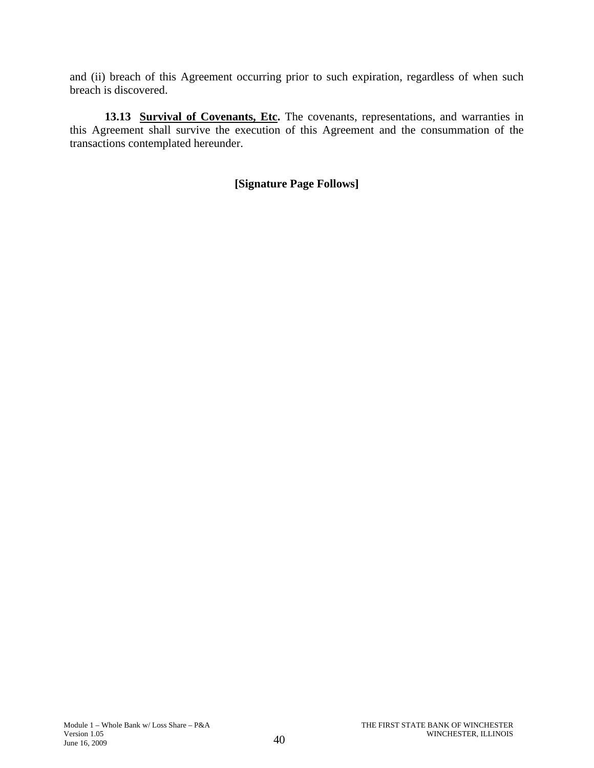and (ii) breach of this Agreement occurring prior to such expiration, regardless of when such breach is discovered.

13.13 **Survival of Covenants, Etc.** The covenants, representations, and warranties in this Agreement shall survive the execution of this Agreement and the consummation of the transactions contemplated hereunder.

# **[Signature Page Follows]**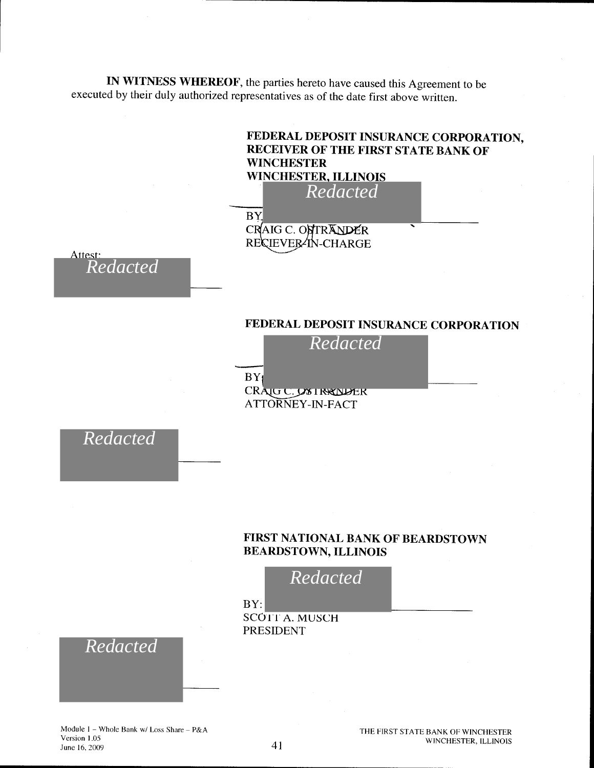**IN WITNESS WHEREOF,** the parties hereto have caused this Agreement to be executed by their duly authorized representatives as of the date first above written.



### **FIRST NATIONAL BANK OF BEARDSTOWN BEARDSTOWN, ILLINOIS**

*Redacted*



**SCOTT A. MUSCH** PRESIDENT

*Redacted*

Module I -Whole Bank w/ Loss Share- P&A Version 1.05 June 16, 2009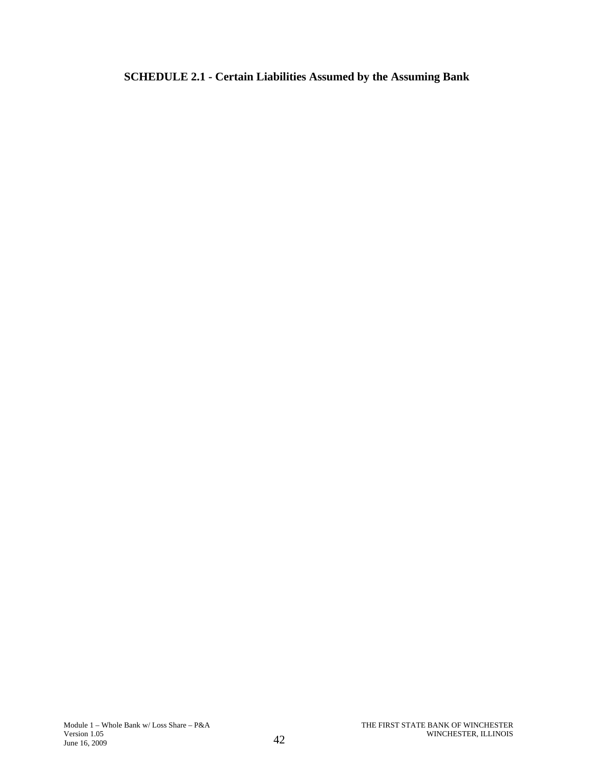**SCHEDULE 2.1 - Certain Liabilities Assumed by the Assuming Bank**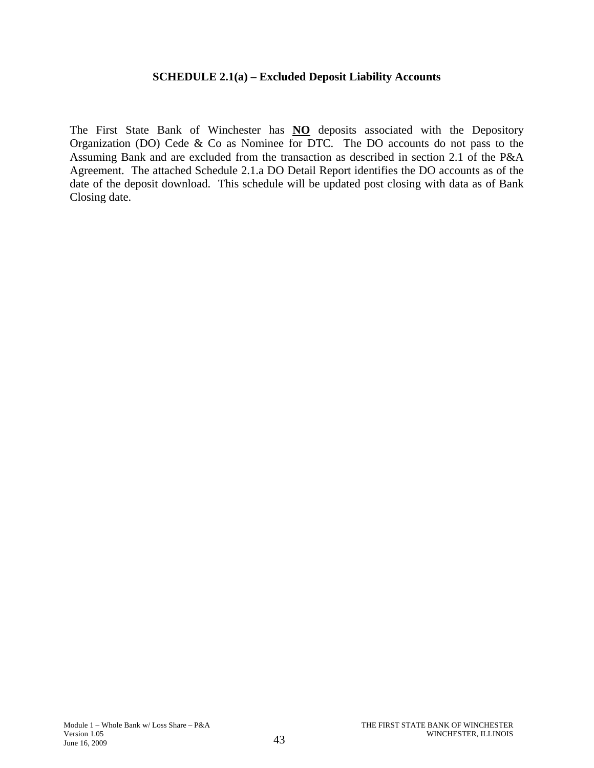### **SCHEDULE 2.1(a) – Excluded Deposit Liability Accounts**

The First State Bank of Winchester has **NO** deposits associated with the Depository Organization (DO) Cede & Co as Nominee for DTC. The DO accounts do not pass to the Assuming Bank and are excluded from the transaction as described in section 2.1 of the P&A Agreement. The attached Schedule 2.1.a DO Detail Report identifies the DO accounts as of the date of the deposit download. This schedule will be updated post closing with data as of Bank Closing date.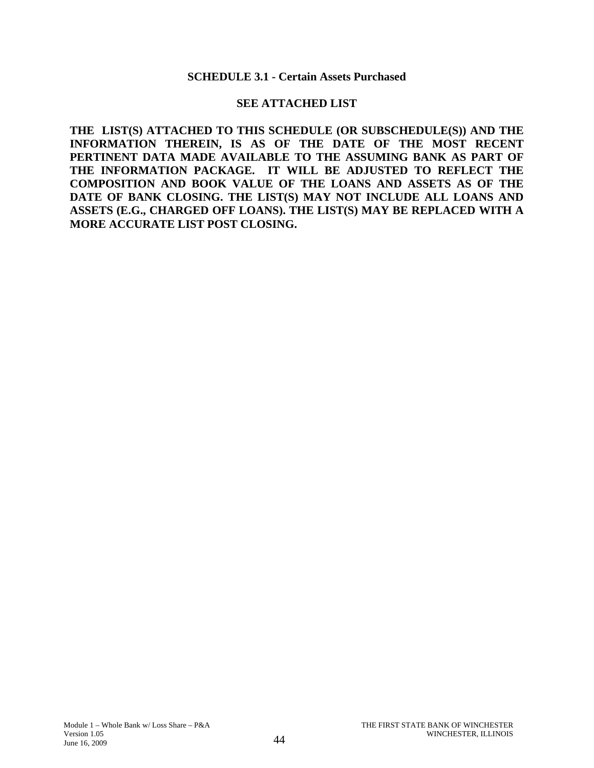#### **SCHEDULE 3.1 - Certain Assets Purchased**

#### **SEE ATTACHED LIST**

**THE LIST(S) ATTACHED TO THIS SCHEDULE (OR SUBSCHEDULE(S)) AND THE INFORMATION THEREIN, IS AS OF THE DATE OF THE MOST RECENT PERTINENT DATA MADE AVAILABLE TO THE ASSUMING BANK AS PART OF THE INFORMATION PACKAGE. IT WILL BE ADJUSTED TO REFLECT THE COMPOSITION AND BOOK VALUE OF THE LOANS AND ASSETS AS OF THE DATE OF BANK CLOSING. THE LIST(S) MAY NOT INCLUDE ALL LOANS AND ASSETS (E.G., CHARGED OFF LOANS). THE LIST(S) MAY BE REPLACED WITH A MORE ACCURATE LIST POST CLOSING.**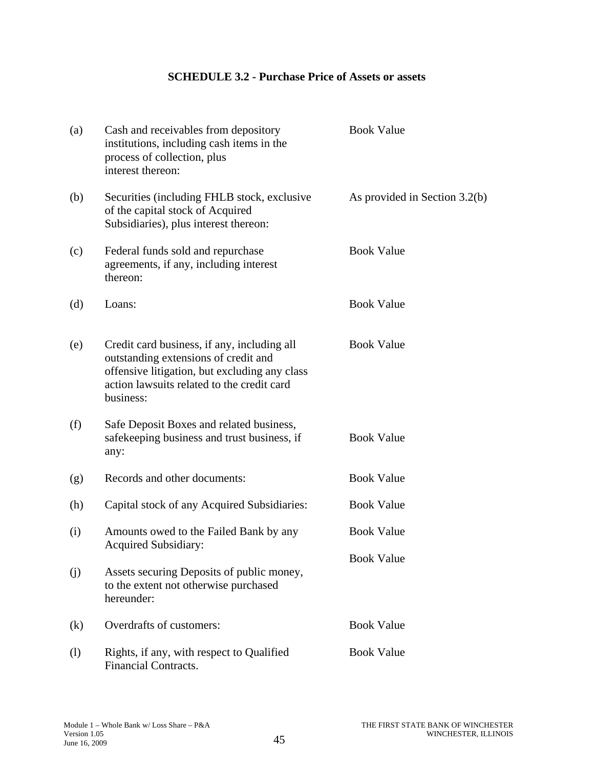# **SCHEDULE 3.2 - Purchase Price of Assets or assets**

| (a) | Cash and receivables from depository<br>institutions, including cash items in the<br>process of collection, plus<br>interest thereon:                                                           | <b>Book Value</b>               |  |
|-----|-------------------------------------------------------------------------------------------------------------------------------------------------------------------------------------------------|---------------------------------|--|
| (b) | Securities (including FHLB stock, exclusive<br>of the capital stock of Acquired<br>Subsidiaries), plus interest thereon:                                                                        | As provided in Section $3.2(b)$ |  |
| (c) | Federal funds sold and repurchase<br>agreements, if any, including interest<br>thereon:                                                                                                         | <b>Book Value</b>               |  |
| (d) | Loans:                                                                                                                                                                                          | <b>Book Value</b>               |  |
| (e) | Credit card business, if any, including all<br>outstanding extensions of credit and<br>offensive litigation, but excluding any class<br>action lawsuits related to the credit card<br>business: | <b>Book Value</b>               |  |
| (f) | Safe Deposit Boxes and related business,<br>safekeeping business and trust business, if<br>any:                                                                                                 | <b>Book Value</b>               |  |
| (g) | Records and other documents:                                                                                                                                                                    | <b>Book Value</b>               |  |
| (h) | Capital stock of any Acquired Subsidiaries:                                                                                                                                                     | <b>Book Value</b>               |  |
| (i) | Amounts owed to the Failed Bank by any                                                                                                                                                          | <b>Book Value</b>               |  |
| (j) | <b>Acquired Subsidiary:</b><br>Assets securing Deposits of public money,<br>to the extent not otherwise purchased<br>hereunder:                                                                 | <b>Book Value</b>               |  |
| (k) | Overdrafts of customers:                                                                                                                                                                        | <b>Book Value</b>               |  |
| (1) | Rights, if any, with respect to Qualified<br><b>Financial Contracts.</b>                                                                                                                        | <b>Book Value</b>               |  |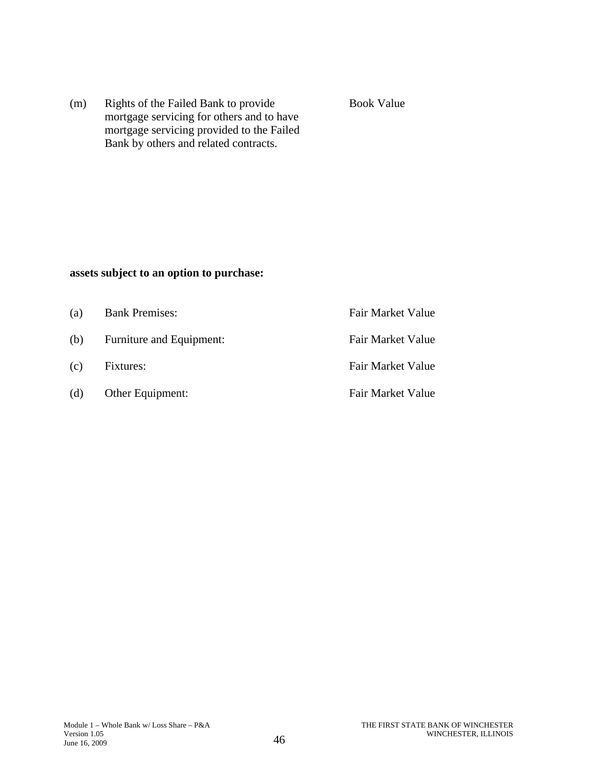(m) Rights of the Failed Bank to provide mortgage servicing for others and to have mortgage servicing provided to the Failed Bank by others and related contracts. Book Value

### **assets subject to an option to purchase:**

| (a) | <b>Bank Premises:</b>    | Fair Market Value |
|-----|--------------------------|-------------------|
| (b) | Furniture and Equipment: | Fair Market Value |
| (c) | Fixtures:                | Fair Market Value |
| (d) | Other Equipment:         | Fair Market Value |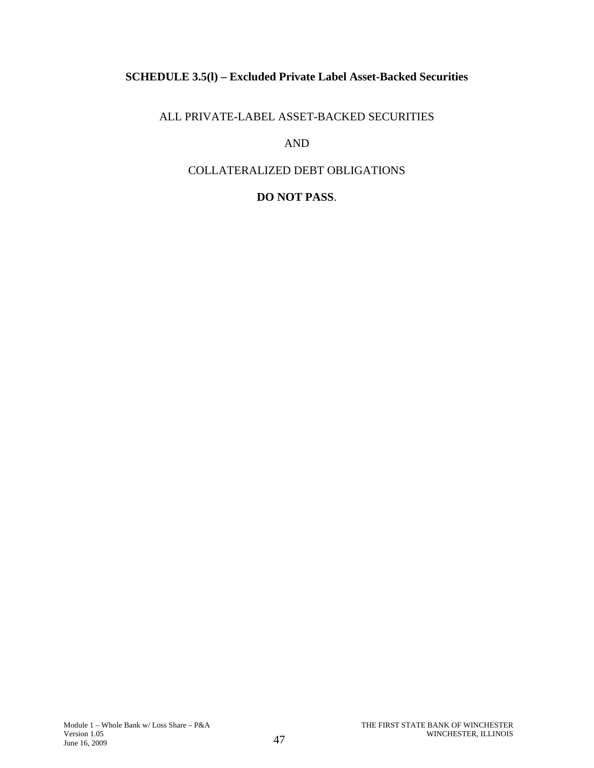# **SCHEDULE 3.5(l) – Excluded Private Label Asset-Backed Securities**

## ALL PRIVATE-LABEL ASSET-BACKED SECURITIES

## AND

# COLLATERALIZED DEBT OBLIGATIONS

# **DO NOT PASS**.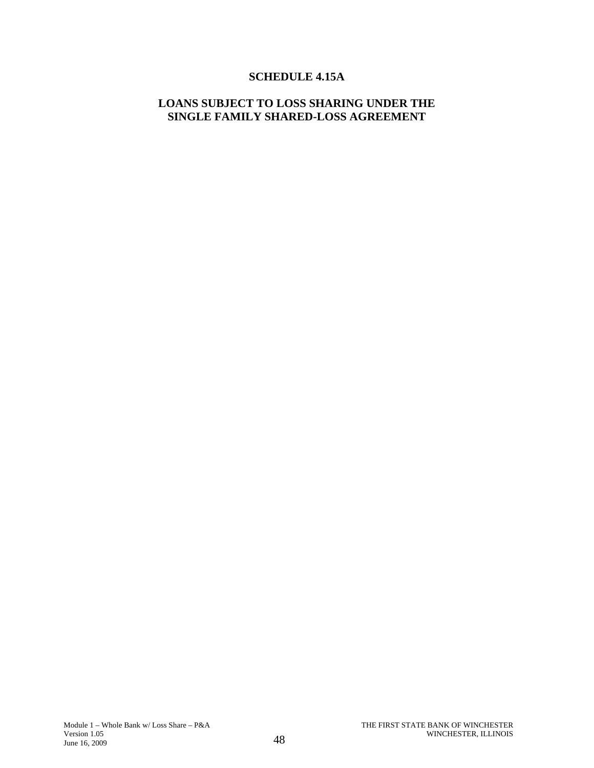## **SCHEDULE 4.15A**

### **LOANS SUBJECT TO LOSS SHARING UNDER THE SINGLE FAMILY SHARED-LOSS AGREEMENT**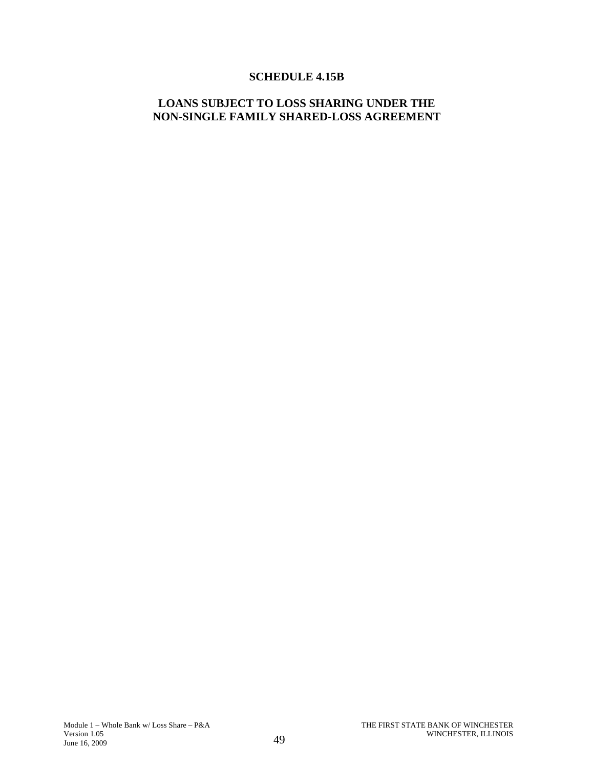### **SCHEDULE 4.15B**

### **LOANS SUBJECT TO LOSS SHARING UNDER THE NON-SINGLE FAMILY SHARED-LOSS AGREEMENT**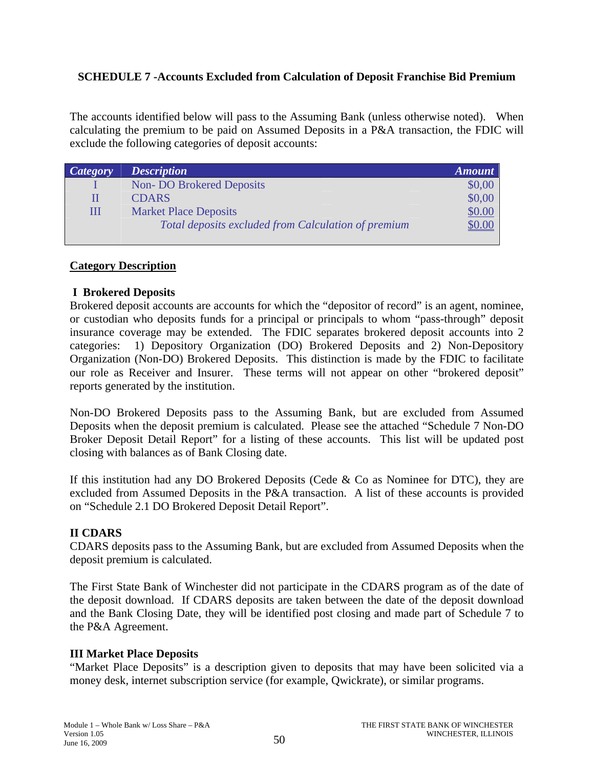## **SCHEDULE 7 -Accounts Excluded from Calculation of Deposit Franchise Bid Premium**

The accounts identified below will pass to the Assuming Bank (unless otherwise noted). When calculating the premium to be paid on Assumed Deposits in a P&A transaction, the FDIC will exclude the following categories of deposit accounts:

| Category | <b>Description</b>                                  | <b>Amount</b> |
|----------|-----------------------------------------------------|---------------|
|          | <b>Non-DO Brokered Deposits</b>                     | \$0,00        |
| Ш        | <b>CDARS</b>                                        | \$0,00        |
| Ш        | <b>Market Place Deposits</b>                        | \$0.00        |
|          | Total deposits excluded from Calculation of premium | \$0.00        |

### **Category Description**

### **I Brokered Deposits**

Brokered deposit accounts are accounts for which the "depositor of record" is an agent, nominee, or custodian who deposits funds for a principal or principals to whom "pass-through" deposit insurance coverage may be extended. The FDIC separates brokered deposit accounts into 2 categories: 1) Depository Organization (DO) Brokered Deposits and 2) Non-Depository Organization (Non-DO) Brokered Deposits. This distinction is made by the FDIC to facilitate our role as Receiver and Insurer. These terms will not appear on other "brokered deposit" reports generated by the institution.

Non-DO Brokered Deposits pass to the Assuming Bank, but are excluded from Assumed Deposits when the deposit premium is calculated. Please see the attached "Schedule 7 Non-DO Broker Deposit Detail Report" for a listing of these accounts. This list will be updated post closing with balances as of Bank Closing date.

If this institution had any DO Brokered Deposits (Cede & Co as Nominee for DTC), they are excluded from Assumed Deposits in the P&A transaction. A list of these accounts is provided on "Schedule 2.1 DO Brokered Deposit Detail Report".

### **II CDARS**

CDARS deposits pass to the Assuming Bank, but are excluded from Assumed Deposits when the deposit premium is calculated.

The First State Bank of Winchester did not participate in the CDARS program as of the date of the deposit download. If CDARS deposits are taken between the date of the deposit download and the Bank Closing Date, they will be identified post closing and made part of Schedule 7 to the P&A Agreement.

### **III Market Place Deposits**

"Market Place Deposits" is a description given to deposits that may have been solicited via a money desk, internet subscription service (for example, Qwickrate), or similar programs.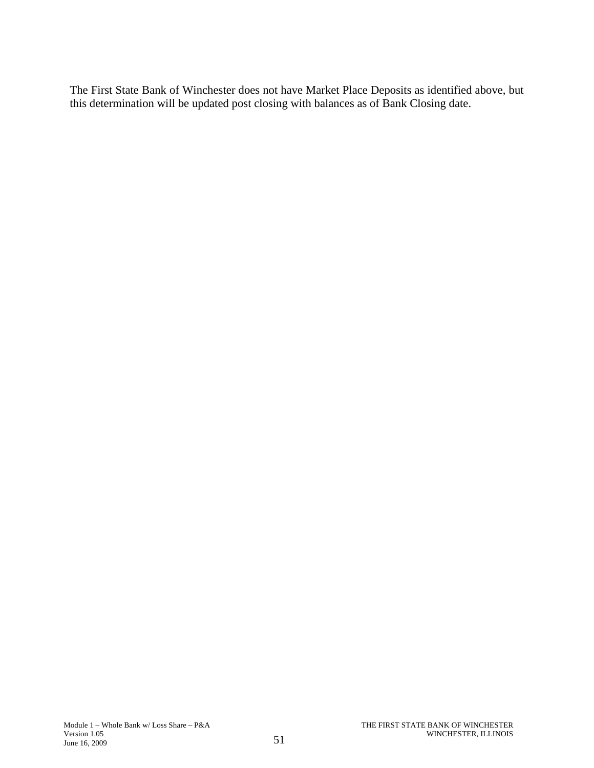The First State Bank of Winchester does not have Market Place Deposits as identified above, but this determination will be updated post closing with balances as of Bank Closing date.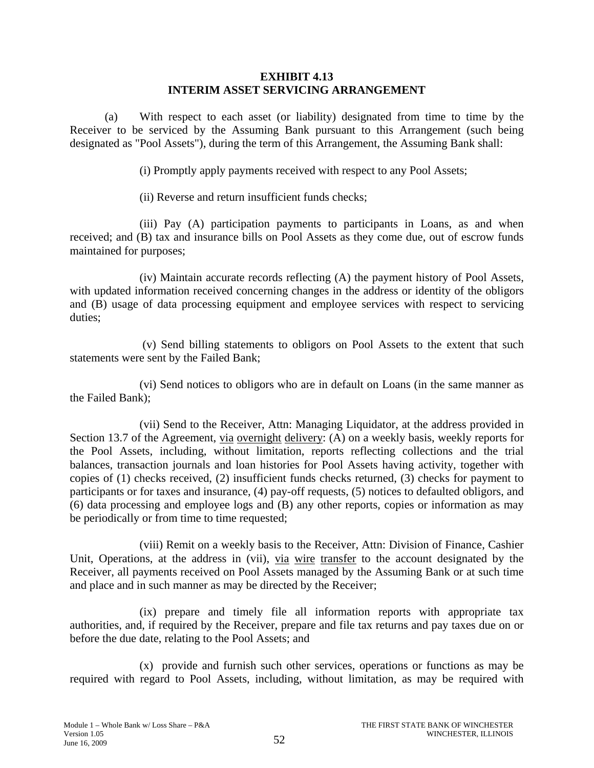### **EXHIBIT 4.13 INTERIM ASSET SERVICING ARRANGEMENT**

 (a) With respect to each asset (or liability) designated from time to time by the Receiver to be serviced by the Assuming Bank pursuant to this Arrangement (such being designated as "Pool Assets"), during the term of this Arrangement, the Assuming Bank shall:

(i) Promptly apply payments received with respect to any Pool Assets;

(ii) Reverse and return insufficient funds checks;

(iii) Pay (A) participation payments to participants in Loans, as and when received; and (B) tax and insurance bills on Pool Assets as they come due, out of escrow funds maintained for purposes;

(iv) Maintain accurate records reflecting (A) the payment history of Pool Assets, with updated information received concerning changes in the address or identity of the obligors and (B) usage of data processing equipment and employee services with respect to servicing duties;

 (v) Send billing statements to obligors on Pool Assets to the extent that such statements were sent by the Failed Bank;

(vi) Send notices to obligors who are in default on Loans (in the same manner as the Failed Bank);

 (vii) Send to the Receiver, Attn: Managing Liquidator, at the address provided in Section 13.7 of the Agreement, via overnight delivery: (A) on a weekly basis, weekly reports for the Pool Assets, including, without limitation, reports reflecting collections and the trial balances, transaction journals and loan histories for Pool Assets having activity, together with copies of (1) checks received, (2) insufficient funds checks returned, (3) checks for payment to participants or for taxes and insurance, (4) pay-off requests, (5) notices to defaulted obligors, and (6) data processing and employee logs and (B) any other reports, copies or information as may be periodically or from time to time requested;

 (viii) Remit on a weekly basis to the Receiver, Attn: Division of Finance, Cashier Unit, Operations, at the address in (vii), via wire transfer to the account designated by the Receiver, all payments received on Pool Assets managed by the Assuming Bank or at such time and place and in such manner as may be directed by the Receiver;

(ix) prepare and timely file all information reports with appropriate tax authorities, and, if required by the Receiver, prepare and file tax returns and pay taxes due on or before the due date, relating to the Pool Assets; and

(x) provide and furnish such other services, operations or functions as may be required with regard to Pool Assets, including, without limitation, as may be required with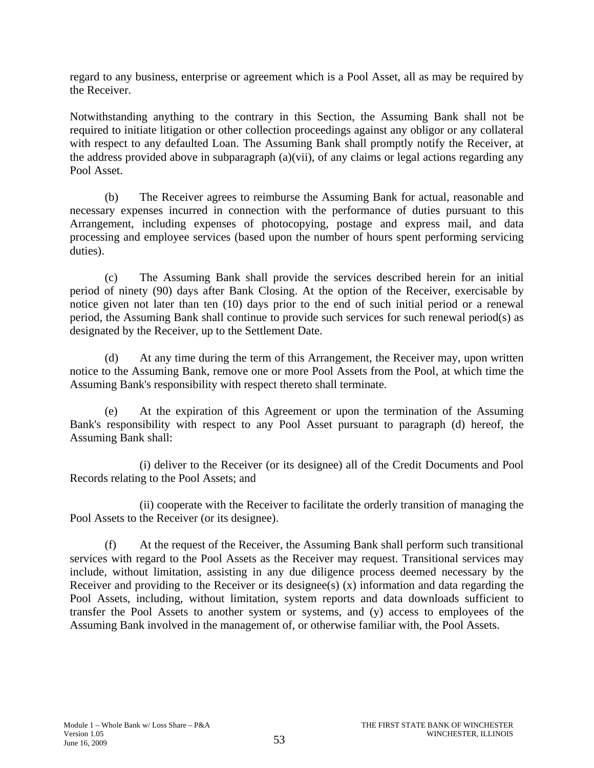regard to any business, enterprise or agreement which is a Pool Asset, all as may be required by the Receiver.

Notwithstanding anything to the contrary in this Section, the Assuming Bank shall not be required to initiate litigation or other collection proceedings against any obligor or any collateral with respect to any defaulted Loan. The Assuming Bank shall promptly notify the Receiver, at the address provided above in subparagraph (a)(vii), of any claims or legal actions regarding any Pool Asset.

 (b) The Receiver agrees to reimburse the Assuming Bank for actual, reasonable and necessary expenses incurred in connection with the performance of duties pursuant to this Arrangement, including expenses of photocopying, postage and express mail, and data processing and employee services (based upon the number of hours spent performing servicing duties).

 (c) The Assuming Bank shall provide the services described herein for an initial period of ninety (90) days after Bank Closing. At the option of the Receiver, exercisable by notice given not later than ten (10) days prior to the end of such initial period or a renewal period, the Assuming Bank shall continue to provide such services for such renewal period(s) as designated by the Receiver, up to the Settlement Date.

 (d) At any time during the term of this Arrangement, the Receiver may, upon written notice to the Assuming Bank, remove one or more Pool Assets from the Pool, at which time the Assuming Bank's responsibility with respect thereto shall terminate.

 (e) At the expiration of this Agreement or upon the termination of the Assuming Bank's responsibility with respect to any Pool Asset pursuant to paragraph (d) hereof, the Assuming Bank shall:

(i) deliver to the Receiver (or its designee) all of the Credit Documents and Pool Records relating to the Pool Assets; and

(ii) cooperate with the Receiver to facilitate the orderly transition of managing the Pool Assets to the Receiver (or its designee).

 (f) At the request of the Receiver, the Assuming Bank shall perform such transitional services with regard to the Pool Assets as the Receiver may request. Transitional services may include, without limitation, assisting in any due diligence process deemed necessary by the Receiver and providing to the Receiver or its designee(s) (x) information and data regarding the Pool Assets, including, without limitation, system reports and data downloads sufficient to transfer the Pool Assets to another system or systems, and (y) access to employees of the Assuming Bank involved in the management of, or otherwise familiar with, the Pool Assets.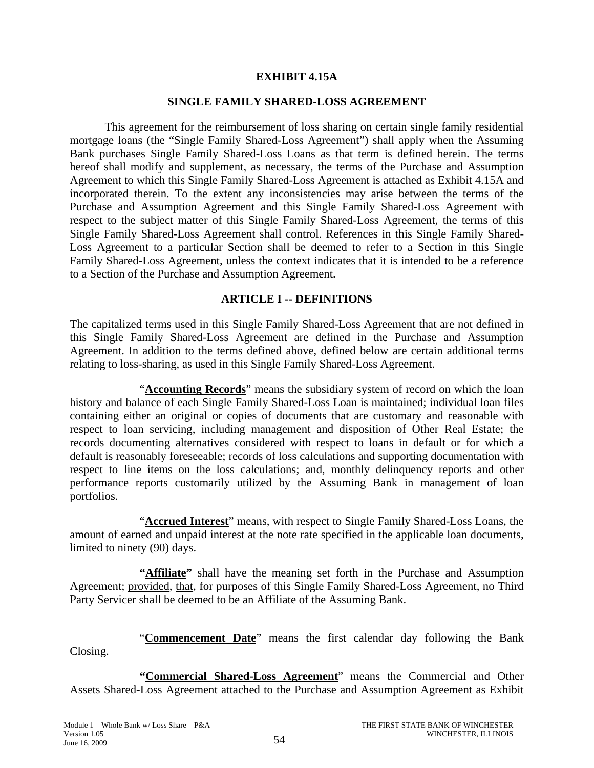#### **EXHIBIT 4.15A**

#### **SINGLE FAMILY SHARED-LOSS AGREEMENT**

This agreement for the reimbursement of loss sharing on certain single family residential mortgage loans (the "Single Family Shared-Loss Agreement") shall apply when the Assuming Bank purchases Single Family Shared-Loss Loans as that term is defined herein. The terms hereof shall modify and supplement, as necessary, the terms of the Purchase and Assumption Agreement to which this Single Family Shared-Loss Agreement is attached as Exhibit 4.15A and incorporated therein. To the extent any inconsistencies may arise between the terms of the Purchase and Assumption Agreement and this Single Family Shared-Loss Agreement with respect to the subject matter of this Single Family Shared-Loss Agreement, the terms of this Single Family Shared-Loss Agreement shall control. References in this Single Family Shared-Loss Agreement to a particular Section shall be deemed to refer to a Section in this Single Family Shared-Loss Agreement, unless the context indicates that it is intended to be a reference to a Section of the Purchase and Assumption Agreement.

### **ARTICLE I -- DEFINITIONS**

The capitalized terms used in this Single Family Shared-Loss Agreement that are not defined in this Single Family Shared-Loss Agreement are defined in the Purchase and Assumption Agreement. In addition to the terms defined above, defined below are certain additional terms relating to loss-sharing, as used in this Single Family Shared-Loss Agreement.

"**Accounting Records**" means the subsidiary system of record on which the loan history and balance of each Single Family Shared-Loss Loan is maintained; individual loan files containing either an original or copies of documents that are customary and reasonable with respect to loan servicing, including management and disposition of Other Real Estate; the records documenting alternatives considered with respect to loans in default or for which a default is reasonably foreseeable; records of loss calculations and supporting documentation with respect to line items on the loss calculations; and, monthly delinquency reports and other performance reports customarily utilized by the Assuming Bank in management of loan portfolios.

"**Accrued Interest**" means, with respect to Single Family Shared-Loss Loans, the amount of earned and unpaid interest at the note rate specified in the applicable loan documents, limited to ninety (90) days.

**"Affiliate"** shall have the meaning set forth in the Purchase and Assumption Agreement; provided, that, for purposes of this Single Family Shared-Loss Agreement, no Third Party Servicer shall be deemed to be an Affiliate of the Assuming Bank.

"**Commencement Date**" means the first calendar day following the Bank Closing.

**"Commercial Shared-Loss Agreement**" means the Commercial and Other Assets Shared-Loss Agreement attached to the Purchase and Assumption Agreement as Exhibit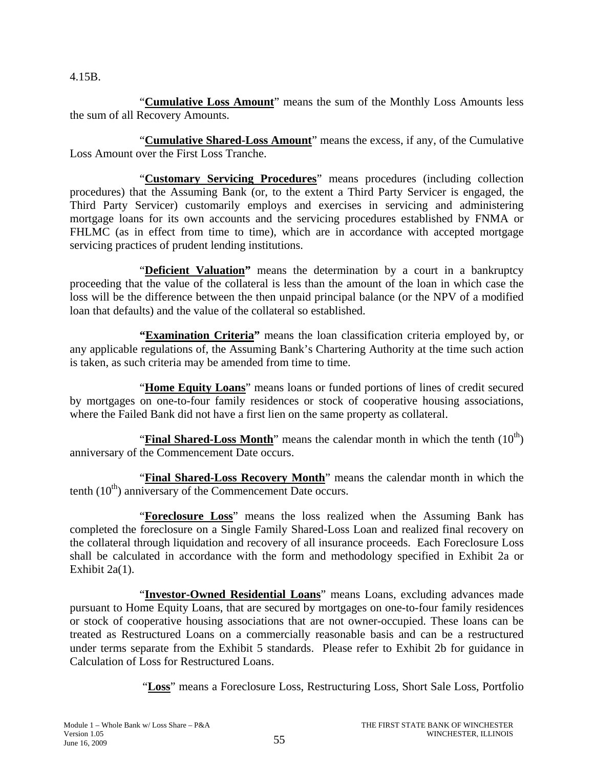4.15B.

"**Cumulative Loss Amount**" means the sum of the Monthly Loss Amounts less the sum of all Recovery Amounts.

"**Cumulative Shared-Loss Amount**" means the excess, if any, of the Cumulative Loss Amount over the First Loss Tranche.

"**Customary Servicing Procedures**" means procedures (including collection procedures) that the Assuming Bank (or, to the extent a Third Party Servicer is engaged, the Third Party Servicer) customarily employs and exercises in servicing and administering mortgage loans for its own accounts and the servicing procedures established by FNMA or FHLMC (as in effect from time to time), which are in accordance with accepted mortgage servicing practices of prudent lending institutions.

"**Deficient Valuation"** means the determination by a court in a bankruptcy proceeding that the value of the collateral is less than the amount of the loan in which case the loss will be the difference between the then unpaid principal balance (or the NPV of a modified loan that defaults) and the value of the collateral so established.

**"Examination Criteria"** means the loan classification criteria employed by, or any applicable regulations of, the Assuming Bank's Chartering Authority at the time such action is taken, as such criteria may be amended from time to time.

"**Home Equity Loans**" means loans or funded portions of lines of credit secured by mortgages on one-to-four family residences or stock of cooperative housing associations, where the Failed Bank did not have a first lien on the same property as collateral.

"**Final Shared-Loss Month**" means the calendar month in which the tenth  $(10<sup>th</sup>)$ anniversary of the Commencement Date occurs.

"**Final Shared-Loss Recovery Month**" means the calendar month in which the tenth  $(10<sup>th</sup>)$  anniversary of the Commencement Date occurs.

"**Foreclosure Loss**" means the loss realized when the Assuming Bank has completed the foreclosure on a Single Family Shared-Loss Loan and realized final recovery on the collateral through liquidation and recovery of all insurance proceeds. Each Foreclosure Loss shall be calculated in accordance with the form and methodology specified in Exhibit 2a or Exhibit 2a(1).

"**Investor-Owned Residential Loans**" means Loans, excluding advances made pursuant to Home Equity Loans, that are secured by mortgages on one-to-four family residences or stock of cooperative housing associations that are not owner-occupied. These loans can be treated as Restructured Loans on a commercially reasonable basis and can be a restructured under terms separate from the Exhibit 5 standards. Please refer to Exhibit 2b for guidance in Calculation of Loss for Restructured Loans.

"**Loss**" means a Foreclosure Loss, Restructuring Loss, Short Sale Loss, Portfolio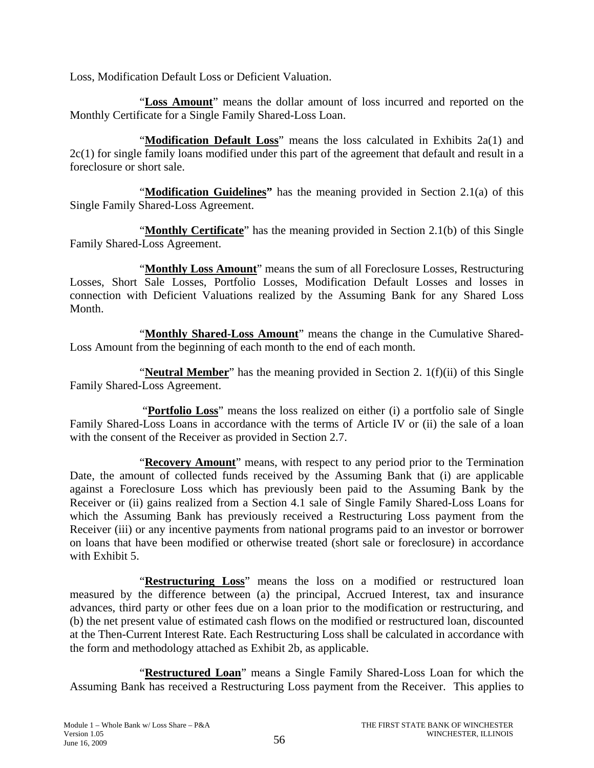Loss, Modification Default Loss or Deficient Valuation.

**Loss Amount**" means the dollar amount of loss incurred and reported on the Monthly Certificate for a Single Family Shared-Loss Loan.

"**Modification Default Loss**" means the loss calculated in Exhibits 2a(1) and 2c(1) for single family loans modified under this part of the agreement that default and result in a foreclosure or short sale.

"**Modification Guidelines**" has the meaning provided in Section 2.1(a) of this Single Family Shared-Loss Agreement.

"**Monthly Certificate**" has the meaning provided in Section 2.1(b) of this Single Family Shared-Loss Agreement.

"**Monthly Loss Amount**" means the sum of all Foreclosure Losses, Restructuring Losses, Short Sale Losses, Portfolio Losses, Modification Default Losses and losses in connection with Deficient Valuations realized by the Assuming Bank for any Shared Loss Month.

"**Monthly Shared-Loss Amount**" means the change in the Cumulative Shared-Loss Amount from the beginning of each month to the end of each month.

**"Neutral Member**" has the meaning provided in Section 2. 1(f)(ii) of this Single Family Shared-Loss Agreement.

 "**Portfolio Loss**" means the loss realized on either (i) a portfolio sale of Single Family Shared-Loss Loans in accordance with the terms of Article IV or (ii) the sale of a loan with the consent of the Receiver as provided in Section 2.7.

"**Recovery Amount**" means, with respect to any period prior to the Termination Date, the amount of collected funds received by the Assuming Bank that (i) are applicable against a Foreclosure Loss which has previously been paid to the Assuming Bank by the Receiver or (ii) gains realized from a Section 4.1 sale of Single Family Shared-Loss Loans for which the Assuming Bank has previously received a Restructuring Loss payment from the Receiver (iii) or any incentive payments from national programs paid to an investor or borrower on loans that have been modified or otherwise treated (short sale or foreclosure) in accordance with Exhibit 5.

"**Restructuring Loss**" means the loss on a modified or restructured loan measured by the difference between (a) the principal, Accrued Interest, tax and insurance advances, third party or other fees due on a loan prior to the modification or restructuring, and (b) the net present value of estimated cash flows on the modified or restructured loan, discounted at the Then-Current Interest Rate. Each Restructuring Loss shall be calculated in accordance with the form and methodology attached as Exhibit 2b, as applicable.

"**Restructured Loan**" means a Single Family Shared-Loss Loan for which the Assuming Bank has received a Restructuring Loss payment from the Receiver. This applies to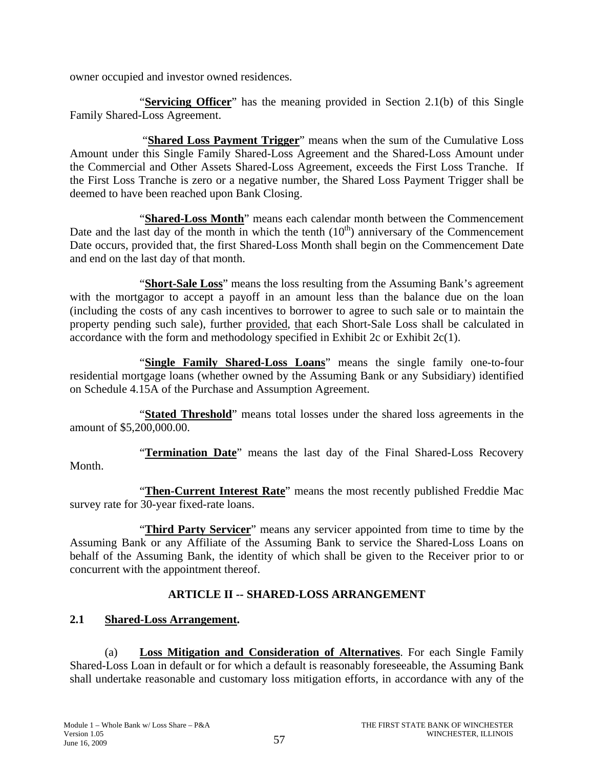owner occupied and investor owned residences.

**Servicing Officer**" has the meaning provided in Section 2.1(b) of this Single Family Shared-Loss Agreement.

 "**Shared Loss Payment Trigger**" means when the sum of the Cumulative Loss Amount under this Single Family Shared-Loss Agreement and the Shared-Loss Amount under the Commercial and Other Assets Shared-Loss Agreement, exceeds the First Loss Tranche. If the First Loss Tranche is zero or a negative number, the Shared Loss Payment Trigger shall be deemed to have been reached upon Bank Closing.

"**Shared-Loss Month**" means each calendar month between the Commencement Date and the last day of the month in which the tenth  $(10<sup>th</sup>)$  anniversary of the Commencement Date occurs, provided that, the first Shared-Loss Month shall begin on the Commencement Date and end on the last day of that month.

"**Short-Sale Loss**" means the loss resulting from the Assuming Bank's agreement with the mortgagor to accept a payoff in an amount less than the balance due on the loan (including the costs of any cash incentives to borrower to agree to such sale or to maintain the property pending such sale), further provided, that each Short-Sale Loss shall be calculated in accordance with the form and methodology specified in Exhibit 2c or Exhibit  $2c(1)$ .

"**Single Family Shared-Loss Loans**" means the single family one-to-four residential mortgage loans (whether owned by the Assuming Bank or any Subsidiary) identified on Schedule 4.15A of the Purchase and Assumption Agreement.

"**Stated Threshold**" means total losses under the shared loss agreements in the amount of \$5,200,000.00.

"**Termination Date**" means the last day of the Final Shared-Loss Recovery Month.

"**Then-Current Interest Rate**" means the most recently published Freddie Mac survey rate for 30-year fixed-rate loans.

"**Third Party Servicer**" means any servicer appointed from time to time by the Assuming Bank or any Affiliate of the Assuming Bank to service the Shared-Loss Loans on behalf of the Assuming Bank, the identity of which shall be given to the Receiver prior to or concurrent with the appointment thereof.

# **ARTICLE II -- SHARED-LOSS ARRANGEMENT**

### **2.1 Shared-Loss Arrangement.**

(a) **Loss Mitigation and Consideration of Alternatives**. For each Single Family Shared-Loss Loan in default or for which a default is reasonably foreseeable, the Assuming Bank shall undertake reasonable and customary loss mitigation efforts, in accordance with any of the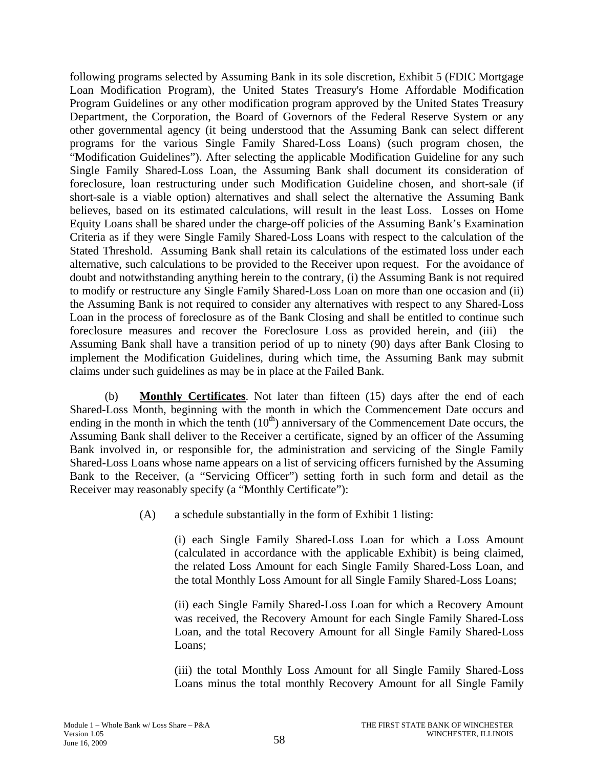following programs selected by Assuming Bank in its sole discretion, Exhibit 5 (FDIC Mortgage Loan Modification Program), the United States Treasury's Home Affordable Modification Program Guidelines or any other modification program approved by the United States Treasury Department, the Corporation, the Board of Governors of the Federal Reserve System or any other governmental agency (it being understood that the Assuming Bank can select different programs for the various Single Family Shared-Loss Loans) (such program chosen, the "Modification Guidelines"). After selecting the applicable Modification Guideline for any such Single Family Shared-Loss Loan, the Assuming Bank shall document its consideration of foreclosure, loan restructuring under such Modification Guideline chosen, and short-sale (if short-sale is a viable option) alternatives and shall select the alternative the Assuming Bank believes, based on its estimated calculations, will result in the least Loss. Losses on Home Equity Loans shall be shared under the charge-off policies of the Assuming Bank's Examination Criteria as if they were Single Family Shared-Loss Loans with respect to the calculation of the Stated Threshold. Assuming Bank shall retain its calculations of the estimated loss under each alternative, such calculations to be provided to the Receiver upon request. For the avoidance of doubt and notwithstanding anything herein to the contrary, (i) the Assuming Bank is not required to modify or restructure any Single Family Shared-Loss Loan on more than one occasion and (ii) the Assuming Bank is not required to consider any alternatives with respect to any Shared-Loss Loan in the process of foreclosure as of the Bank Closing and shall be entitled to continue such foreclosure measures and recover the Foreclosure Loss as provided herein, and (iii) the Assuming Bank shall have a transition period of up to ninety (90) days after Bank Closing to implement the Modification Guidelines, during which time, the Assuming Bank may submit claims under such guidelines as may be in place at the Failed Bank.

(b) **Monthly Certificates**. Not later than fifteen (15) days after the end of each Shared-Loss Month, beginning with the month in which the Commencement Date occurs and ending in the month in which the tenth  $(10<sup>th</sup>)$  anniversary of the Commencement Date occurs, the Assuming Bank shall deliver to the Receiver a certificate, signed by an officer of the Assuming Bank involved in, or responsible for, the administration and servicing of the Single Family Shared-Loss Loans whose name appears on a list of servicing officers furnished by the Assuming Bank to the Receiver, (a "Servicing Officer") setting forth in such form and detail as the Receiver may reasonably specify (a "Monthly Certificate"):

(A) a schedule substantially in the form of Exhibit 1 listing:

(i) each Single Family Shared-Loss Loan for which a Loss Amount (calculated in accordance with the applicable Exhibit) is being claimed, the related Loss Amount for each Single Family Shared-Loss Loan, and the total Monthly Loss Amount for all Single Family Shared-Loss Loans;

(ii) each Single Family Shared-Loss Loan for which a Recovery Amount was received, the Recovery Amount for each Single Family Shared-Loss Loan, and the total Recovery Amount for all Single Family Shared-Loss Loans;

(iii) the total Monthly Loss Amount for all Single Family Shared-Loss Loans minus the total monthly Recovery Amount for all Single Family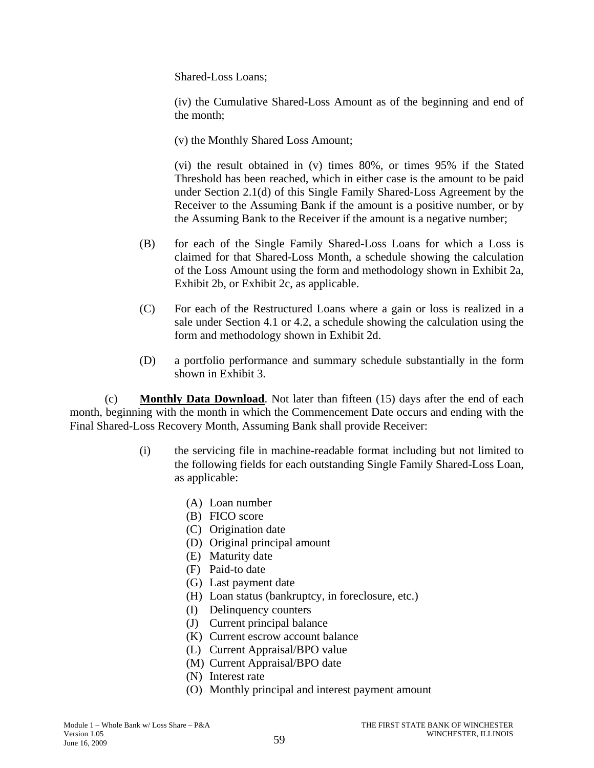Shared-Loss Loans;

(iv) the Cumulative Shared-Loss Amount as of the beginning and end of the month;

(v) the Monthly Shared Loss Amount;

(vi) the result obtained in (v) times 80%, or times 95% if the Stated Threshold has been reached, which in either case is the amount to be paid under Section 2.1(d) of this Single Family Shared-Loss Agreement by the Receiver to the Assuming Bank if the amount is a positive number, or by the Assuming Bank to the Receiver if the amount is a negative number;

- (B) for each of the Single Family Shared-Loss Loans for which a Loss is claimed for that Shared-Loss Month, a schedule showing the calculation of the Loss Amount using the form and methodology shown in Exhibit 2a, Exhibit 2b, or Exhibit 2c, as applicable.
- (C) For each of the Restructured Loans where a gain or loss is realized in a sale under Section 4.1 or 4.2, a schedule showing the calculation using the form and methodology shown in Exhibit 2d.
- (D) a portfolio performance and summary schedule substantially in the form shown in Exhibit 3.

(c) **Monthly Data Download**. Not later than fifteen (15) days after the end of each month, beginning with the month in which the Commencement Date occurs and ending with the Final Shared-Loss Recovery Month, Assuming Bank shall provide Receiver:

- (i) the servicing file in machine-readable format including but not limited to the following fields for each outstanding Single Family Shared-Loss Loan, as applicable:
	- (A) Loan number
	- (B) FICO score
	- (C) Origination date
	- (D) Original principal amount
	- (E) Maturity date
	- (F) Paid-to date
	- (G) Last payment date
	- (H) Loan status (bankruptcy, in foreclosure, etc.)
	- (I) Delinquency counters
	- (J) Current principal balance
	- (K) Current escrow account balance
	- (L) Current Appraisal/BPO value
	- (M) Current Appraisal/BPO date
	- (N) Interest rate
	- (O) Monthly principal and interest payment amount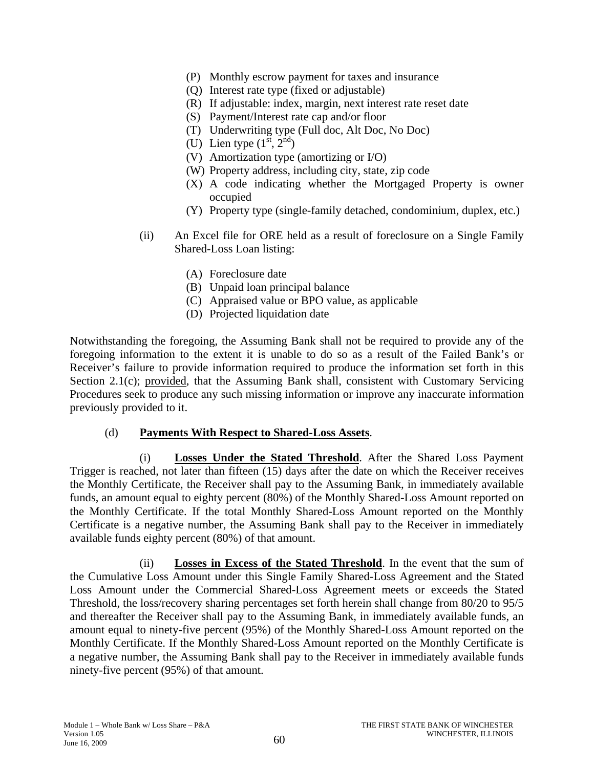- (P) Monthly escrow payment for taxes and insurance
- (Q) Interest rate type (fixed or adjustable)
- (R) If adjustable: index, margin, next interest rate reset date
- (S) Payment/Interest rate cap and/or floor
- (T) Underwriting type (Full doc, Alt Doc, No Doc)
- (U) Lien type  $(1<sup>st</sup>, 2<sup>nd</sup>)$
- (V) Amortization type (amortizing or I/O)
- (W) Property address, including city, state, zip code
- (X) A code indicating whether the Mortgaged Property is owner occupied
- (Y) Property type (single-family detached, condominium, duplex, etc.)
- (ii) An Excel file for ORE held as a result of foreclosure on a Single Family Shared-Loss Loan listing:
	- (A) Foreclosure date
	- (B) Unpaid loan principal balance
	- (C) Appraised value or BPO value, as applicable
	- (D) Projected liquidation date

Notwithstanding the foregoing, the Assuming Bank shall not be required to provide any of the foregoing information to the extent it is unable to do so as a result of the Failed Bank's or Receiver's failure to provide information required to produce the information set forth in this Section 2.1(c); provided, that the Assuming Bank shall, consistent with Customary Servicing Procedures seek to produce any such missing information or improve any inaccurate information previously provided to it.

### (d) **Payments With Respect to Shared-Loss Assets**.

(i) **Losses Under the Stated Threshold**. After the Shared Loss Payment Trigger is reached, not later than fifteen (15) days after the date on which the Receiver receives the Monthly Certificate, the Receiver shall pay to the Assuming Bank, in immediately available funds, an amount equal to eighty percent (80%) of the Monthly Shared-Loss Amount reported on the Monthly Certificate. If the total Monthly Shared-Loss Amount reported on the Monthly Certificate is a negative number, the Assuming Bank shall pay to the Receiver in immediately available funds eighty percent (80%) of that amount.

(ii) **Losses in Excess of the Stated Threshold**. In the event that the sum of the Cumulative Loss Amount under this Single Family Shared-Loss Agreement and the Stated Loss Amount under the Commercial Shared-Loss Agreement meets or exceeds the Stated Threshold, the loss/recovery sharing percentages set forth herein shall change from 80/20 to 95/5 and thereafter the Receiver shall pay to the Assuming Bank, in immediately available funds, an amount equal to ninety-five percent (95%) of the Monthly Shared-Loss Amount reported on the Monthly Certificate. If the Monthly Shared-Loss Amount reported on the Monthly Certificate is a negative number, the Assuming Bank shall pay to the Receiver in immediately available funds ninety-five percent (95%) of that amount.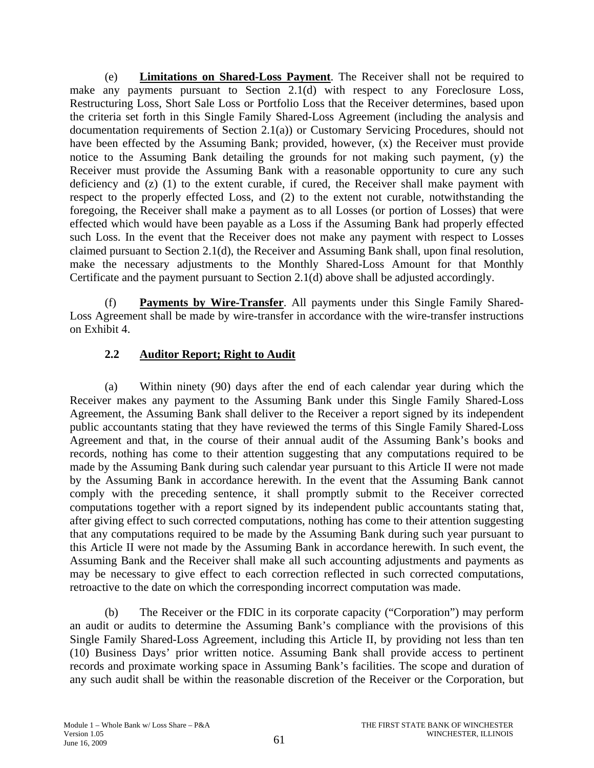(e) **Limitations on Shared-Loss Payment**. The Receiver shall not be required to make any payments pursuant to Section 2.1(d) with respect to any Foreclosure Loss, Restructuring Loss, Short Sale Loss or Portfolio Loss that the Receiver determines, based upon the criteria set forth in this Single Family Shared-Loss Agreement (including the analysis and documentation requirements of Section 2.1(a)) or Customary Servicing Procedures, should not have been effected by the Assuming Bank; provided, however, (x) the Receiver must provide notice to the Assuming Bank detailing the grounds for not making such payment, (y) the Receiver must provide the Assuming Bank with a reasonable opportunity to cure any such deficiency and (z) (1) to the extent curable, if cured, the Receiver shall make payment with respect to the properly effected Loss, and (2) to the extent not curable, notwithstanding the foregoing, the Receiver shall make a payment as to all Losses (or portion of Losses) that were effected which would have been payable as a Loss if the Assuming Bank had properly effected such Loss. In the event that the Receiver does not make any payment with respect to Losses claimed pursuant to Section 2.1(d), the Receiver and Assuming Bank shall, upon final resolution, make the necessary adjustments to the Monthly Shared-Loss Amount for that Monthly Certificate and the payment pursuant to Section 2.1(d) above shall be adjusted accordingly.

(f) **Payments by Wire-Transfer**. All payments under this Single Family Shared-Loss Agreement shall be made by wire-transfer in accordance with the wire-transfer instructions on Exhibit 4.

# **2.2 Auditor Report; Right to Audit**

(a) Within ninety (90) days after the end of each calendar year during which the Receiver makes any payment to the Assuming Bank under this Single Family Shared-Loss Agreement, the Assuming Bank shall deliver to the Receiver a report signed by its independent public accountants stating that they have reviewed the terms of this Single Family Shared-Loss Agreement and that, in the course of their annual audit of the Assuming Bank's books and records, nothing has come to their attention suggesting that any computations required to be made by the Assuming Bank during such calendar year pursuant to this Article II were not made by the Assuming Bank in accordance herewith. In the event that the Assuming Bank cannot comply with the preceding sentence, it shall promptly submit to the Receiver corrected computations together with a report signed by its independent public accountants stating that, after giving effect to such corrected computations, nothing has come to their attention suggesting that any computations required to be made by the Assuming Bank during such year pursuant to this Article II were not made by the Assuming Bank in accordance herewith. In such event, the Assuming Bank and the Receiver shall make all such accounting adjustments and payments as may be necessary to give effect to each correction reflected in such corrected computations, retroactive to the date on which the corresponding incorrect computation was made.

(b) The Receiver or the FDIC in its corporate capacity ("Corporation") may perform an audit or audits to determine the Assuming Bank's compliance with the provisions of this Single Family Shared-Loss Agreement, including this Article II, by providing not less than ten (10) Business Days' prior written notice. Assuming Bank shall provide access to pertinent records and proximate working space in Assuming Bank's facilities. The scope and duration of any such audit shall be within the reasonable discretion of the Receiver or the Corporation, but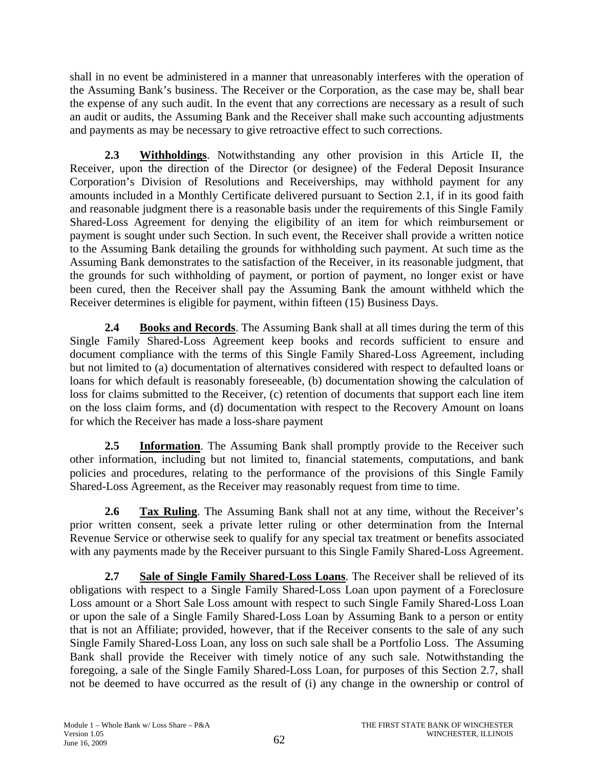shall in no event be administered in a manner that unreasonably interferes with the operation of the Assuming Bank's business. The Receiver or the Corporation, as the case may be, shall bear the expense of any such audit. In the event that any corrections are necessary as a result of such an audit or audits, the Assuming Bank and the Receiver shall make such accounting adjustments and payments as may be necessary to give retroactive effect to such corrections.

**2.3 Withholdings**. Notwithstanding any other provision in this Article II, the Receiver, upon the direction of the Director (or designee) of the Federal Deposit Insurance Corporation's Division of Resolutions and Receiverships, may withhold payment for any amounts included in a Monthly Certificate delivered pursuant to Section 2.1, if in its good faith and reasonable judgment there is a reasonable basis under the requirements of this Single Family Shared-Loss Agreement for denying the eligibility of an item for which reimbursement or payment is sought under such Section. In such event, the Receiver shall provide a written notice to the Assuming Bank detailing the grounds for withholding such payment. At such time as the Assuming Bank demonstrates to the satisfaction of the Receiver, in its reasonable judgment, that the grounds for such withholding of payment, or portion of payment, no longer exist or have been cured, then the Receiver shall pay the Assuming Bank the amount withheld which the Receiver determines is eligible for payment, within fifteen (15) Business Days.

**2.4 Books and Records**. The Assuming Bank shall at all times during the term of this Single Family Shared-Loss Agreement keep books and records sufficient to ensure and document compliance with the terms of this Single Family Shared-Loss Agreement, including but not limited to (a) documentation of alternatives considered with respect to defaulted loans or loans for which default is reasonably foreseeable, (b) documentation showing the calculation of loss for claims submitted to the Receiver, (c) retention of documents that support each line item on the loss claim forms, and (d) documentation with respect to the Recovery Amount on loans for which the Receiver has made a loss-share payment

**2.5 Information**. The Assuming Bank shall promptly provide to the Receiver such other information, including but not limited to, financial statements, computations, and bank policies and procedures, relating to the performance of the provisions of this Single Family Shared-Loss Agreement, as the Receiver may reasonably request from time to time.

**2.6 Tax Ruling**. The Assuming Bank shall not at any time, without the Receiver's prior written consent, seek a private letter ruling or other determination from the Internal Revenue Service or otherwise seek to qualify for any special tax treatment or benefits associated with any payments made by the Receiver pursuant to this Single Family Shared-Loss Agreement.

**2.7 Sale of Single Family Shared-Loss Loans**. The Receiver shall be relieved of its obligations with respect to a Single Family Shared-Loss Loan upon payment of a Foreclosure Loss amount or a Short Sale Loss amount with respect to such Single Family Shared-Loss Loan or upon the sale of a Single Family Shared-Loss Loan by Assuming Bank to a person or entity that is not an Affiliate; provided, however, that if the Receiver consents to the sale of any such Single Family Shared-Loss Loan, any loss on such sale shall be a Portfolio Loss. The Assuming Bank shall provide the Receiver with timely notice of any such sale. Notwithstanding the foregoing, a sale of the Single Family Shared-Loss Loan, for purposes of this Section 2.7, shall not be deemed to have occurred as the result of (i) any change in the ownership or control of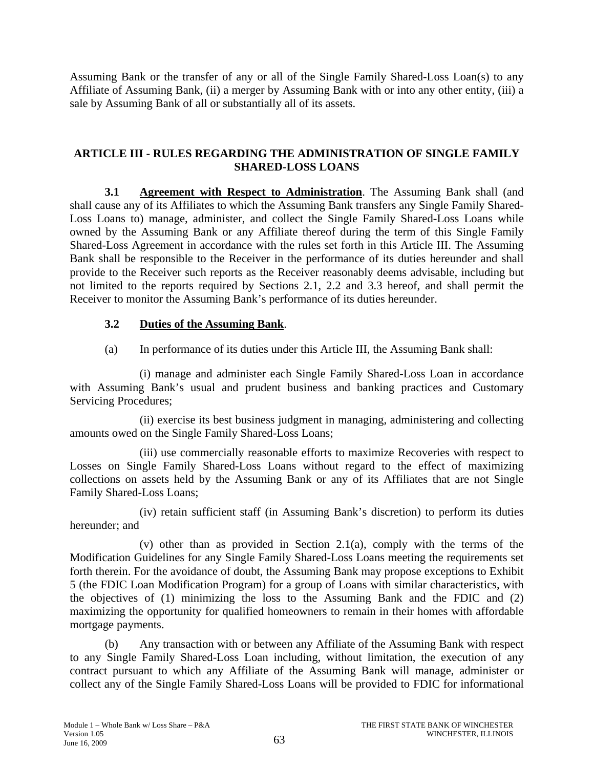Assuming Bank or the transfer of any or all of the Single Family Shared-Loss Loan(s) to any Affiliate of Assuming Bank, (ii) a merger by Assuming Bank with or into any other entity, (iii) a sale by Assuming Bank of all or substantially all of its assets.

## **ARTICLE III - RULES REGARDING THE ADMINISTRATION OF SINGLE FAMILY SHARED-LOSS LOANS**

**3.1 Agreement with Respect to Administration**. The Assuming Bank shall (and shall cause any of its Affiliates to which the Assuming Bank transfers any Single Family Shared-Loss Loans to) manage, administer, and collect the Single Family Shared-Loss Loans while owned by the Assuming Bank or any Affiliate thereof during the term of this Single Family Shared-Loss Agreement in accordance with the rules set forth in this Article III. The Assuming Bank shall be responsible to the Receiver in the performance of its duties hereunder and shall provide to the Receiver such reports as the Receiver reasonably deems advisable, including but not limited to the reports required by Sections 2.1, 2.2 and 3.3 hereof, and shall permit the Receiver to monitor the Assuming Bank's performance of its duties hereunder.

## **3.2 Duties of the Assuming Bank**.

(a) In performance of its duties under this Article III, the Assuming Bank shall:

(i) manage and administer each Single Family Shared-Loss Loan in accordance with Assuming Bank's usual and prudent business and banking practices and Customary Servicing Procedures;

(ii) exercise its best business judgment in managing, administering and collecting amounts owed on the Single Family Shared-Loss Loans;

(iii) use commercially reasonable efforts to maximize Recoveries with respect to Losses on Single Family Shared-Loss Loans without regard to the effect of maximizing collections on assets held by the Assuming Bank or any of its Affiliates that are not Single Family Shared-Loss Loans;

(iv) retain sufficient staff (in Assuming Bank's discretion) to perform its duties hereunder; and

(v) other than as provided in Section 2.1(a), comply with the terms of the Modification Guidelines for any Single Family Shared-Loss Loans meeting the requirements set forth therein. For the avoidance of doubt, the Assuming Bank may propose exceptions to Exhibit 5 (the FDIC Loan Modification Program) for a group of Loans with similar characteristics, with the objectives of (1) minimizing the loss to the Assuming Bank and the FDIC and (2) maximizing the opportunity for qualified homeowners to remain in their homes with affordable mortgage payments.

(b) Any transaction with or between any Affiliate of the Assuming Bank with respect to any Single Family Shared-Loss Loan including, without limitation, the execution of any contract pursuant to which any Affiliate of the Assuming Bank will manage, administer or collect any of the Single Family Shared-Loss Loans will be provided to FDIC for informational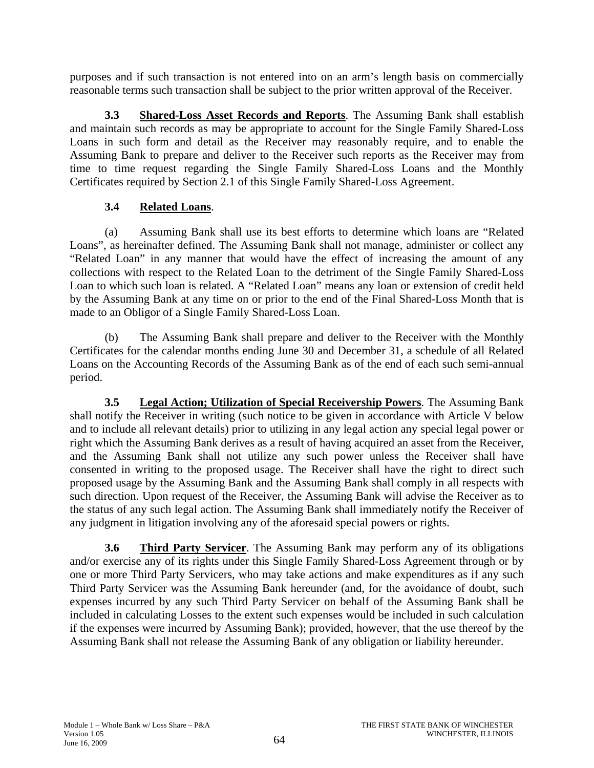purposes and if such transaction is not entered into on an arm's length basis on commercially reasonable terms such transaction shall be subject to the prior written approval of the Receiver.

**3.3 Shared-Loss Asset Records and Reports**. The Assuming Bank shall establish and maintain such records as may be appropriate to account for the Single Family Shared-Loss Loans in such form and detail as the Receiver may reasonably require, and to enable the Assuming Bank to prepare and deliver to the Receiver such reports as the Receiver may from time to time request regarding the Single Family Shared-Loss Loans and the Monthly Certificates required by Section 2.1 of this Single Family Shared-Loss Agreement.

## **3.4 Related Loans**.

(a) Assuming Bank shall use its best efforts to determine which loans are "Related Loans", as hereinafter defined. The Assuming Bank shall not manage, administer or collect any "Related Loan" in any manner that would have the effect of increasing the amount of any collections with respect to the Related Loan to the detriment of the Single Family Shared-Loss Loan to which such loan is related. A "Related Loan" means any loan or extension of credit held by the Assuming Bank at any time on or prior to the end of the Final Shared-Loss Month that is made to an Obligor of a Single Family Shared-Loss Loan.

(b) The Assuming Bank shall prepare and deliver to the Receiver with the Monthly Certificates for the calendar months ending June 30 and December 31, a schedule of all Related Loans on the Accounting Records of the Assuming Bank as of the end of each such semi-annual period.

**3.5 Legal Action; Utilization of Special Receivership Powers**. The Assuming Bank shall notify the Receiver in writing (such notice to be given in accordance with Article V below and to include all relevant details) prior to utilizing in any legal action any special legal power or right which the Assuming Bank derives as a result of having acquired an asset from the Receiver, and the Assuming Bank shall not utilize any such power unless the Receiver shall have consented in writing to the proposed usage. The Receiver shall have the right to direct such proposed usage by the Assuming Bank and the Assuming Bank shall comply in all respects with such direction. Upon request of the Receiver, the Assuming Bank will advise the Receiver as to the status of any such legal action. The Assuming Bank shall immediately notify the Receiver of any judgment in litigation involving any of the aforesaid special powers or rights.

**3.6** Third Party Servicer. The Assuming Bank may perform any of its obligations and/or exercise any of its rights under this Single Family Shared-Loss Agreement through or by one or more Third Party Servicers, who may take actions and make expenditures as if any such Third Party Servicer was the Assuming Bank hereunder (and, for the avoidance of doubt, such expenses incurred by any such Third Party Servicer on behalf of the Assuming Bank shall be included in calculating Losses to the extent such expenses would be included in such calculation if the expenses were incurred by Assuming Bank); provided, however, that the use thereof by the Assuming Bank shall not release the Assuming Bank of any obligation or liability hereunder.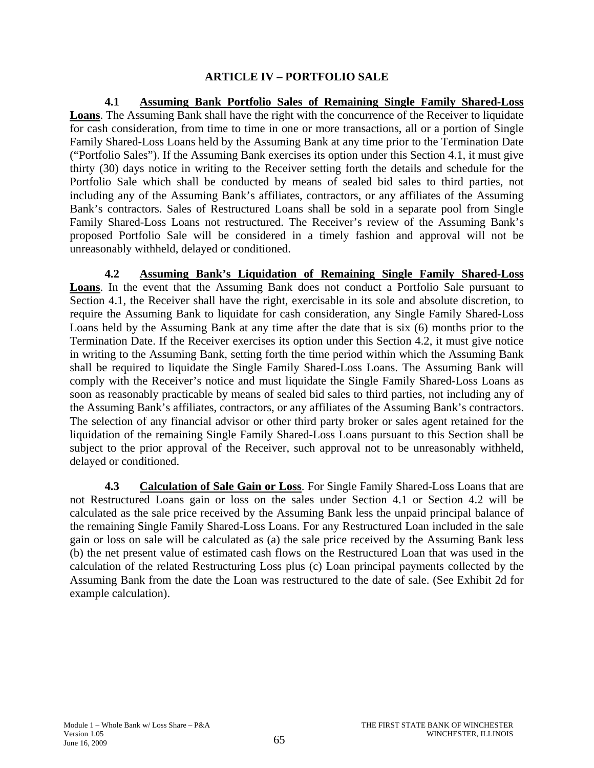### **ARTICLE IV – PORTFOLIO SALE**

**4.1 Assuming Bank Portfolio Sales of Remaining Single Family Shared-Loss Loans**. The Assuming Bank shall have the right with the concurrence of the Receiver to liquidate for cash consideration, from time to time in one or more transactions, all or a portion of Single Family Shared-Loss Loans held by the Assuming Bank at any time prior to the Termination Date ("Portfolio Sales"). If the Assuming Bank exercises its option under this Section 4.1, it must give thirty (30) days notice in writing to the Receiver setting forth the details and schedule for the Portfolio Sale which shall be conducted by means of sealed bid sales to third parties, not including any of the Assuming Bank's affiliates, contractors, or any affiliates of the Assuming Bank's contractors. Sales of Restructured Loans shall be sold in a separate pool from Single Family Shared-Loss Loans not restructured. The Receiver's review of the Assuming Bank's proposed Portfolio Sale will be considered in a timely fashion and approval will not be unreasonably withheld, delayed or conditioned.

**4.2 Assuming Bank's Liquidation of Remaining Single Family Shared-Loss Loans**. In the event that the Assuming Bank does not conduct a Portfolio Sale pursuant to Section 4.1, the Receiver shall have the right, exercisable in its sole and absolute discretion, to require the Assuming Bank to liquidate for cash consideration, any Single Family Shared-Loss Loans held by the Assuming Bank at any time after the date that is six (6) months prior to the Termination Date. If the Receiver exercises its option under this Section 4.2, it must give notice in writing to the Assuming Bank, setting forth the time period within which the Assuming Bank shall be required to liquidate the Single Family Shared-Loss Loans. The Assuming Bank will comply with the Receiver's notice and must liquidate the Single Family Shared-Loss Loans as soon as reasonably practicable by means of sealed bid sales to third parties, not including any of the Assuming Bank's affiliates, contractors, or any affiliates of the Assuming Bank's contractors. The selection of any financial advisor or other third party broker or sales agent retained for the liquidation of the remaining Single Family Shared-Loss Loans pursuant to this Section shall be subject to the prior approval of the Receiver, such approval not to be unreasonably withheld, delayed or conditioned.

**4.3 Calculation of Sale Gain or Loss**. For Single Family Shared-Loss Loans that are not Restructured Loans gain or loss on the sales under Section 4.1 or Section 4.2 will be calculated as the sale price received by the Assuming Bank less the unpaid principal balance of the remaining Single Family Shared-Loss Loans. For any Restructured Loan included in the sale gain or loss on sale will be calculated as (a) the sale price received by the Assuming Bank less (b) the net present value of estimated cash flows on the Restructured Loan that was used in the calculation of the related Restructuring Loss plus (c) Loan principal payments collected by the Assuming Bank from the date the Loan was restructured to the date of sale. (See Exhibit 2d for example calculation).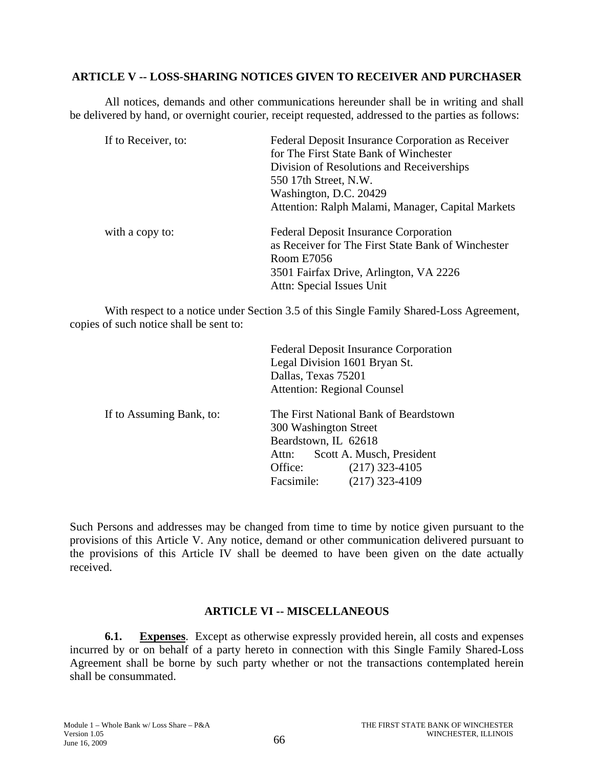### **ARTICLE V -- LOSS-SHARING NOTICES GIVEN TO RECEIVER AND PURCHASER**

All notices, demands and other communications hereunder shall be in writing and shall be delivered by hand, or overnight courier, receipt requested, addressed to the parties as follows:

| If to Receiver, to: | Federal Deposit Insurance Corporation as Receiver<br>for The First State Bank of Winchester<br>Division of Resolutions and Receiverships<br>550 17th Street, N.W.<br>Washington, D.C. 20429<br>Attention: Ralph Malami, Manager, Capital Markets |
|---------------------|--------------------------------------------------------------------------------------------------------------------------------------------------------------------------------------------------------------------------------------------------|
| with a copy to:     | <b>Federal Deposit Insurance Corporation</b><br>as Receiver for The First State Bank of Winchester<br>Room E7056<br>3501 Fairfax Drive, Arlington, VA 2226<br>Attn: Special Issues Unit                                                          |

With respect to a notice under Section 3.5 of this Single Family Shared-Loss Agreement, copies of such notice shall be sent to:

|                          | <b>Federal Deposit Insurance Corporation</b><br>Legal Division 1601 Bryan St. |
|--------------------------|-------------------------------------------------------------------------------|
|                          | Dallas, Texas 75201                                                           |
|                          | <b>Attention: Regional Counsel</b>                                            |
| If to Assuming Bank, to: | The First National Bank of Beardstown<br>300 Washington Street                |
|                          | Beardstown, IL 62618                                                          |
|                          | Scott A. Musch, President<br>Attn:                                            |
|                          | $(217)$ 323-4105<br>Office:                                                   |
|                          | $(217)$ 323-4109<br>Facsimile:                                                |

Such Persons and addresses may be changed from time to time by notice given pursuant to the provisions of this Article V. Any notice, demand or other communication delivered pursuant to the provisions of this Article IV shall be deemed to have been given on the date actually received.

### **ARTICLE VI -- MISCELLANEOUS**

**6.1. Expenses**. Except as otherwise expressly provided herein, all costs and expenses incurred by or on behalf of a party hereto in connection with this Single Family Shared-Loss Agreement shall be borne by such party whether or not the transactions contemplated herein shall be consummated.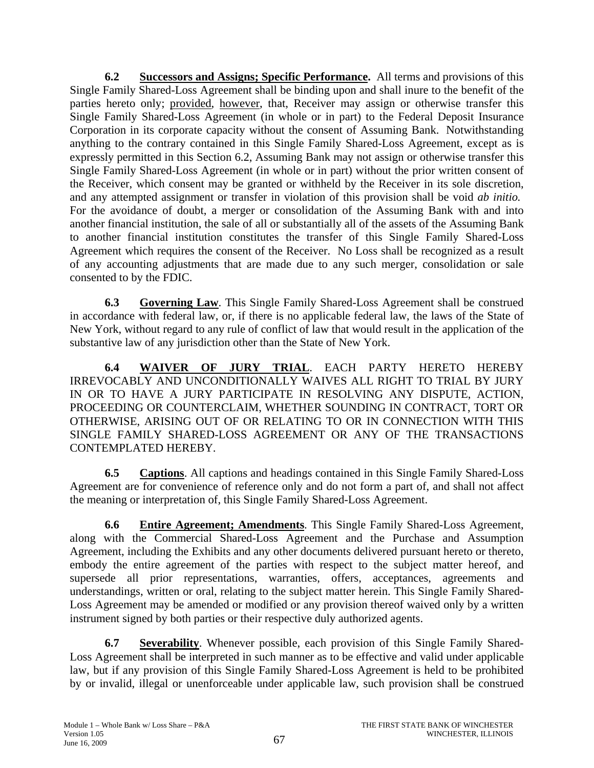**6.2 Successors and Assigns; Specific Performance.** All terms and provisions of this Single Family Shared-Loss Agreement shall be binding upon and shall inure to the benefit of the parties hereto only; provided, however, that, Receiver may assign or otherwise transfer this Single Family Shared-Loss Agreement (in whole or in part) to the Federal Deposit Insurance Corporation in its corporate capacity without the consent of Assuming Bank. Notwithstanding anything to the contrary contained in this Single Family Shared-Loss Agreement, except as is expressly permitted in this Section 6.2, Assuming Bank may not assign or otherwise transfer this Single Family Shared-Loss Agreement (in whole or in part) without the prior written consent of the Receiver, which consent may be granted or withheld by the Receiver in its sole discretion, and any attempted assignment or transfer in violation of this provision shall be void *ab initio.*  For the avoidance of doubt, a merger or consolidation of the Assuming Bank with and into another financial institution, the sale of all or substantially all of the assets of the Assuming Bank to another financial institution constitutes the transfer of this Single Family Shared-Loss Agreement which requires the consent of the Receiver. No Loss shall be recognized as a result of any accounting adjustments that are made due to any such merger, consolidation or sale consented to by the FDIC.

**6.3** Governing Law. This Single Family Shared-Loss Agreement shall be construed in accordance with federal law, or, if there is no applicable federal law, the laws of the State of New York, without regard to any rule of conflict of law that would result in the application of the substantive law of any jurisdiction other than the State of New York.

**6.4 WAIVER OF JURY TRIAL**. EACH PARTY HERETO HEREBY IRREVOCABLY AND UNCONDITIONALLY WAIVES ALL RIGHT TO TRIAL BY JURY IN OR TO HAVE A JURY PARTICIPATE IN RESOLVING ANY DISPUTE, ACTION, PROCEEDING OR COUNTERCLAIM, WHETHER SOUNDING IN CONTRACT, TORT OR OTHERWISE, ARISING OUT OF OR RELATING TO OR IN CONNECTION WITH THIS SINGLE FAMILY SHARED-LOSS AGREEMENT OR ANY OF THE TRANSACTIONS CONTEMPLATED HEREBY.

**6.5 Captions**. All captions and headings contained in this Single Family Shared-Loss Agreement are for convenience of reference only and do not form a part of, and shall not affect the meaning or interpretation of, this Single Family Shared-Loss Agreement.

**6.6 Entire Agreement; Amendments**. This Single Family Shared-Loss Agreement, along with the Commercial Shared-Loss Agreement and the Purchase and Assumption Agreement, including the Exhibits and any other documents delivered pursuant hereto or thereto, embody the entire agreement of the parties with respect to the subject matter hereof, and supersede all prior representations, warranties, offers, acceptances, agreements and understandings, written or oral, relating to the subject matter herein. This Single Family Shared-Loss Agreement may be amended or modified or any provision thereof waived only by a written instrument signed by both parties or their respective duly authorized agents.

**6.7 Severability**. Whenever possible, each provision of this Single Family Shared-Loss Agreement shall be interpreted in such manner as to be effective and valid under applicable law, but if any provision of this Single Family Shared-Loss Agreement is held to be prohibited by or invalid, illegal or unenforceable under applicable law, such provision shall be construed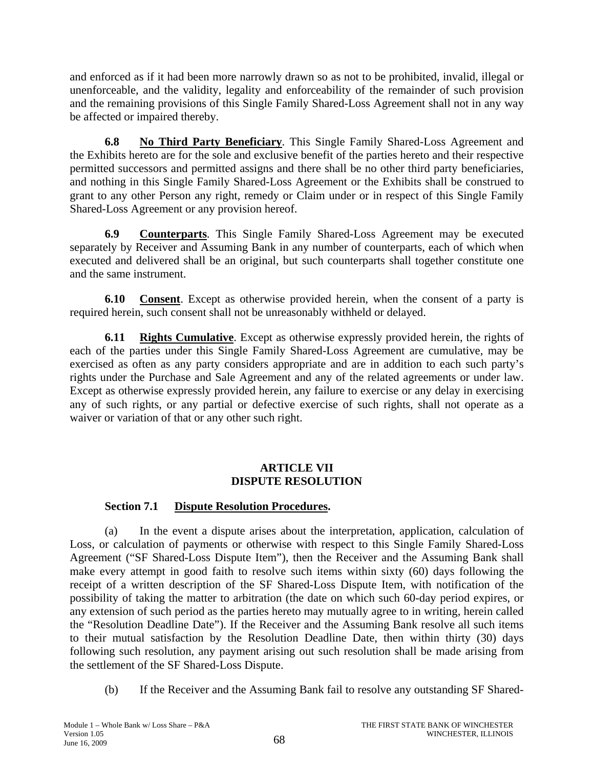and enforced as if it had been more narrowly drawn so as not to be prohibited, invalid, illegal or unenforceable, and the validity, legality and enforceability of the remainder of such provision and the remaining provisions of this Single Family Shared-Loss Agreement shall not in any way be affected or impaired thereby.

**6.8 No Third Party Beneficiary**. This Single Family Shared-Loss Agreement and the Exhibits hereto are for the sole and exclusive benefit of the parties hereto and their respective permitted successors and permitted assigns and there shall be no other third party beneficiaries, and nothing in this Single Family Shared-Loss Agreement or the Exhibits shall be construed to grant to any other Person any right, remedy or Claim under or in respect of this Single Family Shared-Loss Agreement or any provision hereof.

**6.9 Counterparts**. This Single Family Shared-Loss Agreement may be executed separately by Receiver and Assuming Bank in any number of counterparts, each of which when executed and delivered shall be an original, but such counterparts shall together constitute one and the same instrument.

**6.10 Consent**. Except as otherwise provided herein, when the consent of a party is required herein, such consent shall not be unreasonably withheld or delayed.

**6.11 Rights Cumulative**. Except as otherwise expressly provided herein, the rights of each of the parties under this Single Family Shared-Loss Agreement are cumulative, may be exercised as often as any party considers appropriate and are in addition to each such party's rights under the Purchase and Sale Agreement and any of the related agreements or under law. Except as otherwise expressly provided herein, any failure to exercise or any delay in exercising any of such rights, or any partial or defective exercise of such rights, shall not operate as a waiver or variation of that or any other such right.

### **ARTICLE VII DISPUTE RESOLUTION**

# **Section 7.1 Dispute Resolution Procedures.**

(a) In the event a dispute arises about the interpretation, application, calculation of Loss, or calculation of payments or otherwise with respect to this Single Family Shared-Loss Agreement ("SF Shared-Loss Dispute Item"), then the Receiver and the Assuming Bank shall make every attempt in good faith to resolve such items within sixty (60) days following the receipt of a written description of the SF Shared-Loss Dispute Item, with notification of the possibility of taking the matter to arbitration (the date on which such 60-day period expires, or any extension of such period as the parties hereto may mutually agree to in writing, herein called the "Resolution Deadline Date"). If the Receiver and the Assuming Bank resolve all such items to their mutual satisfaction by the Resolution Deadline Date, then within thirty (30) days following such resolution, any payment arising out such resolution shall be made arising from the settlement of the SF Shared-Loss Dispute.

(b) If the Receiver and the Assuming Bank fail to resolve any outstanding SF Shared-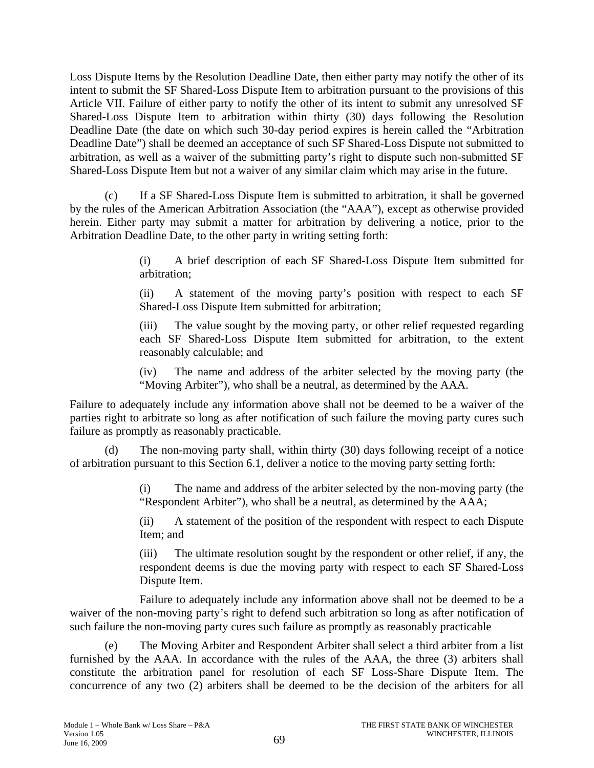Loss Dispute Items by the Resolution Deadline Date, then either party may notify the other of its intent to submit the SF Shared-Loss Dispute Item to arbitration pursuant to the provisions of this Article VII. Failure of either party to notify the other of its intent to submit any unresolved SF Shared-Loss Dispute Item to arbitration within thirty (30) days following the Resolution Deadline Date (the date on which such 30-day period expires is herein called the "Arbitration Deadline Date") shall be deemed an acceptance of such SF Shared-Loss Dispute not submitted to arbitration, as well as a waiver of the submitting party's right to dispute such non-submitted SF Shared-Loss Dispute Item but not a waiver of any similar claim which may arise in the future.

(c) If a SF Shared-Loss Dispute Item is submitted to arbitration, it shall be governed by the rules of the American Arbitration Association (the "AAA"), except as otherwise provided herein. Either party may submit a matter for arbitration by delivering a notice, prior to the Arbitration Deadline Date, to the other party in writing setting forth:

> (i) A brief description of each SF Shared-Loss Dispute Item submitted for arbitration;

> (ii) A statement of the moving party's position with respect to each SF Shared-Loss Dispute Item submitted for arbitration;

> (iii) The value sought by the moving party, or other relief requested regarding each SF Shared-Loss Dispute Item submitted for arbitration, to the extent reasonably calculable; and

> (iv) The name and address of the arbiter selected by the moving party (the "Moving Arbiter"), who shall be a neutral, as determined by the AAA.

Failure to adequately include any information above shall not be deemed to be a waiver of the parties right to arbitrate so long as after notification of such failure the moving party cures such failure as promptly as reasonably practicable.

(d) The non-moving party shall, within thirty (30) days following receipt of a notice of arbitration pursuant to this Section 6.1, deliver a notice to the moving party setting forth:

> (i) The name and address of the arbiter selected by the non-moving party (the "Respondent Arbiter"), who shall be a neutral, as determined by the AAA;

> (ii) A statement of the position of the respondent with respect to each Dispute Item; and

> (iii) The ultimate resolution sought by the respondent or other relief, if any, the respondent deems is due the moving party with respect to each SF Shared-Loss Dispute Item.

Failure to adequately include any information above shall not be deemed to be a waiver of the non-moving party's right to defend such arbitration so long as after notification of such failure the non-moving party cures such failure as promptly as reasonably practicable

(e) The Moving Arbiter and Respondent Arbiter shall select a third arbiter from a list furnished by the AAA. In accordance with the rules of the AAA, the three (3) arbiters shall constitute the arbitration panel for resolution of each SF Loss-Share Dispute Item. The concurrence of any two (2) arbiters shall be deemed to be the decision of the arbiters for all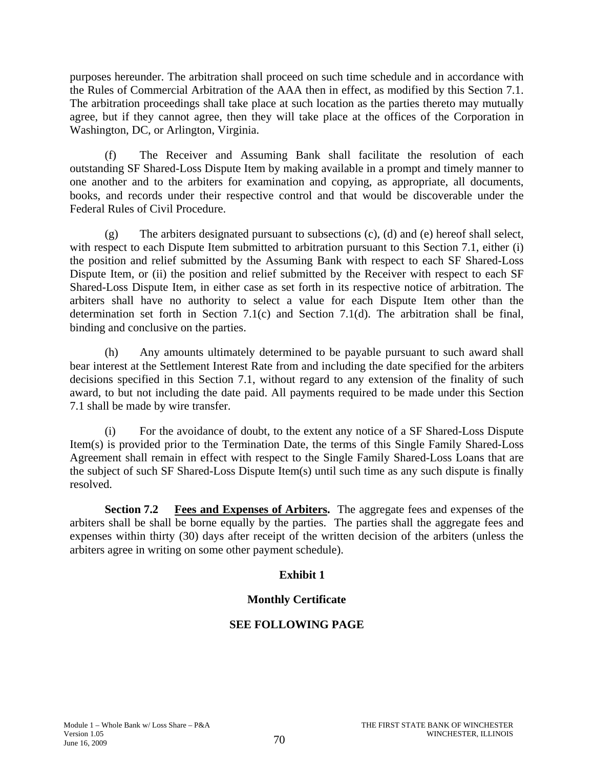purposes hereunder. The arbitration shall proceed on such time schedule and in accordance with the Rules of Commercial Arbitration of the AAA then in effect, as modified by this Section 7.1. The arbitration proceedings shall take place at such location as the parties thereto may mutually agree, but if they cannot agree, then they will take place at the offices of the Corporation in Washington, DC, or Arlington, Virginia.

(f) The Receiver and Assuming Bank shall facilitate the resolution of each outstanding SF Shared-Loss Dispute Item by making available in a prompt and timely manner to one another and to the arbiters for examination and copying, as appropriate, all documents, books, and records under their respective control and that would be discoverable under the Federal Rules of Civil Procedure.

(g) The arbiters designated pursuant to subsections (c), (d) and (e) hereof shall select, with respect to each Dispute Item submitted to arbitration pursuant to this Section 7.1, either (i) the position and relief submitted by the Assuming Bank with respect to each SF Shared-Loss Dispute Item, or (ii) the position and relief submitted by the Receiver with respect to each SF Shared-Loss Dispute Item, in either case as set forth in its respective notice of arbitration. The arbiters shall have no authority to select a value for each Dispute Item other than the determination set forth in Section 7.1(c) and Section 7.1(d). The arbitration shall be final, binding and conclusive on the parties.

(h) Any amounts ultimately determined to be payable pursuant to such award shall bear interest at the Settlement Interest Rate from and including the date specified for the arbiters decisions specified in this Section 7.1, without regard to any extension of the finality of such award, to but not including the date paid. All payments required to be made under this Section 7.1 shall be made by wire transfer.

(i) For the avoidance of doubt, to the extent any notice of a SF Shared-Loss Dispute Item(s) is provided prior to the Termination Date, the terms of this Single Family Shared-Loss Agreement shall remain in effect with respect to the Single Family Shared-Loss Loans that are the subject of such SF Shared-Loss Dispute Item(s) until such time as any such dispute is finally resolved.

**Section 7.2** Fees and Expenses of Arbiters. The aggregate fees and expenses of the arbiters shall be shall be borne equally by the parties. The parties shall the aggregate fees and expenses within thirty (30) days after receipt of the written decision of the arbiters (unless the arbiters agree in writing on some other payment schedule).

# **Exhibit 1**

# **Monthly Certificate**

# **SEE FOLLOWING PAGE**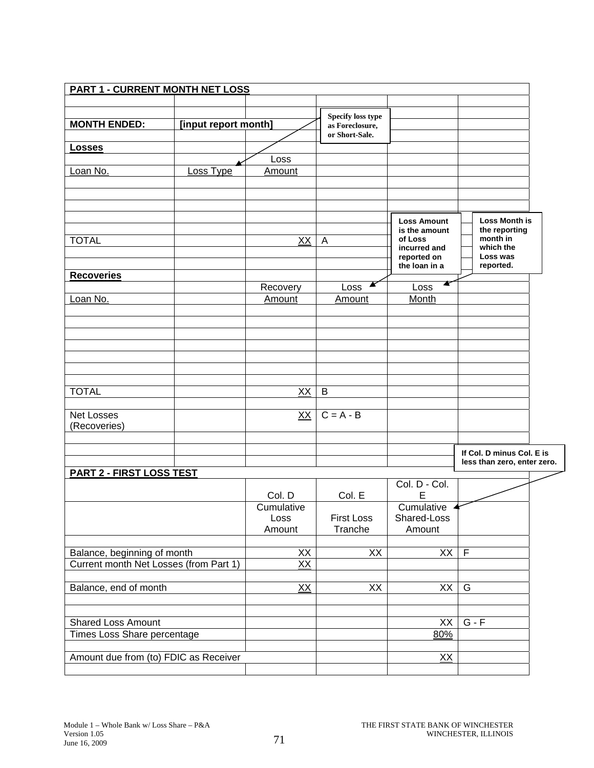| <b>PART 1 - CURRENT MONTH NET LOSS</b> |                      |            |                                   |                             |                             |
|----------------------------------------|----------------------|------------|-----------------------------------|-----------------------------|-----------------------------|
|                                        |                      |            |                                   |                             |                             |
|                                        |                      |            | <b>Specify loss type</b>          |                             |                             |
| <b>MONTH ENDED:</b>                    | [input report month] |            | as Foreclosure,<br>or Short-Sale. |                             |                             |
| <b>Losses</b>                          |                      |            |                                   |                             |                             |
|                                        |                      | Loss       |                                   |                             |                             |
| Loan No.                               | Loss Type            | Amount     |                                   |                             |                             |
|                                        |                      |            |                                   |                             |                             |
|                                        |                      |            |                                   |                             |                             |
|                                        |                      |            |                                   |                             |                             |
|                                        |                      |            |                                   | <b>Loss Amount</b>          | Loss Month is               |
|                                        |                      |            |                                   | is the amount               | the reporting               |
| <b>TOTAL</b>                           |                      | XX         | $\overline{A}$                    | of Loss                     | month in                    |
|                                        |                      |            |                                   | incurred and<br>reported on | which the<br>Loss was       |
|                                        |                      |            |                                   | the loan in a               | reported.                   |
| <b>Recoveries</b>                      |                      |            |                                   |                             |                             |
|                                        |                      | Recovery   | $Loss^{\mathbf{Z}}$               | Ŧ<br>Loss                   |                             |
| Loan No.                               |                      | Amount     | Amount                            | Month                       |                             |
|                                        |                      |            |                                   |                             |                             |
|                                        |                      |            |                                   |                             |                             |
|                                        |                      |            |                                   |                             |                             |
|                                        |                      |            |                                   |                             |                             |
|                                        |                      |            |                                   |                             |                             |
|                                        |                      |            |                                   |                             |                             |
|                                        |                      |            |                                   |                             |                             |
| <b>TOTAL</b>                           |                      | XX         | B                                 |                             |                             |
|                                        |                      |            |                                   |                             |                             |
| <b>Net Losses</b>                      |                      | XX         | $C = A - B$                       |                             |                             |
| (Recoveries)                           |                      |            |                                   |                             |                             |
|                                        |                      |            |                                   |                             |                             |
|                                        |                      |            |                                   |                             | If Col. D minus Col. E is   |
| <b>PART 2 - FIRST LOSS TEST</b>        |                      |            |                                   |                             | less than zero, enter zero. |
|                                        |                      |            |                                   | Col. D - Col.               |                             |
|                                        |                      | Col. D     | Col. E                            | E                           |                             |
|                                        |                      | Cumulative |                                   | Cumulative                  |                             |
|                                        |                      | Loss       | First Loss                        | Shared-Loss                 |                             |
|                                        |                      | Amount     | Tranche                           | Amount                      |                             |
|                                        |                      |            |                                   |                             |                             |
| Balance, beginning of month            |                      | XX         | XX                                | XX                          | $\mathsf F$                 |
| Current month Net Losses (from Part 1) |                      | XX         |                                   |                             |                             |
|                                        |                      |            |                                   |                             |                             |
| Balance, end of month                  |                      | XX         | XX                                | XX                          | G                           |
|                                        |                      |            |                                   |                             |                             |
|                                        |                      |            |                                   |                             |                             |
| <b>Shared Loss Amount</b>              |                      |            |                                   | XX                          | $G - F$                     |
| Times Loss Share percentage            |                      |            |                                   | 80%                         |                             |
|                                        |                      |            |                                   |                             |                             |
| Amount due from (to) FDIC as Receiver  |                      |            |                                   | XX                          |                             |
|                                        |                      |            |                                   |                             |                             |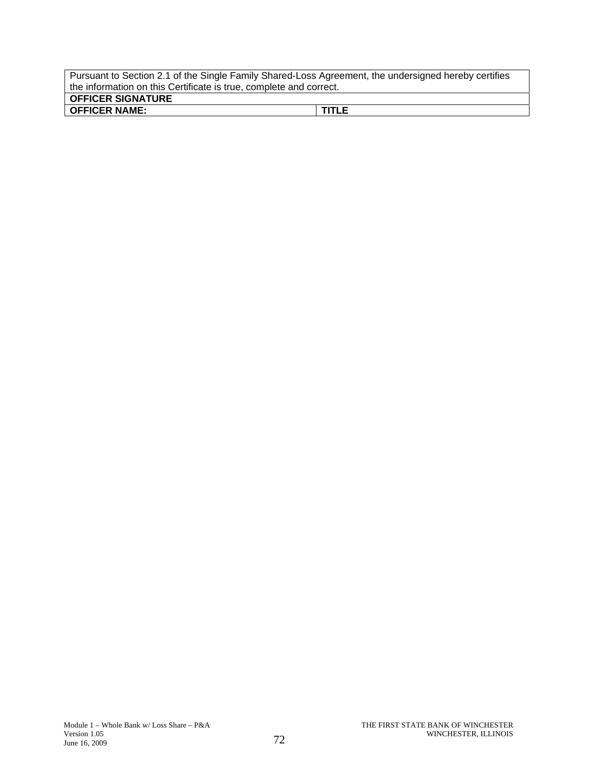| Pursuant to Section 2.1 of the Single Family Shared-Loss Agreement, the undersigned hereby certifies |  |  |
|------------------------------------------------------------------------------------------------------|--|--|
| the information on this Certificate is true, complete and correct.                                   |  |  |
| <b>OFFICER SIGNATURE</b>                                                                             |  |  |
| <b>TITLE</b><br><b>OFFICER NAME:</b>                                                                 |  |  |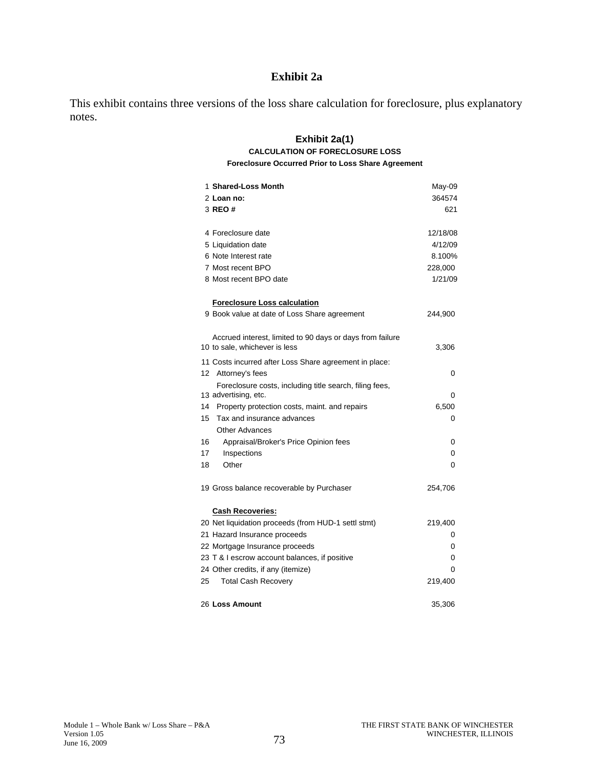### **Exhibit 2a**

This exhibit contains three versions of the loss share calculation for foreclosure, plus explanatory notes.

#### **Foreclosure Occurred Prior to Loss Share Agreement Exhibit 2a(1) CALCULATION OF FORECLOSURE LOSS**

| 1 Shared-Loss Month<br>2 Loan no:<br>3 REO #              | May-09<br>364574<br>621 |
|-----------------------------------------------------------|-------------------------|
| 4 Foreclosure date                                        | 12/18/08                |
| 5 Liquidation date                                        | 4/12/09                 |
| 6 Note Interest rate                                      | 8.100%                  |
| 7 Most recent BPO                                         | 228,000                 |
| 8 Most recent BPO date                                    | 1/21/09                 |
| <b>Foreclosure Loss calculation</b>                       |                         |
| 9 Book value at date of Loss Share agreement              | 244,900                 |
| Accrued interest, limited to 90 days or days from failure |                         |
| 10 to sale, whichever is less                             | 3,306                   |
| 11 Costs incurred after Loss Share agreement in place:    |                         |
| 12<br>Attorney's fees                                     | 0                       |
| Foreclosure costs, including title search, filing fees,   |                         |
| 13 advertising, etc.                                      | 0                       |
| 14<br>Property protection costs, maint. and repairs       | 6,500                   |
| Tax and insurance advances<br>15                          | 0                       |
| <b>Other Advances</b>                                     |                         |
| 16<br>Appraisal/Broker's Price Opinion fees               | 0                       |
| 17<br>Inspections                                         | 0                       |
| Other<br>18                                               | 0                       |
| 19 Gross balance recoverable by Purchaser                 | 254,706                 |
| <b>Cash Recoveries:</b>                                   |                         |
| 20 Net liquidation proceeds (from HUD-1 settl stmt)       | 219,400                 |
| 21 Hazard Insurance proceeds                              | 0                       |
| 22 Mortgage Insurance proceeds                            | 0                       |
| 23 T & I escrow account balances, if positive             | 0                       |
| 24 Other credits, if any (itemize)                        | 0                       |
| 25<br><b>Total Cash Recovery</b>                          | 219,400                 |
| 26 Loss Amount                                            | 35,306                  |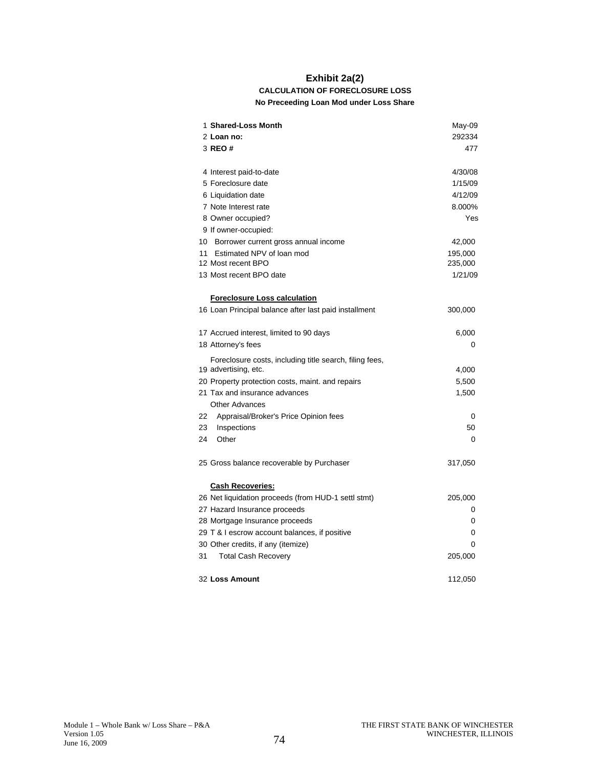#### **Exhibit 2a(2)**

#### **CALCULATION OF FORECLOSURE LOSS**

#### **No Preceeding Loan Mod under Loss Share**

| 1 Shared-Loss Month                                     | May-09  |
|---------------------------------------------------------|---------|
| 2 Loan no:                                              | 292334  |
| 3 REO #                                                 | 477     |
| 4 Interest paid-to-date                                 | 4/30/08 |
| 5 Foreclosure date                                      | 1/15/09 |
| 6 Liquidation date                                      | 4/12/09 |
| 7 Note Interest rate                                    | 8.000%  |
| 8 Owner occupied?                                       | Yes     |
| 9 If owner-occupied:                                    |         |
| 10<br>Borrower current gross annual income              | 42,000  |
| Estimated NPV of loan mod<br>11                         | 195,000 |
| 12 Most recent BPO                                      | 235,000 |
| 13 Most recent BPO date                                 | 1/21/09 |
| <b>Foreclosure Loss calculation</b>                     |         |
| 16 Loan Principal balance after last paid installment   | 300,000 |
| 17 Accrued interest, limited to 90 days                 | 6,000   |
| 18 Attorney's fees                                      | 0       |
| Foreclosure costs, including title search, filing fees, |         |
| 19 advertising, etc.                                    | 4,000   |
| 20 Property protection costs, maint. and repairs        | 5,500   |
| 21 Tax and insurance advances                           | 1,500   |
| <b>Other Advances</b>                                   |         |
| 22<br>Appraisal/Broker's Price Opinion fees             | 0       |
| 23<br>Inspections<br>24<br>Other                        | 50<br>0 |
|                                                         |         |
| 25 Gross balance recoverable by Purchaser               | 317,050 |
| <b>Cash Recoveries:</b>                                 |         |
| 26 Net liquidation proceeds (from HUD-1 settl stmt)     | 205,000 |
| 27 Hazard Insurance proceeds                            | 0       |
| 28 Mortgage Insurance proceeds                          | 0       |
| 29 T & I escrow account balances, if positive           | 0       |
| 30 Other credits, if any (itemize)                      | 0       |
| 31<br><b>Total Cash Recovery</b>                        | 205,000 |
| 32 Loss Amount                                          | 112,050 |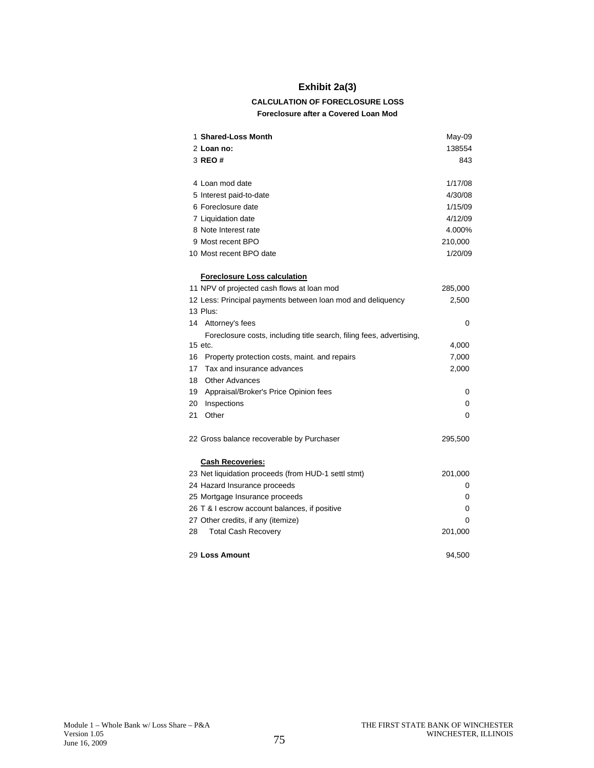## **Exhibit 2a(3)**

#### **CALCULATION OF FORECLOSURE LOSS Foreclosure after a Covered Loan Mod**

| 1 Shared-Loss Month                                                  | May-09  |
|----------------------------------------------------------------------|---------|
| 2 Loan no:                                                           | 138554  |
| 3 REO #                                                              | 843     |
|                                                                      |         |
| 4 Loan mod date                                                      | 1/17/08 |
| 5 Interest paid-to-date                                              | 4/30/08 |
| 6 Foreclosure date                                                   | 1/15/09 |
| 7 Liquidation date                                                   | 4/12/09 |
| 8 Note Interest rate                                                 | 4.000%  |
| 9 Most recent BPO                                                    | 210,000 |
| 10 Most recent BPO date                                              | 1/20/09 |
|                                                                      |         |
| <b>Foreclosure Loss calculation</b>                                  |         |
| 11 NPV of projected cash flows at loan mod                           | 285,000 |
| 12 Less: Principal payments between loan mod and deliquency          | 2,500   |
| 13 Plus:                                                             |         |
| 14<br>Attorney's fees                                                | 0       |
| Foreclosure costs, including title search, filing fees, advertising, |         |
| 15 etc.                                                              | 4,000   |
| 16<br>Property protection costs, maint. and repairs                  | 7,000   |
| 17<br>Tax and insurance advances                                     | 2,000   |
| 18<br><b>Other Advances</b>                                          |         |
| 19<br>Appraisal/Broker's Price Opinion fees                          | 0       |
| 20<br>Inspections                                                    | 0       |
| 21<br>Other                                                          | 0       |
|                                                                      |         |
| 22 Gross balance recoverable by Purchaser                            | 295,500 |
|                                                                      |         |
| <b>Cash Recoveries:</b>                                              |         |
| 23 Net liquidation proceeds (from HUD-1 settl stmt)                  | 201,000 |
| 24 Hazard Insurance proceeds                                         | 0       |
| 25 Mortgage Insurance proceeds                                       | 0       |
| 26 T & I escrow account balances, if positive                        | 0       |
| 27 Other credits, if any (itemize)                                   | 0       |
| 28<br><b>Total Cash Recovery</b>                                     | 201,000 |
|                                                                      |         |
| 29 Loss Amount                                                       | 94,500  |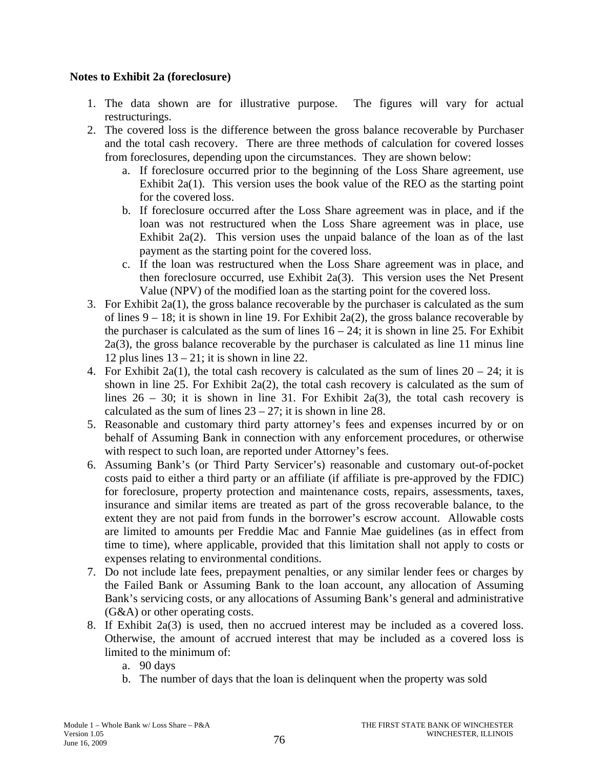### **Notes to Exhibit 2a (foreclosure)**

- 1. The data shown are for illustrative purpose. The figures will vary for actual restructurings.
- 2. The covered loss is the difference between the gross balance recoverable by Purchaser and the total cash recovery. There are three methods of calculation for covered losses from foreclosures, depending upon the circumstances. They are shown below:
	- a. If foreclosure occurred prior to the beginning of the Loss Share agreement, use Exhibit  $2a(1)$ . This version uses the book value of the REO as the starting point for the covered loss.
	- b. If foreclosure occurred after the Loss Share agreement was in place, and if the loan was not restructured when the Loss Share agreement was in place, use Exhibit 2a(2). This version uses the unpaid balance of the loan as of the last payment as the starting point for the covered loss.
	- c. If the loan was restructured when the Loss Share agreement was in place, and then foreclosure occurred, use Exhibit 2a(3). This version uses the Net Present Value (NPV) of the modified loan as the starting point for the covered loss.
- 3. For Exhibit 2a(1), the gross balance recoverable by the purchaser is calculated as the sum of lines  $9 - 18$ ; it is shown in line 19. For Exhibit 2a(2), the gross balance recoverable by the purchaser is calculated as the sum of lines  $16 - 24$ ; it is shown in line 25. For Exhibit 2a(3), the gross balance recoverable by the purchaser is calculated as line 11 minus line 12 plus lines  $13 - 21$ ; it is shown in line 22.
- 4. For Exhibit 2a(1), the total cash recovery is calculated as the sum of lines  $20 24$ ; it is shown in line 25. For Exhibit 2a(2), the total cash recovery is calculated as the sum of lines  $26 - 30$ ; it is shown in line 31. For Exhibit 2a(3), the total cash recovery is calculated as the sum of lines  $23 - 27$ ; it is shown in line 28.
- 5. Reasonable and customary third party attorney's fees and expenses incurred by or on behalf of Assuming Bank in connection with any enforcement procedures, or otherwise with respect to such loan, are reported under Attorney's fees.
- 6. Assuming Bank's (or Third Party Servicer's) reasonable and customary out-of-pocket costs paid to either a third party or an affiliate (if affiliate is pre-approved by the FDIC) for foreclosure, property protection and maintenance costs, repairs, assessments, taxes, insurance and similar items are treated as part of the gross recoverable balance, to the extent they are not paid from funds in the borrower's escrow account. Allowable costs are limited to amounts per Freddie Mac and Fannie Mae guidelines (as in effect from time to time), where applicable, provided that this limitation shall not apply to costs or expenses relating to environmental conditions.
- 7. Do not include late fees, prepayment penalties, or any similar lender fees or charges by the Failed Bank or Assuming Bank to the loan account, any allocation of Assuming Bank's servicing costs, or any allocations of Assuming Bank's general and administrative (G&A) or other operating costs.
- 8. If Exhibit 2a(3) is used, then no accrued interest may be included as a covered loss. Otherwise, the amount of accrued interest that may be included as a covered loss is limited to the minimum of:
	- a. 90 days
	- b. The number of days that the loan is delinquent when the property was sold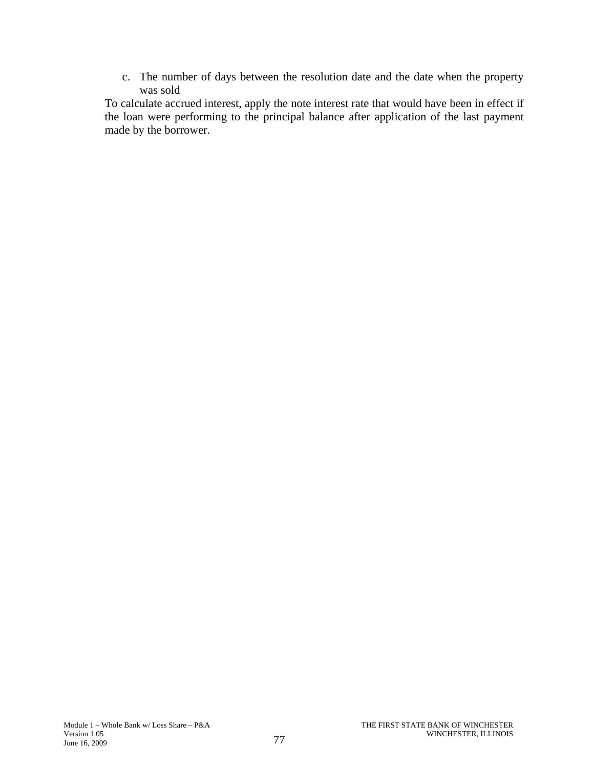c. The number of days between the resolution date and the date when the property was sold

To calculate accrued interest, apply the note interest rate that would have been in effect if the loan were performing to the principal balance after application of the last payment made by the borrower.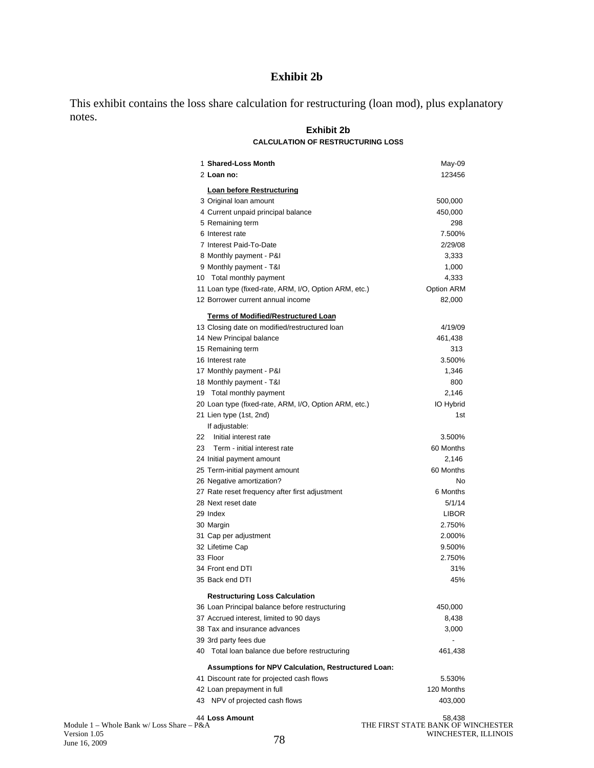# **Exhibit 2b**

This exhibit contains the loss share calculation for restructuring (loan mod), plus explanatory notes.

### **Exhibit 2b CALCULATION OF RESTRUCTURING LOS S**

|       | 1 Shared-Loss Month                                        | May-09                                   |
|-------|------------------------------------------------------------|------------------------------------------|
|       | 2 Loan no:                                                 | 123456                                   |
|       | <b>Loan before Restructuring</b>                           |                                          |
|       | 3 Original loan amount                                     | 500,000                                  |
|       | 4 Current unpaid principal balance                         | 450,000                                  |
|       | 5 Remaining term                                           | 298                                      |
|       | 6 Interest rate                                            | 7.500%                                   |
|       | 7 Interest Paid-To-Date                                    | 2/29/08                                  |
|       | 8 Monthly payment - P&I                                    | 3,333                                    |
|       | 9 Monthly payment - T&I                                    | 1,000                                    |
| 10    | Total monthly payment                                      | 4,333                                    |
|       | 11 Loan type (fixed-rate, ARM, I/O, Option ARM, etc.)      | <b>Option ARM</b>                        |
|       | 12 Borrower current annual income                          | 82,000                                   |
|       | <b>Terms of Modified/Restructured Loan</b>                 |                                          |
|       | 13 Closing date on modified/restructured loan              | 4/19/09                                  |
|       | 14 New Principal balance                                   | 461,438                                  |
|       | 15 Remaining term                                          | 313                                      |
|       | 16 Interest rate                                           | 3.500%                                   |
|       | 17 Monthly payment - P&I                                   | 1,346                                    |
|       | 18 Monthly payment - T&I                                   | 800                                      |
| 19    | Total monthly payment                                      | 2,146                                    |
|       | 20 Loan type (fixed-rate, ARM, I/O, Option ARM, etc.)      | IO Hybrid                                |
|       | 21 Lien type (1st, 2nd)                                    | 1st                                      |
|       | If adjustable:                                             |                                          |
| 22    | Initial interest rate                                      | 3.500%                                   |
| 23    | Term - initial interest rate                               | 60 Months                                |
|       | 24 Initial payment amount                                  | 2,146                                    |
|       | 25 Term-initial payment amount                             | 60 Months                                |
|       | 26 Negative amortization?                                  | No                                       |
|       | 27 Rate reset frequency after first adjustment             | 6 Months                                 |
|       | 28 Next reset date                                         | 5/1/14                                   |
|       | 29 Index                                                   | LIBOR                                    |
|       | 30 Margin                                                  | 2.750%                                   |
|       | 31 Cap per adjustment                                      | 2.000%                                   |
|       | 32 Lifetime Cap                                            | 9.500%                                   |
|       | 33 Floor                                                   | 2.750%                                   |
|       | 34 Front end DTI                                           | 31%                                      |
|       | 35 Back end DTI                                            | 45%                                      |
|       | <b>Restructuring Loss Calculation</b>                      |                                          |
|       | 36 Loan Principal balance before restructuring             | 450,000                                  |
|       | 37 Accrued interest, limited to 90 days                    | 8,438                                    |
|       | 38 Tax and insurance advances                              | 3,000                                    |
|       | 39 3rd party fees due                                      |                                          |
|       | 40 Total loan balance due before restructuring             | 461,438                                  |
|       | <b>Assumptions for NPV Calculation, Restructured Loan:</b> |                                          |
|       | 41 Discount rate for projected cash flows                  | 5.530%                                   |
|       | 42 Loan prepayment in full                                 | 120 Months                               |
|       | 43 NPV of projected cash flows                             | 403,000                                  |
| - P&A | 44 Loss Amount                                             | 58,438<br>THE FIRST STATE BANK OF WINCHE |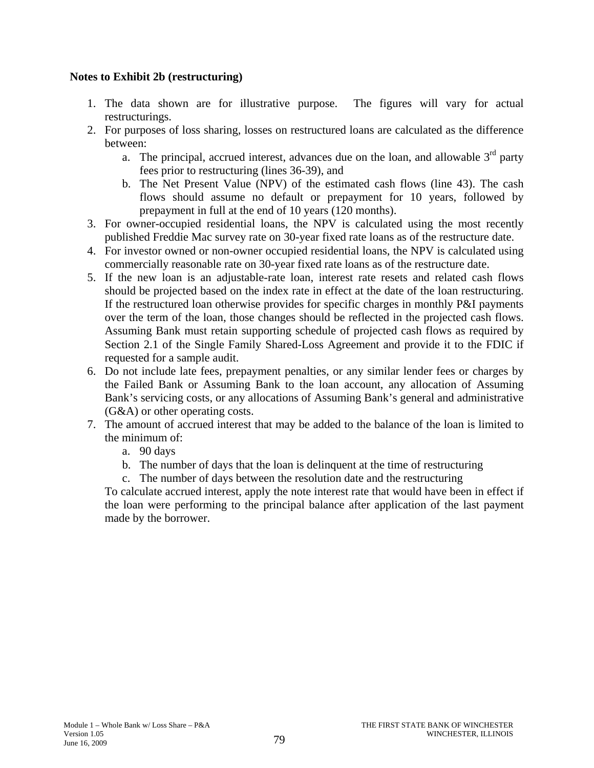### **Notes to Exhibit 2b (restructuring)**

- 1. The data shown are for illustrative purpose. The figures will vary for actual restructurings.
- 2. For purposes of loss sharing, losses on restructured loans are calculated as the difference between:
	- a. The principal, accrued interest, advances due on the loan, and allowable  $3<sup>rd</sup>$  party fees prior to restructuring (lines 36-39), and
	- b. The Net Present Value (NPV) of the estimated cash flows (line 43). The cash flows should assume no default or prepayment for 10 years, followed by prepayment in full at the end of 10 years (120 months).
- 3. For owner-occupied residential loans, the NPV is calculated using the most recently published Freddie Mac survey rate on 30-year fixed rate loans as of the restructure date.
- 4. For investor owned or non-owner occupied residential loans, the NPV is calculated using commercially reasonable rate on 30-year fixed rate loans as of the restructure date.
- 5. If the new loan is an adjustable-rate loan, interest rate resets and related cash flows should be projected based on the index rate in effect at the date of the loan restructuring. If the restructured loan otherwise provides for specific charges in monthly P&I payments over the term of the loan, those changes should be reflected in the projected cash flows. Assuming Bank must retain supporting schedule of projected cash flows as required by Section 2.1 of the Single Family Shared-Loss Agreement and provide it to the FDIC if requested for a sample audit.
- 6. Do not include late fees, prepayment penalties, or any similar lender fees or charges by the Failed Bank or Assuming Bank to the loan account, any allocation of Assuming Bank's servicing costs, or any allocations of Assuming Bank's general and administrative (G&A) or other operating costs.
- 7. The amount of accrued interest that may be added to the balance of the loan is limited to the minimum of:
	- a. 90 days
	- b. The number of days that the loan is delinquent at the time of restructuring
	- c. The number of days between the resolution date and the restructuring

To calculate accrued interest, apply the note interest rate that would have been in effect if the loan were performing to the principal balance after application of the last payment made by the borrower.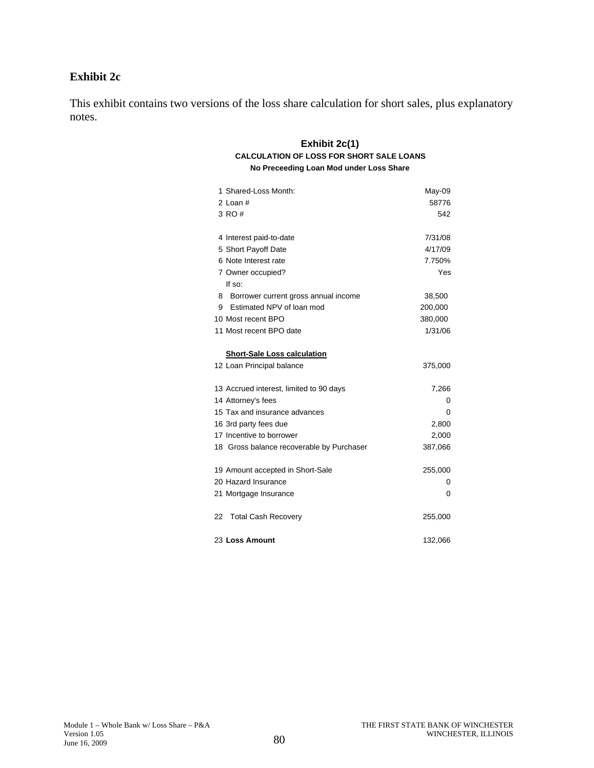### **Exhibit 2c**

This exhibit contains two versions of the loss share calculation for short sales, plus explanatory notes.

#### **Exhibit 2c(1) CALCULATION OF LOSS FOR SHORT SALE LOANS No Preceeding Loan Mod under Loss Share**

| 1 Shared-Loss Month:                      | May-09  |
|-------------------------------------------|---------|
| 2 Loan $#$                                | 58776   |
| 3 RO #                                    | 542     |
|                                           |         |
| 4 Interest paid-to-date                   | 7/31/08 |
| 5 Short Payoff Date                       | 4/17/09 |
| 6 Note Interest rate                      | 7.750%  |
| 7 Owner occupied?                         | Yes     |
| If so:                                    |         |
| Borrower current gross annual income<br>8 | 38,500  |
| Estimated NPV of loan mod<br>9            | 200,000 |
| 10 Most recent BPO                        | 380,000 |
| 11 Most recent BPO date                   | 1/31/06 |
|                                           |         |
| <b>Short-Sale Loss calculation</b>        |         |
| 12 Loan Principal balance                 | 375,000 |
|                                           |         |
| 13 Accrued interest, limited to 90 days   | 7,266   |
| 14 Attorney's fees                        | 0       |
| 15 Tax and insurance advances             | 0       |
| 16 3rd party fees due                     | 2,800   |
| 17 Incentive to borrower                  | 2,000   |
| 18 Gross balance recoverable by Purchaser | 387,066 |
|                                           |         |
| 19 Amount accepted in Short-Sale          | 255,000 |
| 20 Hazard Insurance                       | 0       |
| 21 Mortgage Insurance                     | 0       |
| 22 Total Cash Recovery                    | 255,000 |
|                                           |         |
| 23 Loss Amount                            | 132,066 |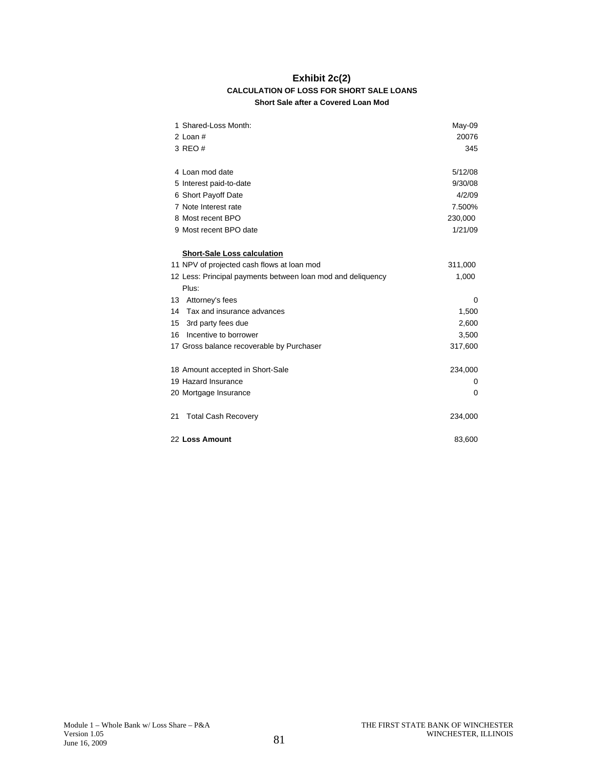#### **Short Sale after a Covered Loan Mod Exhibit 2c(2) CALCULATION OF LOSS FOR SHORT SALE LOANS**

| 1 Shared-Loss Month:                                        | May-09  |
|-------------------------------------------------------------|---------|
| 2 Loan $#$                                                  | 20076   |
| 3 REO #                                                     | 345     |
|                                                             |         |
| 4 Loan mod date                                             | 5/12/08 |
| 5 Interest paid-to-date                                     | 9/30/08 |
| 6 Short Payoff Date                                         | 4/2/09  |
| 7 Note Interest rate                                        | 7.500%  |
| 8 Most recent BPO                                           | 230,000 |
| 9 Most recent BPO date                                      | 1/21/09 |
|                                                             |         |
| <b>Short-Sale Loss calculation</b>                          |         |
| 11 NPV of projected cash flows at loan mod                  | 311,000 |
| 12 Less: Principal payments between loan mod and deliquency | 1,000   |
| Plus:                                                       |         |
| Attorney's fees<br>13                                       | 0       |
| Tax and insurance advances<br>14                            | 1,500   |
| 3rd party fees due<br>15                                    | 2,600   |
| Incentive to borrower<br>16                                 | 3,500   |
| 17 Gross balance recoverable by Purchaser                   | 317,600 |
|                                                             |         |
| 18 Amount accepted in Short-Sale                            | 234,000 |
| 19 Hazard Insurance                                         | 0       |
| 20 Mortgage Insurance                                       | 0       |
|                                                             |         |
| <b>Total Cash Recovery</b><br>21                            | 234,000 |
|                                                             |         |
| 22 Loss Amount                                              | 83,600  |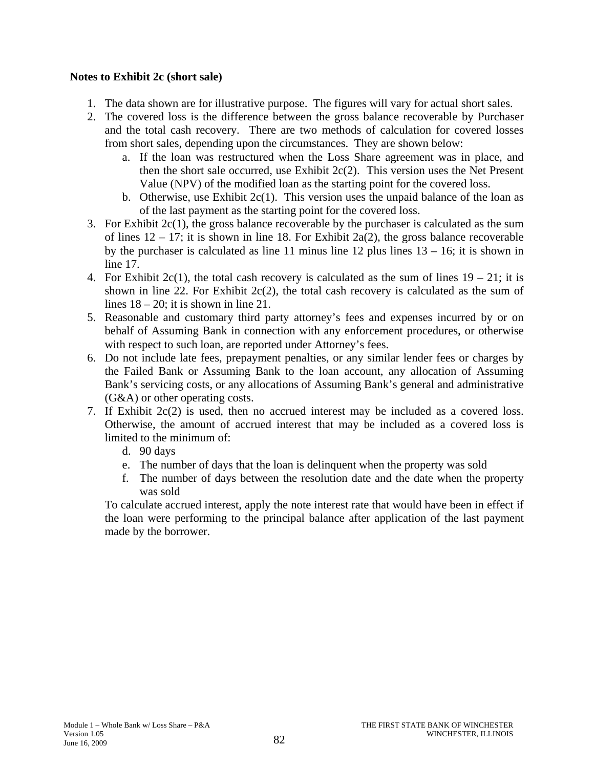### **Notes to Exhibit 2c (short sale)**

- 1. The data shown are for illustrative purpose. The figures will vary for actual short sales.
- 2. The covered loss is the difference between the gross balance recoverable by Purchaser and the total cash recovery. There are two methods of calculation for covered losses from short sales, depending upon the circumstances. They are shown below:
	- a. If the loan was restructured when the Loss Share agreement was in place, and then the short sale occurred, use Exhibit  $2c(2)$ . This version uses the Net Present Value (NPV) of the modified loan as the starting point for the covered loss.
	- b. Otherwise, use Exhibit  $2c(1)$ . This version uses the unpaid balance of the loan as of the last payment as the starting point for the covered loss.
- 3. For Exhibit  $2c(1)$ , the gross balance recoverable by the purchaser is calculated as the sum of lines  $12 - 17$ ; it is shown in line 18. For Exhibit 2a(2), the gross balance recoverable by the purchaser is calculated as line 11 minus line 12 plus lines 13 – 16; it is shown in line 17.
- 4. For Exhibit 2c(1), the total cash recovery is calculated as the sum of lines  $19 21$ ; it is shown in line 22. For Exhibit  $2c(2)$ , the total cash recovery is calculated as the sum of lines  $18 - 20$ ; it is shown in line 21.
- 5. Reasonable and customary third party attorney's fees and expenses incurred by or on behalf of Assuming Bank in connection with any enforcement procedures, or otherwise with respect to such loan, are reported under Attorney's fees.
- 6. Do not include late fees, prepayment penalties, or any similar lender fees or charges by the Failed Bank or Assuming Bank to the loan account, any allocation of Assuming Bank's servicing costs, or any allocations of Assuming Bank's general and administrative (G&A) or other operating costs.
- 7. If Exhibit 2c(2) is used, then no accrued interest may be included as a covered loss. Otherwise, the amount of accrued interest that may be included as a covered loss is limited to the minimum of:
	- d. 90 days
	- e. The number of days that the loan is delinquent when the property was sold
	- f. The number of days between the resolution date and the date when the property was sold

To calculate accrued interest, apply the note interest rate that would have been in effect if the loan were performing to the principal balance after application of the last payment made by the borrower.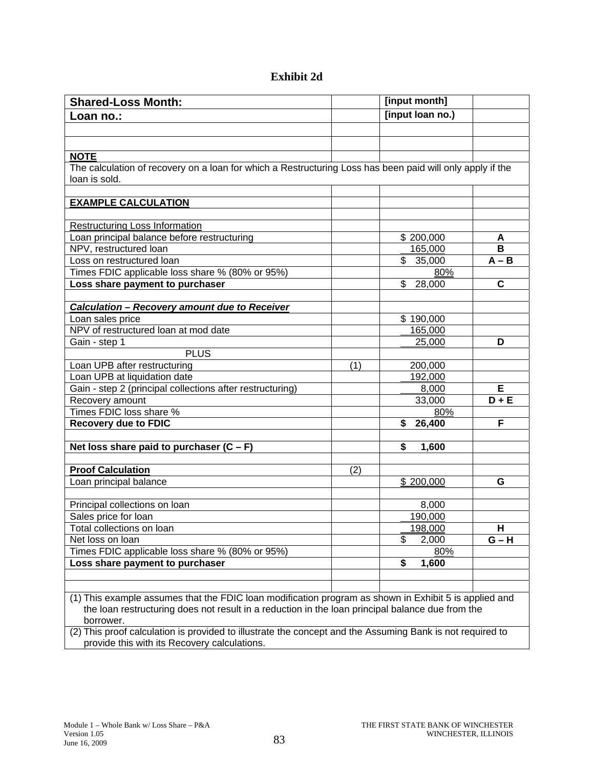# **Exhibit 2d**

| <b>Shared-Loss Month:</b>                                                                                                                                 |     |                  |         |  |
|-----------------------------------------------------------------------------------------------------------------------------------------------------------|-----|------------------|---------|--|
| Loan no.:                                                                                                                                                 |     | [input loan no.) |         |  |
|                                                                                                                                                           |     |                  |         |  |
|                                                                                                                                                           |     |                  |         |  |
| <b>NOTE</b>                                                                                                                                               |     |                  |         |  |
| The calculation of recovery on a loan for which a Restructuring Loss has been paid will only apply if the                                                 |     |                  |         |  |
| loan is sold.                                                                                                                                             |     |                  |         |  |
|                                                                                                                                                           |     |                  |         |  |
| <b>EXAMPLE CALCULATION</b>                                                                                                                                |     |                  |         |  |
|                                                                                                                                                           |     |                  |         |  |
| <b>Restructuring Loss Information</b>                                                                                                                     |     |                  |         |  |
| Loan principal balance before restructuring                                                                                                               |     | \$200,000        | A       |  |
| NPV, restructured loan                                                                                                                                    |     | 165,000          | B       |  |
| Loss on restructured loan                                                                                                                                 |     | \$35,000         | $A - B$ |  |
| Times FDIC applicable loss share % (80% or 95%)                                                                                                           |     | 80%              |         |  |
| Loss share payment to purchaser                                                                                                                           |     | \$28,000         | C       |  |
|                                                                                                                                                           |     |                  |         |  |
| Calculation - Recovery amount due to Receiver                                                                                                             |     |                  |         |  |
| Loan sales price                                                                                                                                          |     | \$190,000        |         |  |
| NPV of restructured loan at mod date                                                                                                                      |     | 165,000          |         |  |
| Gain - step 1                                                                                                                                             |     | 25,000           | D       |  |
| <b>PLUS</b>                                                                                                                                               |     |                  |         |  |
| Loan UPB after restructuring                                                                                                                              | (1) | 200,000          |         |  |
| Loan UPB at liquidation date                                                                                                                              |     | 192,000          | Е       |  |
| Gain - step 2 (principal collections after restructuring)<br>Recovery amount                                                                              |     | 8,000<br>33,000  | $D + E$ |  |
| Times FDIC loss share %                                                                                                                                   |     | 80%              |         |  |
| <b>Recovery due to FDIC</b>                                                                                                                               |     | \$26,400         | F       |  |
|                                                                                                                                                           |     |                  |         |  |
| Net loss share paid to purchaser $(C - F)$                                                                                                                |     | \$<br>1,600      |         |  |
|                                                                                                                                                           |     |                  |         |  |
| <b>Proof Calculation</b>                                                                                                                                  | (2) |                  |         |  |
| Loan principal balance                                                                                                                                    |     | \$200,000        | G       |  |
|                                                                                                                                                           |     |                  |         |  |
| Principal collections on loan                                                                                                                             |     | 8,000            |         |  |
| Sales price for loan                                                                                                                                      |     | 190,000          |         |  |
| Total collections on loan                                                                                                                                 |     | 198,000          | H       |  |
| Net loss on loan                                                                                                                                          |     | \$<br>2,000      | G – H   |  |
| Times FDIC applicable loss share % (80% or 95%)                                                                                                           |     | 80%              |         |  |
| Loss share payment to purchaser                                                                                                                           |     | 1,600<br>\$      |         |  |
|                                                                                                                                                           |     |                  |         |  |
|                                                                                                                                                           |     |                  |         |  |
| (1) This example assumes that the FDIC loan modification program as shown in Exhibit 5 is applied and                                                     |     |                  |         |  |
| the loan restructuring does not result in a reduction in the loan principal balance due from the                                                          |     |                  |         |  |
| borrower.                                                                                                                                                 |     |                  |         |  |
| (2) This proof calculation is provided to illustrate the concept and the Assuming Bank is not required to<br>provide this with its Recovery calculations. |     |                  |         |  |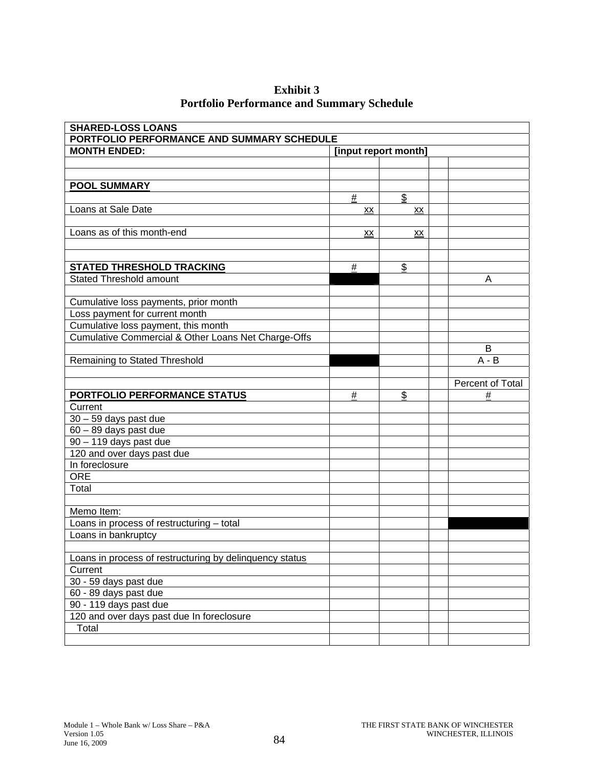| <b>SHARED-LOSS LOANS</b><br>PORTFOLIO PERFORMANCE AND SUMMARY SCHEDULE |                      |               |                  |
|------------------------------------------------------------------------|----------------------|---------------|------------------|
| <b>MONTH ENDED:</b>                                                    | [input report month] |               |                  |
|                                                                        |                      |               |                  |
|                                                                        |                      |               |                  |
| <b>POOL SUMMARY</b>                                                    |                      |               |                  |
|                                                                        | #                    | $\frac{6}{5}$ |                  |
| Loans at Sale Date                                                     | XX                   | XX            |                  |
|                                                                        |                      |               |                  |
| Loans as of this month-end                                             | ХX                   | XX            |                  |
|                                                                        |                      |               |                  |
| <b>STATED THRESHOLD TRACKING</b>                                       | $\#$                 | $\frac{6}{5}$ |                  |
| <b>Stated Threshold amount</b>                                         |                      |               | Α                |
|                                                                        |                      |               |                  |
| Cumulative loss payments, prior month                                  |                      |               |                  |
| Loss payment for current month                                         |                      |               |                  |
| Cumulative loss payment, this month                                    |                      |               |                  |
| Cumulative Commercial & Other Loans Net Charge-Offs                    |                      |               |                  |
|                                                                        |                      |               | В                |
| Remaining to Stated Threshold                                          |                      |               | $A - B$          |
|                                                                        |                      |               |                  |
|                                                                        |                      |               | Percent of Total |
| PORTFOLIO PERFORMANCE STATUS                                           | #                    | \$            | #                |
| Current                                                                |                      |               |                  |
| $30 - 59$ days past due                                                |                      |               |                  |
| $60 - 89$ days past due                                                |                      |               |                  |
| $90 - 119$ days past due                                               |                      |               |                  |
| 120 and over days past due                                             |                      |               |                  |
| In foreclosure                                                         |                      |               |                  |
| <b>ORE</b>                                                             |                      |               |                  |
| Total                                                                  |                      |               |                  |
|                                                                        |                      |               |                  |
| Memo Item:                                                             |                      |               |                  |
| Loans in process of restructuring - total                              |                      |               |                  |
| Loans in bankruptcy                                                    |                      |               |                  |
|                                                                        |                      |               |                  |
| Loans in process of restructuring by delinquency status                |                      |               |                  |
| Current                                                                |                      |               |                  |
| 30 - 59 days past due                                                  |                      |               |                  |
| 60 - 89 days past due                                                  |                      |               |                  |
| 90 - 119 days past due                                                 |                      |               |                  |
| 120 and over days past due In foreclosure                              |                      |               |                  |
| Total                                                                  |                      |               |                  |
|                                                                        |                      |               |                  |

**Exhibit 3 Portfolio Performance and Summary Schedule**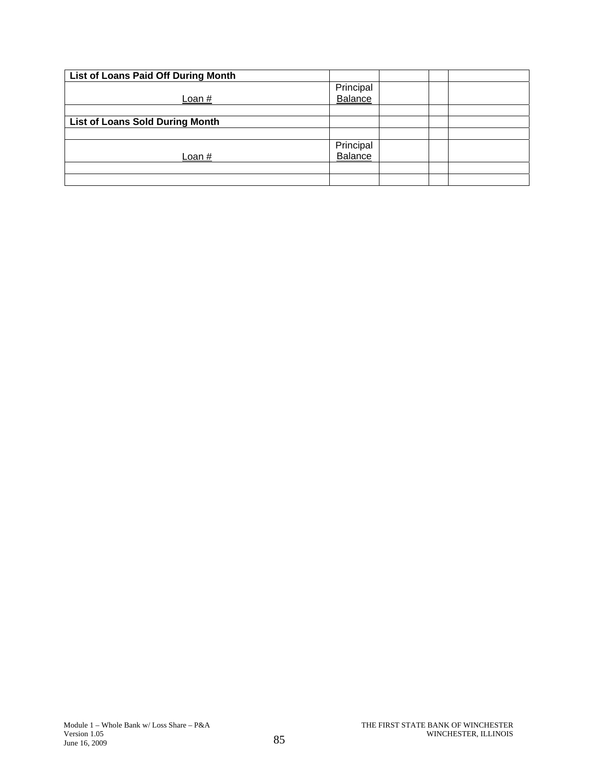| List of Loans Paid Off During Month    |                      |  |  |
|----------------------------------------|----------------------|--|--|
|                                        | Principal            |  |  |
| <u>Loan #</u>                          | Balance              |  |  |
|                                        |                      |  |  |
| <b>List of Loans Sold During Month</b> |                      |  |  |
|                                        |                      |  |  |
|                                        | Principal<br>Balance |  |  |
| Loan #                                 |                      |  |  |
|                                        |                      |  |  |
|                                        |                      |  |  |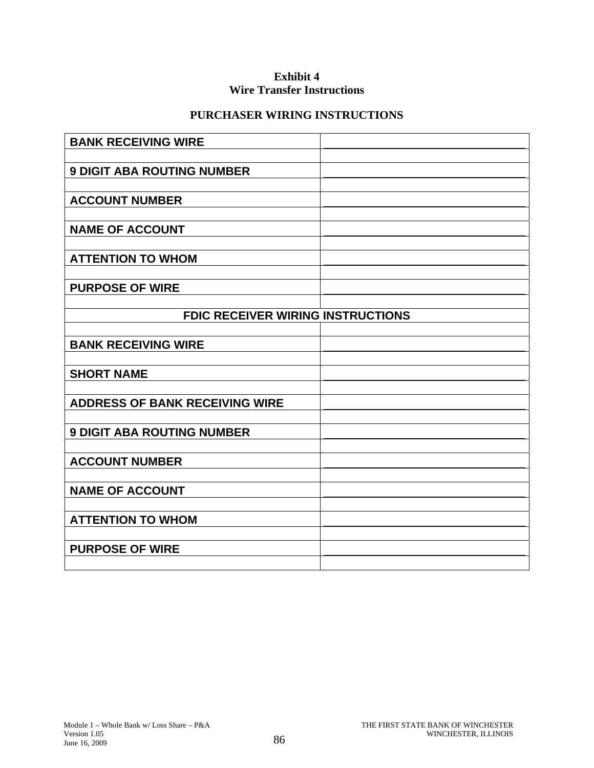## **Exhibit 4 Wire Transfer Instructions**

# **PURCHASER WIRING INSTRUCTIONS**

| <b>BANK RECEIVING WIRE</b>               |  |
|------------------------------------------|--|
|                                          |  |
| <b>9 DIGIT ABA ROUTING NUMBER</b>        |  |
|                                          |  |
| <b>ACCOUNT NUMBER</b>                    |  |
|                                          |  |
| <b>NAME OF ACCOUNT</b>                   |  |
|                                          |  |
| <b>ATTENTION TO WHOM</b>                 |  |
| <b>PURPOSE OF WIRE</b>                   |  |
|                                          |  |
| <b>FDIC RECEIVER WIRING INSTRUCTIONS</b> |  |
|                                          |  |
| <b>BANK RECEIVING WIRE</b>               |  |
|                                          |  |
| <b>SHORT NAME</b>                        |  |
|                                          |  |
| <b>ADDRESS OF BANK RECEIVING WIRE</b>    |  |
|                                          |  |
| <b>9 DIGIT ABA ROUTING NUMBER</b>        |  |
|                                          |  |
| <b>ACCOUNT NUMBER</b>                    |  |
|                                          |  |
| <b>NAME OF ACCOUNT</b>                   |  |
|                                          |  |
| <b>ATTENTION TO WHOM</b>                 |  |
| <b>PURPOSE OF WIRE</b>                   |  |
|                                          |  |
|                                          |  |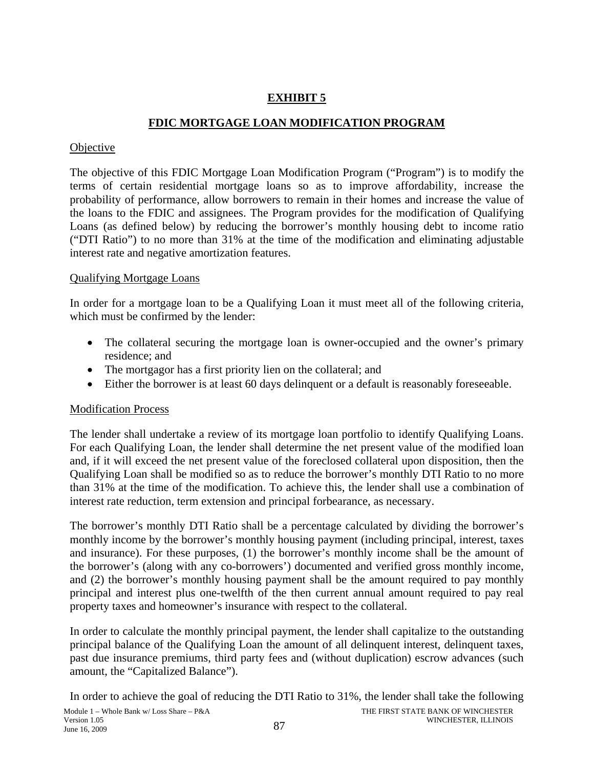# **EXHIBIT 5**

# **FDIC MORTGAGE LOAN MODIFICATION PROGRAM**

## **Objective**

The objective of this FDIC Mortgage Loan Modification Program ("Program") is to modify the terms of certain residential mortgage loans so as to improve affordability, increase the probability of performance, allow borrowers to remain in their homes and increase the value of the loans to the FDIC and assignees. The Program provides for the modification of Qualifying Loans (as defined below) by reducing the borrower's monthly housing debt to income ratio ("DTI Ratio") to no more than 31% at the time of the modification and eliminating adjustable interest rate and negative amortization features.

## Qualifying Mortgage Loans

In order for a mortgage loan to be a Qualifying Loan it must meet all of the following criteria, which must be confirmed by the lender:

- The collateral securing the mortgage loan is owner-occupied and the owner's primary residence; and
- The mortgagor has a first priority lien on the collateral; and
- Either the borrower is at least 60 days delinquent or a default is reasonably foreseeable.

### Modification Process

The lender shall undertake a review of its mortgage loan portfolio to identify Qualifying Loans. For each Qualifying Loan, the lender shall determine the net present value of the modified loan and, if it will exceed the net present value of the foreclosed collateral upon disposition, then the Qualifying Loan shall be modified so as to reduce the borrower's monthly DTI Ratio to no more than 31% at the time of the modification. To achieve this, the lender shall use a combination of interest rate reduction, term extension and principal forbearance, as necessary.

The borrower's monthly DTI Ratio shall be a percentage calculated by dividing the borrower's monthly income by the borrower's monthly housing payment (including principal, interest, taxes and insurance). For these purposes, (1) the borrower's monthly income shall be the amount of the borrower's (along with any co-borrowers') documented and verified gross monthly income, and (2) the borrower's monthly housing payment shall be the amount required to pay monthly principal and interest plus one-twelfth of the then current annual amount required to pay real property taxes and homeowner's insurance with respect to the collateral.

In order to calculate the monthly principal payment, the lender shall capitalize to the outstanding principal balance of the Qualifying Loan the amount of all delinquent interest, delinquent taxes, past due insurance premiums, third party fees and (without duplication) escrow advances (such amount, the "Capitalized Balance").

version 1.05<br>June 16, 2009 87 Module 1 – Whole Bank w/ Loss Share – P&A THE FIRST STATE BANK OF WINCHESTER<br>Version 1.05 WINCHESTER, ILLINOIS **87** WINCHESTER, ILLINOIS In order to achieve the goal of reducing the DTI Ratio to 31%, the lender shall take the following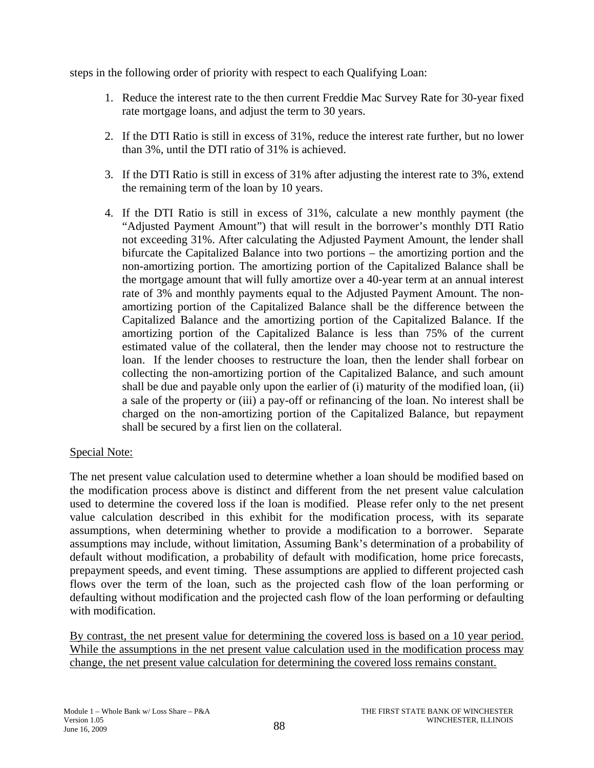steps in the following order of priority with respect to each Qualifying Loan:

- 1. Reduce the interest rate to the then current Freddie Mac Survey Rate for 30-year fixed rate mortgage loans, and adjust the term to 30 years.
- 2. If the DTI Ratio is still in excess of 31%, reduce the interest rate further, but no lower than 3%, until the DTI ratio of 31% is achieved.
- 3. If the DTI Ratio is still in excess of 31% after adjusting the interest rate to 3%, extend the remaining term of the loan by 10 years.
- 4. If the DTI Ratio is still in excess of 31%, calculate a new monthly payment (the "Adjusted Payment Amount") that will result in the borrower's monthly DTI Ratio not exceeding 31%. After calculating the Adjusted Payment Amount, the lender shall bifurcate the Capitalized Balance into two portions – the amortizing portion and the non-amortizing portion. The amortizing portion of the Capitalized Balance shall be the mortgage amount that will fully amortize over a 40-year term at an annual interest rate of 3% and monthly payments equal to the Adjusted Payment Amount. The nonamortizing portion of the Capitalized Balance shall be the difference between the Capitalized Balance and the amortizing portion of the Capitalized Balance. If the amortizing portion of the Capitalized Balance is less than 75% of the current estimated value of the collateral, then the lender may choose not to restructure the loan. If the lender chooses to restructure the loan, then the lender shall forbear on collecting the non-amortizing portion of the Capitalized Balance, and such amount shall be due and payable only upon the earlier of (i) maturity of the modified loan, (ii) a sale of the property or (iii) a pay-off or refinancing of the loan. No interest shall be charged on the non-amortizing portion of the Capitalized Balance, but repayment shall be secured by a first lien on the collateral.

# Special Note:

The net present value calculation used to determine whether a loan should be modified based on the modification process above is distinct and different from the net present value calculation used to determine the covered loss if the loan is modified. Please refer only to the net present value calculation described in this exhibit for the modification process, with its separate assumptions, when determining whether to provide a modification to a borrower. Separate assumptions may include, without limitation, Assuming Bank's determination of a probability of default without modification, a probability of default with modification, home price forecasts, prepayment speeds, and event timing. These assumptions are applied to different projected cash flows over the term of the loan, such as the projected cash flow of the loan performing or defaulting without modification and the projected cash flow of the loan performing or defaulting with modification.

By contrast, the net present value for determining the covered loss is based on a 10 year period. While the assumptions in the net present value calculation used in the modification process may change, the net present value calculation for determining the covered loss remains constant.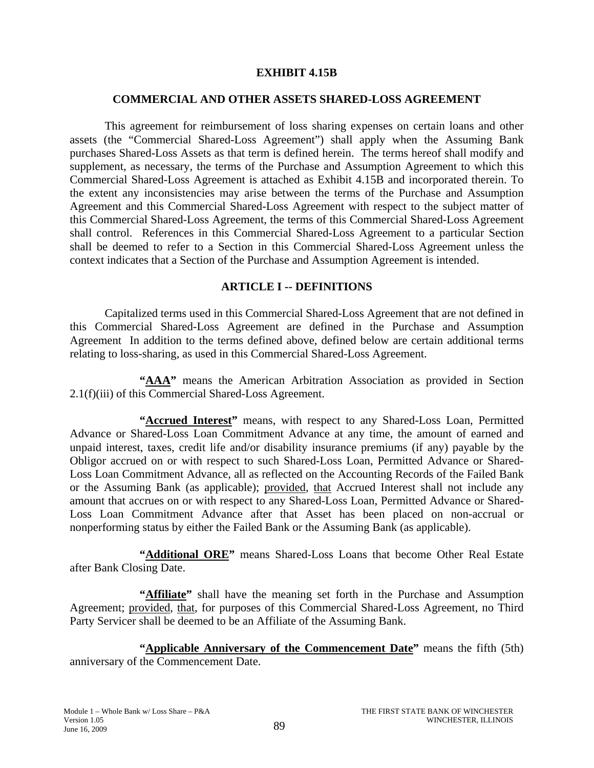#### **EXHIBIT 4.15B**

#### **COMMERCIAL AND OTHER ASSETS SHARED-LOSS AGREEMENT**

This agreement for reimbursement of loss sharing expenses on certain loans and other assets (the "Commercial Shared-Loss Agreement") shall apply when the Assuming Bank purchases Shared-Loss Assets as that term is defined herein. The terms hereof shall modify and supplement, as necessary, the terms of the Purchase and Assumption Agreement to which this Commercial Shared-Loss Agreement is attached as Exhibit 4.15B and incorporated therein. To the extent any inconsistencies may arise between the terms of the Purchase and Assumption Agreement and this Commercial Shared-Loss Agreement with respect to the subject matter of this Commercial Shared-Loss Agreement, the terms of this Commercial Shared-Loss Agreement shall control. References in this Commercial Shared-Loss Agreement to a particular Section shall be deemed to refer to a Section in this Commercial Shared-Loss Agreement unless the context indicates that a Section of the Purchase and Assumption Agreement is intended.

### **ARTICLE I -- DEFINITIONS**

Capitalized terms used in this Commercial Shared-Loss Agreement that are not defined in this Commercial Shared-Loss Agreement are defined in the Purchase and Assumption Agreement In addition to the terms defined above, defined below are certain additional terms relating to loss-sharing, as used in this Commercial Shared-Loss Agreement.

**"AAA"** means the American Arbitration Association as provided in Section 2.1(f)(iii) of this Commercial Shared-Loss Agreement.

**"Accrued Interest"** means, with respect to any Shared-Loss Loan, Permitted Advance or Shared-Loss Loan Commitment Advance at any time, the amount of earned and unpaid interest, taxes, credit life and/or disability insurance premiums (if any) payable by the Obligor accrued on or with respect to such Shared-Loss Loan, Permitted Advance or Shared-Loss Loan Commitment Advance, all as reflected on the Accounting Records of the Failed Bank or the Assuming Bank (as applicable); provided, that Accrued Interest shall not include any amount that accrues on or with respect to any Shared-Loss Loan, Permitted Advance or Shared-Loss Loan Commitment Advance after that Asset has been placed on non-accrual or nonperforming status by either the Failed Bank or the Assuming Bank (as applicable).

**"Additional ORE"** means Shared-Loss Loans that become Other Real Estate after Bank Closing Date.

**"Affiliate"** shall have the meaning set forth in the Purchase and Assumption Agreement; provided, that, for purposes of this Commercial Shared-Loss Agreement, no Third Party Servicer shall be deemed to be an Affiliate of the Assuming Bank.

**"Applicable Anniversary of the Commencement Date"** means the fifth (5th) anniversary of the Commencement Date.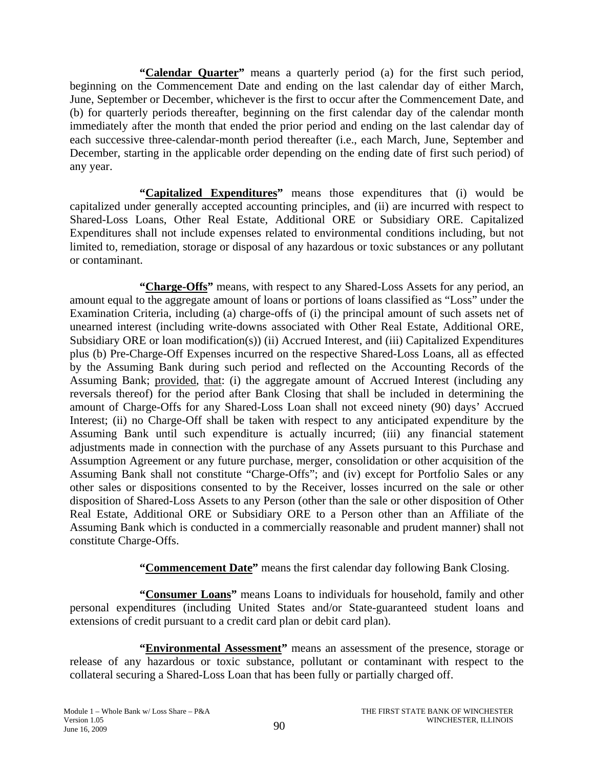**"Calendar Quarter"** means a quarterly period (a) for the first such period, beginning on the Commencement Date and ending on the last calendar day of either March, June, September or December, whichever is the first to occur after the Commencement Date, and (b) for quarterly periods thereafter, beginning on the first calendar day of the calendar month immediately after the month that ended the prior period and ending on the last calendar day of each successive three-calendar-month period thereafter (i.e., each March, June, September and December, starting in the applicable order depending on the ending date of first such period) of any year.

**"Capitalized Expenditures"** means those expenditures that (i) would be capitalized under generally accepted accounting principles, and (ii) are incurred with respect to Shared-Loss Loans, Other Real Estate, Additional ORE or Subsidiary ORE. Capitalized Expenditures shall not include expenses related to environmental conditions including, but not limited to, remediation, storage or disposal of any hazardous or toxic substances or any pollutant or contaminant.

**"Charge-Offs"** means, with respect to any Shared-Loss Assets for any period, an amount equal to the aggregate amount of loans or portions of loans classified as "Loss" under the Examination Criteria, including (a) charge-offs of (i) the principal amount of such assets net of unearned interest (including write-downs associated with Other Real Estate, Additional ORE, Subsidiary ORE or loan modification(s)) (ii) Accrued Interest, and (iii) Capitalized Expenditures plus (b) Pre-Charge-Off Expenses incurred on the respective Shared-Loss Loans, all as effected by the Assuming Bank during such period and reflected on the Accounting Records of the Assuming Bank; provided, that: (i) the aggregate amount of Accrued Interest (including any reversals thereof) for the period after Bank Closing that shall be included in determining the amount of Charge-Offs for any Shared-Loss Loan shall not exceed ninety (90) days' Accrued Interest; (ii) no Charge-Off shall be taken with respect to any anticipated expenditure by the Assuming Bank until such expenditure is actually incurred; (iii) any financial statement adjustments made in connection with the purchase of any Assets pursuant to this Purchase and Assumption Agreement or any future purchase, merger, consolidation or other acquisition of the Assuming Bank shall not constitute "Charge-Offs"; and (iv) except for Portfolio Sales or any other sales or dispositions consented to by the Receiver, losses incurred on the sale or other disposition of Shared-Loss Assets to any Person (other than the sale or other disposition of Other Real Estate, Additional ORE or Subsidiary ORE to a Person other than an Affiliate of the Assuming Bank which is conducted in a commercially reasonable and prudent manner) shall not constitute Charge-Offs.

**"Commencement Date"** means the first calendar day following Bank Closing.

**"Consumer Loans"** means Loans to individuals for household, family and other personal expenditures (including United States and/or State-guaranteed student loans and extensions of credit pursuant to a credit card plan or debit card plan).

 **"Environmental Assessment"** means an assessment of the presence, storage or release of any hazardous or toxic substance, pollutant or contaminant with respect to the collateral securing a Shared-Loss Loan that has been fully or partially charged off.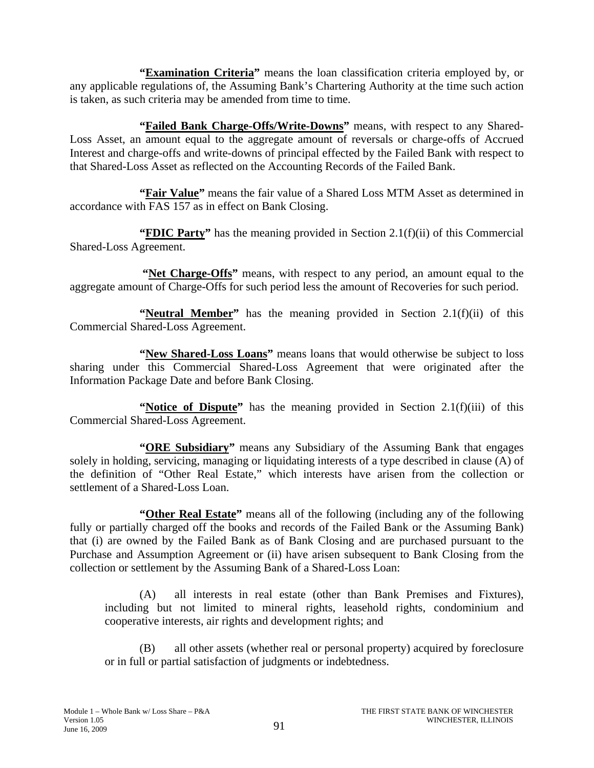**"Examination Criteria"** means the loan classification criteria employed by, or any applicable regulations of, the Assuming Bank's Chartering Authority at the time such action is taken, as such criteria may be amended from time to time.

**"Failed Bank Charge-Offs/Write-Downs"** means, with respect to any Shared-Loss Asset, an amount equal to the aggregate amount of reversals or charge-offs of Accrued Interest and charge-offs and write-downs of principal effected by the Failed Bank with respect to that Shared-Loss Asset as reflected on the Accounting Records of the Failed Bank.

**"Fair Value"** means the fair value of a Shared Loss MTM Asset as determined in accordance with FAS 157 as in effect on Bank Closing.

**"FDIC Party"** has the meaning provided in Section 2.1(f)(ii) of this Commercial Shared-Loss Agreement.

**"Net Charge-Offs"** means, with respect to any period, an amount equal to the aggregate amount of Charge-Offs for such period less the amount of Recoveries for such period.

**"Neutral Member"** has the meaning provided in Section 2.1(f)(ii) of this Commercial Shared-Loss Agreement.

"New Shared-Loss Loans" means loans that would otherwise be subject to loss sharing under this Commercial Shared-Loss Agreement that were originated after the Information Package Date and before Bank Closing.

**"Notice of Dispute"** has the meaning provided in Section 2.1(f)(iii) of this Commercial Shared-Loss Agreement.

**"ORE Subsidiary"** means any Subsidiary of the Assuming Bank that engages solely in holding, servicing, managing or liquidating interests of a type described in clause (A) of the definition of "Other Real Estate," which interests have arisen from the collection or settlement of a Shared-Loss Loan.

**"Other Real Estate"** means all of the following (including any of the following fully or partially charged off the books and records of the Failed Bank or the Assuming Bank) that (i) are owned by the Failed Bank as of Bank Closing and are purchased pursuant to the Purchase and Assumption Agreement or (ii) have arisen subsequent to Bank Closing from the collection or settlement by the Assuming Bank of a Shared-Loss Loan:

(A) all interests in real estate (other than Bank Premises and Fixtures), including but not limited to mineral rights, leasehold rights, condominium and cooperative interests, air rights and development rights; and

(B) all other assets (whether real or personal property) acquired by foreclosure or in full or partial satisfaction of judgments or indebtedness.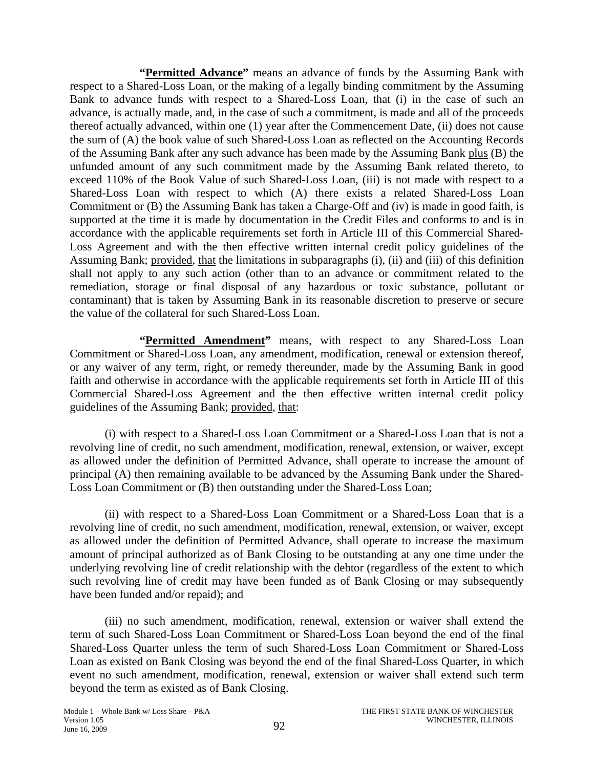**"Permitted Advance"** means an advance of funds by the Assuming Bank with respect to a Shared-Loss Loan, or the making of a legally binding commitment by the Assuming Bank to advance funds with respect to a Shared-Loss Loan, that (i) in the case of such an advance, is actually made, and, in the case of such a commitment, is made and all of the proceeds thereof actually advanced, within one (1) year after the Commencement Date, (ii) does not cause the sum of (A) the book value of such Shared-Loss Loan as reflected on the Accounting Records of the Assuming Bank after any such advance has been made by the Assuming Bank plus (B) the unfunded amount of any such commitment made by the Assuming Bank related thereto, to exceed 110% of the Book Value of such Shared-Loss Loan, (iii) is not made with respect to a Shared-Loss Loan with respect to which (A) there exists a related Shared-Loss Loan Commitment or (B) the Assuming Bank has taken a Charge-Off and (iv) is made in good faith, is supported at the time it is made by documentation in the Credit Files and conforms to and is in accordance with the applicable requirements set forth in Article III of this Commercial Shared-Loss Agreement and with the then effective written internal credit policy guidelines of the Assuming Bank; provided, that the limitations in subparagraphs (i), (ii) and (iii) of this definition shall not apply to any such action (other than to an advance or commitment related to the remediation, storage or final disposal of any hazardous or toxic substance, pollutant or contaminant) that is taken by Assuming Bank in its reasonable discretion to preserve or secure the value of the collateral for such Shared-Loss Loan.

**"Permitted Amendment"** means, with respect to any Shared-Loss Loan Commitment or Shared-Loss Loan, any amendment, modification, renewal or extension thereof, or any waiver of any term, right, or remedy thereunder, made by the Assuming Bank in good faith and otherwise in accordance with the applicable requirements set forth in Article III of this Commercial Shared-Loss Agreement and the then effective written internal credit policy guidelines of the Assuming Bank; provided, that:

(i) with respect to a Shared-Loss Loan Commitment or a Shared-Loss Loan that is not a revolving line of credit, no such amendment, modification, renewal, extension, or waiver, except as allowed under the definition of Permitted Advance, shall operate to increase the amount of principal (A) then remaining available to be advanced by the Assuming Bank under the Shared-Loss Loan Commitment or (B) then outstanding under the Shared-Loss Loan;

(ii) with respect to a Shared-Loss Loan Commitment or a Shared-Loss Loan that is a revolving line of credit, no such amendment, modification, renewal, extension, or waiver, except as allowed under the definition of Permitted Advance, shall operate to increase the maximum amount of principal authorized as of Bank Closing to be outstanding at any one time under the underlying revolving line of credit relationship with the debtor (regardless of the extent to which such revolving line of credit may have been funded as of Bank Closing or may subsequently have been funded and/or repaid); and

(iii) no such amendment, modification, renewal, extension or waiver shall extend the term of such Shared-Loss Loan Commitment or Shared-Loss Loan beyond the end of the final Shared-Loss Quarter unless the term of such Shared-Loss Loan Commitment or Shared-Loss Loan as existed on Bank Closing was beyond the end of the final Shared-Loss Quarter, in which event no such amendment, modification, renewal, extension or waiver shall extend such term beyond the term as existed as of Bank Closing.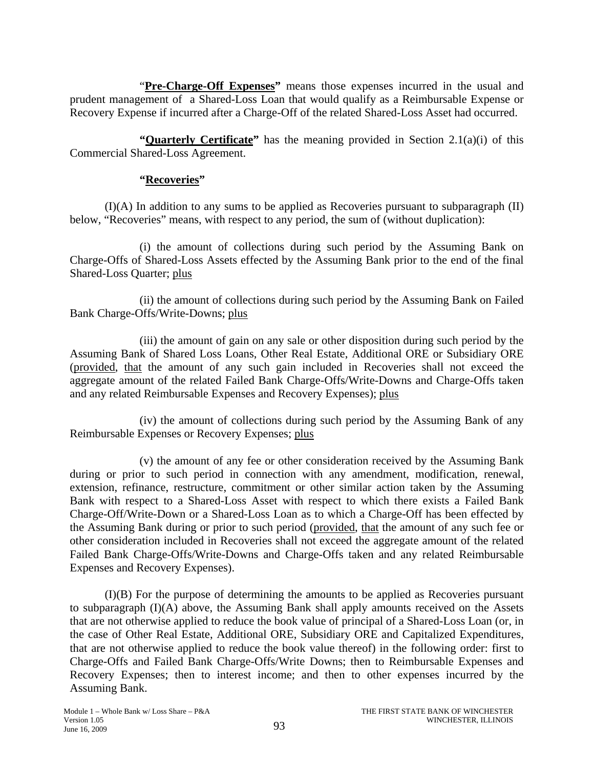"**Pre-Charge-Off Expenses**" means those expenses incurred in the usual and prudent management of a Shared-Loss Loan that would qualify as a Reimbursable Expense or Recovery Expense if incurred after a Charge-Off of the related Shared-Loss Asset had occurred.

**"Quarterly Certificate"** has the meaning provided in Section 2.1(a)(i) of this Commercial Shared-Loss Agreement.

## **"Recoveries"**

 (I)(A) In addition to any sums to be applied as Recoveries pursuant to subparagraph (II) below, "Recoveries" means, with respect to any period, the sum of (without duplication):

(i) the amount of collections during such period by the Assuming Bank on Charge-Offs of Shared-Loss Assets effected by the Assuming Bank prior to the end of the final Shared-Loss Quarter; plus

(ii) the amount of collections during such period by the Assuming Bank on Failed Bank Charge-Offs/Write-Downs; plus

(iii) the amount of gain on any sale or other disposition during such period by the Assuming Bank of Shared Loss Loans, Other Real Estate, Additional ORE or Subsidiary ORE (provided, that the amount of any such gain included in Recoveries shall not exceed the aggregate amount of the related Failed Bank Charge-Offs/Write-Downs and Charge-Offs taken and any related Reimbursable Expenses and Recovery Expenses); plus

(iv) the amount of collections during such period by the Assuming Bank of any Reimbursable Expenses or Recovery Expenses; plus

(v) the amount of any fee or other consideration received by the Assuming Bank during or prior to such period in connection with any amendment, modification, renewal, extension, refinance, restructure, commitment or other similar action taken by the Assuming Bank with respect to a Shared-Loss Asset with respect to which there exists a Failed Bank Charge-Off/Write-Down or a Shared-Loss Loan as to which a Charge-Off has been effected by the Assuming Bank during or prior to such period (provided, that the amount of any such fee or other consideration included in Recoveries shall not exceed the aggregate amount of the related Failed Bank Charge-Offs/Write-Downs and Charge-Offs taken and any related Reimbursable Expenses and Recovery Expenses).

(I)(B) For the purpose of determining the amounts to be applied as Recoveries pursuant to subparagraph (I)(A) above, the Assuming Bank shall apply amounts received on the Assets that are not otherwise applied to reduce the book value of principal of a Shared-Loss Loan (or, in the case of Other Real Estate, Additional ORE, Subsidiary ORE and Capitalized Expenditures, that are not otherwise applied to reduce the book value thereof) in the following order: first to Charge-Offs and Failed Bank Charge-Offs/Write Downs; then to Reimbursable Expenses and Recovery Expenses; then to interest income; and then to other expenses incurred by the Assuming Bank.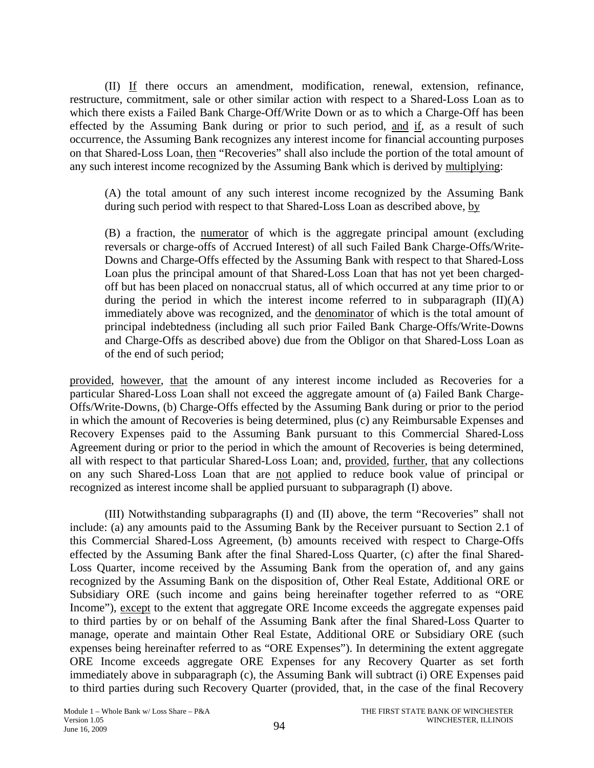(II) If there occurs an amendment, modification, renewal, extension, refinance, restructure, commitment, sale or other similar action with respect to a Shared-Loss Loan as to which there exists a Failed Bank Charge-Off/Write Down or as to which a Charge-Off has been effected by the Assuming Bank during or prior to such period, and if, as a result of such occurrence, the Assuming Bank recognizes any interest income for financial accounting purposes on that Shared-Loss Loan, then "Recoveries" shall also include the portion of the total amount of any such interest income recognized by the Assuming Bank which is derived by multiplying:

(A) the total amount of any such interest income recognized by the Assuming Bank during such period with respect to that Shared-Loss Loan as described above, by

(B) a fraction, the numerator of which is the aggregate principal amount (excluding reversals or charge-offs of Accrued Interest) of all such Failed Bank Charge-Offs/Write-Downs and Charge-Offs effected by the Assuming Bank with respect to that Shared-Loss Loan plus the principal amount of that Shared-Loss Loan that has not yet been chargedoff but has been placed on nonaccrual status, all of which occurred at any time prior to or during the period in which the interest income referred to in subparagraph (II)(A) immediately above was recognized, and the denominator of which is the total amount of principal indebtedness (including all such prior Failed Bank Charge-Offs/Write-Downs and Charge-Offs as described above) due from the Obligor on that Shared-Loss Loan as of the end of such period;

provided, however, that the amount of any interest income included as Recoveries for a particular Shared-Loss Loan shall not exceed the aggregate amount of (a) Failed Bank Charge-Offs/Write-Downs, (b) Charge-Offs effected by the Assuming Bank during or prior to the period in which the amount of Recoveries is being determined, plus (c) any Reimbursable Expenses and Recovery Expenses paid to the Assuming Bank pursuant to this Commercial Shared-Loss Agreement during or prior to the period in which the amount of Recoveries is being determined, all with respect to that particular Shared-Loss Loan; and, provided, further, that any collections on any such Shared-Loss Loan that are not applied to reduce book value of principal or recognized as interest income shall be applied pursuant to subparagraph (I) above.

(III) Notwithstanding subparagraphs (I) and (II) above, the term "Recoveries" shall not include: (a) any amounts paid to the Assuming Bank by the Receiver pursuant to Section 2.1 of this Commercial Shared-Loss Agreement, (b) amounts received with respect to Charge-Offs effected by the Assuming Bank after the final Shared-Loss Quarter, (c) after the final Shared-Loss Quarter, income received by the Assuming Bank from the operation of, and any gains recognized by the Assuming Bank on the disposition of, Other Real Estate, Additional ORE or Subsidiary ORE (such income and gains being hereinafter together referred to as "ORE Income"), except to the extent that aggregate ORE Income exceeds the aggregate expenses paid to third parties by or on behalf of the Assuming Bank after the final Shared-Loss Quarter to manage, operate and maintain Other Real Estate, Additional ORE or Subsidiary ORE (such expenses being hereinafter referred to as "ORE Expenses"). In determining the extent aggregate ORE Income exceeds aggregate ORE Expenses for any Recovery Quarter as set forth immediately above in subparagraph (c), the Assuming Bank will subtract (i) ORE Expenses paid to third parties during such Recovery Quarter (provided, that, in the case of the final Recovery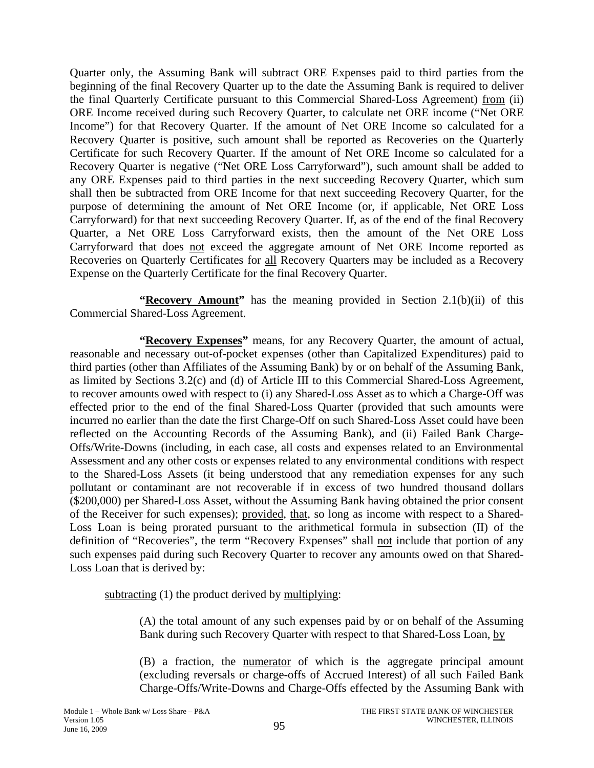Quarter only, the Assuming Bank will subtract ORE Expenses paid to third parties from the beginning of the final Recovery Quarter up to the date the Assuming Bank is required to deliver the final Quarterly Certificate pursuant to this Commercial Shared-Loss Agreement) from (ii) ORE Income received during such Recovery Quarter, to calculate net ORE income ("Net ORE Income") for that Recovery Quarter. If the amount of Net ORE Income so calculated for a Recovery Quarter is positive, such amount shall be reported as Recoveries on the Quarterly Certificate for such Recovery Quarter. If the amount of Net ORE Income so calculated for a Recovery Quarter is negative ("Net ORE Loss Carryforward"), such amount shall be added to any ORE Expenses paid to third parties in the next succeeding Recovery Quarter, which sum shall then be subtracted from ORE Income for that next succeeding Recovery Quarter, for the purpose of determining the amount of Net ORE Income (or, if applicable, Net ORE Loss Carryforward) for that next succeeding Recovery Quarter. If, as of the end of the final Recovery Quarter, a Net ORE Loss Carryforward exists, then the amount of the Net ORE Loss Carryforward that does not exceed the aggregate amount of Net ORE Income reported as Recoveries on Quarterly Certificates for all Recovery Quarters may be included as a Recovery Expense on the Quarterly Certificate for the final Recovery Quarter.

**"Recovery Amount"** has the meaning provided in Section 2.1(b)(ii) of this Commercial Shared-Loss Agreement.

**"Recovery Expenses"** means, for any Recovery Quarter, the amount of actual, reasonable and necessary out-of-pocket expenses (other than Capitalized Expenditures) paid to third parties (other than Affiliates of the Assuming Bank) by or on behalf of the Assuming Bank, as limited by Sections 3.2(c) and (d) of Article III to this Commercial Shared-Loss Agreement, to recover amounts owed with respect to (i) any Shared-Loss Asset as to which a Charge-Off was effected prior to the end of the final Shared-Loss Quarter (provided that such amounts were incurred no earlier than the date the first Charge-Off on such Shared-Loss Asset could have been reflected on the Accounting Records of the Assuming Bank), and (ii) Failed Bank Charge-Offs/Write-Downs (including, in each case, all costs and expenses related to an Environmental Assessment and any other costs or expenses related to any environmental conditions with respect to the Shared-Loss Assets (it being understood that any remediation expenses for any such pollutant or contaminant are not recoverable if in excess of two hundred thousand dollars (\$200,000) per Shared-Loss Asset, without the Assuming Bank having obtained the prior consent of the Receiver for such expenses); provided, that, so long as income with respect to a Shared-Loss Loan is being prorated pursuant to the arithmetical formula in subsection (II) of the definition of "Recoveries", the term "Recovery Expenses" shall not include that portion of any such expenses paid during such Recovery Quarter to recover any amounts owed on that Shared-Loss Loan that is derived by:

subtracting (1) the product derived by multiplying:

(A) the total amount of any such expenses paid by or on behalf of the Assuming Bank during such Recovery Quarter with respect to that Shared-Loss Loan, by

(B) a fraction, the numerator of which is the aggregate principal amount (excluding reversals or charge-offs of Accrued Interest) of all such Failed Bank Charge-Offs/Write-Downs and Charge-Offs effected by the Assuming Bank with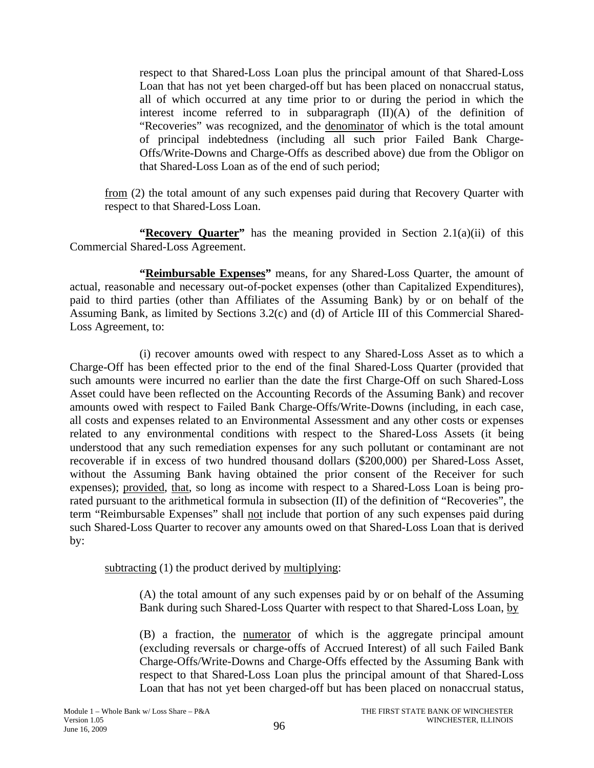respect to that Shared-Loss Loan plus the principal amount of that Shared-Loss Loan that has not yet been charged-off but has been placed on nonaccrual status, all of which occurred at any time prior to or during the period in which the interest income referred to in subparagraph (II)(A) of the definition of "Recoveries" was recognized, and the denominator of which is the total amount of principal indebtedness (including all such prior Failed Bank Charge-Offs/Write-Downs and Charge-Offs as described above) due from the Obligor on that Shared-Loss Loan as of the end of such period;

from (2) the total amount of any such expenses paid during that Recovery Quarter with respect to that Shared-Loss Loan.

**"Recovery Quarter"** has the meaning provided in Section 2.1(a)(ii) of this Commercial Shared-Loss Agreement.

**"Reimbursable Expenses"** means, for any Shared-Loss Quarter, the amount of actual, reasonable and necessary out-of-pocket expenses (other than Capitalized Expenditures), paid to third parties (other than Affiliates of the Assuming Bank) by or on behalf of the Assuming Bank, as limited by Sections 3.2(c) and (d) of Article III of this Commercial Shared-Loss Agreement, to:

(i) recover amounts owed with respect to any Shared-Loss Asset as to which a Charge-Off has been effected prior to the end of the final Shared-Loss Quarter (provided that such amounts were incurred no earlier than the date the first Charge-Off on such Shared-Loss Asset could have been reflected on the Accounting Records of the Assuming Bank) and recover amounts owed with respect to Failed Bank Charge-Offs/Write-Downs (including, in each case, all costs and expenses related to an Environmental Assessment and any other costs or expenses related to any environmental conditions with respect to the Shared-Loss Assets (it being understood that any such remediation expenses for any such pollutant or contaminant are not recoverable if in excess of two hundred thousand dollars (\$200,000) per Shared-Loss Asset, without the Assuming Bank having obtained the prior consent of the Receiver for such expenses); provided, that, so long as income with respect to a Shared-Loss Loan is being prorated pursuant to the arithmetical formula in subsection (II) of the definition of "Recoveries", the term "Reimbursable Expenses" shall not include that portion of any such expenses paid during such Shared-Loss Quarter to recover any amounts owed on that Shared-Loss Loan that is derived by:

subtracting (1) the product derived by multiplying:

(A) the total amount of any such expenses paid by or on behalf of the Assuming Bank during such Shared-Loss Quarter with respect to that Shared-Loss Loan, by

(B) a fraction, the numerator of which is the aggregate principal amount (excluding reversals or charge-offs of Accrued Interest) of all such Failed Bank Charge-Offs/Write-Downs and Charge-Offs effected by the Assuming Bank with respect to that Shared-Loss Loan plus the principal amount of that Shared-Loss Loan that has not yet been charged-off but has been placed on nonaccrual status,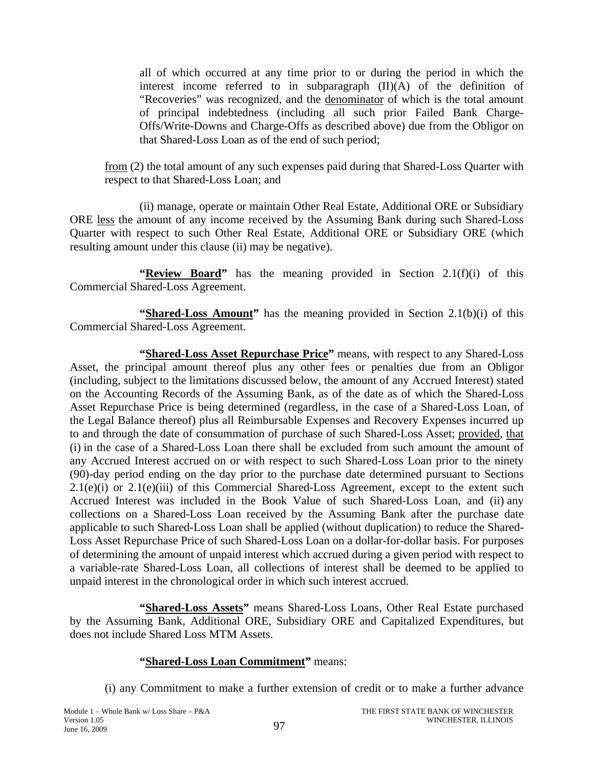all of which occurred at any time prior to or during the period in which the interest income referred to in subparagraph (II)(A) of the definition of "Recoveries" was recognized, and the denominator of which is the total amount of principal indebtedness (including all such prior Failed Bank Charge-Offs/Write-Downs and Charge-Offs as described above) due from the Obligor on that Shared-Loss Loan as of the end of such period;

from (2) the total amount of any such expenses paid during that Shared-Loss Quarter with respect to that Shared-Loss Loan; and

 (ii) manage, operate or maintain Other Real Estate, Additional ORE or Subsidiary ORE less the amount of any income received by the Assuming Bank during such Shared-Loss Quarter with respect to such Other Real Estate, Additional ORE or Subsidiary ORE (which resulting amount under this clause (ii) may be negative).

**"Review Board"** has the meaning provided in Section 2.1(f)(i) of this Commercial Shared-Loss Agreement.

**"Shared-Loss Amount"** has the meaning provided in Section 2.1(b)(i) of this Commercial Shared-Loss Agreement.

**"Shared-Loss Asset Repurchase Price"** means, with respect to any Shared-Loss Asset, the principal amount thereof plus any other fees or penalties due from an Obligor (including, subject to the limitations discussed below, the amount of any Accrued Interest) stated on the Accounting Records of the Assuming Bank, as of the date as of which the Shared-Loss Asset Repurchase Price is being determined (regardless, in the case of a Shared-Loss Loan, of the Legal Balance thereof) plus all Reimbursable Expenses and Recovery Expenses incurred up to and through the date of consummation of purchase of such Shared-Loss Asset; provided, that (i) in the case of a Shared-Loss Loan there shall be excluded from such amount the amount of any Accrued Interest accrued on or with respect to such Shared-Loss Loan prior to the ninety (90)-day period ending on the day prior to the purchase date determined pursuant to Sections  $2.1(e)(i)$  or  $2.1(e)(iii)$  of this Commercial Shared-Loss Agreement, except to the extent such Accrued Interest was included in the Book Value of such Shared-Loss Loan, and (ii) any collections on a Shared-Loss Loan received by the Assuming Bank after the purchase date applicable to such Shared-Loss Loan shall be applied (without duplication) to reduce the Shared-Loss Asset Repurchase Price of such Shared-Loss Loan on a dollar-for-dollar basis. For purposes of determining the amount of unpaid interest which accrued during a given period with respect to a variable-rate Shared-Loss Loan, all collections of interest shall be deemed to be applied to unpaid interest in the chronological order in which such interest accrued.

**"Shared-Loss Assets"** means Shared-Loss Loans, Other Real Estate purchased by the Assuming Bank, Additional ORE, Subsidiary ORE and Capitalized Expenditures, but does not include Shared Loss MTM Assets.

### **"Shared-Loss Loan Commitment"** means:

(i) any Commitment to make a further extension of credit or to make a further advance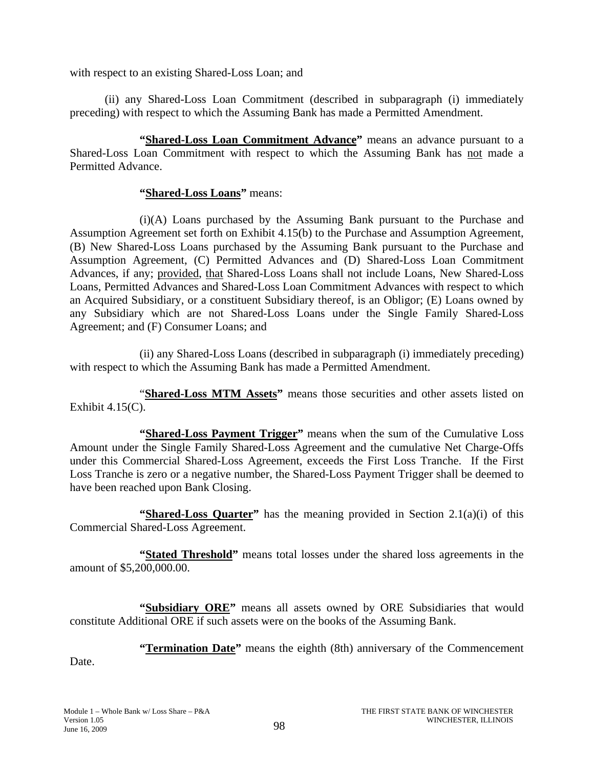with respect to an existing Shared-Loss Loan; and

(ii) any Shared-Loss Loan Commitment (described in subparagraph (i) immediately preceding) with respect to which the Assuming Bank has made a Permitted Amendment.

**"Shared-Loss Loan Commitment Advance"** means an advance pursuant to a Shared-Loss Loan Commitment with respect to which the Assuming Bank has not made a Permitted Advance.

### **"Shared-Loss Loans"** means:

 (i)(A) Loans purchased by the Assuming Bank pursuant to the Purchase and Assumption Agreement set forth on Exhibit 4.15(b) to the Purchase and Assumption Agreement, (B) New Shared-Loss Loans purchased by the Assuming Bank pursuant to the Purchase and Assumption Agreement, (C) Permitted Advances and (D) Shared-Loss Loan Commitment Advances, if any; provided, that Shared-Loss Loans shall not include Loans, New Shared-Loss Loans, Permitted Advances and Shared-Loss Loan Commitment Advances with respect to which an Acquired Subsidiary, or a constituent Subsidiary thereof, is an Obligor; (E) Loans owned by any Subsidiary which are not Shared-Loss Loans under the Single Family Shared-Loss Agreement; and (F) Consumer Loans; and

(ii) any Shared-Loss Loans (described in subparagraph (i) immediately preceding) with respect to which the Assuming Bank has made a Permitted Amendment.

"**Shared-Loss MTM Assets"** means those securities and other assets listed on Exhibit  $4.15(C)$ .

**"Shared-Loss Payment Trigger"** means when the sum of the Cumulative Loss Amount under the Single Family Shared-Loss Agreement and the cumulative Net Charge-Offs under this Commercial Shared-Loss Agreement, exceeds the First Loss Tranche. If the First Loss Tranche is zero or a negative number, the Shared-Loss Payment Trigger shall be deemed to have been reached upon Bank Closing.

**"Shared-Loss Quarter"** has the meaning provided in Section 2.1(a)(i) of this Commercial Shared-Loss Agreement.

 **"Stated Threshold"** means total losses under the shared loss agreements in the amount of \$5,200,000.00.

"Subsidiary ORE" means all assets owned by ORE Subsidiaries that would constitute Additional ORE if such assets were on the books of the Assuming Bank.

**"Termination Date"** means the eighth (8th) anniversary of the Commencement

Date.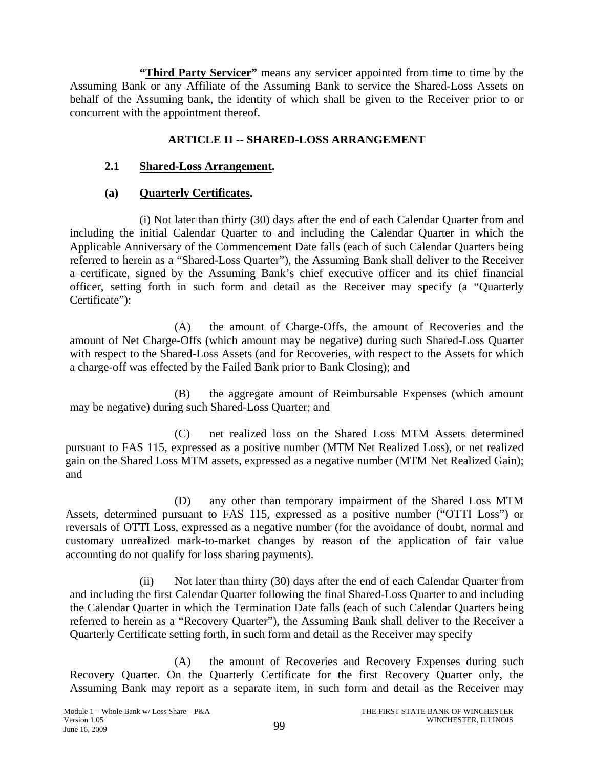**"Third Party Servicer"** means any servicer appointed from time to time by the Assuming Bank or any Affiliate of the Assuming Bank to service the Shared-Loss Assets on behalf of the Assuming bank, the identity of which shall be given to the Receiver prior to or concurrent with the appointment thereof.

## **ARTICLE II** -- **SHARED-LOSS ARRANGEMENT**

## **2.1 Shared-Loss Arrangement.**

### **(a) Quarterly Certificates.**

 (i) Not later than thirty (30) days after the end of each Calendar Quarter from and including the initial Calendar Quarter to and including the Calendar Quarter in which the Applicable Anniversary of the Commencement Date falls (each of such Calendar Quarters being referred to herein as a "Shared-Loss Quarter"), the Assuming Bank shall deliver to the Receiver a certificate, signed by the Assuming Bank's chief executive officer and its chief financial officer, setting forth in such form and detail as the Receiver may specify (a "Quarterly Certificate"):

 (A) the amount of Charge-Offs, the amount of Recoveries and the amount of Net Charge-Offs (which amount may be negative) during such Shared-Loss Quarter with respect to the Shared-Loss Assets (and for Recoveries, with respect to the Assets for which a charge-off was effected by the Failed Bank prior to Bank Closing); and

 (B) the aggregate amount of Reimbursable Expenses (which amount may be negative) during such Shared-Loss Quarter; and

(C) net realized loss on the Shared Loss MTM Assets determined pursuant to FAS 115, expressed as a positive number (MTM Net Realized Loss), or net realized gain on the Shared Loss MTM assets, expressed as a negative number (MTM Net Realized Gain); and

(D) any other than temporary impairment of the Shared Loss MTM Assets, determined pursuant to FAS 115, expressed as a positive number ("OTTI Loss") or reversals of OTTI Loss, expressed as a negative number (for the avoidance of doubt, normal and customary unrealized mark-to-market changes by reason of the application of fair value accounting do not qualify for loss sharing payments).

(ii) Not later than thirty (30) days after the end of each Calendar Quarter from and including the first Calendar Quarter following the final Shared-Loss Quarter to and including the Calendar Quarter in which the Termination Date falls (each of such Calendar Quarters being referred to herein as a "Recovery Quarter"), the Assuming Bank shall deliver to the Receiver a Quarterly Certificate setting forth, in such form and detail as the Receiver may specify

(A) the amount of Recoveries and Recovery Expenses during such Recovery Quarter. On the Quarterly Certificate for the first Recovery Quarter only, the Assuming Bank may report as a separate item, in such form and detail as the Receiver may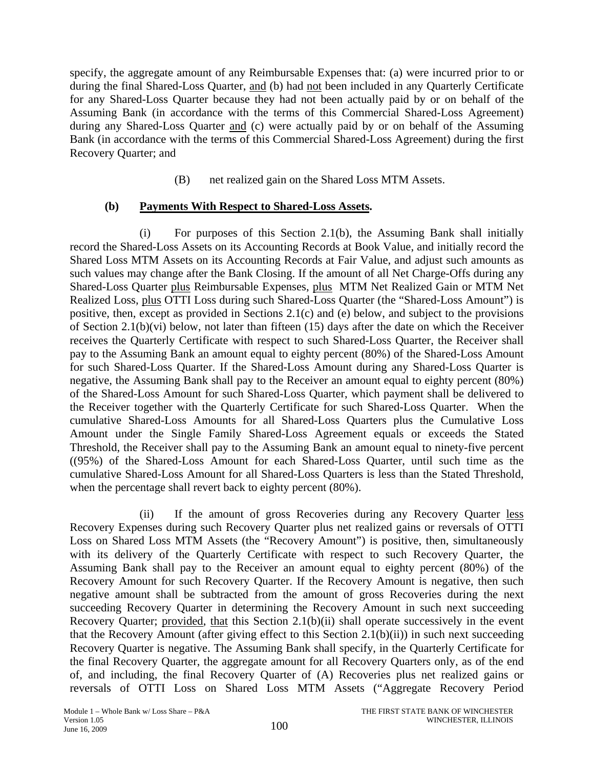specify, the aggregate amount of any Reimbursable Expenses that: (a) were incurred prior to or during the final Shared-Loss Quarter, and (b) had not been included in any Quarterly Certificate for any Shared-Loss Quarter because they had not been actually paid by or on behalf of the Assuming Bank (in accordance with the terms of this Commercial Shared-Loss Agreement) during any Shared-Loss Quarter and (c) were actually paid by or on behalf of the Assuming Bank (in accordance with the terms of this Commercial Shared-Loss Agreement) during the first Recovery Quarter; and

(B) net realized gain on the Shared Loss MTM Assets.

## **(b) Payments With Respect to Shared-Loss Assets.**

 (i) For purposes of this Section 2.1(b), the Assuming Bank shall initially record the Shared-Loss Assets on its Accounting Records at Book Value, and initially record the Shared Loss MTM Assets on its Accounting Records at Fair Value, and adjust such amounts as such values may change after the Bank Closing. If the amount of all Net Charge-Offs during any Shared-Loss Quarter plus Reimbursable Expenses, plus MTM Net Realized Gain or MTM Net Realized Loss, plus OTTI Loss during such Shared-Loss Quarter (the "Shared-Loss Amount") is positive, then, except as provided in Sections 2.1(c) and (e) below, and subject to the provisions of Section 2.1(b)(vi) below, not later than fifteen (15) days after the date on which the Receiver receives the Quarterly Certificate with respect to such Shared-Loss Quarter, the Receiver shall pay to the Assuming Bank an amount equal to eighty percent (80%) of the Shared-Loss Amount for such Shared-Loss Quarter. If the Shared-Loss Amount during any Shared-Loss Quarter is negative, the Assuming Bank shall pay to the Receiver an amount equal to eighty percent (80%) of the Shared-Loss Amount for such Shared-Loss Quarter, which payment shall be delivered to the Receiver together with the Quarterly Certificate for such Shared-Loss Quarter. When the cumulative Shared-Loss Amounts for all Shared-Loss Quarters plus the Cumulative Loss Amount under the Single Family Shared-Loss Agreement equals or exceeds the Stated Threshold, the Receiver shall pay to the Assuming Bank an amount equal to ninety-five percent ((95%) of the Shared-Loss Amount for each Shared-Loss Quarter, until such time as the cumulative Shared-Loss Amount for all Shared-Loss Quarters is less than the Stated Threshold, when the percentage shall revert back to eighty percent (80%).

(ii) If the amount of gross Recoveries during any Recovery Quarter less Recovery Expenses during such Recovery Quarter plus net realized gains or reversals of OTTI Loss on Shared Loss MTM Assets (the "Recovery Amount") is positive, then, simultaneously with its delivery of the Quarterly Certificate with respect to such Recovery Quarter, the Assuming Bank shall pay to the Receiver an amount equal to eighty percent (80%) of the Recovery Amount for such Recovery Quarter. If the Recovery Amount is negative, then such negative amount shall be subtracted from the amount of gross Recoveries during the next succeeding Recovery Quarter in determining the Recovery Amount in such next succeeding Recovery Quarter; provided, that this Section 2.1(b)(ii) shall operate successively in the event that the Recovery Amount (after giving effect to this Section 2.1(b)(ii)) in such next succeeding Recovery Quarter is negative. The Assuming Bank shall specify, in the Quarterly Certificate for the final Recovery Quarter, the aggregate amount for all Recovery Quarters only, as of the end of, and including, the final Recovery Quarter of (A) Recoveries plus net realized gains or reversals of OTTI Loss on Shared Loss MTM Assets ("Aggregate Recovery Period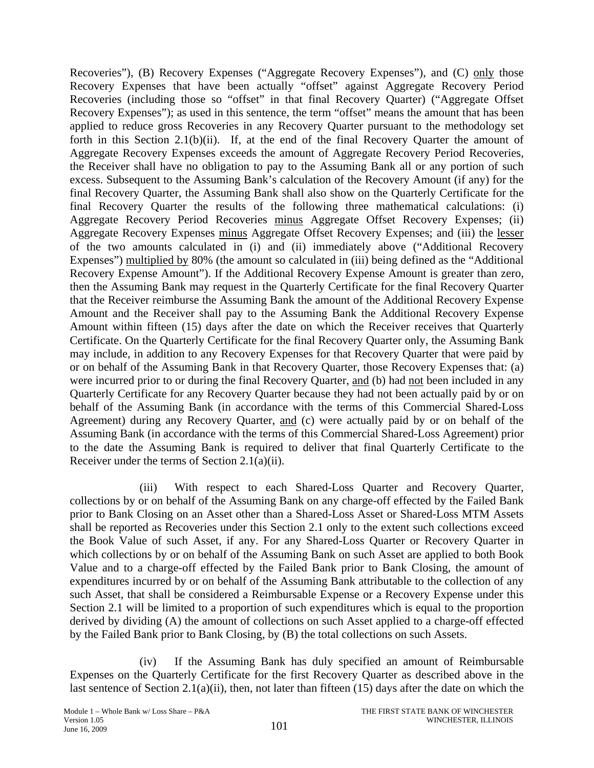Recoveries"), (B) Recovery Expenses ("Aggregate Recovery Expenses"), and (C) only those Recovery Expenses that have been actually "offset" against Aggregate Recovery Period Recoveries (including those so "offset" in that final Recovery Quarter) ("Aggregate Offset Recovery Expenses"); as used in this sentence, the term "offset" means the amount that has been applied to reduce gross Recoveries in any Recovery Quarter pursuant to the methodology set forth in this Section 2.1(b)(ii). If, at the end of the final Recovery Quarter the amount of Aggregate Recovery Expenses exceeds the amount of Aggregate Recovery Period Recoveries, the Receiver shall have no obligation to pay to the Assuming Bank all or any portion of such excess. Subsequent to the Assuming Bank's calculation of the Recovery Amount (if any) for the final Recovery Quarter, the Assuming Bank shall also show on the Quarterly Certificate for the final Recovery Quarter the results of the following three mathematical calculations: (i) Aggregate Recovery Period Recoveries minus Aggregate Offset Recovery Expenses; (ii) Aggregate Recovery Expenses minus Aggregate Offset Recovery Expenses; and (iii) the lesser of the two amounts calculated in (i) and (ii) immediately above ("Additional Recovery Expenses") multiplied by 80% (the amount so calculated in (iii) being defined as the "Additional Recovery Expense Amount"). If the Additional Recovery Expense Amount is greater than zero, then the Assuming Bank may request in the Quarterly Certificate for the final Recovery Quarter that the Receiver reimburse the Assuming Bank the amount of the Additional Recovery Expense Amount and the Receiver shall pay to the Assuming Bank the Additional Recovery Expense Amount within fifteen (15) days after the date on which the Receiver receives that Quarterly Certificate. On the Quarterly Certificate for the final Recovery Quarter only, the Assuming Bank may include, in addition to any Recovery Expenses for that Recovery Quarter that were paid by or on behalf of the Assuming Bank in that Recovery Quarter, those Recovery Expenses that: (a) were incurred prior to or during the final Recovery Quarter, and (b) had not been included in any Quarterly Certificate for any Recovery Quarter because they had not been actually paid by or on behalf of the Assuming Bank (in accordance with the terms of this Commercial Shared-Loss Agreement) during any Recovery Quarter, and (c) were actually paid by or on behalf of the Assuming Bank (in accordance with the terms of this Commercial Shared-Loss Agreement) prior to the date the Assuming Bank is required to deliver that final Quarterly Certificate to the Receiver under the terms of Section 2.1(a)(ii).

(iii) With respect to each Shared-Loss Quarter and Recovery Quarter, collections by or on behalf of the Assuming Bank on any charge-off effected by the Failed Bank prior to Bank Closing on an Asset other than a Shared-Loss Asset or Shared-Loss MTM Assets shall be reported as Recoveries under this Section 2.1 only to the extent such collections exceed the Book Value of such Asset, if any. For any Shared-Loss Quarter or Recovery Quarter in which collections by or on behalf of the Assuming Bank on such Asset are applied to both Book Value and to a charge-off effected by the Failed Bank prior to Bank Closing, the amount of expenditures incurred by or on behalf of the Assuming Bank attributable to the collection of any such Asset, that shall be considered a Reimbursable Expense or a Recovery Expense under this Section 2.1 will be limited to a proportion of such expenditures which is equal to the proportion derived by dividing (A) the amount of collections on such Asset applied to a charge-off effected by the Failed Bank prior to Bank Closing, by (B) the total collections on such Assets.

(iv) If the Assuming Bank has duly specified an amount of Reimbursable Expenses on the Quarterly Certificate for the first Recovery Quarter as described above in the last sentence of Section 2.1(a)(ii), then, not later than fifteen (15) days after the date on which the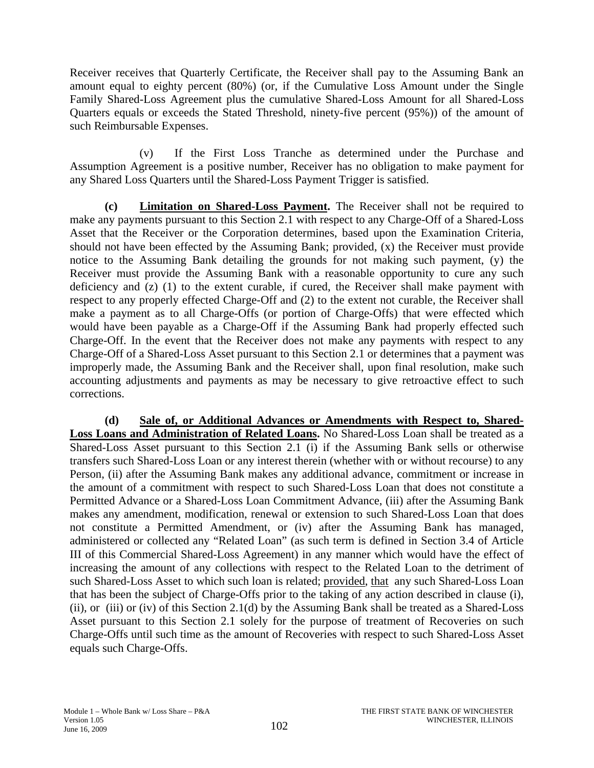Receiver receives that Quarterly Certificate, the Receiver shall pay to the Assuming Bank an amount equal to eighty percent (80%) (or, if the Cumulative Loss Amount under the Single Family Shared-Loss Agreement plus the cumulative Shared-Loss Amount for all Shared-Loss Quarters equals or exceeds the Stated Threshold, ninety-five percent (95%)) of the amount of such Reimbursable Expenses.

(v) If the First Loss Tranche as determined under the Purchase and Assumption Agreement is a positive number, Receiver has no obligation to make payment for any Shared Loss Quarters until the Shared-Loss Payment Trigger is satisfied.

 **(c) Limitation on Shared-Loss Payment.** The Receiver shall not be required to make any payments pursuant to this Section 2.1 with respect to any Charge-Off of a Shared-Loss Asset that the Receiver or the Corporation determines, based upon the Examination Criteria, should not have been effected by the Assuming Bank; provided, (x) the Receiver must provide notice to the Assuming Bank detailing the grounds for not making such payment, (y) the Receiver must provide the Assuming Bank with a reasonable opportunity to cure any such deficiency and (z) (1) to the extent curable, if cured, the Receiver shall make payment with respect to any properly effected Charge-Off and (2) to the extent not curable, the Receiver shall make a payment as to all Charge-Offs (or portion of Charge-Offs) that were effected which would have been payable as a Charge-Off if the Assuming Bank had properly effected such Charge-Off. In the event that the Receiver does not make any payments with respect to any Charge-Off of a Shared-Loss Asset pursuant to this Section 2.1 or determines that a payment was improperly made, the Assuming Bank and the Receiver shall, upon final resolution, make such accounting adjustments and payments as may be necessary to give retroactive effect to such corrections.

 **(d) Sale of, or Additional Advances or Amendments with Respect to, Shared-Loss Loans and Administration of Related Loans.** No Shared-Loss Loan shall be treated as a Shared-Loss Asset pursuant to this Section 2.1 (i) if the Assuming Bank sells or otherwise transfers such Shared-Loss Loan or any interest therein (whether with or without recourse) to any Person, (ii) after the Assuming Bank makes any additional advance, commitment or increase in the amount of a commitment with respect to such Shared-Loss Loan that does not constitute a Permitted Advance or a Shared-Loss Loan Commitment Advance, (iii) after the Assuming Bank makes any amendment, modification, renewal or extension to such Shared-Loss Loan that does not constitute a Permitted Amendment, or (iv) after the Assuming Bank has managed, administered or collected any "Related Loan" (as such term is defined in Section 3.4 of Article III of this Commercial Shared-Loss Agreement) in any manner which would have the effect of increasing the amount of any collections with respect to the Related Loan to the detriment of such Shared-Loss Asset to which such loan is related; provided, that any such Shared-Loss Loan that has been the subject of Charge-Offs prior to the taking of any action described in clause (i), (ii), or (iii) or (iv) of this Section 2.1(d) by the Assuming Bank shall be treated as a Shared-Loss Asset pursuant to this Section 2.1 solely for the purpose of treatment of Recoveries on such Charge-Offs until such time as the amount of Recoveries with respect to such Shared-Loss Asset equals such Charge-Offs.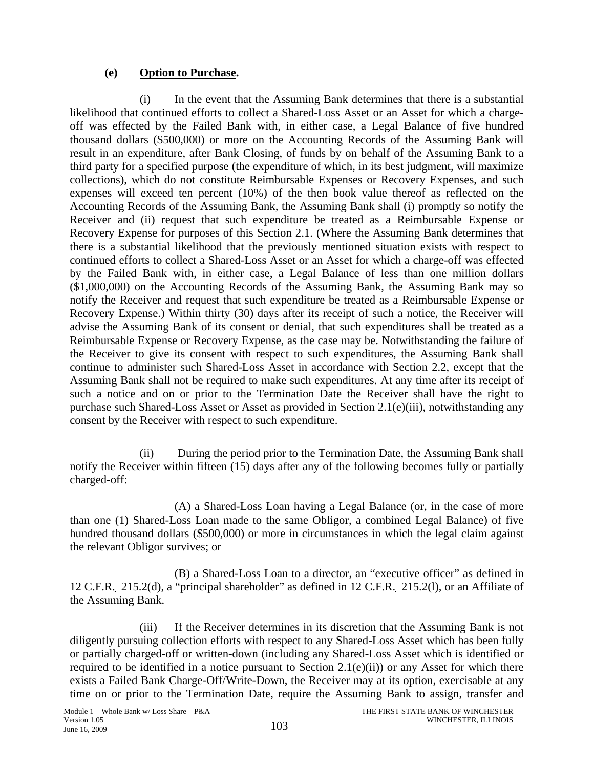### **(e) Option to Purchase.**

 (i) In the event that the Assuming Bank determines that there is a substantial likelihood that continued efforts to collect a Shared-Loss Asset or an Asset for which a chargeoff was effected by the Failed Bank with, in either case, a Legal Balance of five hundred thousand dollars (\$500,000) or more on the Accounting Records of the Assuming Bank will result in an expenditure, after Bank Closing, of funds by on behalf of the Assuming Bank to a third party for a specified purpose (the expenditure of which, in its best judgment, will maximize collections), which do not constitute Reimbursable Expenses or Recovery Expenses, and such expenses will exceed ten percent (10%) of the then book value thereof as reflected on the Accounting Records of the Assuming Bank, the Assuming Bank shall (i) promptly so notify the Receiver and (ii) request that such expenditure be treated as a Reimbursable Expense or Recovery Expense for purposes of this Section 2.1. (Where the Assuming Bank determines that there is a substantial likelihood that the previously mentioned situation exists with respect to continued efforts to collect a Shared-Loss Asset or an Asset for which a charge-off was effected by the Failed Bank with, in either case, a Legal Balance of less than one million dollars (\$1,000,000) on the Accounting Records of the Assuming Bank, the Assuming Bank may so notify the Receiver and request that such expenditure be treated as a Reimbursable Expense or Recovery Expense.) Within thirty (30) days after its receipt of such a notice, the Receiver will advise the Assuming Bank of its consent or denial, that such expenditures shall be treated as a Reimbursable Expense or Recovery Expense, as the case may be. Notwithstanding the failure of the Receiver to give its consent with respect to such expenditures, the Assuming Bank shall continue to administer such Shared-Loss Asset in accordance with Section 2.2, except that the Assuming Bank shall not be required to make such expenditures. At any time after its receipt of such a notice and on or prior to the Termination Date the Receiver shall have the right to purchase such Shared-Loss Asset or Asset as provided in Section 2.1(e)(iii), notwithstanding any consent by the Receiver with respect to such expenditure.

(ii) During the period prior to the Termination Date, the Assuming Bank shall notify the Receiver within fifteen (15) days after any of the following becomes fully or partially charged-off:

(A) a Shared-Loss Loan having a Legal Balance (or, in the case of more than one (1) Shared-Loss Loan made to the same Obligor, a combined Legal Balance) of five hundred thousand dollars (\$500,000) or more in circumstances in which the legal claim against the relevant Obligor survives; or

(B) a Shared-Loss Loan to a director, an "executive officer" as defined in 12 C.F.R. 215.2(d), a "principal shareholder" as defined in 12 C.F.R. 215.2(l), or an Affiliate of the Assuming Bank.

(iii) If the Receiver determines in its discretion that the Assuming Bank is not diligently pursuing collection efforts with respect to any Shared-Loss Asset which has been fully or partially charged-off or written-down (including any Shared-Loss Asset which is identified or required to be identified in a notice pursuant to Section  $2.1(e)(ii)$  or any Asset for which there exists a Failed Bank Charge-Off/Write-Down, the Receiver may at its option, exercisable at any time on or prior to the Termination Date, require the Assuming Bank to assign, transfer and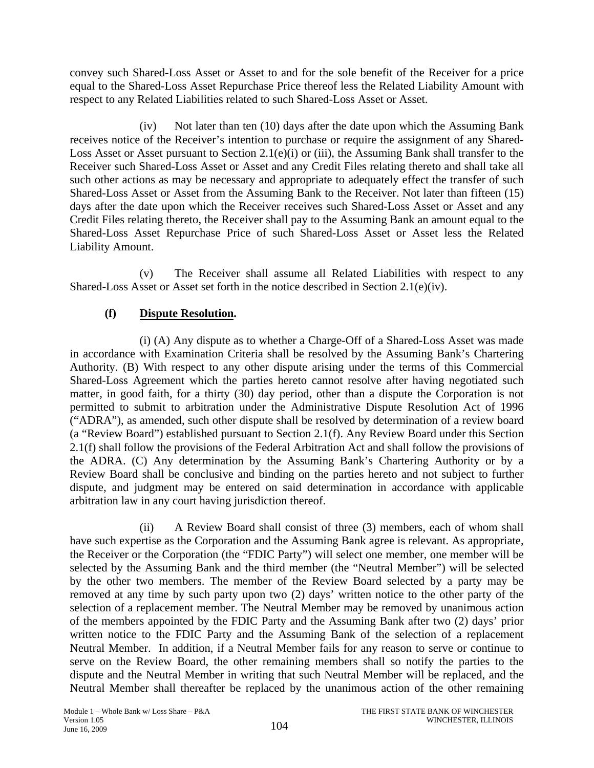convey such Shared-Loss Asset or Asset to and for the sole benefit of the Receiver for a price equal to the Shared-Loss Asset Repurchase Price thereof less the Related Liability Amount with respect to any Related Liabilities related to such Shared-Loss Asset or Asset.

(iv) Not later than ten (10) days after the date upon which the Assuming Bank receives notice of the Receiver's intention to purchase or require the assignment of any Shared-Loss Asset or Asset pursuant to Section 2.1(e)(i) or (iii), the Assuming Bank shall transfer to the Receiver such Shared-Loss Asset or Asset and any Credit Files relating thereto and shall take all such other actions as may be necessary and appropriate to adequately effect the transfer of such Shared-Loss Asset or Asset from the Assuming Bank to the Receiver. Not later than fifteen (15) days after the date upon which the Receiver receives such Shared-Loss Asset or Asset and any Credit Files relating thereto, the Receiver shall pay to the Assuming Bank an amount equal to the Shared-Loss Asset Repurchase Price of such Shared-Loss Asset or Asset less the Related Liability Amount.

(v) The Receiver shall assume all Related Liabilities with respect to any Shared-Loss Asset or Asset set forth in the notice described in Section 2.1(e)(iv).

# **(f) Dispute Resolution.**

(i) (A) Any dispute as to whether a Charge-Off of a Shared-Loss Asset was made in accordance with Examination Criteria shall be resolved by the Assuming Bank's Chartering Authority. (B) With respect to any other dispute arising under the terms of this Commercial Shared-Loss Agreement which the parties hereto cannot resolve after having negotiated such matter, in good faith, for a thirty (30) day period, other than a dispute the Corporation is not permitted to submit to arbitration under the Administrative Dispute Resolution Act of 1996 ("ADRA"), as amended, such other dispute shall be resolved by determination of a review board (a "Review Board") established pursuant to Section 2.1(f). Any Review Board under this Section 2.1(f) shall follow the provisions of the Federal Arbitration Act and shall follow the provisions of the ADRA. (C) Any determination by the Assuming Bank's Chartering Authority or by a Review Board shall be conclusive and binding on the parties hereto and not subject to further dispute, and judgment may be entered on said determination in accordance with applicable arbitration law in any court having jurisdiction thereof.

(ii) A Review Board shall consist of three (3) members, each of whom shall have such expertise as the Corporation and the Assuming Bank agree is relevant. As appropriate, the Receiver or the Corporation (the "FDIC Party") will select one member, one member will be selected by the Assuming Bank and the third member (the "Neutral Member") will be selected by the other two members. The member of the Review Board selected by a party may be removed at any time by such party upon two (2) days' written notice to the other party of the selection of a replacement member. The Neutral Member may be removed by unanimous action of the members appointed by the FDIC Party and the Assuming Bank after two (2) days' prior written notice to the FDIC Party and the Assuming Bank of the selection of a replacement Neutral Member. In addition, if a Neutral Member fails for any reason to serve or continue to serve on the Review Board, the other remaining members shall so notify the parties to the dispute and the Neutral Member in writing that such Neutral Member will be replaced, and the Neutral Member shall thereafter be replaced by the unanimous action of the other remaining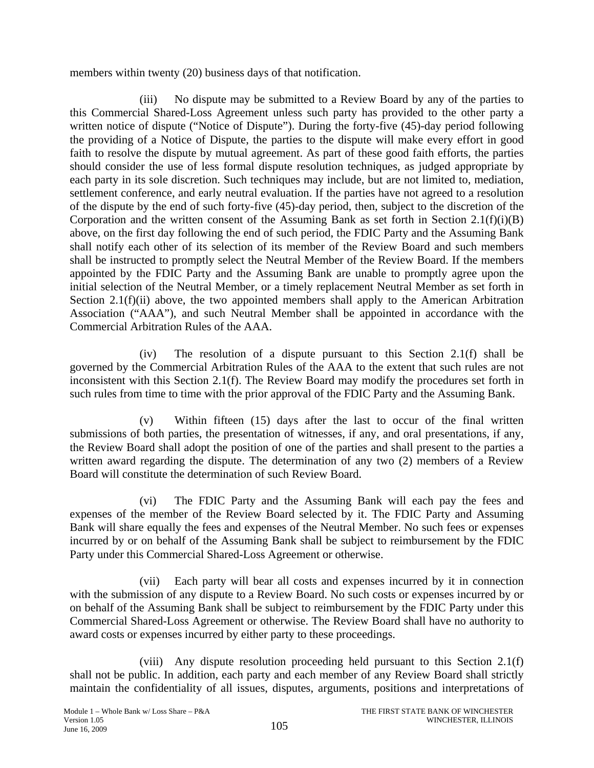members within twenty (20) business days of that notification.

(iii) No dispute may be submitted to a Review Board by any of the parties to this Commercial Shared-Loss Agreement unless such party has provided to the other party a written notice of dispute ("Notice of Dispute"). During the forty-five (45)-day period following the providing of a Notice of Dispute, the parties to the dispute will make every effort in good faith to resolve the dispute by mutual agreement. As part of these good faith efforts, the parties should consider the use of less formal dispute resolution techniques, as judged appropriate by each party in its sole discretion. Such techniques may include, but are not limited to, mediation, settlement conference, and early neutral evaluation. If the parties have not agreed to a resolution of the dispute by the end of such forty-five (45)-day period, then, subject to the discretion of the Corporation and the written consent of the Assuming Bank as set forth in Section 2.1(f)(i)(B) above, on the first day following the end of such period, the FDIC Party and the Assuming Bank shall notify each other of its selection of its member of the Review Board and such members shall be instructed to promptly select the Neutral Member of the Review Board. If the members appointed by the FDIC Party and the Assuming Bank are unable to promptly agree upon the initial selection of the Neutral Member, or a timely replacement Neutral Member as set forth in Section 2.1(f)(ii) above, the two appointed members shall apply to the American Arbitration Association ("AAA"), and such Neutral Member shall be appointed in accordance with the Commercial Arbitration Rules of the AAA.

 (iv) The resolution of a dispute pursuant to this Section 2.1(f) shall be governed by the Commercial Arbitration Rules of the AAA to the extent that such rules are not inconsistent with this Section 2.1(f). The Review Board may modify the procedures set forth in such rules from time to time with the prior approval of the FDIC Party and the Assuming Bank.

(v) Within fifteen (15) days after the last to occur of the final written submissions of both parties, the presentation of witnesses, if any, and oral presentations, if any, the Review Board shall adopt the position of one of the parties and shall present to the parties a written award regarding the dispute. The determination of any two (2) members of a Review Board will constitute the determination of such Review Board.

(vi) The FDIC Party and the Assuming Bank will each pay the fees and expenses of the member of the Review Board selected by it. The FDIC Party and Assuming Bank will share equally the fees and expenses of the Neutral Member. No such fees or expenses incurred by or on behalf of the Assuming Bank shall be subject to reimbursement by the FDIC Party under this Commercial Shared-Loss Agreement or otherwise.

(vii) Each party will bear all costs and expenses incurred by it in connection with the submission of any dispute to a Review Board. No such costs or expenses incurred by or on behalf of the Assuming Bank shall be subject to reimbursement by the FDIC Party under this Commercial Shared-Loss Agreement or otherwise. The Review Board shall have no authority to award costs or expenses incurred by either party to these proceedings.

 (viii) Any dispute resolution proceeding held pursuant to this Section 2.1(f) shall not be public. In addition, each party and each member of any Review Board shall strictly maintain the confidentiality of all issues, disputes, arguments, positions and interpretations of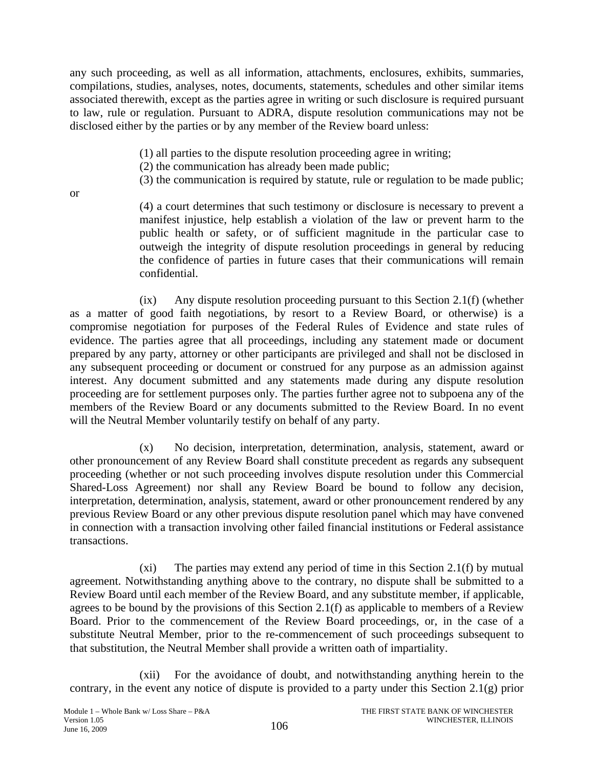any such proceeding, as well as all information, attachments, enclosures, exhibits, summaries, compilations, studies, analyses, notes, documents, statements, schedules and other similar items associated therewith, except as the parties agree in writing or such disclosure is required pursuant to law, rule or regulation. Pursuant to ADRA, dispute resolution communications may not be disclosed either by the parties or by any member of the Review board unless:

- (1) all parties to the dispute resolution proceeding agree in writing;
- (2) the communication has already been made public;
- (3) the communication is required by statute, rule or regulation to be made public;

or

(4) a court determines that such testimony or disclosure is necessary to prevent a manifest injustice, help establish a violation of the law or prevent harm to the public health or safety, or of sufficient magnitude in the particular case to outweigh the integrity of dispute resolution proceedings in general by reducing the confidence of parties in future cases that their communications will remain confidential.

(ix) Any dispute resolution proceeding pursuant to this Section 2.1(f) (whether as a matter of good faith negotiations, by resort to a Review Board, or otherwise) is a compromise negotiation for purposes of the Federal Rules of Evidence and state rules of evidence. The parties agree that all proceedings, including any statement made or document prepared by any party, attorney or other participants are privileged and shall not be disclosed in any subsequent proceeding or document or construed for any purpose as an admission against interest. Any document submitted and any statements made during any dispute resolution proceeding are for settlement purposes only. The parties further agree not to subpoena any of the members of the Review Board or any documents submitted to the Review Board. In no event will the Neutral Member voluntarily testify on behalf of any party.

(x) No decision, interpretation, determination, analysis, statement, award or other pronouncement of any Review Board shall constitute precedent as regards any subsequent proceeding (whether or not such proceeding involves dispute resolution under this Commercial Shared-Loss Agreement) nor shall any Review Board be bound to follow any decision, interpretation, determination, analysis, statement, award or other pronouncement rendered by any previous Review Board or any other previous dispute resolution panel which may have convened in connection with a transaction involving other failed financial institutions or Federal assistance transactions.

(xi) The parties may extend any period of time in this Section 2.1(f) by mutual agreement. Notwithstanding anything above to the contrary, no dispute shall be submitted to a Review Board until each member of the Review Board, and any substitute member, if applicable, agrees to be bound by the provisions of this Section 2.1(f) as applicable to members of a Review Board. Prior to the commencement of the Review Board proceedings, or, in the case of a substitute Neutral Member, prior to the re-commencement of such proceedings subsequent to that substitution, the Neutral Member shall provide a written oath of impartiality.

(xii) For the avoidance of doubt, and notwithstanding anything herein to the contrary, in the event any notice of dispute is provided to a party under this Section 2.1(g) prior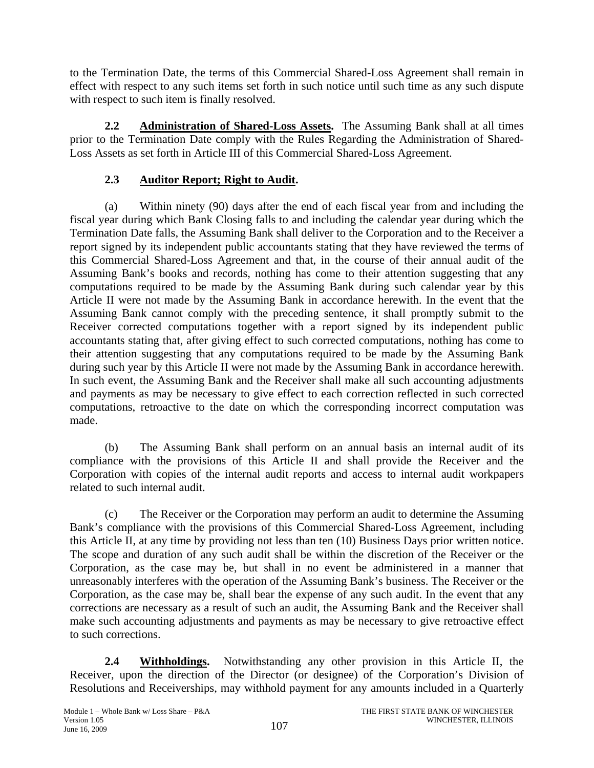to the Termination Date, the terms of this Commercial Shared-Loss Agreement shall remain in effect with respect to any such items set forth in such notice until such time as any such dispute with respect to such item is finally resolved.

**2.2 Administration of Shared-Loss Assets.** The Assuming Bank shall at all times prior to the Termination Date comply with the Rules Regarding the Administration of Shared-Loss Assets as set forth in Article III of this Commercial Shared-Loss Agreement.

# **2.3 Auditor Report; Right to Audit.**

(a) Within ninety (90) days after the end of each fiscal year from and including the fiscal year during which Bank Closing falls to and including the calendar year during which the Termination Date falls, the Assuming Bank shall deliver to the Corporation and to the Receiver a report signed by its independent public accountants stating that they have reviewed the terms of this Commercial Shared-Loss Agreement and that, in the course of their annual audit of the Assuming Bank's books and records, nothing has come to their attention suggesting that any computations required to be made by the Assuming Bank during such calendar year by this Article II were not made by the Assuming Bank in accordance herewith. In the event that the Assuming Bank cannot comply with the preceding sentence, it shall promptly submit to the Receiver corrected computations together with a report signed by its independent public accountants stating that, after giving effect to such corrected computations, nothing has come to their attention suggesting that any computations required to be made by the Assuming Bank during such year by this Article II were not made by the Assuming Bank in accordance herewith. In such event, the Assuming Bank and the Receiver shall make all such accounting adjustments and payments as may be necessary to give effect to each correction reflected in such corrected computations, retroactive to the date on which the corresponding incorrect computation was made.

 (b) The Assuming Bank shall perform on an annual basis an internal audit of its compliance with the provisions of this Article II and shall provide the Receiver and the Corporation with copies of the internal audit reports and access to internal audit workpapers related to such internal audit.

 (c) The Receiver or the Corporation may perform an audit to determine the Assuming Bank's compliance with the provisions of this Commercial Shared-Loss Agreement, including this Article II, at any time by providing not less than ten (10) Business Days prior written notice. The scope and duration of any such audit shall be within the discretion of the Receiver or the Corporation, as the case may be, but shall in no event be administered in a manner that unreasonably interferes with the operation of the Assuming Bank's business. The Receiver or the Corporation, as the case may be, shall bear the expense of any such audit. In the event that any corrections are necessary as a result of such an audit, the Assuming Bank and the Receiver shall make such accounting adjustments and payments as may be necessary to give retroactive effect to such corrections.

**2.4 Withholdings.** Notwithstanding any other provision in this Article II, the Receiver, upon the direction of the Director (or designee) of the Corporation's Division of Resolutions and Receiverships, may withhold payment for any amounts included in a Quarterly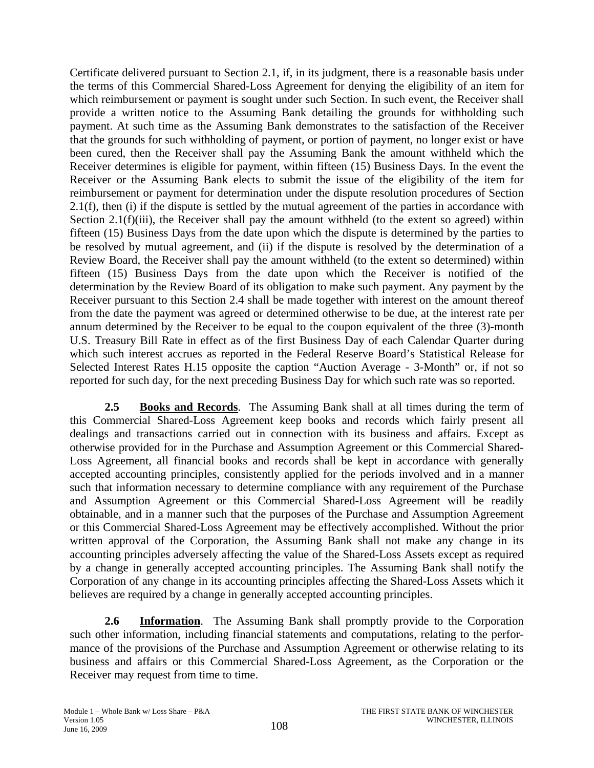Certificate delivered pursuant to Section 2.1, if, in its judgment, there is a reasonable basis under the terms of this Commercial Shared-Loss Agreement for denying the eligibility of an item for which reimbursement or payment is sought under such Section. In such event, the Receiver shall provide a written notice to the Assuming Bank detailing the grounds for withholding such payment. At such time as the Assuming Bank demonstrates to the satisfaction of the Receiver that the grounds for such withholding of payment, or portion of payment, no longer exist or have been cured, then the Receiver shall pay the Assuming Bank the amount withheld which the Receiver determines is eligible for payment, within fifteen (15) Business Days. In the event the Receiver or the Assuming Bank elects to submit the issue of the eligibility of the item for reimbursement or payment for determination under the dispute resolution procedures of Section 2.1(f), then (i) if the dispute is settled by the mutual agreement of the parties in accordance with Section 2.1(f)(iii), the Receiver shall pay the amount withheld (to the extent so agreed) within fifteen (15) Business Days from the date upon which the dispute is determined by the parties to be resolved by mutual agreement, and (ii) if the dispute is resolved by the determination of a Review Board, the Receiver shall pay the amount withheld (to the extent so determined) within fifteen (15) Business Days from the date upon which the Receiver is notified of the determination by the Review Board of its obligation to make such payment. Any payment by the Receiver pursuant to this Section 2.4 shall be made together with interest on the amount thereof from the date the payment was agreed or determined otherwise to be due, at the interest rate per annum determined by the Receiver to be equal to the coupon equivalent of the three (3)-month U.S. Treasury Bill Rate in effect as of the first Business Day of each Calendar Quarter during which such interest accrues as reported in the Federal Reserve Board's Statistical Release for Selected Interest Rates H.15 opposite the caption "Auction Average - 3-Month" or, if not so reported for such day, for the next preceding Business Day for which such rate was so reported.

**2.5 Books and Records**. The Assuming Bank shall at all times during the term of this Commercial Shared-Loss Agreement keep books and records which fairly present all dealings and transactions carried out in connection with its business and affairs. Except as otherwise provided for in the Purchase and Assumption Agreement or this Commercial Shared-Loss Agreement, all financial books and records shall be kept in accordance with generally accepted accounting principles, consistently applied for the periods involved and in a manner such that information necessary to determine compliance with any requirement of the Purchase and Assumption Agreement or this Commercial Shared-Loss Agreement will be readily obtainable, and in a manner such that the purposes of the Purchase and Assumption Agreement or this Commercial Shared-Loss Agreement may be effectively accomplished. Without the prior written approval of the Corporation, the Assuming Bank shall not make any change in its accounting principles adversely affecting the value of the Shared-Loss Assets except as required by a change in generally accepted accounting principles. The Assuming Bank shall notify the Corporation of any change in its accounting principles affecting the Shared-Loss Assets which it believes are required by a change in generally accepted accounting principles.

**2.6 Information**. The Assuming Bank shall promptly provide to the Corporation such other information, including financial statements and computations, relating to the performance of the provisions of the Purchase and Assumption Agreement or otherwise relating to its business and affairs or this Commercial Shared-Loss Agreement, as the Corporation or the Receiver may request from time to time.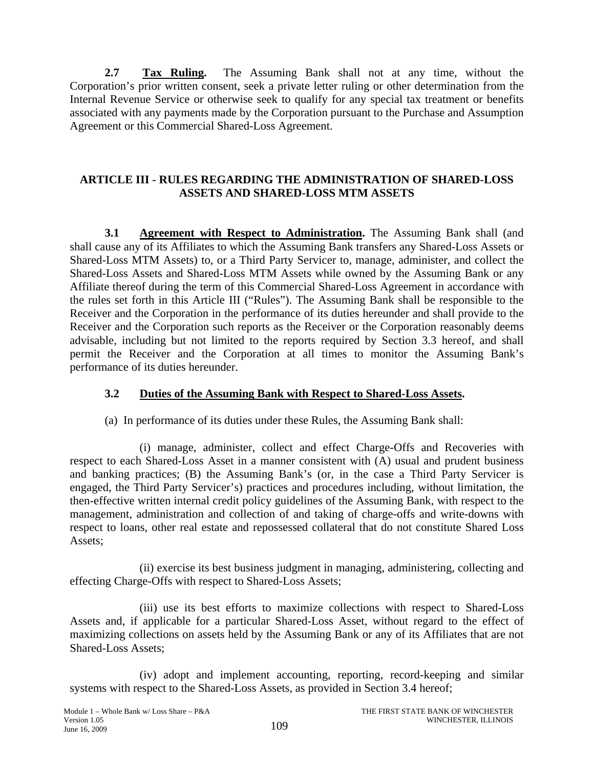**2.7 Tax Ruling.** The Assuming Bank shall not at any time, without the Corporation's prior written consent, seek a private letter ruling or other determination from the Internal Revenue Service or otherwise seek to qualify for any special tax treatment or benefits associated with any payments made by the Corporation pursuant to the Purchase and Assumption Agreement or this Commercial Shared-Loss Agreement.

### **ARTICLE III - RULES REGARDING THE ADMINISTRATION OF SHARED-LOSS ASSETS AND SHARED-LOSS MTM ASSETS**

**3.1 Agreement with Respect to Administration.** The Assuming Bank shall (and shall cause any of its Affiliates to which the Assuming Bank transfers any Shared-Loss Assets or Shared-Loss MTM Assets) to, or a Third Party Servicer to, manage, administer, and collect the Shared-Loss Assets and Shared-Loss MTM Assets while owned by the Assuming Bank or any Affiliate thereof during the term of this Commercial Shared-Loss Agreement in accordance with the rules set forth in this Article III ("Rules"). The Assuming Bank shall be responsible to the Receiver and the Corporation in the performance of its duties hereunder and shall provide to the Receiver and the Corporation such reports as the Receiver or the Corporation reasonably deems advisable, including but not limited to the reports required by Section 3.3 hereof, and shall permit the Receiver and the Corporation at all times to monitor the Assuming Bank's performance of its duties hereunder.

## **3.2 Duties of the Assuming Bank with Respect to Shared-Loss Assets.**

(a) In performance of its duties under these Rules, the Assuming Bank shall:

 (i) manage, administer, collect and effect Charge-Offs and Recoveries with respect to each Shared-Loss Asset in a manner consistent with (A) usual and prudent business and banking practices; (B) the Assuming Bank's (or, in the case a Third Party Servicer is engaged, the Third Party Servicer's) practices and procedures including, without limitation, the then-effective written internal credit policy guidelines of the Assuming Bank, with respect to the management, administration and collection of and taking of charge-offs and write-downs with respect to loans, other real estate and repossessed collateral that do not constitute Shared Loss Assets;

(ii) exercise its best business judgment in managing, administering, collecting and effecting Charge-Offs with respect to Shared-Loss Assets;

(iii) use its best efforts to maximize collections with respect to Shared-Loss Assets and, if applicable for a particular Shared-Loss Asset, without regard to the effect of maximizing collections on assets held by the Assuming Bank or any of its Affiliates that are not Shared-Loss Assets;

(iv) adopt and implement accounting, reporting, record-keeping and similar systems with respect to the Shared-Loss Assets, as provided in Section 3.4 hereof;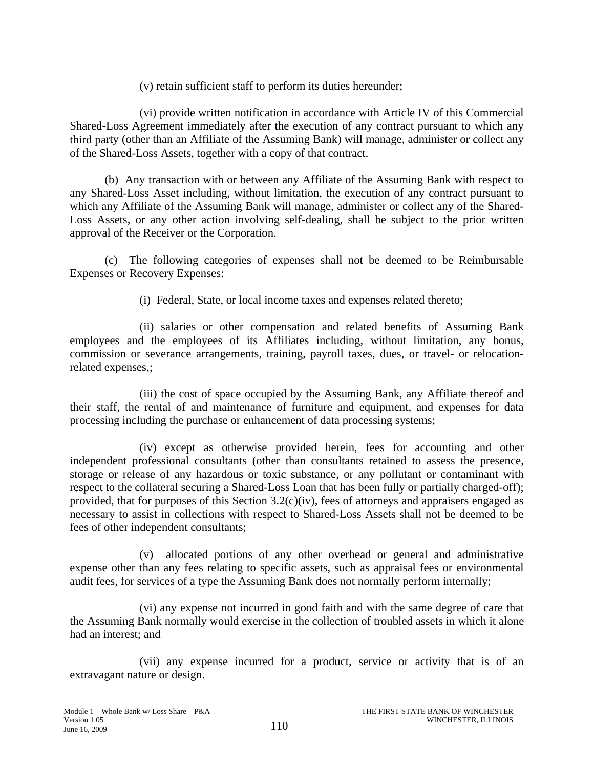(v) retain sufficient staff to perform its duties hereunder;

(vi) provide written notification in accordance with Article IV of this Commercial Shared-Loss Agreement immediately after the execution of any contract pursuant to which any third party (other than an Affiliate of the Assuming Bank) will manage, administer or collect any of the Shared-Loss Assets, together with a copy of that contract.

(b) Any transaction with or between any Affiliate of the Assuming Bank with respect to any Shared-Loss Asset including, without limitation, the execution of any contract pursuant to which any Affiliate of the Assuming Bank will manage, administer or collect any of the Shared-Loss Assets, or any other action involving self-dealing, shall be subject to the prior written approval of the Receiver or the Corporation.

(c) The following categories of expenses shall not be deemed to be Reimbursable Expenses or Recovery Expenses:

(i) Federal, State, or local income taxes and expenses related thereto;

(ii) salaries or other compensation and related benefits of Assuming Bank employees and the employees of its Affiliates including, without limitation, any bonus, commission or severance arrangements, training, payroll taxes, dues, or travel- or relocationrelated expenses,;

(iii) the cost of space occupied by the Assuming Bank, any Affiliate thereof and their staff, the rental of and maintenance of furniture and equipment, and expenses for data processing including the purchase or enhancement of data processing systems;

(iv) except as otherwise provided herein, fees for accounting and other independent professional consultants (other than consultants retained to assess the presence, storage or release of any hazardous or toxic substance, or any pollutant or contaminant with respect to the collateral securing a Shared-Loss Loan that has been fully or partially charged-off); provided, that for purposes of this Section  $3.2(c)(iv)$ , fees of attorneys and appraisers engaged as necessary to assist in collections with respect to Shared-Loss Assets shall not be deemed to be fees of other independent consultants;

(v) allocated portions of any other overhead or general and administrative expense other than any fees relating to specific assets, such as appraisal fees or environmental audit fees, for services of a type the Assuming Bank does not normally perform internally;

(vi) any expense not incurred in good faith and with the same degree of care that the Assuming Bank normally would exercise in the collection of troubled assets in which it alone had an interest; and

(vii) any expense incurred for a product, service or activity that is of an extravagant nature or design.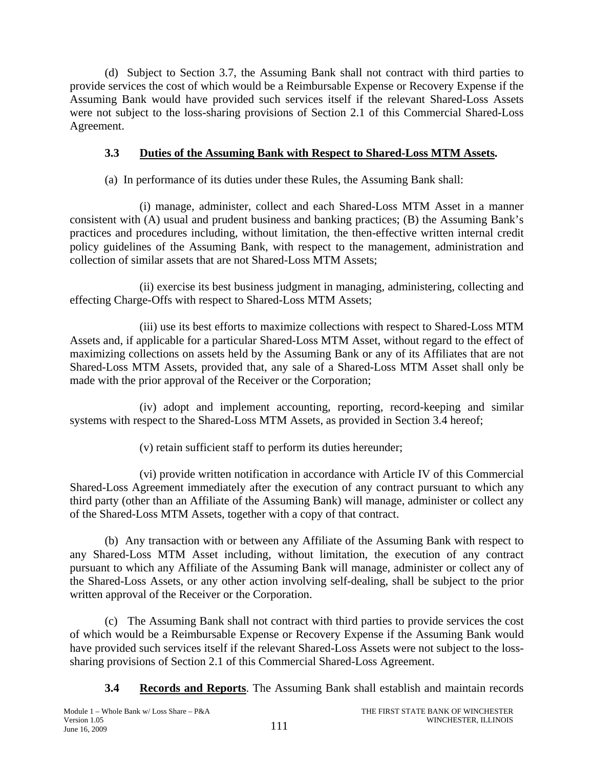(d) Subject to Section 3.7, the Assuming Bank shall not contract with third parties to provide services the cost of which would be a Reimbursable Expense or Recovery Expense if the Assuming Bank would have provided such services itself if the relevant Shared-Loss Assets were not subject to the loss-sharing provisions of Section 2.1 of this Commercial Shared-Loss Agreement.

## **3.3 Duties of the Assuming Bank with Respect to Shared-Loss MTM Assets.**

(a) In performance of its duties under these Rules, the Assuming Bank shall:

(i) manage, administer, collect and each Shared-Loss MTM Asset in a manner consistent with (A) usual and prudent business and banking practices; (B) the Assuming Bank's practices and procedures including, without limitation, the then-effective written internal credit policy guidelines of the Assuming Bank, with respect to the management, administration and collection of similar assets that are not Shared-Loss MTM Assets;

(ii) exercise its best business judgment in managing, administering, collecting and effecting Charge-Offs with respect to Shared-Loss MTM Assets;

(iii) use its best efforts to maximize collections with respect to Shared-Loss MTM Assets and, if applicable for a particular Shared-Loss MTM Asset, without regard to the effect of maximizing collections on assets held by the Assuming Bank or any of its Affiliates that are not Shared-Loss MTM Assets, provided that, any sale of a Shared-Loss MTM Asset shall only be made with the prior approval of the Receiver or the Corporation;

(iv) adopt and implement accounting, reporting, record-keeping and similar systems with respect to the Shared-Loss MTM Assets, as provided in Section 3.4 hereof;

(v) retain sufficient staff to perform its duties hereunder;

(vi) provide written notification in accordance with Article IV of this Commercial Shared-Loss Agreement immediately after the execution of any contract pursuant to which any third party (other than an Affiliate of the Assuming Bank) will manage, administer or collect any of the Shared-Loss MTM Assets, together with a copy of that contract.

 (b) Any transaction with or between any Affiliate of the Assuming Bank with respect to any Shared-Loss MTM Asset including, without limitation, the execution of any contract pursuant to which any Affiliate of the Assuming Bank will manage, administer or collect any of the Shared-Loss Assets, or any other action involving self-dealing, shall be subject to the prior written approval of the Receiver or the Corporation.

 (c) The Assuming Bank shall not contract with third parties to provide services the cost of which would be a Reimbursable Expense or Recovery Expense if the Assuming Bank would have provided such services itself if the relevant Shared-Loss Assets were not subject to the losssharing provisions of Section 2.1 of this Commercial Shared-Loss Agreement.

**3.4 Records and Reports**. The Assuming Bank shall establish and maintain records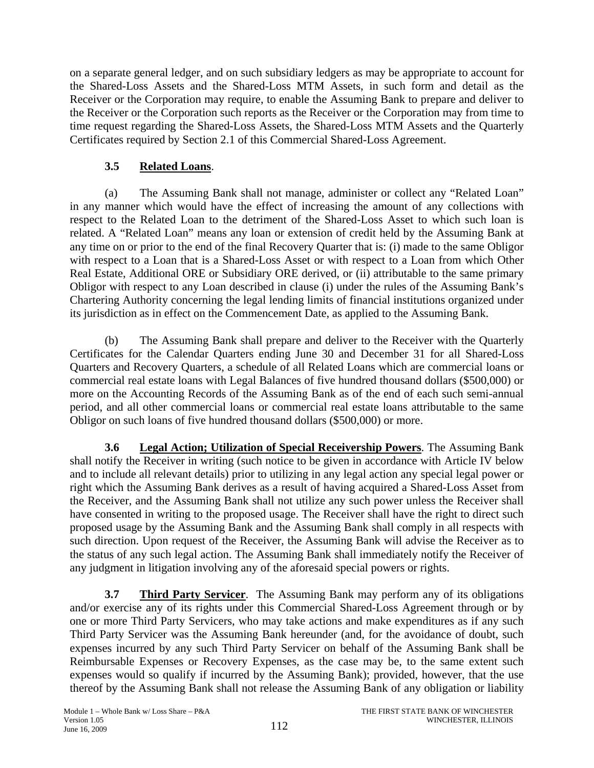on a separate general ledger, and on such subsidiary ledgers as may be appropriate to account for the Shared-Loss Assets and the Shared-Loss MTM Assets, in such form and detail as the Receiver or the Corporation may require, to enable the Assuming Bank to prepare and deliver to the Receiver or the Corporation such reports as the Receiver or the Corporation may from time to time request regarding the Shared-Loss Assets, the Shared-Loss MTM Assets and the Quarterly Certificates required by Section 2.1 of this Commercial Shared-Loss Agreement.

# **3.5 Related Loans**.

 (a) The Assuming Bank shall not manage, administer or collect any "Related Loan" in any manner which would have the effect of increasing the amount of any collections with respect to the Related Loan to the detriment of the Shared-Loss Asset to which such loan is related. A "Related Loan" means any loan or extension of credit held by the Assuming Bank at any time on or prior to the end of the final Recovery Quarter that is: (i) made to the same Obligor with respect to a Loan that is a Shared-Loss Asset or with respect to a Loan from which Other Real Estate, Additional ORE or Subsidiary ORE derived, or (ii) attributable to the same primary Obligor with respect to any Loan described in clause (i) under the rules of the Assuming Bank's Chartering Authority concerning the legal lending limits of financial institutions organized under its jurisdiction as in effect on the Commencement Date, as applied to the Assuming Bank.

 (b) The Assuming Bank shall prepare and deliver to the Receiver with the Quarterly Certificates for the Calendar Quarters ending June 30 and December 31 for all Shared-Loss Quarters and Recovery Quarters, a schedule of all Related Loans which are commercial loans or commercial real estate loans with Legal Balances of five hundred thousand dollars (\$500,000) or more on the Accounting Records of the Assuming Bank as of the end of each such semi-annual period, and all other commercial loans or commercial real estate loans attributable to the same Obligor on such loans of five hundred thousand dollars (\$500,000) or more.

**3.6 Legal Action; Utilization of Special Receivership Powers**. The Assuming Bank shall notify the Receiver in writing (such notice to be given in accordance with Article IV below and to include all relevant details) prior to utilizing in any legal action any special legal power or right which the Assuming Bank derives as a result of having acquired a Shared-Loss Asset from the Receiver, and the Assuming Bank shall not utilize any such power unless the Receiver shall have consented in writing to the proposed usage. The Receiver shall have the right to direct such proposed usage by the Assuming Bank and the Assuming Bank shall comply in all respects with such direction. Upon request of the Receiver, the Assuming Bank will advise the Receiver as to the status of any such legal action. The Assuming Bank shall immediately notify the Receiver of any judgment in litigation involving any of the aforesaid special powers or rights.

**3.7 Third Party Servicer**. The Assuming Bank may perform any of its obligations and/or exercise any of its rights under this Commercial Shared-Loss Agreement through or by one or more Third Party Servicers, who may take actions and make expenditures as if any such Third Party Servicer was the Assuming Bank hereunder (and, for the avoidance of doubt, such expenses incurred by any such Third Party Servicer on behalf of the Assuming Bank shall be Reimbursable Expenses or Recovery Expenses, as the case may be, to the same extent such expenses would so qualify if incurred by the Assuming Bank); provided, however, that the use thereof by the Assuming Bank shall not release the Assuming Bank of any obligation or liability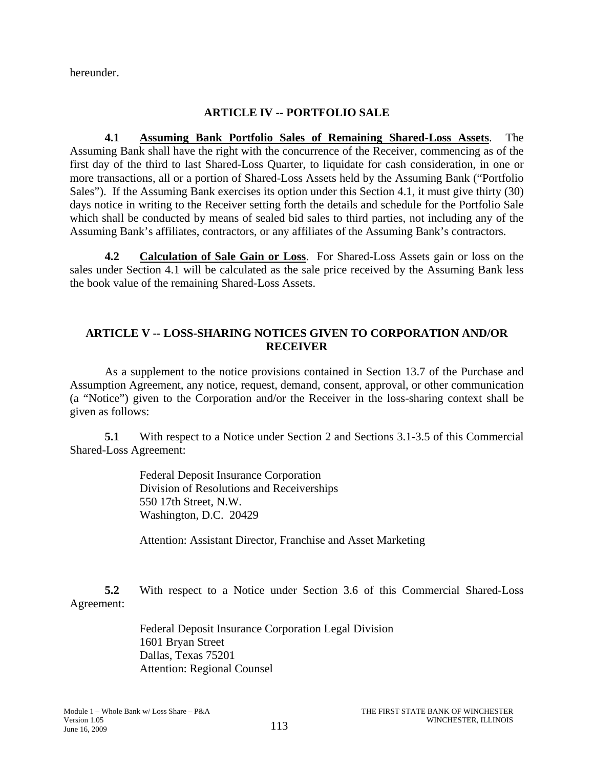hereunder.

## **ARTICLE IV -- PORTFOLIO SALE**

 **4.1 Assuming Bank Portfolio Sales of Remaining Shared-Loss Assets**. The Assuming Bank shall have the right with the concurrence of the Receiver, commencing as of the first day of the third to last Shared-Loss Quarter, to liquidate for cash consideration, in one or more transactions, all or a portion of Shared-Loss Assets held by the Assuming Bank ("Portfolio Sales"). If the Assuming Bank exercises its option under this Section 4.1, it must give thirty (30) days notice in writing to the Receiver setting forth the details and schedule for the Portfolio Sale which shall be conducted by means of sealed bid sales to third parties, not including any of the Assuming Bank's affiliates, contractors, or any affiliates of the Assuming Bank's contractors.

**4.2 Calculation of Sale Gain or Loss**. For Shared-Loss Assets gain or loss on the sales under Section 4.1 will be calculated as the sale price received by the Assuming Bank less the book value of the remaining Shared-Loss Assets.

#### **ARTICLE V -- LOSS-SHARING NOTICES GIVEN TO CORPORATION AND/OR RECEIVER**

As a supplement to the notice provisions contained in Section 13.7 of the Purchase and Assumption Agreement, any notice, request, demand, consent, approval, or other communication (a "Notice") given to the Corporation and/or the Receiver in the loss-sharing context shall be given as follows:

**5.1** With respect to a Notice under Section 2 and Sections 3.1-3.5 of this Commercial Shared-Loss Agreement:

> Federal Deposit Insurance Corporation Division of Resolutions and Receiverships 550 17th Street, N.W. Washington, D.C. 20429

Attention: Assistant Director, Franchise and Asset Marketing

**5.2** With respect to a Notice under Section 3.6 of this Commercial Shared-Loss Agreement:

> Federal Deposit Insurance Corporation Legal Division 1601 Bryan Street Dallas, Texas 75201 Attention: Regional Counsel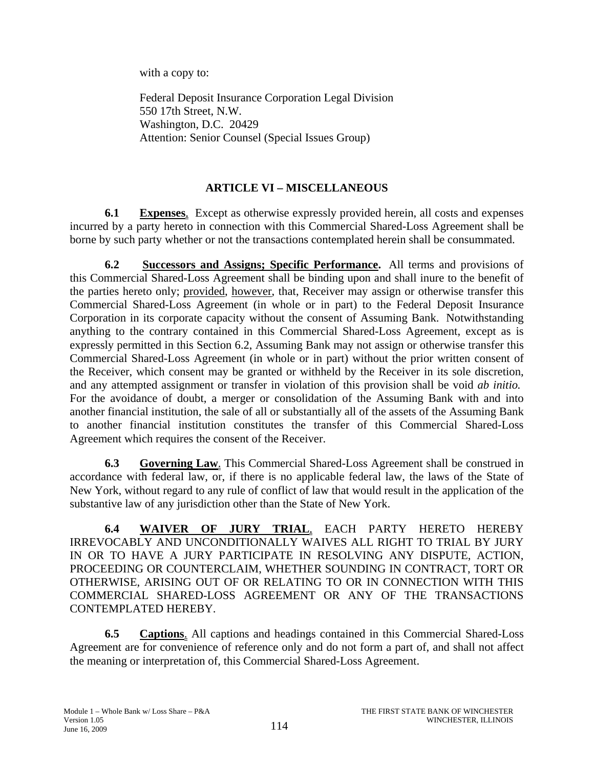with a copy to:

Federal Deposit Insurance Corporation Legal Division 550 17th Street, N.W. Washington, D.C. 20429 Attention: Senior Counsel (Special Issues Group)

### **ARTICLE VI – MISCELLANEOUS**

**6.1 Expenses.** Except as otherwise expressly provided herein, all costs and expenses incurred by a party hereto in connection with this Commercial Shared-Loss Agreement shall be borne by such party whether or not the transactions contemplated herein shall be consummated.

**6.2 Successors and Assigns; Specific Performance.** All terms and provisions of this Commercial Shared-Loss Agreement shall be binding upon and shall inure to the benefit of the parties hereto only; provided, however, that, Receiver may assign or otherwise transfer this Commercial Shared-Loss Agreement (in whole or in part) to the Federal Deposit Insurance Corporation in its corporate capacity without the consent of Assuming Bank. Notwithstanding anything to the contrary contained in this Commercial Shared-Loss Agreement, except as is expressly permitted in this Section 6.2, Assuming Bank may not assign or otherwise transfer this Commercial Shared-Loss Agreement (in whole or in part) without the prior written consent of the Receiver, which consent may be granted or withheld by the Receiver in its sole discretion, and any attempted assignment or transfer in violation of this provision shall be void *ab initio.*  For the avoidance of doubt, a merger or consolidation of the Assuming Bank with and into another financial institution, the sale of all or substantially all of the assets of the Assuming Bank to another financial institution constitutes the transfer of this Commercial Shared-Loss Agreement which requires the consent of the Receiver.

**6.3** Governing Law. This Commercial Shared-Loss Agreement shall be construed in accordance with federal law, or, if there is no applicable federal law, the laws of the State of New York, without regard to any rule of conflict of law that would result in the application of the substantive law of any jurisdiction other than the State of New York.

**6.4 WAIVER OF JURY TRIAL**. EACH PARTY HERETO HEREBY IRREVOCABLY AND UNCONDITIONALLY WAIVES ALL RIGHT TO TRIAL BY JURY IN OR TO HAVE A JURY PARTICIPATE IN RESOLVING ANY DISPUTE, ACTION, PROCEEDING OR COUNTERCLAIM, WHETHER SOUNDING IN CONTRACT, TORT OR OTHERWISE, ARISING OUT OF OR RELATING TO OR IN CONNECTION WITH THIS COMMERCIAL SHARED-LOSS AGREEMENT OR ANY OF THE TRANSACTIONS CONTEMPLATED HEREBY.

**6.5 Captions**. All captions and headings contained in this Commercial Shared-Loss Agreement are for convenience of reference only and do not form a part of, and shall not affect the meaning or interpretation of, this Commercial Shared-Loss Agreement.